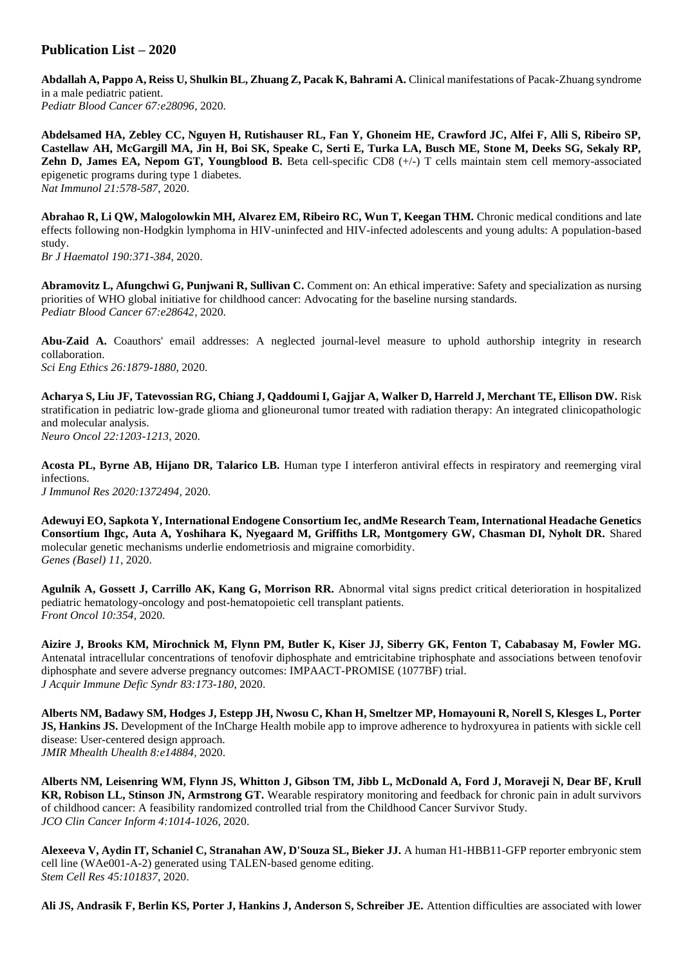## **Publication List – 2020**

Abdallah A, Pappo A, Reiss U, Shulkin BL, Zhuang Z, Pacak K, Bahrami A. Clinical manifestations of Pacak-Zhuang syndrome in a male pediatric patient. *Pediatr Blood Cancer 67:e28096,* 2020.

**Abdelsamed HA, Zebley CC, Nguyen H, Rutishauser RL, Fan Y, Ghoneim HE, Crawford JC, Alfei F, Alli S, Ribeiro SP, Castellaw AH, McGargill MA, Jin H, Boi SK, Speake C, Serti E, Turka LA, Busch ME, Stone M, Deeks SG, Sekaly RP, Zehn D, James EA, Nepom GT, Youngblood B.** Beta cell-specific CD8 (+/-) T cells maintain stem cell memory-associated epigenetic programs during type 1 diabetes. *Nat Immunol 21:578-587*, 2020.

**Abrahao R, Li QW, Malogolowkin MH, Alvarez EM, Ribeiro RC, Wun T, Keegan THM.** Chronic medical conditions and late effects following non-Hodgkin lymphoma in HIV-uninfected and HIV-infected adolescents and young adults: A population-based study.

*Br J Haematol 190:371-384*, 2020.

**Abramovitz L, Afungchwi G, Punjwani R, Sullivan C.** Comment on: An ethical imperative: Safety and specialization as nursing priorities of WHO global initiative for childhood cancer: Advocating for the baseline nursing standards. *Pediatr Blood Cancer 67:e28642,* 2020.

**Abu-Zaid A.** Coauthors' email addresses: A neglected journal-level measure to uphold authorship integrity in research collaboration. *Sci Eng Ethics 26:1879-1880*, 2020.

**Acharya S, Liu JF, Tatevossian RG, Chiang J, Qaddoumi I, Gajjar A, Walker D, Harreld J, Merchant TE, Ellison DW.** Risk stratification in pediatric low-grade glioma and glioneuronal tumor treated with radiation therapy: An integrated clinicopathologic and molecular analysis. *Neuro Oncol 22:1203-1213*, 2020.

**Acosta PL, Byrne AB, Hijano DR, Talarico LB.** Human type I interferon antiviral effects in respiratory and reemerging viral infections. *J Immunol Res 2020:1372494,* 2020.

**Adewuyi EO, Sapkota Y, International Endogene Consortium Iec, andMe Research Team, International Headache Genetics Consortium Ihgc, Auta A, Yoshihara K, Nyegaard M, Griffiths LR, Montgomery GW, Chasman DI, Nyholt DR.** Shared molecular genetic mechanisms underlie endometriosis and migraine comorbidity. *Genes (Basel) 11,* 2020.

**Agulnik A, Gossett J, Carrillo AK, Kang G, Morrison RR.** Abnormal vital signs predict critical deterioration in hospitalized pediatric hematology-oncology and post-hematopoietic cell transplant patients. *Front Oncol 10:354,* 2020.

**Aizire J, Brooks KM, Mirochnick M, Flynn PM, Butler K, Kiser JJ, Siberry GK, Fenton T, Cababasay M, Fowler MG.**  Antenatal intracellular concentrations of tenofovir diphosphate and emtricitabine triphosphate and associations between tenofovir diphosphate and severe adverse pregnancy outcomes: IMPAACT-PROMISE (1077BF) trial. *J Acquir Immune Defic Syndr 83:173-180*, 2020.

**Alberts NM, Badawy SM, Hodges J, Estepp JH, Nwosu C, Khan H, Smeltzer MP, Homayouni R, Norell S, Klesges L, Porter JS, Hankins JS.** Development of the InCharge Health mobile app to improve adherence to hydroxyurea in patients with sickle cell disease: User-centered design approach. *JMIR Mhealth Uhealth 8:e14884,* 2020.

**Alberts NM, Leisenring WM, Flynn JS, Whitton J, Gibson TM, Jibb L, McDonald A, Ford J, Moraveji N, Dear BF, Krull KR, Robison LL, Stinson JN, Armstrong GT.** Wearable respiratory monitoring and feedback for chronic pain in adult survivors of childhood cancer: A feasibility randomized controlled trial from the Childhood Cancer Survivor Study. *JCO Clin Cancer Inform 4:1014-1026*, 2020.

**Alexeeva V, Aydin IT, Schaniel C, Stranahan AW, D'Souza SL, Bieker JJ.** A human H1-HBB11-GFP reporter embryonic stem cell line (WAe001-A-2) generated using TALEN-based genome editing. *Stem Cell Res 45:101837,* 2020.

**Ali JS, Andrasik F, Berlin KS, Porter J, Hankins J, Anderson S, Schreiber JE.** Attention difficulties are associated with lower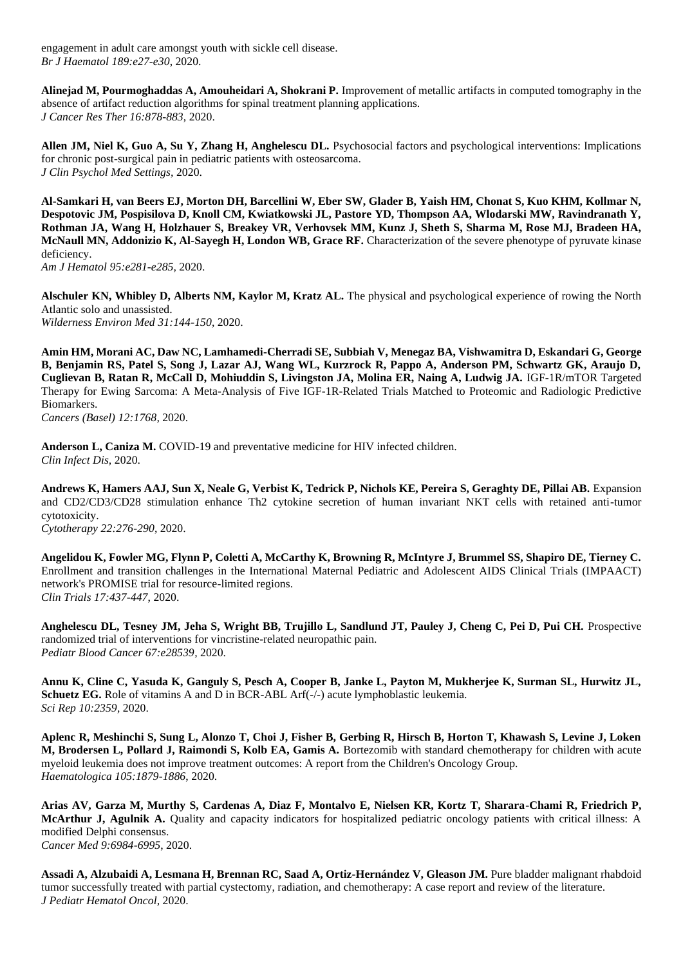engagement in adult care amongst youth with sickle cell disease. *Br J Haematol 189:e27-e30*, 2020.

**Alinejad M, Pourmoghaddas A, Amouheidari A, Shokrani P.** Improvement of metallic artifacts in computed tomography in the absence of artifact reduction algorithms for spinal treatment planning applications. *J Cancer Res Ther 16:878-883*, 2020.

**Allen JM, Niel K, Guo A, Su Y, Zhang H, Anghelescu DL.** Psychosocial factors and psychological interventions: Implications for chronic post-surgical pain in pediatric patients with osteosarcoma. *J Clin Psychol Med Settings,* 2020.

**Al-Samkari H, van Beers EJ, Morton DH, Barcellini W, Eber SW, Glader B, Yaish HM, Chonat S, Kuo KHM, Kollmar N, Despotovic JM, Pospisilova D, Knoll CM, Kwiatkowski JL, Pastore YD, Thompson AA, Wlodarski MW, Ravindranath Y, Rothman JA, Wang H, Holzhauer S, Breakey VR, Verhovsek MM, Kunz J, Sheth S, Sharma M, Rose MJ, Bradeen HA, McNaull MN, Addonizio K, Al-Sayegh H, London WB, Grace RF.** Characterization of the severe phenotype of pyruvate kinase deficiency.

*Am J Hematol 95:e281-e285,* 2020.

**Alschuler KN, Whibley D, Alberts NM, Kaylor M, Kratz AL.** The physical and psychological experience of rowing the North Atlantic solo and unassisted. *Wilderness Environ Med 31:144-150*, 2020.

**Amin HM, Morani AC, Daw NC, Lamhamedi-Cherradi SE, Subbiah V, Menegaz BA, Vishwamitra D, Eskandari G, George B, Benjamin RS, Patel S, Song J, Lazar AJ, Wang WL, Kurzrock R, Pappo A, Anderson PM, Schwartz GK, Araujo D, Cuglievan B, Ratan R, McCall D, Mohiuddin S, Livingston JA, Molina ER, Naing A, Ludwig JA.** IGF-1R/mTOR Targeted Therapy for Ewing Sarcoma: A Meta-Analysis of Five IGF-1R-Related Trials Matched to Proteomic and Radiologic Predictive Biomarkers.

*Cancers (Basel) 12:1768,* 2020.

**Anderson L, Caniza M.** COVID-19 and preventative medicine for HIV infected children. *Clin Infect Dis,* 2020.

**Andrews K, Hamers AAJ, Sun X, Neale G, Verbist K, Tedrick P, Nichols KE, Pereira S, Geraghty DE, Pillai AB.** Expansion and CD2/CD3/CD28 stimulation enhance Th2 cytokine secretion of human invariant NKT cells with retained anti-tumor cytotoxicity.

*Cytotherapy 22:276-290*, 2020.

**Angelidou K, Fowler MG, Flynn P, Coletti A, McCarthy K, Browning R, McIntyre J, Brummel SS, Shapiro DE, Tierney C.**  Enrollment and transition challenges in the International Maternal Pediatric and Adolescent AIDS Clinical Trials (IMPAACT) network's PROMISE trial for resource-limited regions. *Clin Trials 17:437-447*, 2020.

**Anghelescu DL, Tesney JM, Jeha S, Wright BB, Trujillo L, Sandlund JT, Pauley J, Cheng C, Pei D, Pui CH.** Prospective randomized trial of interventions for vincristine-related neuropathic pain. *Pediatr Blood Cancer 67:e28539,* 2020.

**Annu K, Cline C, Yasuda K, Ganguly S, Pesch A, Cooper B, Janke L, Payton M, Mukherjee K, Surman SL, Hurwitz JL, Schuetz EG.** Role of vitamins A and D in BCR-ABL Arf(-/-) acute lymphoblastic leukemia. *Sci Rep 10:2359,* 2020.

**Aplenc R, Meshinchi S, Sung L, Alonzo T, Choi J, Fisher B, Gerbing R, Hirsch B, Horton T, Khawash S, Levine J, Loken M, Brodersen L, Pollard J, Raimondi S, Kolb EA, Gamis A.** Bortezomib with standard chemotherapy for children with acute myeloid leukemia does not improve treatment outcomes: A report from the Children's Oncology Group. *Haematologica 105:1879-1886*, 2020.

**Arias AV, Garza M, Murthy S, Cardenas A, Diaz F, Montalvo E, Nielsen KR, Kortz T, Sharara-Chami R, Friedrich P, McArthur J, Agulnik A.** Quality and capacity indicators for hospitalized pediatric oncology patients with critical illness: A modified Delphi consensus. *Cancer Med 9:6984-6995*, 2020.

**Assadi A, Alzubaidi A, Lesmana H, Brennan RC, Saad A, Ortiz-Hernández V, Gleason JM.** Pure bladder malignant rhabdoid tumor successfully treated with partial cystectomy, radiation, and chemotherapy: A case report and review of the literature. *J Pediatr Hematol Oncol,* 2020.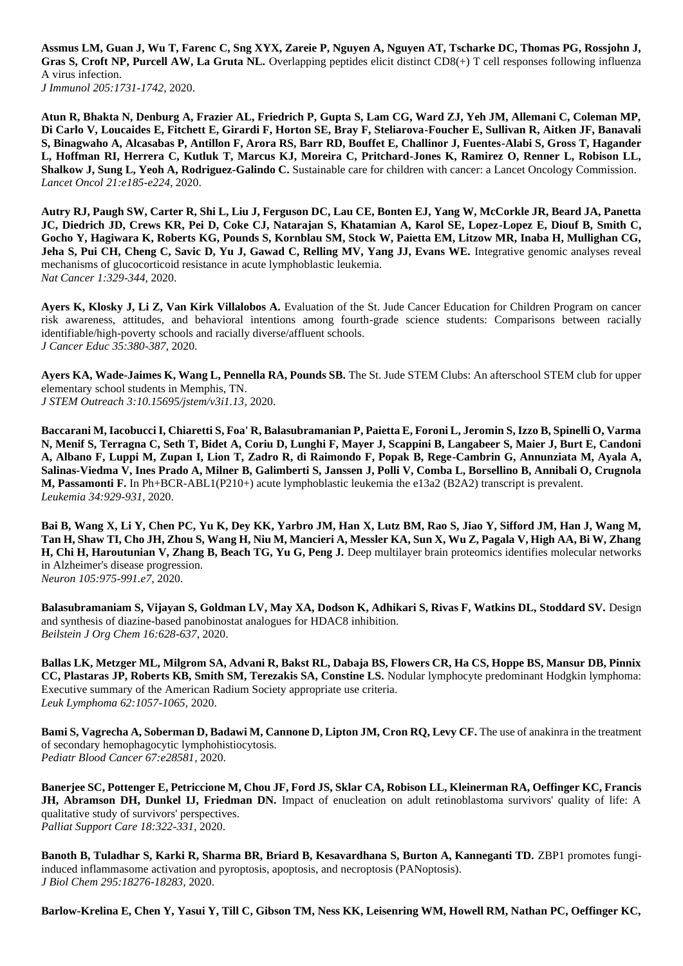**Assmus LM, Guan J, Wu T, Farenc C, Sng XYX, Zareie P, Nguyen A, Nguyen AT, Tscharke DC, Thomas PG, Rossjohn J, Gras S, Croft NP, Purcell AW, La Gruta NL.** Overlapping peptides elicit distinct CD8(+) T cell responses following influenza A virus infection.

*J Immunol 205:1731-1742*, 2020.

**Atun R, Bhakta N, Denburg A, Frazier AL, Friedrich P, Gupta S, Lam CG, Ward ZJ, Yeh JM, Allemani C, Coleman MP, Di Carlo V, Loucaides E, Fitchett E, Girardi F, Horton SE, Bray F, Steliarova-Foucher E, Sullivan R, Aitken JF, Banavali S, Binagwaho A, Alcasabas P, Antillon F, Arora RS, Barr RD, Bouffet E, Challinor J, Fuentes-Alabi S, Gross T, Hagander L, Hoffman RI, Herrera C, Kutluk T, Marcus KJ, Moreira C, Pritchard-Jones K, Ramirez O, Renner L, Robison LL, Shalkow J, Sung L, Yeoh A, Rodriguez-Galindo C.** Sustainable care for children with cancer: a Lancet Oncology Commission. *Lancet Oncol 21:e185-e224*, 2020.

**Autry RJ, Paugh SW, Carter R, Shi L, Liu J, Ferguson DC, Lau CE, Bonten EJ, Yang W, McCorkle JR, Beard JA, Panetta JC, Diedrich JD, Crews KR, Pei D, Coke CJ, Natarajan S, Khatamian A, Karol SE, Lopez-Lopez E, Diouf B, Smith C, Gocho Y, Hagiwara K, Roberts KG, Pounds S, Kornblau SM, Stock W, Paietta EM, Litzow MR, Inaba H, Mullighan CG, Jeha S, Pui CH, Cheng C, Savic D, Yu J, Gawad C, Relling MV, Yang JJ, Evans WE.** Integrative genomic analyses reveal mechanisms of glucocorticoid resistance in acute lymphoblastic leukemia. *Nat Cancer 1:329-344*, 2020.

Ayers K, Klosky J, Li Z, Van Kirk Villalobos A. Evaluation of the St. Jude Cancer Education for Children Program on cancer risk awareness, attitudes, and behavioral intentions among fourth-grade science students: Comparisons between racially identifiable/high-poverty schools and racially diverse/affluent schools. *J Cancer Educ 35:380-387*, 2020.

Ayers KA, Wade-Jaimes K, Wang L, Pennella RA, Pounds SB. The St. Jude STEM Clubs: An afterschool STEM club for upper elementary school students in Memphis, TN. *J STEM Outreach 3:10.15695/jstem/v3i1.13,* 2020.

**Baccarani M, Iacobucci I, Chiaretti S, Foa' R, Balasubramanian P, Paietta E, Foroni L, Jeromin S, Izzo B, Spinelli O, Varma N, Menif S, Terragna C, Seth T, Bidet A, Coriu D, Lunghi F, Mayer J, Scappini B, Langabeer S, Maier J, Burt E, Candoni A, Albano F, Luppi M, Zupan I, Lion T, Zadro R, di Raimondo F, Popak B, Rege-Cambrin G, Annunziata M, Ayala A, Salinas-Viedma V, Ines Prado A, Milner B, Galimberti S, Janssen J, Polli V, Comba L, Borsellino B, Annibali O, Crugnola M, Passamonti F.** In Ph+BCR-ABL1(P210+) acute lymphoblastic leukemia the e13a2 (B2A2) transcript is prevalent. *Leukemia 34:929-931*, 2020.

**Bai B, Wang X, Li Y, Chen PC, Yu K, Dey KK, Yarbro JM, Han X, Lutz BM, Rao S, Jiao Y, Sifford JM, Han J, Wang M, Tan H, Shaw TI, Cho JH, Zhou S, Wang H, Niu M, Mancieri A, Messler KA, Sun X, Wu Z, Pagala V, High AA, Bi W, Zhang H, Chi H, Haroutunian V, Zhang B, Beach TG, Yu G, Peng J.** Deep multilayer brain proteomics identifies molecular networks in Alzheimer's disease progression.

*Neuron 105:975-991.e7*, 2020.

**Balasubramaniam S, Vijayan S, Goldman LV, May XA, Dodson K, Adhikari S, Rivas F, Watkins DL, Stoddard SV.** Design and synthesis of diazine-based panobinostat analogues for HDAC8 inhibition. *Beilstein J Org Chem 16:628-637*, 2020.

**Ballas LK, Metzger ML, Milgrom SA, Advani R, Bakst RL, Dabaja BS, Flowers CR, Ha CS, Hoppe BS, Mansur DB, Pinnix CC, Plastaras JP, Roberts KB, Smith SM, Terezakis SA, Constine LS.** Nodular lymphocyte predominant Hodgkin lymphoma: Executive summary of the American Radium Society appropriate use criteria. *Leuk Lymphoma 62:1057-1065*, 2020.

**Bami S, Vagrecha A, Soberman D, Badawi M, Cannone D, Lipton JM, Cron RQ, Levy CF.** The use of anakinra in the treatment of secondary hemophagocytic lymphohistiocytosis. *Pediatr Blood Cancer 67:e28581,* 2020.

**Banerjee SC, Pottenger E, Petriccione M, Chou JF, Ford JS, Sklar CA, Robison LL, Kleinerman RA, Oeffinger KC, Francis JH, Abramson DH, Dunkel IJ, Friedman DN.** Impact of enucleation on adult retinoblastoma survivors' quality of life: A qualitative study of survivors' perspectives. *Palliat Support Care 18:322-331*, 2020.

**Banoth B, Tuladhar S, Karki R, Sharma BR, Briard B, Kesavardhana S, Burton A, Kanneganti TD. ZBP1 promotes fungi**induced inflammasome activation and pyroptosis, apoptosis, and necroptosis (PANoptosis). *J Biol Chem 295:18276-18283*, 2020.

**Barlow-Krelina E, Chen Y, Yasui Y, Till C, Gibson TM, Ness KK, Leisenring WM, Howell RM, Nathan PC, Oeffinger KC,**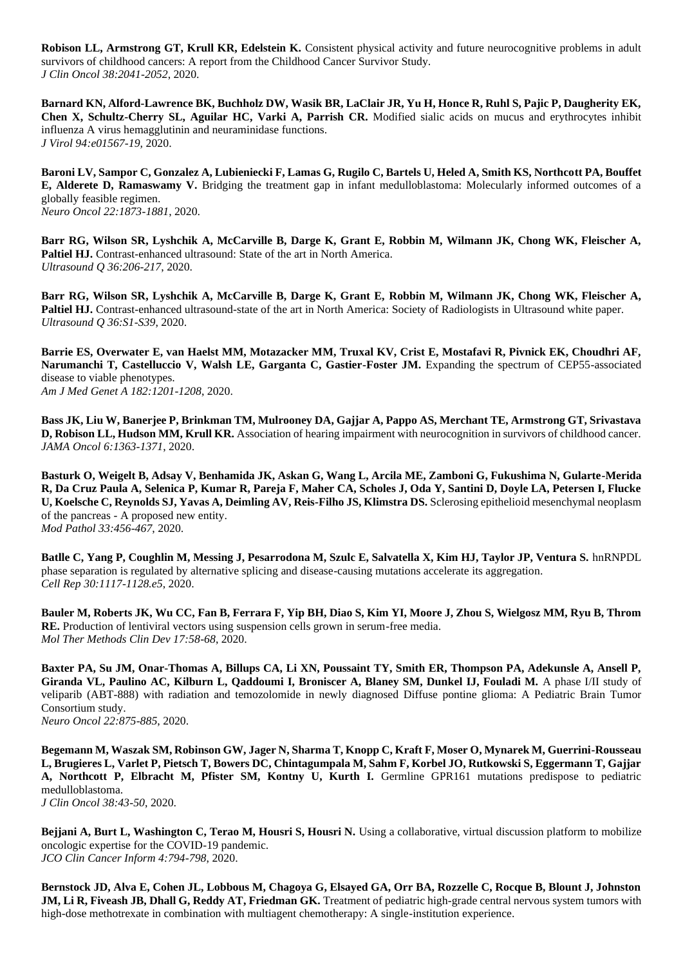**Robison LL, Armstrong GT, Krull KR, Edelstein K.** Consistent physical activity and future neurocognitive problems in adult survivors of childhood cancers: A report from the Childhood Cancer Survivor Study. *J Clin Oncol 38:2041-2052*, 2020.

**Barnard KN, Alford-Lawrence BK, Buchholz DW, Wasik BR, LaClair JR, Yu H, Honce R, Ruhl S, Pajic P, Daugherity EK, Chen X, Schultz-Cherry SL, Aguilar HC, Varki A, Parrish CR.** Modified sialic acids on mucus and erythrocytes inhibit influenza A virus hemagglutinin and neuraminidase functions. *J Virol 94:e01567-19,* 2020.

**Baroni LV, Sampor C, Gonzalez A, Lubieniecki F, Lamas G, Rugilo C, Bartels U, Heled A, Smith KS, Northcott PA, Bouffet E, Alderete D, Ramaswamy V.** Bridging the treatment gap in infant medulloblastoma: Molecularly informed outcomes of a globally feasible regimen. *Neuro Oncol 22:1873-1881*, 2020.

**Barr RG, Wilson SR, Lyshchik A, McCarville B, Darge K, Grant E, Robbin M, Wilmann JK, Chong WK, Fleischer A,**  Paltiel HJ. Contrast-enhanced ultrasound: State of the art in North America. *Ultrasound Q 36:206-217*, 2020.

**Barr RG, Wilson SR, Lyshchik A, McCarville B, Darge K, Grant E, Robbin M, Wilmann JK, Chong WK, Fleischer A, Paltiel HJ.** Contrast-enhanced ultrasound-state of the art in North America: Society of Radiologists in Ultrasound white paper. *Ultrasound Q 36:S1-S39*, 2020.

**Barrie ES, Overwater E, van Haelst MM, Motazacker MM, Truxal KV, Crist E, Mostafavi R, Pivnick EK, Choudhri AF, Narumanchi T, Castelluccio V, Walsh LE, Garganta C, Gastier-Foster JM.** Expanding the spectrum of CEP55-associated disease to viable phenotypes. *Am J Med Genet A 182:1201-1208*, 2020.

**Bass JK, Liu W, Banerjee P, Brinkman TM, Mulrooney DA, Gajjar A, Pappo AS, Merchant TE, Armstrong GT, Srivastava D, Robison LL, Hudson MM, Krull KR.** Association of hearing impairment with neurocognition in survivors of childhood cancer. *JAMA Oncol 6:1363-1371*, 2020.

**Basturk O, Weigelt B, Adsay V, Benhamida JK, Askan G, Wang L, Arcila ME, Zamboni G, Fukushima N, Gularte-Merida R, Da Cruz Paula A, Selenica P, Kumar R, Pareja F, Maher CA, Scholes J, Oda Y, Santini D, Doyle LA, Petersen I, Flucke U, Koelsche C, Reynolds SJ, Yavas A, Deimling AV, Reis-Filho JS, Klimstra DS.** Sclerosing epithelioid mesenchymal neoplasm of the pancreas - A proposed new entity. *Mod Pathol 33:456-467*, 2020.

Batlle C, Yang P, Coughlin M, Messing J, Pesarrodona M, Szulc E, Salvatella X, Kim HJ, Taylor JP, Ventura S. hnRNPDL phase separation is regulated by alternative splicing and disease-causing mutations accelerate its aggregation. *Cell Rep 30:1117-1128.e5*, 2020.

**Bauler M, Roberts JK, Wu CC, Fan B, Ferrara F, Yip BH, Diao S, Kim YI, Moore J, Zhou S, Wielgosz MM, Ryu B, Throm RE.** Production of lentiviral vectors using suspension cells grown in serum-free media. *Mol Ther Methods Clin Dev 17:58-68*, 2020.

**Baxter PA, Su JM, Onar-Thomas A, Billups CA, Li XN, Poussaint TY, Smith ER, Thompson PA, Adekunsle A, Ansell P,**  Giranda VL, Paulino AC, Kilburn L, Qaddoumi I, Broniscer A, Blaney SM, Dunkel IJ, Fouladi M. A phase I/II study of veliparib (ABT-888) with radiation and temozolomide in newly diagnosed Diffuse pontine glioma: A Pediatric Brain Tumor Consortium study. *Neuro Oncol 22:875-885*, 2020.

**Begemann M, Waszak SM, Robinson GW, Jager N, Sharma T, Knopp C, Kraft F, Moser O, Mynarek M, Guerrini-Rousseau L, Brugieres L, Varlet P, Pietsch T, Bowers DC, Chintagumpala M, Sahm F, Korbel JO, Rutkowski S, Eggermann T, Gajjar A, Northcott P, Elbracht M, Pfister SM, Kontny U, Kurth I.** Germline GPR161 mutations predispose to pediatric medulloblastoma.

*J Clin Oncol 38:43-50*, 2020.

**Bejjani A, Burt L, Washington C, Terao M, Housri S, Housri N.** Using a collaborative, virtual discussion platform to mobilize oncologic expertise for the COVID-19 pandemic. *JCO Clin Cancer Inform 4:794-798*, 2020.

**Bernstock JD, Alva E, Cohen JL, Lobbous M, Chagoya G, Elsayed GA, Orr BA, Rozzelle C, Rocque B, Blount J, Johnston JM, Li R, Fiveash JB, Dhall G, Reddy AT, Friedman GK.** Treatment of pediatric high-grade central nervous system tumors with high-dose methotrexate in combination with multiagent chemotherapy: A single-institution experience.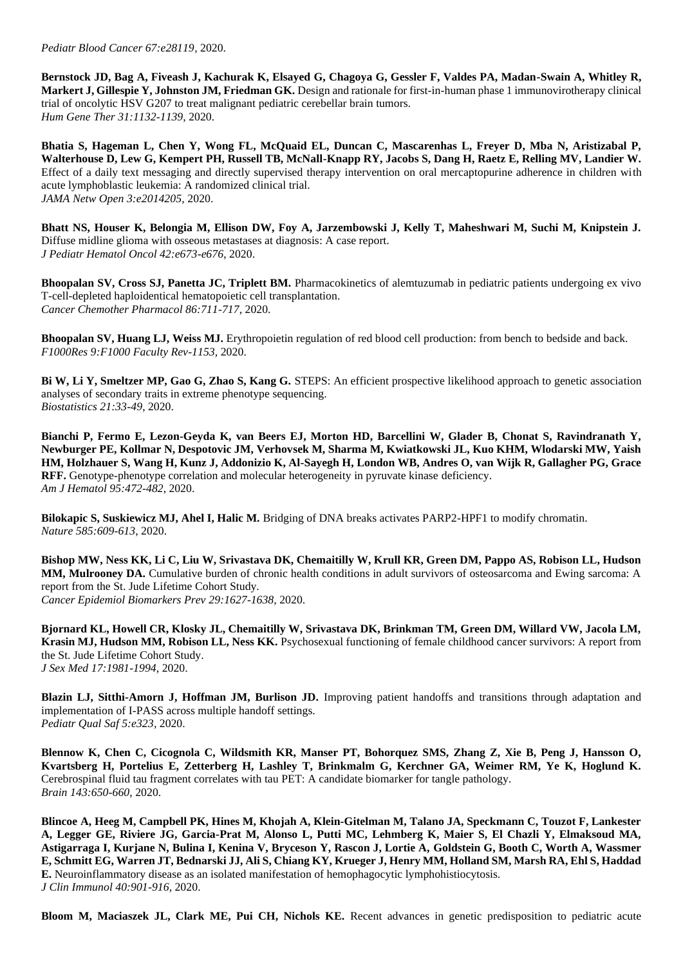**Bernstock JD, Bag A, Fiveash J, Kachurak K, Elsayed G, Chagoya G, Gessler F, Valdes PA, Madan-Swain A, Whitley R, Markert J, Gillespie Y, Johnston JM, Friedman GK.** Design and rationale for first-in-human phase 1 immunovirotherapy clinical trial of oncolytic HSV G207 to treat malignant pediatric cerebellar brain tumors. *Hum Gene Ther 31:1132-1139*, 2020.

**Bhatia S, Hageman L, Chen Y, Wong FL, McQuaid EL, Duncan C, Mascarenhas L, Freyer D, Mba N, Aristizabal P, Walterhouse D, Lew G, Kempert PH, Russell TB, McNall-Knapp RY, Jacobs S, Dang H, Raetz E, Relling MV, Landier W.**  Effect of a daily text messaging and directly supervised therapy intervention on oral mercaptopurine adherence in children with acute lymphoblastic leukemia: A randomized clinical trial. *JAMA Netw Open 3:e2014205,* 2020.

**Bhatt NS, Houser K, Belongia M, Ellison DW, Foy A, Jarzembowski J, Kelly T, Maheshwari M, Suchi M, Knipstein J.**  Diffuse midline glioma with osseous metastases at diagnosis: A case report. *J Pediatr Hematol Oncol 42:e673-e676*, 2020.

**Bhoopalan SV, Cross SJ, Panetta JC, Triplett BM.** Pharmacokinetics of alemtuzumab in pediatric patients undergoing ex vivo T-cell-depleted haploidentical hematopoietic cell transplantation. *Cancer Chemother Pharmacol 86:711-717*, 2020.

**Bhoopalan SV, Huang LJ, Weiss MJ.** Erythropoietin regulation of red blood cell production: from bench to bedside and back. *F1000Res 9:F1000 Faculty Rev-1153,* 2020.

**Bi W, Li Y, Smeltzer MP, Gao G, Zhao S, Kang G.** STEPS: An efficient prospective likelihood approach to genetic association analyses of secondary traits in extreme phenotype sequencing. *Biostatistics 21:33-49*, 2020.

**Bianchi P, Fermo E, Lezon-Geyda K, van Beers EJ, Morton HD, Barcellini W, Glader B, Chonat S, Ravindranath Y, Newburger PE, Kollmar N, Despotovic JM, Verhovsek M, Sharma M, Kwiatkowski JL, Kuo KHM, Wlodarski MW, Yaish HM, Holzhauer S, Wang H, Kunz J, Addonizio K, Al-Sayegh H, London WB, Andres O, van Wijk R, Gallagher PG, Grace RFF.** Genotype-phenotype correlation and molecular heterogeneity in pyruvate kinase deficiency. *Am J Hematol 95:472-482*, 2020.

**Bilokapic S, Suskiewicz MJ, Ahel I, Halic M.** Bridging of DNA breaks activates PARP2-HPF1 to modify chromatin. *Nature 585:609-613*, 2020.

**Bishop MW, Ness KK, Li C, Liu W, Srivastava DK, Chemaitilly W, Krull KR, Green DM, Pappo AS, Robison LL, Hudson MM, Mulrooney DA.** Cumulative burden of chronic health conditions in adult survivors of osteosarcoma and Ewing sarcoma: A report from the St. Jude Lifetime Cohort Study. *Cancer Epidemiol Biomarkers Prev 29:1627-1638,* 2020.

**Bjornard KL, Howell CR, Klosky JL, Chemaitilly W, Srivastava DK, Brinkman TM, Green DM, Willard VW, Jacola LM, Krasin MJ, Hudson MM, Robison LL, Ness KK.** Psychosexual functioning of female childhood cancer survivors: A report from the St. Jude Lifetime Cohort Study. *J Sex Med 17:1981-1994*, 2020.

**Blazin LJ, Sitthi-Amorn J, Hoffman JM, Burlison JD.** Improving patient handoffs and transitions through adaptation and implementation of I-PASS across multiple handoff settings. *Pediatr Qual Saf 5:e323,* 2020.

**Blennow K, Chen C, Cicognola C, Wildsmith KR, Manser PT, Bohorquez SMS, Zhang Z, Xie B, Peng J, Hansson O, Kvartsberg H, Portelius E, Zetterberg H, Lashley T, Brinkmalm G, Kerchner GA, Weimer RM, Ye K, Hoglund K.**  Cerebrospinal fluid tau fragment correlates with tau PET: A candidate biomarker for tangle pathology. *Brain 143:650-660*, 2020.

**Blincoe A, Heeg M, Campbell PK, Hines M, Khojah A, Klein-Gitelman M, Talano JA, Speckmann C, Touzot F, Lankester A, Legger GE, Riviere JG, Garcia-Prat M, Alonso L, Putti MC, Lehmberg K, Maier S, El Chazli Y, Elmaksoud MA, Astigarraga I, Kurjane N, Bulina I, Kenina V, Bryceson Y, Rascon J, Lortie A, Goldstein G, Booth C, Worth A, Wassmer E, Schmitt EG, Warren JT, Bednarski JJ, Ali S, Chiang KY, Krueger J, Henry MM, Holland SM, Marsh RA, Ehl S, Haddad E.** Neuroinflammatory disease as an isolated manifestation of hemophagocytic lymphohistiocytosis. *J Clin Immunol 40:901-916*, 2020.

**Bloom M, Maciaszek JL, Clark ME, Pui CH, Nichols KE.** Recent advances in genetic predisposition to pediatric acute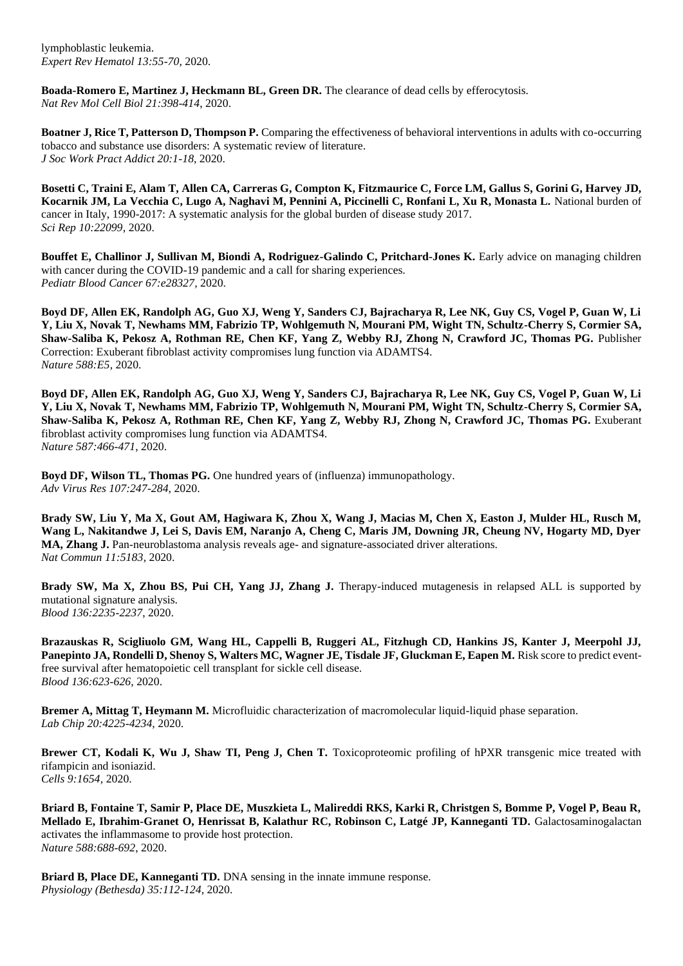lymphoblastic leukemia. *Expert Rev Hematol 13:55-70*, 2020.

**Boada-Romero E, Martinez J, Heckmann BL, Green DR.** The clearance of dead cells by efferocytosis. *Nat Rev Mol Cell Biol 21:398-414*, 2020.

**Boatner J, Rice T, Patterson D, Thompson P.** Comparing the effectiveness of behavioral interventions in adults with co-occurring tobacco and substance use disorders: A systematic review of literature. *J Soc Work Pract Addict 20:1-18*, 2020.

**Bosetti C, Traini E, Alam T, Allen CA, Carreras G, Compton K, Fitzmaurice C, Force LM, Gallus S, Gorini G, Harvey JD, Kocarnik JM, La Vecchia C, Lugo A, Naghavi M, Pennini A, Piccinelli C, Ronfani L, Xu R, Monasta L.** National burden of cancer in Italy, 1990-2017: A systematic analysis for the global burden of disease study 2017. *Sci Rep 10:22099,* 2020.

**Bouffet E, Challinor J, Sullivan M, Biondi A, Rodriguez-Galindo C, Pritchard-Jones K. Early advice on managing children** with cancer during the COVID-19 pandemic and a call for sharing experiences. *Pediatr Blood Cancer 67:e28327,* 2020.

**Boyd DF, Allen EK, Randolph AG, Guo XJ, Weng Y, Sanders CJ, Bajracharya R, Lee NK, Guy CS, Vogel P, Guan W, Li Y, Liu X, Novak T, Newhams MM, Fabrizio TP, Wohlgemuth N, Mourani PM, Wight TN, Schultz-Cherry S, Cormier SA, Shaw-Saliba K, Pekosz A, Rothman RE, Chen KF, Yang Z, Webby RJ, Zhong N, Crawford JC, Thomas PG.** Publisher Correction: Exuberant fibroblast activity compromises lung function via ADAMTS4. *Nature 588:E5,* 2020.

**Boyd DF, Allen EK, Randolph AG, Guo XJ, Weng Y, Sanders CJ, Bajracharya R, Lee NK, Guy CS, Vogel P, Guan W, Li Y, Liu X, Novak T, Newhams MM, Fabrizio TP, Wohlgemuth N, Mourani PM, Wight TN, Schultz-Cherry S, Cormier SA,**  Shaw-Saliba K, Pekosz A, Rothman RE, Chen KF, Yang Z, Webby RJ, Zhong N, Crawford JC, Thomas PG. Exuberant fibroblast activity compromises lung function via ADAMTS4. *Nature 587:466-471*, 2020.

**Boyd DF, Wilson TL, Thomas PG.** One hundred years of (influenza) immunopathology. *Adv Virus Res 107:247-284*, 2020.

**Brady SW, Liu Y, Ma X, Gout AM, Hagiwara K, Zhou X, Wang J, Macias M, Chen X, Easton J, Mulder HL, Rusch M, Wang L, Nakitandwe J, Lei S, Davis EM, Naranjo A, Cheng C, Maris JM, Downing JR, Cheung NV, Hogarty MD, Dyer MA, Zhang J.** Pan-neuroblastoma analysis reveals age- and signature-associated driver alterations. *Nat Commun 11:5183,* 2020.

**Brady SW, Ma X, Zhou BS, Pui CH, Yang JJ, Zhang J.** Therapy-induced mutagenesis in relapsed ALL is supported by mutational signature analysis. *Blood 136:2235-2237*, 2020.

**Brazauskas R, Scigliuolo GM, Wang HL, Cappelli B, Ruggeri AL, Fitzhugh CD, Hankins JS, Kanter J, Meerpohl JJ, Panepinto JA, Rondelli D, Shenoy S, Walters MC, Wagner JE, Tisdale JF, Gluckman E, Eapen M. Risk score to predict event**free survival after hematopoietic cell transplant for sickle cell disease. *Blood 136:623-626*, 2020.

**Bremer A, Mittag T, Heymann M.** Microfluidic characterization of macromolecular liquid-liquid phase separation. *Lab Chip 20:4225-4234*, 2020.

**Brewer CT, Kodali K, Wu J, Shaw TI, Peng J, Chen T.** Toxicoproteomic profiling of hPXR transgenic mice treated with rifampicin and isoniazid. *Cells 9:1654,* 2020.

**Briard B, Fontaine T, Samir P, Place DE, Muszkieta L, Malireddi RKS, Karki R, Christgen S, Bomme P, Vogel P, Beau R, Mellado E, Ibrahim-Granet O, Henrissat B, Kalathur RC, Robinson C, Latgé JP, Kanneganti TD.** Galactosaminogalactan activates the inflammasome to provide host protection. *Nature 588:688-692*, 2020.

**Briard B, Place DE, Kanneganti TD.** DNA sensing in the innate immune response. *Physiology (Bethesda) 35:112-124*, 2020.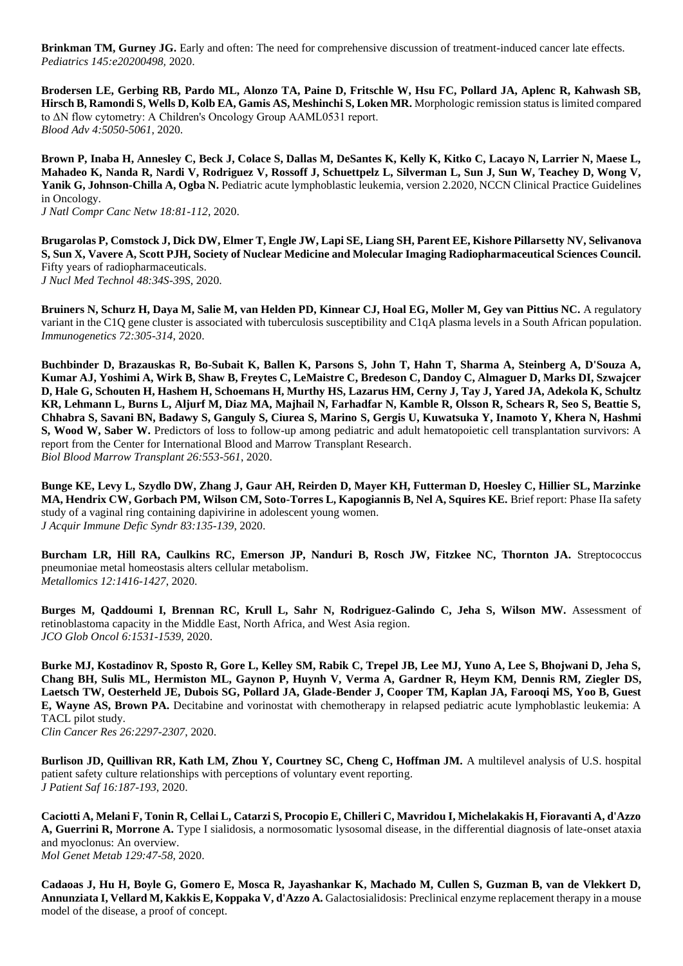**Brinkman TM, Gurney JG.** Early and often: The need for comprehensive discussion of treatment-induced cancer late effects. *Pediatrics 145:e20200498,* 2020.

**Brodersen LE, Gerbing RB, Pardo ML, Alonzo TA, Paine D, Fritschle W, Hsu FC, Pollard JA, Aplenc R, Kahwash SB, Hirsch B, Ramondi S, Wells D, Kolb EA, Gamis AS, Meshinchi S, Loken MR.** Morphologic remission status is limited compared to ΔN flow cytometry: A Children's Oncology Group AAML0531 report. *Blood Adv 4:5050-5061*, 2020.

**Brown P, Inaba H, Annesley C, Beck J, Colace S, Dallas M, DeSantes K, Kelly K, Kitko C, Lacayo N, Larrier N, Maese L, Mahadeo K, Nanda R, Nardi V, Rodriguez V, Rossoff J, Schuettpelz L, Silverman L, Sun J, Sun W, Teachey D, Wong V, Yanik G, Johnson-Chilla A, Ogba N.** Pediatric acute lymphoblastic leukemia, version 2.2020, NCCN Clinical Practice Guidelines in Oncology.

*J Natl Compr Canc Netw 18:81-112*, 2020.

**Brugarolas P, Comstock J, Dick DW, Elmer T, Engle JW, Lapi SE, Liang SH, Parent EE, Kishore Pillarsetty NV, Selivanova S, Sun X, Vavere A, Scott PJH, Society of Nuclear Medicine and Molecular Imaging Radiopharmaceutical Sciences Council.**  Fifty years of radiopharmaceuticals. *J Nucl Med Technol 48:34S-39S*, 2020.

**Bruiners N, Schurz H, Daya M, Salie M, van Helden PD, Kinnear CJ, Hoal EG, Moller M, Gey van Pittius NC.** A regulatory variant in the C1Q gene cluster is associated with tuberculosis susceptibility and C1qA plasma levels in a South African population. *Immunogenetics 72:305-314*, 2020.

**Buchbinder D, Brazauskas R, Bo-Subait K, Ballen K, Parsons S, John T, Hahn T, Sharma A, Steinberg A, D'Souza A, Kumar AJ, Yoshimi A, Wirk B, Shaw B, Freytes C, LeMaistre C, Bredeson C, Dandoy C, Almaguer D, Marks DI, Szwajcer D, Hale G, Schouten H, Hashem H, Schoemans H, Murthy HS, Lazarus HM, Cerny J, Tay J, Yared JA, Adekola K, Schultz KR, Lehmann L, Burns L, Aljurf M, Diaz MA, Majhail N, Farhadfar N, Kamble R, Olsson R, Schears R, Seo S, Beattie S, Chhabra S, Savani BN, Badawy S, Ganguly S, Ciurea S, Marino S, Gergis U, Kuwatsuka Y, Inamoto Y, Khera N, Hashmi S, Wood W, Saber W.** Predictors of loss to follow-up among pediatric and adult hematopoietic cell transplantation survivors: A report from the Center for International Blood and Marrow Transplant Research. *Biol Blood Marrow Transplant 26:553-561*, 2020.

**Bunge KE, Levy L, Szydlo DW, Zhang J, Gaur AH, Reirden D, Mayer KH, Futterman D, Hoesley C, Hillier SL, Marzinke MA, Hendrix CW, Gorbach PM, Wilson CM, Soto-Torres L, Kapogiannis B, Nel A, Squires KE.** Brief report: Phase IIa safety study of a vaginal ring containing dapivirine in adolescent young women. *J Acquir Immune Defic Syndr 83:135-139*, 2020.

**Burcham LR, Hill RA, Caulkins RC, Emerson JP, Nanduri B, Rosch JW, Fitzkee NC, Thornton JA.** Streptococcus pneumoniae metal homeostasis alters cellular metabolism. *Metallomics 12:1416-1427*, 2020.

**Burges M, Qaddoumi I, Brennan RC, Krull L, Sahr N, Rodriguez-Galindo C, Jeha S, Wilson MW.** Assessment of retinoblastoma capacity in the Middle East, North Africa, and West Asia region. *JCO Glob Oncol 6:1531-1539*, 2020.

**Burke MJ, Kostadinov R, Sposto R, Gore L, Kelley SM, Rabik C, Trepel JB, Lee MJ, Yuno A, Lee S, Bhojwani D, Jeha S, Chang BH, Sulis ML, Hermiston ML, Gaynon P, Huynh V, Verma A, Gardner R, Heym KM, Dennis RM, Ziegler DS, Laetsch TW, Oesterheld JE, Dubois SG, Pollard JA, Glade-Bender J, Cooper TM, Kaplan JA, Farooqi MS, Yoo B, Guest E, Wayne AS, Brown PA.** Decitabine and vorinostat with chemotherapy in relapsed pediatric acute lymphoblastic leukemia: A TACL pilot study.

*Clin Cancer Res 26:2297-2307*, 2020.

**Burlison JD, Quillivan RR, Kath LM, Zhou Y, Courtney SC, Cheng C, Hoffman JM.** A multilevel analysis of U.S. hospital patient safety culture relationships with perceptions of voluntary event reporting. *J Patient Saf 16:187-193*, 2020.

**Caciotti A, Melani F, Tonin R, Cellai L, Catarzi S, Procopio E, Chilleri C, Mavridou I, Michelakakis H, Fioravanti A, d'Azzo A, Guerrini R, Morrone A.** Type I sialidosis, a normosomatic lysosomal disease, in the differential diagnosis of late-onset ataxia and myoclonus: An overview. *Mol Genet Metab 129:47-58*, 2020.

**Cadaoas J, Hu H, Boyle G, Gomero E, Mosca R, Jayashankar K, Machado M, Cullen S, Guzman B, van de Vlekkert D,**  Annunziata I, Vellard M, Kakkis E, Koppaka V, d'Azzo A. Galactosialidosis: Preclinical enzyme replacement therapy in a mouse model of the disease, a proof of concept.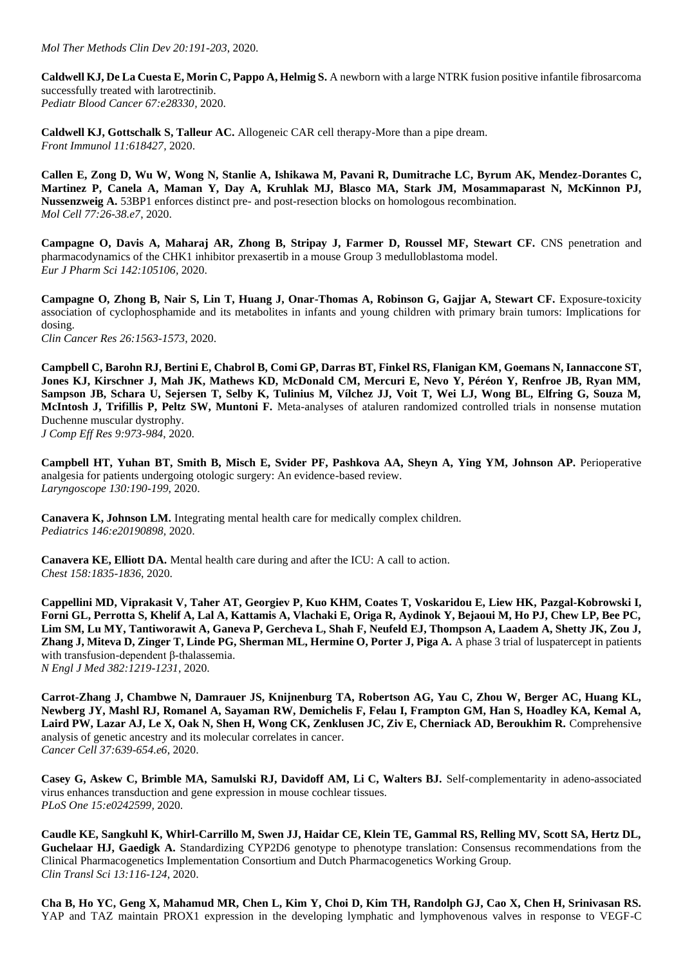**Caldwell KJ, De La Cuesta E, Morin C, Pappo A, Helmig S.** A newborn with a large NTRK fusion positive infantile fibrosarcoma successfully treated with larotrectinib. *Pediatr Blood Cancer 67:e28330,* 2020.

**Caldwell KJ, Gottschalk S, Talleur AC.** Allogeneic CAR cell therapy-More than a pipe dream. *Front Immunol 11:618427,* 2020.

**Callen E, Zong D, Wu W, Wong N, Stanlie A, Ishikawa M, Pavani R, Dumitrache LC, Byrum AK, Mendez-Dorantes C, Martinez P, Canela A, Maman Y, Day A, Kruhlak MJ, Blasco MA, Stark JM, Mosammaparast N, McKinnon PJ, Nussenzweig A.** 53BP1 enforces distinct pre- and post-resection blocks on homologous recombination. *Mol Cell 77:26-38.e7*, 2020.

Campagne O, Davis A, Maharaj AR, Zhong B, Stripay J, Farmer D, Roussel MF, Stewart CF. CNS penetration and pharmacodynamics of the CHK1 inhibitor prexasertib in a mouse Group 3 medulloblastoma model. *Eur J Pharm Sci 142:105106,* 2020.

**Campagne O, Zhong B, Nair S, Lin T, Huang J, Onar-Thomas A, Robinson G, Gajjar A, Stewart CF.** Exposure-toxicity association of cyclophosphamide and its metabolites in infants and young children with primary brain tumors: Implications for dosing. *Clin Cancer Res 26:1563-1573*, 2020.

**Campbell C, Barohn RJ, Bertini E, Chabrol B, Comi GP, Darras BT, Finkel RS, Flanigan KM, Goemans N, Iannaccone ST, Jones KJ, Kirschner J, Mah JK, Mathews KD, McDonald CM, Mercuri E, Nevo Y, Péréon Y, Renfroe JB, Ryan MM, Sampson JB, Schara U, Sejersen T, Selby K, Tulinius M, Vílchez JJ, Voit T, Wei LJ, Wong BL, Elfring G, Souza M, McIntosh J, Trifillis P, Peltz SW, Muntoni F.** Meta-analyses of ataluren randomized controlled trials in nonsense mutation Duchenne muscular dystrophy. *J Comp Eff Res 9:973-984*, 2020.

**Campbell HT, Yuhan BT, Smith B, Misch E, Svider PF, Pashkova AA, Sheyn A, Ying YM, Johnson AP.** Perioperative analgesia for patients undergoing otologic surgery: An evidence-based review. *Laryngoscope 130:190-199*, 2020.

**Canavera K, Johnson LM.** Integrating mental health care for medically complex children. *Pediatrics 146:e20190898,* 2020.

**Canavera KE, Elliott DA.** Mental health care during and after the ICU: A call to action. *Chest 158:1835-1836*, 2020.

**Cappellini MD, Viprakasit V, Taher AT, Georgiev P, Kuo KHM, Coates T, Voskaridou E, Liew HK, Pazgal-Kobrowski I, Forni GL, Perrotta S, Khelif A, Lal A, Kattamis A, Vlachaki E, Origa R, Aydinok Y, Bejaoui M, Ho PJ, Chew LP, Bee PC, Lim SM, Lu MY, Tantiworawit A, Ganeva P, Gercheva L, Shah F, Neufeld EJ, Thompson A, Laadem A, Shetty JK, Zou J, Zhang J, Miteva D, Zinger T, Linde PG, Sherman ML, Hermine O, Porter J, Piga A.** A phase 3 trial of luspatercept in patients with transfusion-dependent β-thalassemia. *N Engl J Med 382:1219-1231*, 2020.

**Carrot-Zhang J, Chambwe N, Damrauer JS, Knijnenburg TA, Robertson AG, Yau C, Zhou W, Berger AC, Huang KL, Newberg JY, Mashl RJ, Romanel A, Sayaman RW, Demichelis F, Felau I, Frampton GM, Han S, Hoadley KA, Kemal A,**  Laird PW, Lazar AJ, Le X, Oak N, Shen H, Wong CK, Zenklusen JC, Ziv E, Cherniack AD, Beroukhim R. Comprehensive analysis of genetic ancestry and its molecular correlates in cancer. *Cancer Cell 37:639-654.e6*, 2020.

**Casey G, Askew C, Brimble MA, Samulski RJ, Davidoff AM, Li C, Walters BJ.** Self-complementarity in adeno-associated virus enhances transduction and gene expression in mouse cochlear tissues. *PLoS One 15:e0242599,* 2020.

**Caudle KE, Sangkuhl K, Whirl-Carrillo M, Swen JJ, Haidar CE, Klein TE, Gammal RS, Relling MV, Scott SA, Hertz DL, Guchelaar HJ, Gaedigk A.** Standardizing CYP2D6 genotype to phenotype translation: Consensus recommendations from the Clinical Pharmacogenetics Implementation Consortium and Dutch Pharmacogenetics Working Group. *Clin Transl Sci 13:116-124*, 2020.

**Cha B, Ho YC, Geng X, Mahamud MR, Chen L, Kim Y, Choi D, Kim TH, Randolph GJ, Cao X, Chen H, Srinivasan RS.**  YAP and TAZ maintain PROX1 expression in the developing lymphatic and lymphovenous valves in response to VEGF-C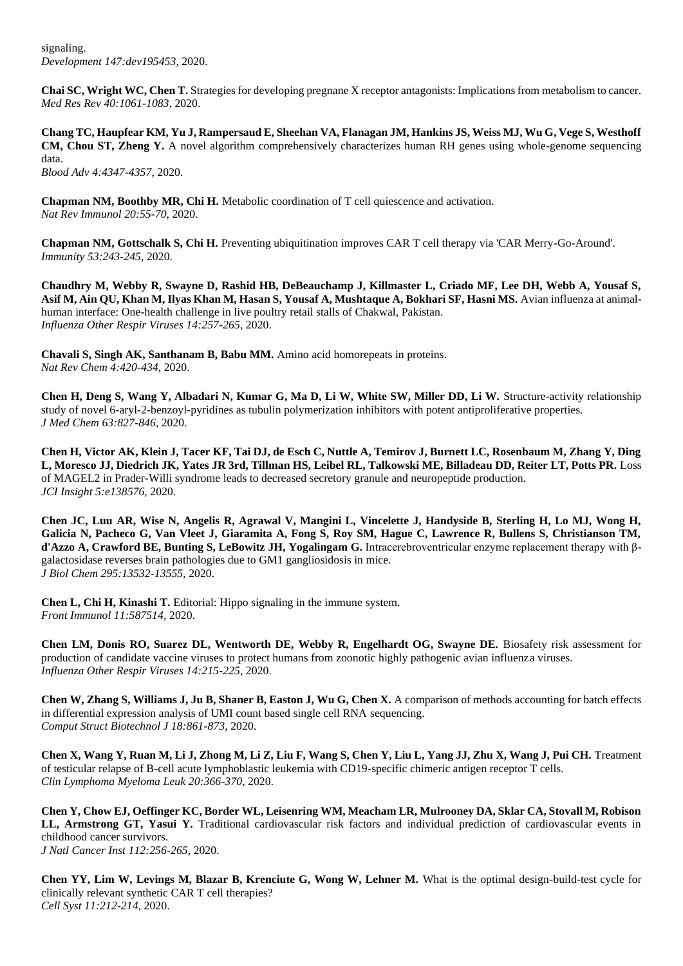signaling. *Development 147:dev195453,* 2020.

**Chai SC, Wright WC, Chen T.** Strategies for developing pregnane X receptor antagonists: Implications from metabolism to cancer. *Med Res Rev 40:1061-1083*, 2020.

**Chang TC, Haupfear KM, Yu J, Rampersaud E, Sheehan VA, Flanagan JM, Hankins JS, Weiss MJ, Wu G, Vege S, Westhoff CM, Chou ST, Zheng Y.** A novel algorithm comprehensively characterizes human RH genes using whole-genome sequencing data. *Blood Adv 4:4347-4357*, 2020.

**Chapman NM, Boothby MR, Chi H.** Metabolic coordination of T cell quiescence and activation. *Nat Rev Immunol 20:55-70*, 2020.

**Chapman NM, Gottschalk S, Chi H.** Preventing ubiquitination improves CAR T cell therapy via 'CAR Merry-Go-Around'. *Immunity 53:243-245*, 2020.

**Chaudhry M, Webby R, Swayne D, Rashid HB, DeBeauchamp J, Killmaster L, Criado MF, Lee DH, Webb A, Yousaf S, Asif M, Ain QU, Khan M, Ilyas Khan M, Hasan S, Yousaf A, Mushtaque A, Bokhari SF, Hasni MS.** Avian influenza at animalhuman interface: One-health challenge in live poultry retail stalls of Chakwal, Pakistan. *Influenza Other Respir Viruses 14:257-265*, 2020.

**Chavali S, Singh AK, Santhanam B, Babu MM.** Amino acid homorepeats in proteins. *Nat Rev Chem 4:420-434*, 2020.

**Chen H, Deng S, Wang Y, Albadari N, Kumar G, Ma D, Li W, White SW, Miller DD, Li W.** Structure-activity relationship study of novel 6-aryl-2-benzoyl-pyridines as tubulin polymerization inhibitors with potent antiproliferative properties. *J Med Chem 63:827-846*, 2020.

**Chen H, Victor AK, Klein J, Tacer KF, Tai DJ, de Esch C, Nuttle A, Temirov J, Burnett LC, Rosenbaum M, Zhang Y, Ding L, Moresco JJ, Diedrich JK, Yates JR 3rd, Tillman HS, Leibel RL, Talkowski ME, Billadeau DD, Reiter LT, Potts PR.** Loss of MAGEL2 in Prader-Willi syndrome leads to decreased secretory granule and neuropeptide production. *JCI Insight 5:e138576,* 2020.

**Chen JC, Luu AR, Wise N, Angelis R, Agrawal V, Mangini L, Vincelette J, Handyside B, Sterling H, Lo MJ, Wong H, Galicia N, Pacheco G, Van Vleet J, Giaramita A, Fong S, Roy SM, Hague C, Lawrence R, Bullens S, Christianson TM, d'Azzo A, Crawford BE, Bunting S, LeBowitz JH, Yogalingam G.** Intracerebroventricular enzyme replacement therapy with βgalactosidase reverses brain pathologies due to GM1 gangliosidosis in mice. *J Biol Chem 295:13532-13555*, 2020.

**Chen L, Chi H, Kinashi T.** Editorial: Hippo signaling in the immune system. *Front Immunol 11:587514,* 2020.

**Chen LM, Donis RO, Suarez DL, Wentworth DE, Webby R, Engelhardt OG, Swayne DE.** Biosafety risk assessment for production of candidate vaccine viruses to protect humans from zoonotic highly pathogenic avian influenza viruses. *Influenza Other Respir Viruses 14:215-225*, 2020.

**Chen W, Zhang S, Williams J, Ju B, Shaner B, Easton J, Wu G, Chen X.** A comparison of methods accounting for batch effects in differential expression analysis of UMI count based single cell RNA sequencing. *Comput Struct Biotechnol J 18:861-873*, 2020.

**Chen X, Wang Y, Ruan M, Li J, Zhong M, Li Z, Liu F, Wang S, Chen Y, Liu L, Yang JJ, Zhu X, Wang J, Pui CH.** Treatment of testicular relapse of B-cell acute lymphoblastic leukemia with CD19-specific chimeric antigen receptor T cells. *Clin Lymphoma Myeloma Leuk 20:366-370*, 2020.

**Chen Y, Chow EJ, Oeffinger KC, Border WL, Leisenring WM, Meacham LR, Mulrooney DA, Sklar CA, Stovall M, Robison LL, Armstrong GT, Yasui Y.** Traditional cardiovascular risk factors and individual prediction of cardiovascular events in childhood cancer survivors. *J Natl Cancer Inst 112:256-265*, 2020.

**Chen YY, Lim W, Levings M, Blazar B, Krenciute G, Wong W, Lehner M.** What is the optimal design-build-test cycle for clinically relevant synthetic CAR T cell therapies? *Cell Syst 11:212-214*, 2020.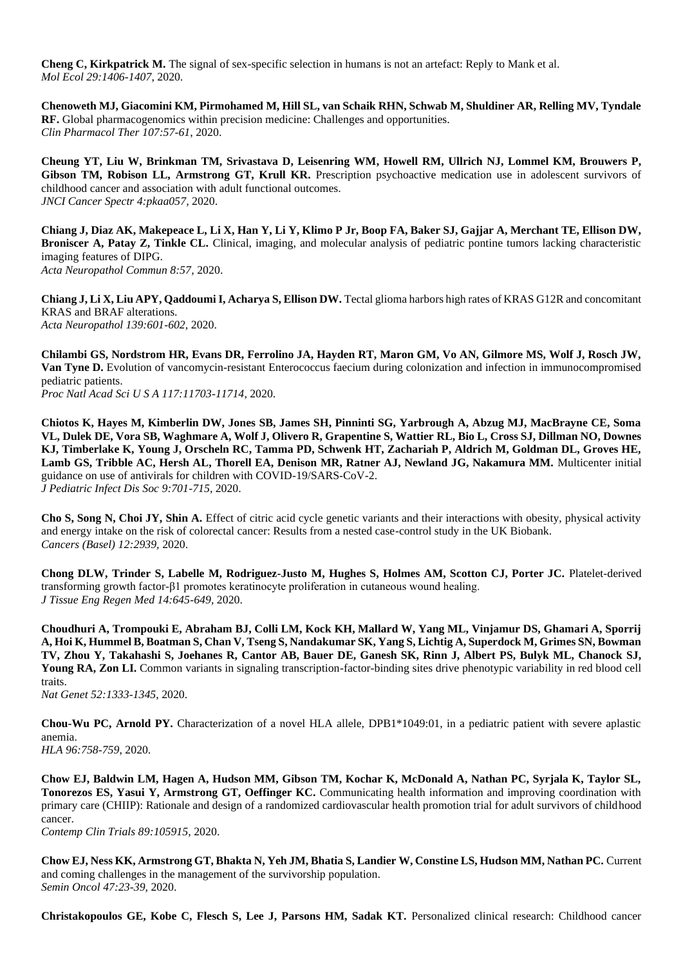**Cheng C, Kirkpatrick M.** The signal of sex-specific selection in humans is not an artefact: Reply to Mank et al. *Mol Ecol 29:1406-1407*, 2020.

**Chenoweth MJ, Giacomini KM, Pirmohamed M, Hill SL, van Schaik RHN, Schwab M, Shuldiner AR, Relling MV, Tyndale RF.** Global pharmacogenomics within precision medicine: Challenges and opportunities. *Clin Pharmacol Ther 107:57-61*, 2020.

**Cheung YT, Liu W, Brinkman TM, Srivastava D, Leisenring WM, Howell RM, Ullrich NJ, Lommel KM, Brouwers P,**  Gibson TM, Robison LL, Armstrong GT, Krull KR. Prescription psychoactive medication use in adolescent survivors of childhood cancer and association with adult functional outcomes. *JNCI Cancer Spectr 4:pkaa057,* 2020.

**Chiang J, Diaz AK, Makepeace L, Li X, Han Y, Li Y, Klimo P Jr, Boop FA, Baker SJ, Gajjar A, Merchant TE, Ellison DW, Broniscer A, Patay Z, Tinkle CL.** Clinical, imaging, and molecular analysis of pediatric pontine tumors lacking characteristic imaging features of DIPG. *Acta Neuropathol Commun 8:57,* 2020.

**Chiang J, Li X, Liu APY, Qaddoumi I, Acharya S, Ellison DW.** Tectal glioma harbors high rates of KRAS G12R and concomitant KRAS and BRAF alterations. *Acta Neuropathol 139:601-602*, 2020.

**Chilambi GS, Nordstrom HR, Evans DR, Ferrolino JA, Hayden RT, Maron GM, Vo AN, Gilmore MS, Wolf J, Rosch JW, Van Tyne D.** Evolution of vancomycin-resistant Enterococcus faecium during colonization and infection in immunocompromised pediatric patients. *Proc Natl Acad Sci U S A 117:11703-11714*, 2020.

**Chiotos K, Hayes M, Kimberlin DW, Jones SB, James SH, Pinninti SG, Yarbrough A, Abzug MJ, MacBrayne CE, Soma VL, Dulek DE, Vora SB, Waghmare A, Wolf J, Olivero R, Grapentine S, Wattier RL, Bio L, Cross SJ, Dillman NO, Downes KJ, Timberlake K, Young J, Orscheln RC, Tamma PD, Schwenk HT, Zachariah P, Aldrich M, Goldman DL, Groves HE, Lamb GS, Tribble AC, Hersh AL, Thorell EA, Denison MR, Ratner AJ, Newland JG, Nakamura MM.** Multicenter initial guidance on use of antivirals for children with COVID-19/SARS-CoV-2. *J Pediatric Infect Dis Soc 9:701-715*, 2020.

**Cho S, Song N, Choi JY, Shin A.** Effect of citric acid cycle genetic variants and their interactions with obesity, physical activity and energy intake on the risk of colorectal cancer: Results from a nested case-control study in the UK Biobank. *Cancers (Basel) 12:2939,* 2020.

**Chong DLW, Trinder S, Labelle M, Rodriguez-Justo M, Hughes S, Holmes AM, Scotton CJ, Porter JC.** Platelet-derived transforming growth factor-β1 promotes keratinocyte proliferation in cutaneous wound healing. *J Tissue Eng Regen Med 14:645-649*, 2020.

**Choudhuri A, Trompouki E, Abraham BJ, Colli LM, Kock KH, Mallard W, Yang ML, Vinjamur DS, Ghamari A, Sporrij A, Hoi K, Hummel B, Boatman S, Chan V, Tseng S, Nandakumar SK, Yang S, Lichtig A, Superdock M, Grimes SN, Bowman TV, Zhou Y, Takahashi S, Joehanes R, Cantor AB, Bauer DE, Ganesh SK, Rinn J, Albert PS, Bulyk ML, Chanock SJ, Young RA, Zon LI.** Common variants in signaling transcription-factor-binding sites drive phenotypic variability in red blood cell traits.

*Nat Genet 52:1333-1345*, 2020.

**Chou-Wu PC, Arnold PY.** Characterization of a novel HLA allele, DPB1\*1049:01, in a pediatric patient with severe aplastic anemia. *HLA 96:758-759*, 2020.

**Chow EJ, Baldwin LM, Hagen A, Hudson MM, Gibson TM, Kochar K, McDonald A, Nathan PC, Syrjala K, Taylor SL, Tonorezos ES, Yasui Y, Armstrong GT, Oeffinger KC.** Communicating health information and improving coordination with primary care (CHIIP): Rationale and design of a randomized cardiovascular health promotion trial for adult survivors of childhood cancer.

*Contemp Clin Trials 89:105915,* 2020.

**Chow EJ, Ness KK, Armstrong GT, Bhakta N, Yeh JM, Bhatia S, Landier W, Constine LS, Hudson MM, Nathan PC.** Current and coming challenges in the management of the survivorship population. *Semin Oncol 47:23-39*, 2020.

**Christakopoulos GE, Kobe C, Flesch S, Lee J, Parsons HM, Sadak KT.** Personalized clinical research: Childhood cancer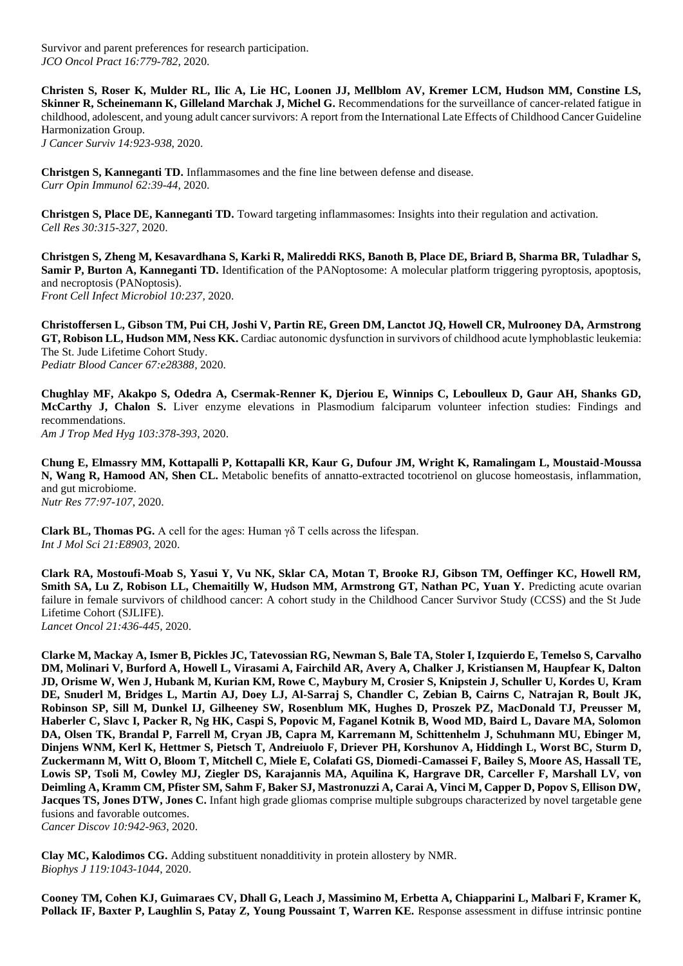Survivor and parent preferences for research participation. *JCO Oncol Pract 16:779-782*, 2020.

**Christen S, Roser K, Mulder RL, Ilic A, Lie HC, Loonen JJ, Mellblom AV, Kremer LCM, Hudson MM, Constine LS, Skinner R, Scheinemann K, Gilleland Marchak J, Michel G.** Recommendations for the surveillance of cancer-related fatigue in childhood, adolescent, and young adult cancer survivors: A report from the International Late Effects of Childhood Cancer Guideline Harmonization Group. *J Cancer Surviv 14:923-938*, 2020.

**Christgen S, Kanneganti TD.** Inflammasomes and the fine line between defense and disease. *Curr Opin Immunol 62:39-44*, 2020.

**Christgen S, Place DE, Kanneganti TD.** Toward targeting inflammasomes: Insights into their regulation and activation. *Cell Res 30:315-327*, 2020.

**Christgen S, Zheng M, Kesavardhana S, Karki R, Malireddi RKS, Banoth B, Place DE, Briard B, Sharma BR, Tuladhar S, Samir P, Burton A, Kanneganti TD.** Identification of the PANoptosome: A molecular platform triggering pyroptosis, apoptosis, and necroptosis (PANoptosis). *Front Cell Infect Microbiol 10:237,* 2020.

**Christoffersen L, Gibson TM, Pui CH, Joshi V, Partin RE, Green DM, Lanctot JQ, Howell CR, Mulrooney DA, Armstrong GT, Robison LL, Hudson MM, Ness KK.** Cardiac autonomic dysfunction in survivors of childhood acute lymphoblastic leukemia: The St. Jude Lifetime Cohort Study. *Pediatr Blood Cancer 67:e28388,* 2020.

**Chughlay MF, Akakpo S, Odedra A, Csermak-Renner K, Djeriou E, Winnips C, Leboulleux D, Gaur AH, Shanks GD, McCarthy J, Chalon S.** Liver enzyme elevations in Plasmodium falciparum volunteer infection studies: Findings and recommendations. *Am J Trop Med Hyg 103:378-393*, 2020.

**Chung E, Elmassry MM, Kottapalli P, Kottapalli KR, Kaur G, Dufour JM, Wright K, Ramalingam L, Moustaid-Moussa N, Wang R, Hamood AN, Shen CL.** Metabolic benefits of annatto-extracted tocotrienol on glucose homeostasis, inflammation, and gut microbiome. *Nutr Res 77:97-107*, 2020.

**Clark BL, Thomas PG.** A cell for the ages: Human γδ T cells across the lifespan. *Int J Mol Sci 21:E8903,* 2020.

**Clark RA, Mostoufi-Moab S, Yasui Y, Vu NK, Sklar CA, Motan T, Brooke RJ, Gibson TM, Oeffinger KC, Howell RM, Smith SA, Lu Z, Robison LL, Chemaitilly W, Hudson MM, Armstrong GT, Nathan PC, Yuan Y.** Predicting acute ovarian failure in female survivors of childhood cancer: A cohort study in the Childhood Cancer Survivor Study (CCSS) and the St Jude Lifetime Cohort (SJLIFE). *Lancet Oncol 21:436-445*, 2020.

**Clarke M, Mackay A, Ismer B, Pickles JC, Tatevossian RG, Newman S, Bale TA, Stoler I, Izquierdo E, Temelso S, Carvalho DM, Molinari V, Burford A, Howell L, Virasami A, Fairchild AR, Avery A, Chalker J, Kristiansen M, Haupfear K, Dalton JD, Orisme W, Wen J, Hubank M, Kurian KM, Rowe C, Maybury M, Crosier S, Knipstein J, Schuller U, Kordes U, Kram DE, Snuderl M, Bridges L, Martin AJ, Doey LJ, Al-Sarraj S, Chandler C, Zebian B, Cairns C, Natrajan R, Boult JK, Robinson SP, Sill M, Dunkel IJ, Gilheeney SW, Rosenblum MK, Hughes D, Proszek PZ, MacDonald TJ, Preusser M, Haberler C, Slavc I, Packer R, Ng HK, Caspi S, Popovic M, Faganel Kotnik B, Wood MD, Baird L, Davare MA, Solomon DA, Olsen TK, Brandal P, Farrell M, Cryan JB, Capra M, Karremann M, Schittenhelm J, Schuhmann MU, Ebinger M, Dinjens WNM, Kerl K, Hettmer S, Pietsch T, Andreiuolo F, Driever PH, Korshunov A, Hiddingh L, Worst BC, Sturm D, Zuckermann M, Witt O, Bloom T, Mitchell C, Miele E, Colafati GS, Diomedi-Camassei F, Bailey S, Moore AS, Hassall TE, Lowis SP, Tsoli M, Cowley MJ, Ziegler DS, Karajannis MA, Aquilina K, Hargrave DR, Carceller F, Marshall LV, von Deimling A, Kramm CM, Pfister SM, Sahm F, Baker SJ, Mastronuzzi A, Carai A, Vinci M, Capper D, Popov S, Ellison DW, Jacques TS, Jones DTW, Jones C.** Infant high grade gliomas comprise multiple subgroups characterized by novel targetable gene fusions and favorable outcomes.

*Cancer Discov 10:942-963*, 2020.

**Clay MC, Kalodimos CG.** Adding substituent nonadditivity in protein allostery by NMR. *Biophys J 119:1043-1044*, 2020.

**Cooney TM, Cohen KJ, Guimaraes CV, Dhall G, Leach J, Massimino M, Erbetta A, Chiapparini L, Malbari F, Kramer K, Pollack IF, Baxter P, Laughlin S, Patay Z, Young Poussaint T, Warren KE.** Response assessment in diffuse intrinsic pontine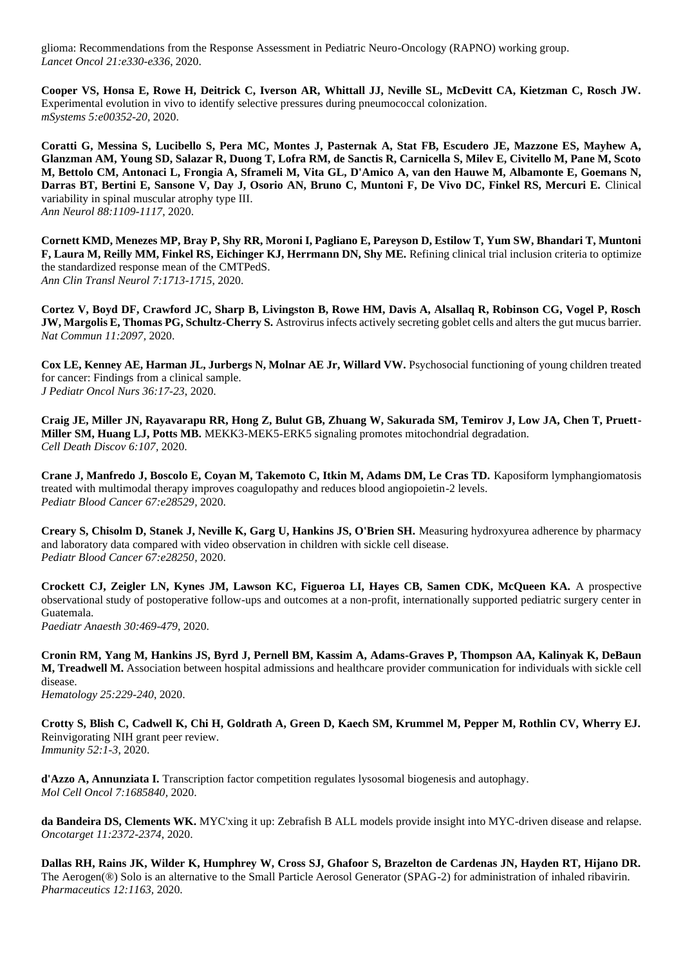glioma: Recommendations from the Response Assessment in Pediatric Neuro-Oncology (RAPNO) working group. *Lancet Oncol 21:e330-e336*, 2020.

**Cooper VS, Honsa E, Rowe H, Deitrick C, Iverson AR, Whittall JJ, Neville SL, McDevitt CA, Kietzman C, Rosch JW.**  Experimental evolution in vivo to identify selective pressures during pneumococcal colonization. *mSystems 5:e00352-20,* 2020.

**Coratti G, Messina S, Lucibello S, Pera MC, Montes J, Pasternak A, Stat FB, Escudero JE, Mazzone ES, Mayhew A, Glanzman AM, Young SD, Salazar R, Duong T, Lofra RM, de Sanctis R, Carnicella S, Milev E, Civitello M, Pane M, Scoto M, Bettolo CM, Antonaci L, Frongia A, Sframeli M, Vita GL, D'Amico A, van den Hauwe M, Albamonte E, Goemans N, Darras BT, Bertini E, Sansone V, Day J, Osorio AN, Bruno C, Muntoni F, De Vivo DC, Finkel RS, Mercuri E.** Clinical variability in spinal muscular atrophy type III. *Ann Neurol 88:1109-1117*, 2020.

**Cornett KMD, Menezes MP, Bray P, Shy RR, Moroni I, Pagliano E, Pareyson D, Estilow T, Yum SW, Bhandari T, Muntoni F, Laura M, Reilly MM, Finkel RS, Eichinger KJ, Herrmann DN, Shy ME.** Refining clinical trial inclusion criteria to optimize the standardized response mean of the CMTPedS. *Ann Clin Transl Neurol 7:1713-1715*, 2020.

**Cortez V, Boyd DF, Crawford JC, Sharp B, Livingston B, Rowe HM, Davis A, Alsallaq R, Robinson CG, Vogel P, Rosch JW, Margolis E, Thomas PG, Schultz-Cherry S.** Astrovirus infects actively secreting goblet cells and alters the gut mucus barrier. *Nat Commun 11:2097,* 2020.

**Cox LE, Kenney AE, Harman JL, Jurbergs N, Molnar AE Jr, Willard VW.** Psychosocial functioning of young children treated for cancer: Findings from a clinical sample. *J Pediatr Oncol Nurs 36:17-23*, 2020.

**Craig JE, Miller JN, Rayavarapu RR, Hong Z, Bulut GB, Zhuang W, Sakurada SM, Temirov J, Low JA, Chen T, Pruett-Miller SM, Huang LJ, Potts MB.** MEKK3-MEK5-ERK5 signaling promotes mitochondrial degradation. *Cell Death Discov 6:107,* 2020.

**Crane J, Manfredo J, Boscolo E, Coyan M, Takemoto C, Itkin M, Adams DM, Le Cras TD.** Kaposiform lymphangiomatosis treated with multimodal therapy improves coagulopathy and reduces blood angiopoietin-2 levels. *Pediatr Blood Cancer 67:e28529,* 2020.

**Creary S, Chisolm D, Stanek J, Neville K, Garg U, Hankins JS, O'Brien SH.** Measuring hydroxyurea adherence by pharmacy and laboratory data compared with video observation in children with sickle cell disease. *Pediatr Blood Cancer 67:e28250,* 2020.

**Crockett CJ, Zeigler LN, Kynes JM, Lawson KC, Figueroa LI, Hayes CB, Samen CDK, McQueen KA.** A prospective observational study of postoperative follow-ups and outcomes at a non-profit, internationally supported pediatric surgery center in Guatemala. *Paediatr Anaesth 30:469-479*, 2020.

**Cronin RM, Yang M, Hankins JS, Byrd J, Pernell BM, Kassim A, Adams-Graves P, Thompson AA, Kalinyak K, DeBaun M, Treadwell M.** Association between hospital admissions and healthcare provider communication for individuals with sickle cell disease.

*Hematology 25:229-240*, 2020.

**Crotty S, Blish C, Cadwell K, Chi H, Goldrath A, Green D, Kaech SM, Krummel M, Pepper M, Rothlin CV, Wherry EJ.**  Reinvigorating NIH grant peer review. *Immunity 52:1-3*, 2020.

**d'Azzo A, Annunziata I.** Transcription factor competition regulates lysosomal biogenesis and autophagy. *Mol Cell Oncol 7:1685840,* 2020.

**da Bandeira DS, Clements WK.** MYC'xing it up: Zebrafish B ALL models provide insight into MYC-driven disease and relapse. *Oncotarget 11:2372-2374*, 2020.

**Dallas RH, Rains JK, Wilder K, Humphrey W, Cross SJ, Ghafoor S, Brazelton de Cardenas JN, Hayden RT, Hijano DR.**  The Aerogen(®) Solo is an alternative to the Small Particle Aerosol Generator (SPAG-2) for administration of inhaled ribavirin. *Pharmaceutics 12:1163,* 2020.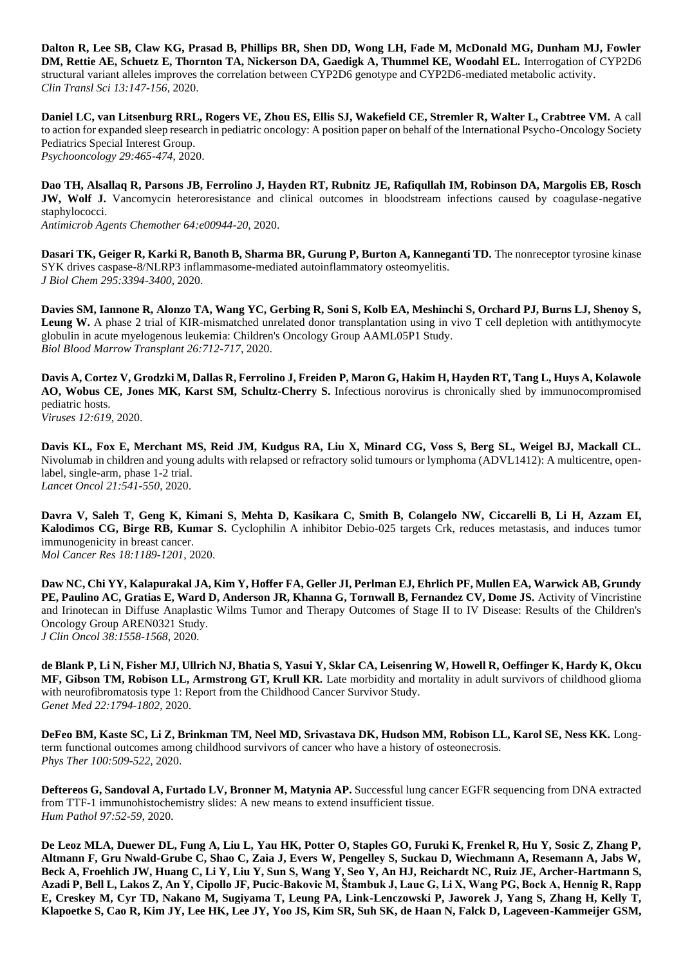**Dalton R, Lee SB, Claw KG, Prasad B, Phillips BR, Shen DD, Wong LH, Fade M, McDonald MG, Dunham MJ, Fowler DM, Rettie AE, Schuetz E, Thornton TA, Nickerson DA, Gaedigk A, Thummel KE, Woodahl EL.** Interrogation of CYP2D6 structural variant alleles improves the correlation between CYP2D6 genotype and CYP2D6-mediated metabolic activity. *Clin Transl Sci 13:147-156*, 2020.

**Daniel LC, van Litsenburg RRL, Rogers VE, Zhou ES, Ellis SJ, Wakefield CE, Stremler R, Walter L, Crabtree VM.** A call to action for expanded sleep research in pediatric oncology: A position paper on behalf of the International Psycho-Oncology Society Pediatrics Special Interest Group. *Psychooncology 29:465-474*, 2020.

**Dao TH, Alsallaq R, Parsons JB, Ferrolino J, Hayden RT, Rubnitz JE, Rafiqullah IM, Robinson DA, Margolis EB, Rosch JW, Wolf J.** Vancomycin heteroresistance and clinical outcomes in bloodstream infections caused by coagulase-negative staphylococci.

*Antimicrob Agents Chemother 64:e00944-20,* 2020.

**Dasari TK, Geiger R, Karki R, Banoth B, Sharma BR, Gurung P, Burton A, Kanneganti TD.** The nonreceptor tyrosine kinase SYK drives caspase-8/NLRP3 inflammasome-mediated autoinflammatory osteomyelitis. *J Biol Chem 295:3394-3400*, 2020.

**Davies SM, Iannone R, Alonzo TA, Wang YC, Gerbing R, Soni S, Kolb EA, Meshinchi S, Orchard PJ, Burns LJ, Shenoy S, Leung W.** A phase 2 trial of KIR-mismatched unrelated donor transplantation using in vivo T cell depletion with antithymocyte globulin in acute myelogenous leukemia: Children's Oncology Group AAML05P1 Study. *Biol Blood Marrow Transplant 26:712-717*, 2020.

**Davis A, Cortez V, Grodzki M, Dallas R, Ferrolino J, Freiden P, Maron G, Hakim H, Hayden RT, Tang L, Huys A, Kolawole AO, Wobus CE, Jones MK, Karst SM, Schultz-Cherry S.** Infectious norovirus is chronically shed by immunocompromised pediatric hosts. *Viruses 12:619,* 2020.

**Davis KL, Fox E, Merchant MS, Reid JM, Kudgus RA, Liu X, Minard CG, Voss S, Berg SL, Weigel BJ, Mackall CL.**  Nivolumab in children and young adults with relapsed or refractory solid tumours or lymphoma (ADVL1412): A multicentre, openlabel, single-arm, phase 1-2 trial. *Lancet Oncol 21:541-550*, 2020.

**Davra V, Saleh T, Geng K, Kimani S, Mehta D, Kasikara C, Smith B, Colangelo NW, Ciccarelli B, Li H, Azzam EI, Kalodimos CG, Birge RB, Kumar S.** Cyclophilin A inhibitor Debio-025 targets Crk, reduces metastasis, and induces tumor immunogenicity in breast cancer. *Mol Cancer Res 18:1189-1201*, 2020.

**Daw NC, Chi YY, Kalapurakal JA, Kim Y, Hoffer FA, Geller JI, Perlman EJ, Ehrlich PF, Mullen EA, Warwick AB, Grundy**  PE, Paulino AC, Gratias E, Ward D, Anderson JR, Khanna G, Tornwall B, Fernandez CV, Dome JS. Activity of Vincristine and Irinotecan in Diffuse Anaplastic Wilms Tumor and Therapy Outcomes of Stage II to IV Disease: Results of the Children's Oncology Group AREN0321 Study. *J Clin Oncol 38:1558-1568*, 2020.

**de Blank P, Li N, Fisher MJ, Ullrich NJ, Bhatia S, Yasui Y, Sklar CA, Leisenring W, Howell R, Oeffinger K, Hardy K, Okcu MF, Gibson TM, Robison LL, Armstrong GT, Krull KR.** Late morbidity and mortality in adult survivors of childhood glioma with neurofibromatosis type 1: Report from the Childhood Cancer Survivor Study. *Genet Med 22:1794-1802*, 2020.

**DeFeo BM, Kaste SC, Li Z, Brinkman TM, Neel MD, Srivastava DK, Hudson MM, Robison LL, Karol SE, Ness KK.** Longterm functional outcomes among childhood survivors of cancer who have a history of osteonecrosis. *Phys Ther 100:509-522*, 2020.

**Deftereos G, Sandoval A, Furtado LV, Bronner M, Matynia AP.** Successful lung cancer EGFR sequencing from DNA extracted from TTF-1 immunohistochemistry slides: A new means to extend insufficient tissue. *Hum Pathol 97:52-59*, 2020.

**De Leoz MLA, Duewer DL, Fung A, Liu L, Yau HK, Potter O, Staples GO, Furuki K, Frenkel R, Hu Y, Sosic Z, Zhang P, Altmann F, Gru Nwald-Grube C, Shao C, Zaia J, Evers W, Pengelley S, Suckau D, Wiechmann A, Resemann A, Jabs W, Beck A, Froehlich JW, Huang C, Li Y, Liu Y, Sun S, Wang Y, Seo Y, An HJ, Reichardt NC, Ruiz JE, Archer-Hartmann S, Azadi P, Bell L, Lakos Z, An Y, Cipollo JF, Pucic-Bakovic M, Štambuk J, Lauc G, Li X, Wang PG, Bock A, Hennig R, Rapp E, Creskey M, Cyr TD, Nakano M, Sugiyama T, Leung PA, Link-Lenczowski P, Jaworek J, Yang S, Zhang H, Kelly T, Klapoetke S, Cao R, Kim JY, Lee HK, Lee JY, Yoo JS, Kim SR, Suh SK, de Haan N, Falck D, Lageveen-Kammeijer GSM,**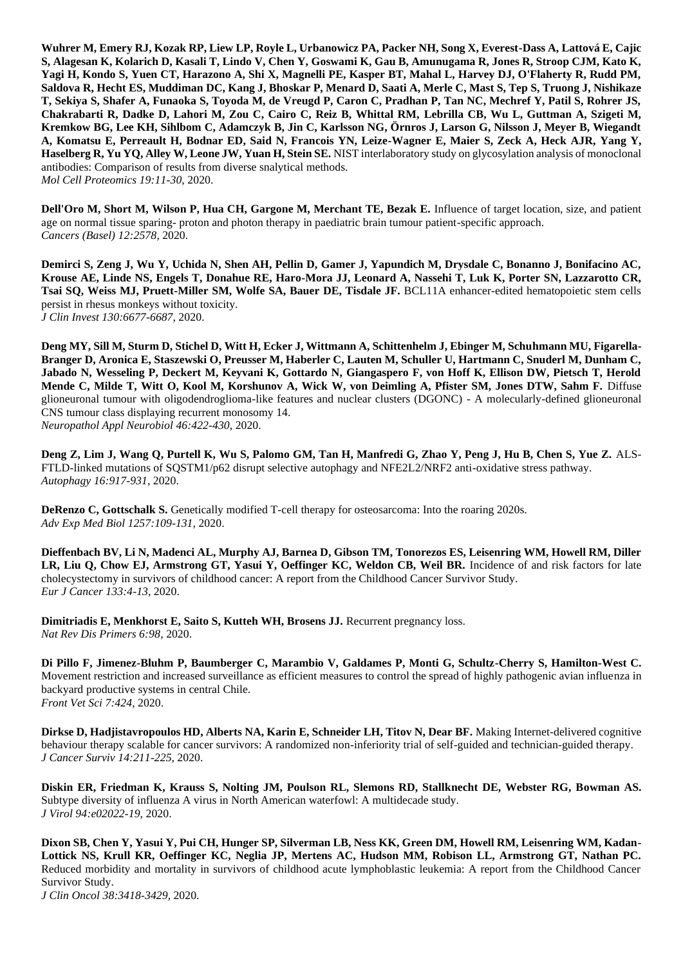**Wuhrer M, Emery RJ, Kozak RP, Liew LP, Royle L, Urbanowicz PA, Packer NH, Song X, Everest-Dass A, Lattová E, Cajic S, Alagesan K, Kolarich D, Kasali T, Lindo V, Chen Y, Goswami K, Gau B, Amunugama R, Jones R, Stroop CJM, Kato K, Yagi H, Kondo S, Yuen CT, Harazono A, Shi X, Magnelli PE, Kasper BT, Mahal L, Harvey DJ, O'Flaherty R, Rudd PM, Saldova R, Hecht ES, Muddiman DC, Kang J, Bhoskar P, Menard D, Saati A, Merle C, Mast S, Tep S, Truong J, Nishikaze T, Sekiya S, Shafer A, Funaoka S, Toyoda M, de Vreugd P, Caron C, Pradhan P, Tan NC, Mechref Y, Patil S, Rohrer JS, Chakrabarti R, Dadke D, Lahori M, Zou C, Cairo C, Reiz B, Whittal RM, Lebrilla CB, Wu L, Guttman A, Szigeti M, Kremkow BG, Lee KH, Sihlbom C, Adamczyk B, Jin C, Karlsson NG, Örnros J, Larson G, Nilsson J, Meyer B, Wiegandt A, Komatsu E, Perreault H, Bodnar ED, Said N, Francois YN, Leize-Wagner E, Maier S, Zeck A, Heck AJR, Yang Y, Haselberg R, Yu YQ, Alley W, Leone JW, Yuan H, Stein SE.** NIST interlaboratory study on glycosylation analysis of monoclonal antibodies: Comparison of results from diverse snalytical methods. *Mol Cell Proteomics 19:11-30*, 2020.

**Dell'Oro M, Short M, Wilson P, Hua CH, Gargone M, Merchant TE, Bezak E.** Influence of target location, size, and patient age on normal tissue sparing- proton and photon therapy in paediatric brain tumour patient-specific approach. *Cancers (Basel) 12:2578,* 2020.

**Demirci S, Zeng J, Wu Y, Uchida N, Shen AH, Pellin D, Gamer J, Yapundich M, Drysdale C, Bonanno J, Bonifacino AC, Krouse AE, Linde NS, Engels T, Donahue RE, Haro-Mora JJ, Leonard A, Nassehi T, Luk K, Porter SN, Lazzarotto CR, Tsai SQ, Weiss MJ, Pruett-Miller SM, Wolfe SA, Bauer DE, Tisdale JF.** BCL11A enhancer-edited hematopoietic stem cells persist in rhesus monkeys without toxicity. *J Clin Invest 130:6677-6687*, 2020.

**Deng MY, Sill M, Sturm D, Stichel D, Witt H, Ecker J, Wittmann A, Schittenhelm J, Ebinger M, Schuhmann MU, Figarella-Branger D, Aronica E, Staszewski O, Preusser M, Haberler C, Lauten M, Schuller U, Hartmann C, Snuderl M, Dunham C, Jabado N, Wesseling P, Deckert M, Keyvani K, Gottardo N, Giangaspero F, von Hoff K, Ellison DW, Pietsch T, Herold Mende C, Milde T, Witt O, Kool M, Korshunov A, Wick W, von Deimling A, Pfister SM, Jones DTW, Sahm F.** Diffuse glioneuronal tumour with oligodendroglioma-like features and nuclear clusters (DGONC) - A molecularly-defined glioneuronal CNS tumour class displaying recurrent monosomy 14. *Neuropathol Appl Neurobiol 46:422-430*, 2020.

**Deng Z, Lim J, Wang Q, Purtell K, Wu S, Palomo GM, Tan H, Manfredi G, Zhao Y, Peng J, Hu B, Chen S, Yue Z.** ALS-FTLD-linked mutations of SQSTM1/p62 disrupt selective autophagy and NFE2L2/NRF2 anti-oxidative stress pathway. *Autophagy 16:917-931*, 2020.

**DeRenzo C, Gottschalk S.** Genetically modified T-cell therapy for osteosarcoma: Into the roaring 2020s. *Adv Exp Med Biol 1257:109-131*, 2020.

**Dieffenbach BV, Li N, Madenci AL, Murphy AJ, Barnea D, Gibson TM, Tonorezos ES, Leisenring WM, Howell RM, Diller LR, Liu Q, Chow EJ, Armstrong GT, Yasui Y, Oeffinger KC, Weldon CB, Weil BR.** Incidence of and risk factors for late cholecystectomy in survivors of childhood cancer: A report from the Childhood Cancer Survivor Study. *Eur J Cancer 133:4-13*, 2020.

**Dimitriadis E, Menkhorst E, Saito S, Kutteh WH, Brosens JJ.** Recurrent pregnancy loss. *Nat Rev Dis Primers 6:98,* 2020.

**Di Pillo F, Jimenez-Bluhm P, Baumberger C, Marambio V, Galdames P, Monti G, Schultz-Cherry S, Hamilton-West C.**  Movement restriction and increased surveillance as efficient measures to control the spread of highly pathogenic avian influenza in backyard productive systems in central Chile. *Front Vet Sci 7:424,* 2020.

**Dirkse D, Hadjistavropoulos HD, Alberts NA, Karin E, Schneider LH, Titov N, Dear BF.** Making Internet-delivered cognitive behaviour therapy scalable for cancer survivors: A randomized non-inferiority trial of self-guided and technician-guided therapy. *J Cancer Surviv 14:211-225*, 2020.

**Diskin ER, Friedman K, Krauss S, Nolting JM, Poulson RL, Slemons RD, Stallknecht DE, Webster RG, Bowman AS.**  Subtype diversity of influenza A virus in North American waterfowl: A multidecade study. *J Virol 94:e02022-19,* 2020.

**Dixon SB, Chen Y, Yasui Y, Pui CH, Hunger SP, Silverman LB, Ness KK, Green DM, Howell RM, Leisenring WM, Kadan-Lottick NS, Krull KR, Oeffinger KC, Neglia JP, Mertens AC, Hudson MM, Robison LL, Armstrong GT, Nathan PC.**  Reduced morbidity and mortality in survivors of childhood acute lymphoblastic leukemia: A report from the Childhood Cancer Survivor Study.

*J Clin Oncol 38:3418-3429*, 2020.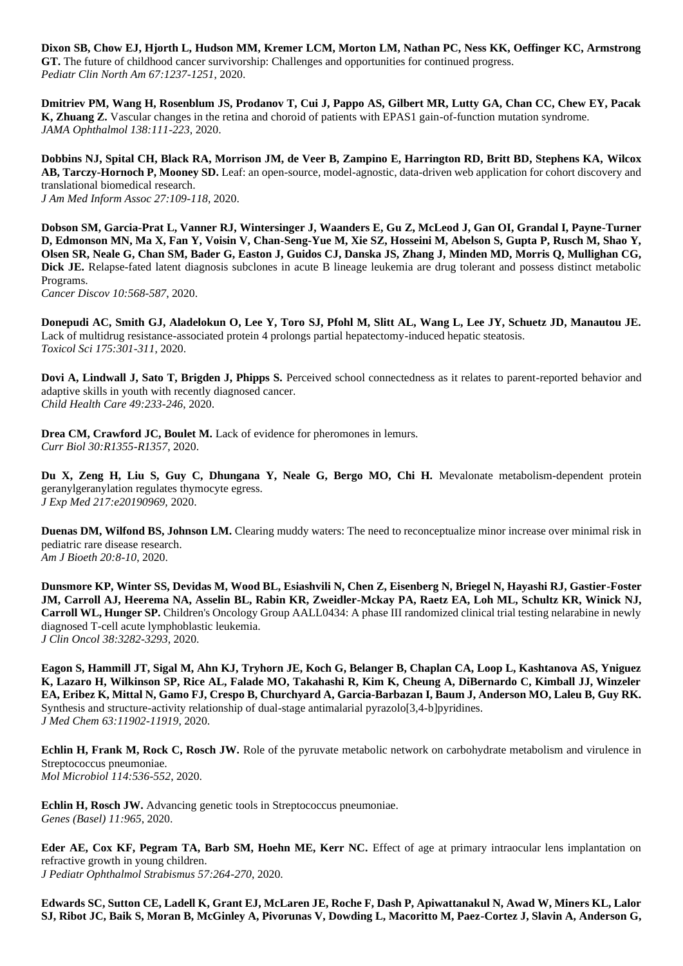**Dixon SB, Chow EJ, Hjorth L, Hudson MM, Kremer LCM, Morton LM, Nathan PC, Ness KK, Oeffinger KC, Armstrong GT.** The future of childhood cancer survivorship: Challenges and opportunities for continued progress. *Pediatr Clin North Am 67:1237-1251*, 2020.

**Dmitriev PM, Wang H, Rosenblum JS, Prodanov T, Cui J, Pappo AS, Gilbert MR, Lutty GA, Chan CC, Chew EY, Pacak K, Zhuang Z.** Vascular changes in the retina and choroid of patients with EPAS1 gain-of-function mutation syndrome. *JAMA Ophthalmol 138:111-223*, 2020.

**Dobbins NJ, Spital CH, Black RA, Morrison JM, de Veer B, Zampino E, Harrington RD, Britt BD, Stephens KA, Wilcox AB, Tarczy-Hornoch P, Mooney SD.** Leaf: an open-source, model-agnostic, data-driven web application for cohort discovery and translational biomedical research. *J Am Med Inform Assoc 27:109-118*, 2020.

**Dobson SM, Garcia-Prat L, Vanner RJ, Wintersinger J, Waanders E, Gu Z, McLeod J, Gan OI, Grandal I, Payne-Turner D, Edmonson MN, Ma X, Fan Y, Voisin V, Chan-Seng-Yue M, Xie SZ, Hosseini M, Abelson S, Gupta P, Rusch M, Shao Y, Olsen SR, Neale G, Chan SM, Bader G, Easton J, Guidos CJ, Danska JS, Zhang J, Minden MD, Morris Q, Mullighan CG, Dick JE.** Relapse-fated latent diagnosis subclones in acute B lineage leukemia are drug tolerant and possess distinct metabolic Programs.

*Cancer Discov 10:568-587*, 2020.

**Donepudi AC, Smith GJ, Aladelokun O, Lee Y, Toro SJ, Pfohl M, Slitt AL, Wang L, Lee JY, Schuetz JD, Manautou JE.**  Lack of multidrug resistance-associated protein 4 prolongs partial hepatectomy-induced hepatic steatosis. *Toxicol Sci 175:301-311*, 2020.

**Dovi A, Lindwall J, Sato T, Brigden J, Phipps S.** Perceived school connectedness as it relates to parent-reported behavior and adaptive skills in youth with recently diagnosed cancer. *Child Health Care 49:233-246*, 2020.

Drea CM, Crawford JC, Boulet M. Lack of evidence for pheromones in lemurs. *Curr Biol 30:R1355-R1357*, 2020.

**Du X, Zeng H, Liu S, Guy C, Dhungana Y, Neale G, Bergo MO, Chi H.** Mevalonate metabolism-dependent protein geranylgeranylation regulates thymocyte egress. *J Exp Med 217:e20190969,* 2020.

**Duenas DM, Wilfond BS, Johnson LM.** Clearing muddy waters: The need to reconceptualize minor increase over minimal risk in pediatric rare disease research. *Am J Bioeth 20:8-10*, 2020.

**Dunsmore KP, Winter SS, Devidas M, Wood BL, Esiashvili N, Chen Z, Eisenberg N, Briegel N, Hayashi RJ, Gastier-Foster JM, Carroll AJ, Heerema NA, Asselin BL, Rabin KR, Zweidler-Mckay PA, Raetz EA, Loh ML, Schultz KR, Winick NJ, Carroll WL, Hunger SP.** Children's Oncology Group AALL0434: A phase III randomized clinical trial testing nelarabine in newly diagnosed T-cell acute lymphoblastic leukemia. *J Clin Oncol 38:3282-3293*, 2020.

**Eagon S, Hammill JT, Sigal M, Ahn KJ, Tryhorn JE, Koch G, Belanger B, Chaplan CA, Loop L, Kashtanova AS, Yniguez K, Lazaro H, Wilkinson SP, Rice AL, Falade MO, Takahashi R, Kim K, Cheung A, DiBernardo C, Kimball JJ, Winzeler EA, Eribez K, Mittal N, Gamo FJ, Crespo B, Churchyard A, Garcia-Barbazan I, Baum J, Anderson MO, Laleu B, Guy RK.**  Synthesis and structure-activity relationship of dual-stage antimalarial pyrazolo[3,4-b]pyridines. *J Med Chem 63:11902-11919*, 2020.

**Echlin H, Frank M, Rock C, Rosch JW.** Role of the pyruvate metabolic network on carbohydrate metabolism and virulence in Streptococcus pneumoniae. *Mol Microbiol 114:536-552*, 2020.

**Echlin H, Rosch JW.** Advancing genetic tools in Streptococcus pneumoniae. *Genes (Basel) 11:965*, 2020.

**Eder AE, Cox KF, Pegram TA, Barb SM, Hoehn ME, Kerr NC.** Effect of age at primary intraocular lens implantation on refractive growth in young children.

*J Pediatr Ophthalmol Strabismus 57:264-270*, 2020.

**Edwards SC, Sutton CE, Ladell K, Grant EJ, McLaren JE, Roche F, Dash P, Apiwattanakul N, Awad W, Miners KL, Lalor SJ, Ribot JC, Baik S, Moran B, McGinley A, Pivorunas V, Dowding L, Macoritto M, Paez-Cortez J, Slavin A, Anderson G,**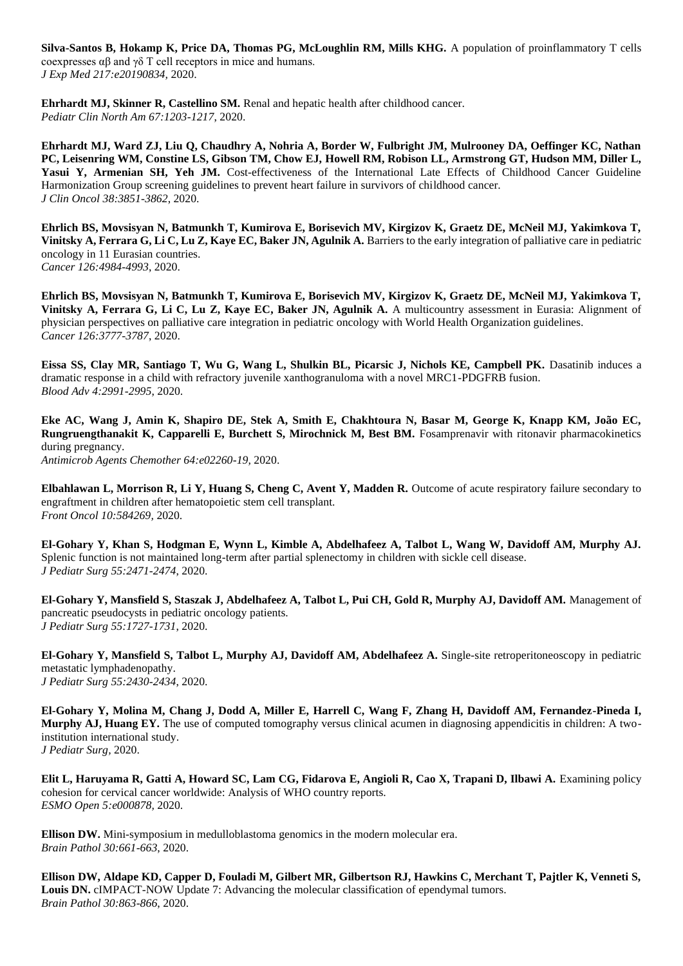**Silva-Santos B, Hokamp K, Price DA, Thomas PG, McLoughlin RM, Mills KHG.** A population of proinflammatory T cells coexpresses αβ and γδ T cell receptors in mice and humans. *J Exp Med 217:e20190834,* 2020.

**Ehrhardt MJ, Skinner R, Castellino SM.** Renal and hepatic health after childhood cancer. *Pediatr Clin North Am 67:1203-1217*, 2020.

**Ehrhardt MJ, Ward ZJ, Liu Q, Chaudhry A, Nohria A, Border W, Fulbright JM, Mulrooney DA, Oeffinger KC, Nathan PC, Leisenring WM, Constine LS, Gibson TM, Chow EJ, Howell RM, Robison LL, Armstrong GT, Hudson MM, Diller L,**  Yasui Y, Armenian SH, Yeh JM. Cost-effectiveness of the International Late Effects of Childhood Cancer Guideline Harmonization Group screening guidelines to prevent heart failure in survivors of childhood cancer. *J Clin Oncol 38:3851-3862*, 2020.

**Ehrlich BS, Movsisyan N, Batmunkh T, Kumirova E, Borisevich MV, Kirgizov K, Graetz DE, McNeil MJ, Yakimkova T, Vinitsky A, Ferrara G, Li C, Lu Z, Kaye EC, Baker JN, Agulnik A.** Barriers to the early integration of palliative care in pediatric oncology in 11 Eurasian countries. *Cancer 126:4984-4993*, 2020.

**Ehrlich BS, Movsisyan N, Batmunkh T, Kumirova E, Borisevich MV, Kirgizov K, Graetz DE, McNeil MJ, Yakimkova T, Vinitsky A, Ferrara G, Li C, Lu Z, Kaye EC, Baker JN, Agulnik A.** A multicountry assessment in Eurasia: Alignment of physician perspectives on palliative care integration in pediatric oncology with World Health Organization guidelines. *Cancer 126:3777-3787*, 2020.

**Eissa SS, Clay MR, Santiago T, Wu G, Wang L, Shulkin BL, Picarsic J, Nichols KE, Campbell PK.** Dasatinib induces a dramatic response in a child with refractory juvenile xanthogranuloma with a novel MRC1-PDGFRB fusion. *Blood Adv 4:2991-2995*, 2020.

**Eke AC, Wang J, Amin K, Shapiro DE, Stek A, Smith E, Chakhtoura N, Basar M, George K, Knapp KM, João EC, Rungruengthanakit K, Capparelli E, Burchett S, Mirochnick M, Best BM.** Fosamprenavir with ritonavir pharmacokinetics during pregnancy. *Antimicrob Agents Chemother 64:e02260-19,* 2020.

**Elbahlawan L, Morrison R, Li Y, Huang S, Cheng C, Avent Y, Madden R.** Outcome of acute respiratory failure secondary to engraftment in children after hematopoietic stem cell transplant. *Front Oncol 10:584269,* 2020.

**El-Gohary Y, Khan S, Hodgman E, Wynn L, Kimble A, Abdelhafeez A, Talbot L, Wang W, Davidoff AM, Murphy AJ.**  Splenic function is not maintained long-term after partial splenectomy in children with sickle cell disease. *J Pediatr Surg 55:2471-2474*, 2020.

**El-Gohary Y, Mansfield S, Staszak J, Abdelhafeez A, Talbot L, Pui CH, Gold R, Murphy AJ, Davidoff AM.** Management of pancreatic pseudocysts in pediatric oncology patients. *J Pediatr Surg 55:1727-1731*, 2020.

**El-Gohary Y, Mansfield S, Talbot L, Murphy AJ, Davidoff AM, Abdelhafeez A.** Single-site retroperitoneoscopy in pediatric metastatic lymphadenopathy. *J Pediatr Surg 55:2430-2434*, 2020.

**El-Gohary Y, Molina M, Chang J, Dodd A, Miller E, Harrell C, Wang F, Zhang H, Davidoff AM, Fernandez-Pineda I, Murphy AJ, Huang EY.** The use of computed tomography versus clinical acumen in diagnosing appendicitis in children: A twoinstitution international study. *J Pediatr Surg,* 2020.

**Elit L, Haruyama R, Gatti A, Howard SC, Lam CG, Fidarova E, Angioli R, Cao X, Trapani D, Ilbawi A.** Examining policy cohesion for cervical cancer worldwide: Analysis of WHO country reports. *ESMO Open 5:e000878,* 2020.

**Ellison DW.** Mini-symposium in medulloblastoma genomics in the modern molecular era. *Brain Pathol 30:661-663*, 2020.

**Ellison DW, Aldape KD, Capper D, Fouladi M, Gilbert MR, Gilbertson RJ, Hawkins C, Merchant T, Pajtler K, Venneti S, Louis DN.** cIMPACT-NOW Update 7: Advancing the molecular classification of ependymal tumors. *Brain Pathol 30:863-866*, 2020.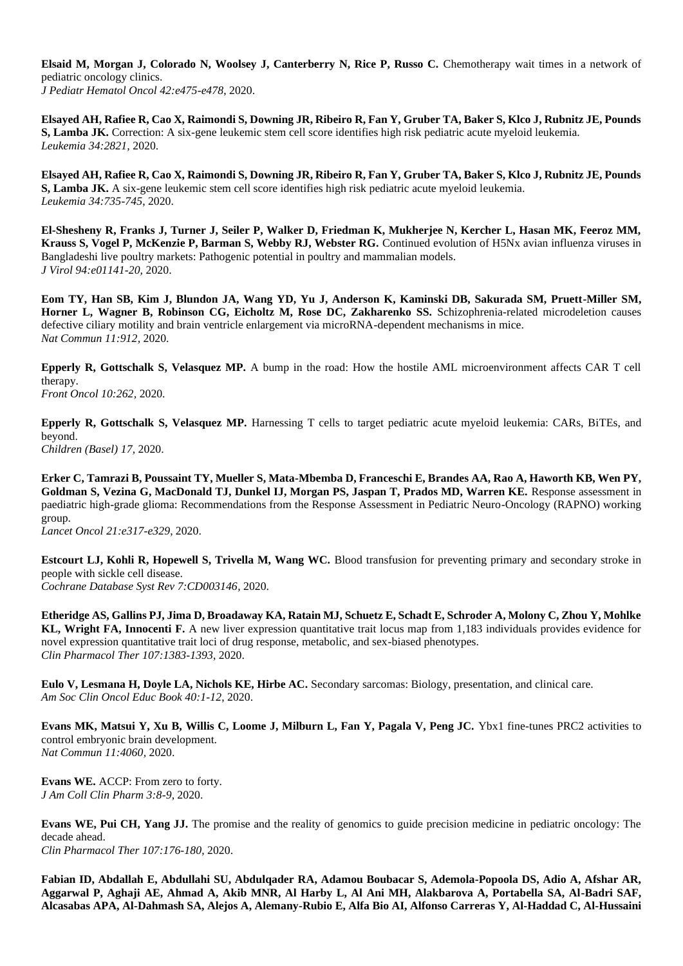**Elsaid M, Morgan J, Colorado N, Woolsey J, Canterberry N, Rice P, Russo C.** Chemotherapy wait times in a network of pediatric oncology clinics. *J Pediatr Hematol Oncol 42:e475-e478*, 2020.

**Elsayed AH, Rafiee R, Cao X, Raimondi S, Downing JR, Ribeiro R, Fan Y, Gruber TA, Baker S, Klco J, Rubnitz JE, Pounds S, Lamba JK.** Correction: A six-gene leukemic stem cell score identifies high risk pediatric acute myeloid leukemia. *Leukemia 34:2821,* 2020.

**Elsayed AH, Rafiee R, Cao X, Raimondi S, Downing JR, Ribeiro R, Fan Y, Gruber TA, Baker S, Klco J, Rubnitz JE, Pounds S, Lamba JK.** A six-gene leukemic stem cell score identifies high risk pediatric acute myeloid leukemia. *Leukemia 34:735-745*, 2020.

**El-Shesheny R, Franks J, Turner J, Seiler P, Walker D, Friedman K, Mukherjee N, Kercher L, Hasan MK, Feeroz MM, Krauss S, Vogel P, McKenzie P, Barman S, Webby RJ, Webster RG.** Continued evolution of H5Nx avian influenza viruses in Bangladeshi live poultry markets: Pathogenic potential in poultry and mammalian models. *J Virol 94:e01141-20,* 2020.

**Eom TY, Han SB, Kim J, Blundon JA, Wang YD, Yu J, Anderson K, Kaminski DB, Sakurada SM, Pruett-Miller SM, Horner L, Wagner B, Robinson CG, Eicholtz M, Rose DC, Zakharenko SS.** Schizophrenia-related microdeletion causes defective ciliary motility and brain ventricle enlargement via microRNA-dependent mechanisms in mice. *Nat Commun 11:912,* 2020.

**Epperly R, Gottschalk S, Velasquez MP.** A bump in the road: How the hostile AML microenvironment affects CAR T cell therapy. *Front Oncol 10:262,* 2020.

**Epperly R, Gottschalk S, Velasquez MP.** Harnessing T cells to target pediatric acute myeloid leukemia: CARs, BiTEs, and beyond.

*Children (Basel) 17,* 2020.

**Erker C, Tamrazi B, Poussaint TY, Mueller S, Mata-Mbemba D, Franceschi E, Brandes AA, Rao A, Haworth KB, Wen PY, Goldman S, Vezina G, MacDonald TJ, Dunkel IJ, Morgan PS, Jaspan T, Prados MD, Warren KE.** Response assessment in paediatric high-grade glioma: Recommendations from the Response Assessment in Pediatric Neuro-Oncology (RAPNO) working group.

*Lancet Oncol 21:e317-e329*, 2020.

**Estcourt LJ, Kohli R, Hopewell S, Trivella M, Wang WC.** Blood transfusion for preventing primary and secondary stroke in people with sickle cell disease.

*Cochrane Database Syst Rev 7:CD003146,* 2020.

**Etheridge AS, Gallins PJ, Jima D, Broadaway KA, Ratain MJ, Schuetz E, Schadt E, Schroder A, Molony C, Zhou Y, Mohlke KL, Wright FA, Innocenti F.** A new liver expression quantitative trait locus map from 1,183 individuals provides evidence for novel expression quantitative trait loci of drug response, metabolic, and sex-biased phenotypes. *Clin Pharmacol Ther 107:1383-1393*, 2020.

**Eulo V, Lesmana H, Doyle LA, Nichols KE, Hirbe AC.** Secondary sarcomas: Biology, presentation, and clinical care. *Am Soc Clin Oncol Educ Book 40:1-12*, 2020.

**Evans MK, Matsui Y, Xu B, Willis C, Loome J, Milburn L, Fan Y, Pagala V, Peng JC.** Ybx1 fine-tunes PRC2 activities to control embryonic brain development. *Nat Commun 11:4060,* 2020.

**Evans WE.** ACCP: From zero to forty. *J Am Coll Clin Pharm 3:8-9*, 2020.

**Evans WE, Pui CH, Yang JJ.** The promise and the reality of genomics to guide precision medicine in pediatric oncology: The decade ahead. *Clin Pharmacol Ther 107:176-180*, 2020.

**Fabian ID, Abdallah E, Abdullahi SU, Abdulqader RA, Adamou Boubacar S, Ademola-Popoola DS, Adio A, Afshar AR, Aggarwal P, Aghaji AE, Ahmad A, Akib MNR, Al Harby L, Al Ani MH, Alakbarova A, Portabella SA, Al-Badri SAF, Alcasabas APA, Al-Dahmash SA, Alejos A, Alemany-Rubio E, Alfa Bio AI, Alfonso Carreras Y, Al-Haddad C, Al-Hussaini**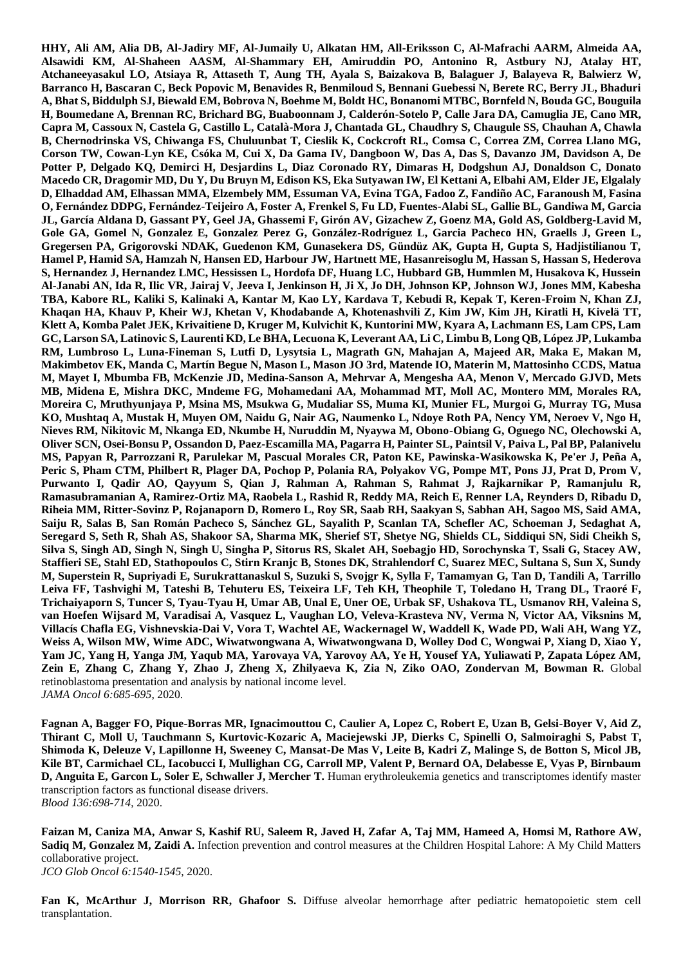**HHY, Ali AM, Alia DB, Al-Jadiry MF, Al-Jumaily U, Alkatan HM, All-Eriksson C, Al-Mafrachi AARM, Almeida AA, Alsawidi KM, Al-Shaheen AASM, Al-Shammary EH, Amiruddin PO, Antonino R, Astbury NJ, Atalay HT, Atchaneeyasakul LO, Atsiaya R, Attaseth T, Aung TH, Ayala S, Baizakova B, Balaguer J, Balayeva R, Balwierz W, Barranco H, Bascaran C, Beck Popovic M, Benavides R, Benmiloud S, Bennani Guebessi N, Berete RC, Berry JL, Bhaduri A, Bhat S, Biddulph SJ, Biewald EM, Bobrova N, Boehme M, Boldt HC, Bonanomi MTBC, Bornfeld N, Bouda GC, Bouguila H, Boumedane A, Brennan RC, Brichard BG, Buaboonnam J, Calderón-Sotelo P, Calle Jara DA, Camuglia JE, Cano MR, Capra M, Cassoux N, Castela G, Castillo L, Català-Mora J, Chantada GL, Chaudhry S, Chaugule SS, Chauhan A, Chawla B, Chernodrinska VS, Chiwanga FS, Chuluunbat T, Cieslik K, Cockcroft RL, Comsa C, Correa ZM, Correa Llano MG, Corson TW, Cowan-Lyn KE, Csóka M, Cui X, Da Gama IV, Dangboon W, Das A, Das S, Davanzo JM, Davidson A, De Potter P, Delgado KQ, Demirci H, Desjardins L, Diaz Coronado RY, Dimaras H, Dodgshun AJ, Donaldson C, Donato Macedo CR, Dragomir MD, Du Y, Du Bruyn M, Edison KS, Eka Sutyawan IW, El Kettani A, Elbahi AM, Elder JE, Elgalaly D, Elhaddad AM, Elhassan MMA, Elzembely MM, Essuman VA, Evina TGA, Fadoo Z, Fandiño AC, Faranoush M, Fasina O, Fernández DDPG, Fernández-Teijeiro A, Foster A, Frenkel S, Fu LD, Fuentes-Alabi SL, Gallie BL, Gandiwa M, Garcia JL, García Aldana D, Gassant PY, Geel JA, Ghassemi F, Girón AV, Gizachew Z, Goenz MA, Gold AS, Goldberg-Lavid M, Gole GA, Gomel N, Gonzalez E, Gonzalez Perez G, González-Rodríguez L, Garcia Pacheco HN, Graells J, Green L, Gregersen PA, Grigorovski NDAK, Guedenon KM, Gunasekera DS, Gündüz AK, Gupta H, Gupta S, Hadjistilianou T, Hamel P, Hamid SA, Hamzah N, Hansen ED, Harbour JW, Hartnett ME, Hasanreisoglu M, Hassan S, Hassan S, Hederova S, Hernandez J, Hernandez LMC, Hessissen L, Hordofa DF, Huang LC, Hubbard GB, Hummlen M, Husakova K, Hussein Al-Janabi AN, Ida R, Ilic VR, Jairaj V, Jeeva I, Jenkinson H, Ji X, Jo DH, Johnson KP, Johnson WJ, Jones MM, Kabesha TBA, Kabore RL, Kaliki S, Kalinaki A, Kantar M, Kao LY, Kardava T, Kebudi R, Kepak T, Keren-Froim N, Khan ZJ, Khaqan HA, Khauv P, Kheir WJ, Khetan V, Khodabande A, Khotenashvili Z, Kim JW, Kim JH, Kiratli H, Kivelä TT, Klett A, Komba Palet JEK, Krivaitiene D, Kruger M, Kulvichit K, Kuntorini MW, Kyara A, Lachmann ES, Lam CPS, Lam GC, Larson SA, Latinovic S, Laurenti KD, Le BHA, Lecuona K, Leverant AA, Li C, Limbu B, Long QB, López JP, Lukamba RM, Lumbroso L, Luna-Fineman S, Lutfi D, Lysytsia L, Magrath GN, Mahajan A, Majeed AR, Maka E, Makan M, Makimbetov EK, Manda C, Martín Begue N, Mason L, Mason JO 3rd, Matende IO, Materin M, Mattosinho CCDS, Matua M, Mayet I, Mbumba FB, McKenzie JD, Medina-Sanson A, Mehrvar A, Mengesha AA, Menon V, Mercado GJVD, Mets MB, Midena E, Mishra DKC, Mndeme FG, Mohamedani AA, Mohammad MT, Moll AC, Montero MM, Morales RA, Moreira C, Mruthyunjaya P, Msina MS, Msukwa G, Mudaliar SS, Muma KI, Munier FL, Murgoi G, Murray TG, Musa KO, Mushtaq A, Mustak H, Muyen OM, Naidu G, Nair AG, Naumenko L, Ndoye Roth PA, Nency YM, Neroev V, Ngo H, Nieves RM, Nikitovic M, Nkanga ED, Nkumbe H, Nuruddin M, Nyaywa M, Obono-Obiang G, Oguego NC, Olechowski A, Oliver SCN, Osei-Bonsu P, Ossandon D, Paez-Escamilla MA, Pagarra H, Painter SL, Paintsil V, Paiva L, Pal BP, Palanivelu MS, Papyan R, Parrozzani R, Parulekar M, Pascual Morales CR, Paton KE, Pawinska-Wasikowska K, Pe'er J, Peña A, Peric S, Pham CTM, Philbert R, Plager DA, Pochop P, Polania RA, Polyakov VG, Pompe MT, Pons JJ, Prat D, Prom V, Purwanto I, Qadir AO, Qayyum S, Qian J, Rahman A, Rahman S, Rahmat J, Rajkarnikar P, Ramanjulu R, Ramasubramanian A, Ramirez-Ortiz MA, Raobela L, Rashid R, Reddy MA, Reich E, Renner LA, Reynders D, Ribadu D, Riheia MM, Ritter-Sovinz P, Rojanaporn D, Romero L, Roy SR, Saab RH, Saakyan S, Sabhan AH, Sagoo MS, Said AMA, Saiju R, Salas B, San Román Pacheco S, Sánchez GL, Sayalith P, Scanlan TA, Schefler AC, Schoeman J, Sedaghat A, Seregard S, Seth R, Shah AS, Shakoor SA, Sharma MK, Sherief ST, Shetye NG, Shields CL, Siddiqui SN, Sidi Cheikh S, Silva S, Singh AD, Singh N, Singh U, Singha P, Sitorus RS, Skalet AH, Soebagjo HD, Sorochynska T, Ssali G, Stacey AW, Staffieri SE, Stahl ED, Stathopoulos C, Stirn Kranjc B, Stones DK, Strahlendorf C, Suarez MEC, Sultana S, Sun X, Sundy M, Superstein R, Supriyadi E, Surukrattanaskul S, Suzuki S, Svojgr K, Sylla F, Tamamyan G, Tan D, Tandili A, Tarrillo Leiva FF, Tashvighi M, Tateshi B, Tehuteru ES, Teixeira LF, Teh KH, Theophile T, Toledano H, Trang DL, Traoré F, Trichaiyaporn S, Tuncer S, Tyau-Tyau H, Umar AB, Unal E, Uner OE, Urbak SF, Ushakova TL, Usmanov RH, Valeina S, van Hoefen Wijsard M, Varadisai A, Vasquez L, Vaughan LO, Veleva-Krasteva NV, Verma N, Victor AA, Viksnins M, Villacís Chafla EG, Vishnevskia-Dai V, Vora T, Wachtel AE, Wackernagel W, Waddell K, Wade PD, Wali AH, Wang YZ, Weiss A, Wilson MW, Wime ADC, Wiwatwongwana A, Wiwatwongwana D, Wolley Dod C, Wongwai P, Xiang D, Xiao Y, Yam JC, Yang H, Yanga JM, Yaqub MA, Yarovaya VA, Yarovoy AA, Ye H, Yousef YA, Yuliawati P, Zapata López AM, Zein E, Zhang C, Zhang Y, Zhao J, Zheng X, Zhilyaeva K, Zia N, Ziko OAO, Zondervan M, Bowman R.** Global retinoblastoma presentation and analysis by national income level. *JAMA Oncol 6:685-695*, 2020.

**Fagnan A, Bagger FO, Pique-Borras MR, Ignacimouttou C, Caulier A, Lopez C, Robert E, Uzan B, Gelsi-Boyer V, Aid Z, Thirant C, Moll U, Tauchmann S, Kurtovic-Kozaric A, Maciejewski JP, Dierks C, Spinelli O, Salmoiraghi S, Pabst T, Shimoda K, Deleuze V, Lapillonne H, Sweeney C, Mansat-De Mas V, Leite B, Kadri Z, Malinge S, de Botton S, Micol JB, Kile BT, Carmichael CL, Iacobucci I, Mullighan CG, Carroll MP, Valent P, Bernard OA, Delabesse E, Vyas P, Birnbaum D, Anguita E, Garcon L, Soler E, Schwaller J, Mercher T.** Human erythroleukemia genetics and transcriptomes identify master transcription factors as functional disease drivers. *Blood 136:698-714*, 2020.

**Faizan M, Caniza MA, Anwar S, Kashif RU, Saleem R, Javed H, Zafar A, Taj MM, Hameed A, Homsi M, Rathore AW, Sadiq M, Gonzalez M, Zaidi A.** Infection prevention and control measures at the Children Hospital Lahore: A My Child Matters collaborative project. *JCO Glob Oncol 6:1540-1545*, 2020.

Fan K, McArthur J, Morrison RR, Ghafoor S. Diffuse alveolar hemorrhage after pediatric hematopoietic stem cell transplantation.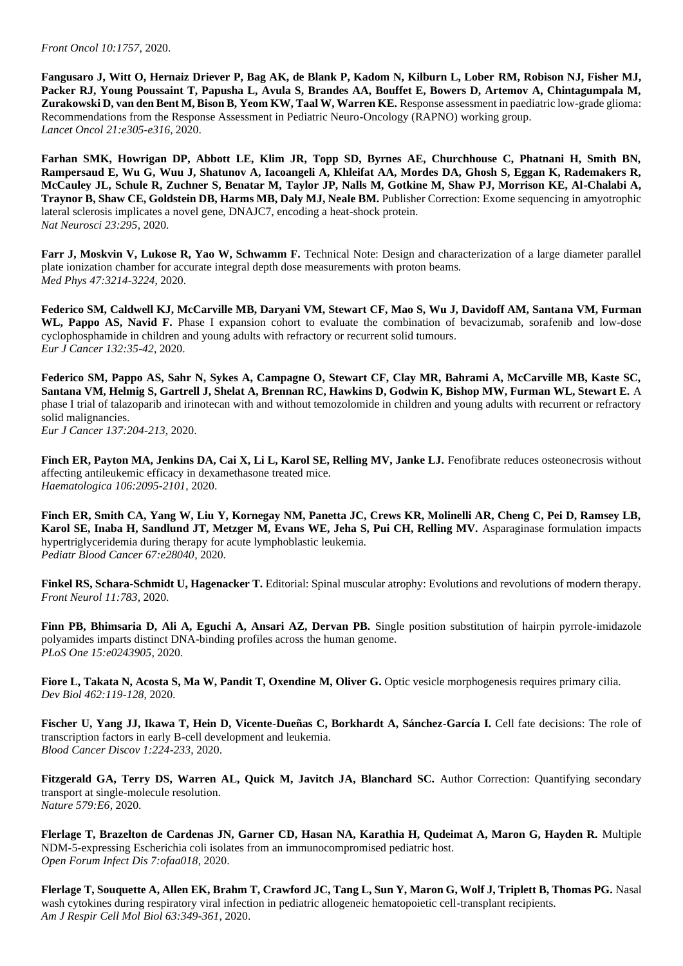**Fangusaro J, Witt O, Hernaiz Driever P, Bag AK, de Blank P, Kadom N, Kilburn L, Lober RM, Robison NJ, Fisher MJ, Packer RJ, Young Poussaint T, Papusha L, Avula S, Brandes AA, Bouffet E, Bowers D, Artemov A, Chintagumpala M, Zurakowski D, van den Bent M, Bison B, Yeom KW, Taal W, Warren KE.** Response assessment in paediatric low-grade glioma: Recommendations from the Response Assessment in Pediatric Neuro-Oncology (RAPNO) working group. *Lancet Oncol 21:e305-e316*, 2020.

**Farhan SMK, Howrigan DP, Abbott LE, Klim JR, Topp SD, Byrnes AE, Churchhouse C, Phatnani H, Smith BN, Rampersaud E, Wu G, Wuu J, Shatunov A, Iacoangeli A, Khleifat AA, Mordes DA, Ghosh S, Eggan K, Rademakers R, McCauley JL, Schule R, Zuchner S, Benatar M, Taylor JP, Nalls M, Gotkine M, Shaw PJ, Morrison KE, Al-Chalabi A, Traynor B, Shaw CE, Goldstein DB, Harms MB, Daly MJ, Neale BM.** Publisher Correction: Exome sequencing in amyotrophic lateral sclerosis implicates a novel gene, DNAJC7, encoding a heat-shock protein. *Nat Neurosci 23:295,* 2020.

**Farr J, Moskvin V, Lukose R, Yao W, Schwamm F.** Technical Note: Design and characterization of a large diameter parallel plate ionization chamber for accurate integral depth dose measurements with proton beams. *Med Phys 47:3214-3224*, 2020.

**Federico SM, Caldwell KJ, McCarville MB, Daryani VM, Stewart CF, Mao S, Wu J, Davidoff AM, Santana VM, Furman**  WL, Pappo AS, Navid F. Phase I expansion cohort to evaluate the combination of bevacizumab, sorafenib and low-dose cyclophosphamide in children and young adults with refractory or recurrent solid tumours. *Eur J Cancer 132:35-42*, 2020.

**Federico SM, Pappo AS, Sahr N, Sykes A, Campagne O, Stewart CF, Clay MR, Bahrami A, McCarville MB, Kaste SC, Santana VM, Helmig S, Gartrell J, Shelat A, Brennan RC, Hawkins D, Godwin K, Bishop MW, Furman WL, Stewart E.** A phase I trial of talazoparib and irinotecan with and without temozolomide in children and young adults with recurrent or refractory solid malignancies.

*Eur J Cancer 137:204-213*, 2020.

Finch ER, Payton MA, Jenkins DA, Cai X, Li L, Karol SE, Relling MV, Janke LJ. Fenofibrate reduces osteonecrosis without affecting antileukemic efficacy in dexamethasone treated mice. *Haematologica 106:2095-2101,* 2020.

**Finch ER, Smith CA, Yang W, Liu Y, Kornegay NM, Panetta JC, Crews KR, Molinelli AR, Cheng C, Pei D, Ramsey LB, Karol SE, Inaba H, Sandlund JT, Metzger M, Evans WE, Jeha S, Pui CH, Relling MV.** Asparaginase formulation impacts hypertriglyceridemia during therapy for acute lymphoblastic leukemia. *Pediatr Blood Cancer 67:e28040,* 2020.

Finkel RS, Schara-Schmidt U, Hagenacker T. Editorial: Spinal muscular atrophy: Evolutions and revolutions of modern therapy. *Front Neurol 11:783,* 2020.

**Finn PB, Bhimsaria D, Ali A, Eguchi A, Ansari AZ, Dervan PB.** Single position substitution of hairpin pyrrole-imidazole polyamides imparts distinct DNA-binding profiles across the human genome. *PLoS One 15:e0243905,* 2020.

**Fiore L, Takata N, Acosta S, Ma W, Pandit T, Oxendine M, Oliver G.** Optic vesicle morphogenesis requires primary cilia. *Dev Biol 462:119-128*, 2020.

**Fischer U, Yang JJ, Ikawa T, Hein D, Vicente-Dueñas C, Borkhardt A, Sánchez-García I. Cell fate decisions: The role of** transcription factors in early B-cell development and leukemia. *Blood Cancer Discov 1:224-233*, 2020.

**Fitzgerald GA, Terry DS, Warren AL, Quick M, Javitch JA, Blanchard SC.** Author Correction: Quantifying secondary transport at single-molecule resolution. *Nature 579:E6,* 2020.

**Flerlage T, Brazelton de Cardenas JN, Garner CD, Hasan NA, Karathia H, Qudeimat A, Maron G, Hayden R.** Multiple NDM-5-expressing Escherichia coli isolates from an immunocompromised pediatric host. *Open Forum Infect Dis 7:ofaa018,* 2020.

**Flerlage T, Souquette A, Allen EK, Brahm T, Crawford JC, Tang L, Sun Y, Maron G, Wolf J, Triplett B, Thomas PG.** Nasal wash cytokines during respiratory viral infection in pediatric allogeneic hematopoietic cell-transplant recipients. *Am J Respir Cell Mol Biol 63:349-361*, 2020.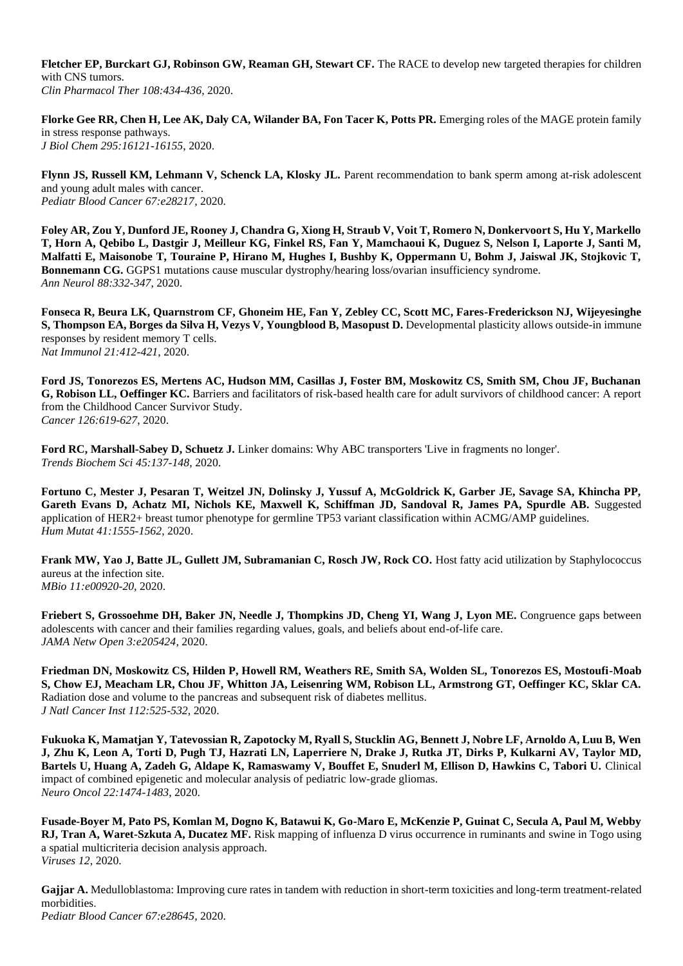**Fletcher EP, Burckart GJ, Robinson GW, Reaman GH, Stewart CF.** The RACE to develop new targeted therapies for children with CNS tumors. *Clin Pharmacol Ther 108:434-436*, 2020.

**Florke Gee RR, Chen H, Lee AK, Daly CA, Wilander BA, Fon Tacer K, Potts PR.** Emerging roles of the MAGE protein family in stress response pathways. *J Biol Chem 295:16121-16155*, 2020.

**Flynn JS, Russell KM, Lehmann V, Schenck LA, Klosky JL.** Parent recommendation to bank sperm among at-risk adolescent and young adult males with cancer. *Pediatr Blood Cancer 67:e28217,* 2020.

**Foley AR, Zou Y, Dunford JE, Rooney J, Chandra G, Xiong H, Straub V, Voit T, Romero N, Donkervoort S, Hu Y, Markello T, Horn A, Qebibo L, Dastgir J, Meilleur KG, Finkel RS, Fan Y, Mamchaoui K, Duguez S, Nelson I, Laporte J, Santi M, Malfatti E, Maisonobe T, Touraine P, Hirano M, Hughes I, Bushby K, Oppermann U, Bohm J, Jaiswal JK, Stojkovic T, Bonnemann CG.** GGPS1 mutations cause muscular dystrophy/hearing loss/ovarian insufficiency syndrome. *Ann Neurol 88:332-347*, 2020.

**Fonseca R, Beura LK, Quarnstrom CF, Ghoneim HE, Fan Y, Zebley CC, Scott MC, Fares-Frederickson NJ, Wijeyesinghe S, Thompson EA, Borges da Silva H, Vezys V, Youngblood B, Masopust D.** Developmental plasticity allows outside-in immune responses by resident memory T cells. *Nat Immunol 21:412-421*, 2020.

**Ford JS, Tonorezos ES, Mertens AC, Hudson MM, Casillas J, Foster BM, Moskowitz CS, Smith SM, Chou JF, Buchanan G, Robison LL, Oeffinger KC.** Barriers and facilitators of risk-based health care for adult survivors of childhood cancer: A report from the Childhood Cancer Survivor Study. *Cancer 126:619-627*, 2020.

**Ford RC, Marshall-Sabey D, Schuetz J.** Linker domains: Why ABC transporters 'Live in fragments no longer'. *Trends Biochem Sci 45:137-148*, 2020.

**Fortuno C, Mester J, Pesaran T, Weitzel JN, Dolinsky J, Yussuf A, McGoldrick K, Garber JE, Savage SA, Khincha PP, Gareth Evans D, Achatz MI, Nichols KE, Maxwell K, Schiffman JD, Sandoval R, James PA, Spurdle AB.** Suggested application of HER2+ breast tumor phenotype for germline TP53 variant classification within ACMG/AMP guidelines. *Hum Mutat 41:1555-1562*, 2020.

**Frank MW, Yao J, Batte JL, Gullett JM, Subramanian C, Rosch JW, Rock CO.** Host fatty acid utilization by Staphylococcus aureus at the infection site. *MBio 11:e00920-20,* 2020.

**Friebert S, Grossoehme DH, Baker JN, Needle J, Thompkins JD, Cheng YI, Wang J, Lyon ME.** Congruence gaps between adolescents with cancer and their families regarding values, goals, and beliefs about end-of-life care. *JAMA Netw Open 3:e205424,* 2020.

**Friedman DN, Moskowitz CS, Hilden P, Howell RM, Weathers RE, Smith SA, Wolden SL, Tonorezos ES, Mostoufi-Moab S, Chow EJ, Meacham LR, Chou JF, Whitton JA, Leisenring WM, Robison LL, Armstrong GT, Oeffinger KC, Sklar CA.**  Radiation dose and volume to the pancreas and subsequent risk of diabetes mellitus. *J Natl Cancer Inst 112:525-532*, 2020.

**Fukuoka K, Mamatjan Y, Tatevossian R, Zapotocky M, Ryall S, Stucklin AG, Bennett J, Nobre LF, Arnoldo A, Luu B, Wen J, Zhu K, Leon A, Torti D, Pugh TJ, Hazrati LN, Laperriere N, Drake J, Rutka JT, Dirks P, Kulkarni AV, Taylor MD, Bartels U, Huang A, Zadeh G, Aldape K, Ramaswamy V, Bouffet E, Snuderl M, Ellison D, Hawkins C, Tabori U.** Clinical impact of combined epigenetic and molecular analysis of pediatric low-grade gliomas. *Neuro Oncol 22:1474-1483*, 2020.

**Fusade-Boyer M, Pato PS, Komlan M, Dogno K, Batawui K, Go-Maro E, McKenzie P, Guinat C, Secula A, Paul M, Webby RJ, Tran A, Waret-Szkuta A, Ducatez MF.** Risk mapping of influenza D virus occurrence in ruminants and swine in Togo using a spatial multicriteria decision analysis approach. *Viruses 12,* 2020.

**Gajjar A.** Medulloblastoma: Improving cure rates in tandem with reduction in short-term toxicities and long-term treatment-related morbidities. *Pediatr Blood Cancer 67:e28645,* 2020.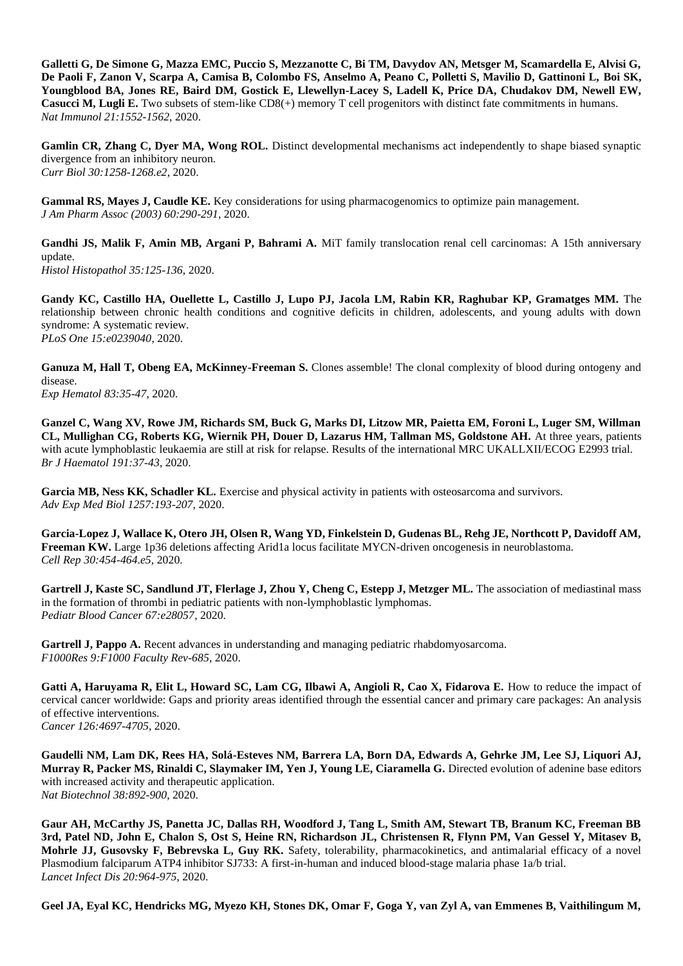**Galletti G, De Simone G, Mazza EMC, Puccio S, Mezzanotte C, Bi TM, Davydov AN, Metsger M, Scamardella E, Alvisi G, De Paoli F, Zanon V, Scarpa A, Camisa B, Colombo FS, Anselmo A, Peano C, Polletti S, Mavilio D, Gattinoni L, Boi SK, Youngblood BA, Jones RE, Baird DM, Gostick E, Llewellyn-Lacey S, Ladell K, Price DA, Chudakov DM, Newell EW, Casucci M, Lugli E.** Two subsets of stem-like CD8(+) memory T cell progenitors with distinct fate commitments in humans. *Nat Immunol 21:1552-1562*, 2020.

**Gamlin CR, Zhang C, Dyer MA, Wong ROL.** Distinct developmental mechanisms act independently to shape biased synaptic divergence from an inhibitory neuron. *Curr Biol 30:1258-1268.e2*, 2020.

**Gammal RS, Mayes J, Caudle KE.** Key considerations for using pharmacogenomics to optimize pain management. *J Am Pharm Assoc (2003) 60:290-291*, 2020.

Gandhi JS, Malik F, Amin MB, Argani P, Bahrami A. MiT family translocation renal cell carcinomas: A 15th anniversary update. *Histol Histopathol 35:125-136*, 2020.

**Gandy KC, Castillo HA, Ouellette L, Castillo J, Lupo PJ, Jacola LM, Rabin KR, Raghubar KP, Gramatges MM.** The relationship between chronic health conditions and cognitive deficits in children, adolescents, and young adults with down syndrome: A systematic review. *PLoS One 15:e0239040,* 2020.

Ganuza M, Hall T, Obeng EA, McKinney-Freeman S. Clones assemble! The clonal complexity of blood during ontogeny and disease. *Exp Hematol 83:35-47*, 2020.

**Ganzel C, Wang XV, Rowe JM, Richards SM, Buck G, Marks DI, Litzow MR, Paietta EM, Foroni L, Luger SM, Willman CL, Mullighan CG, Roberts KG, Wiernik PH, Douer D, Lazarus HM, Tallman MS, Goldstone AH.** At three years, patients with acute lymphoblastic leukaemia are still at risk for relapse. Results of the international MRC UKALLXII/ECOG E2993 trial. *Br J Haematol 191:37-43*, 2020.

Garcia MB, Ness KK, Schadler KL. Exercise and physical activity in patients with osteosarcoma and survivors. *Adv Exp Med Biol 1257:193-207*, 2020.

**Garcia-Lopez J, Wallace K, Otero JH, Olsen R, Wang YD, Finkelstein D, Gudenas BL, Rehg JE, Northcott P, Davidoff AM, Freeman KW.** Large 1p36 deletions affecting Arid1a locus facilitate MYCN-driven oncogenesis in neuroblastoma. *Cell Rep 30:454-464.e5*, 2020.

**Gartrell J, Kaste SC, Sandlund JT, Flerlage J, Zhou Y, Cheng C, Estepp J, Metzger ML.** The association of mediastinal mass in the formation of thrombi in pediatric patients with non-lymphoblastic lymphomas. *Pediatr Blood Cancer 67:e28057,* 2020.

Gartrell J, Pappo A. Recent advances in understanding and managing pediatric rhabdomyosarcoma. *F1000Res 9:F1000 Faculty Rev-685,* 2020.

Gatti A, Haruyama R, Elit L, Howard SC, Lam CG, Ilbawi A, Angioli R, Cao X, Fidarova E. How to reduce the impact of cervical cancer worldwide: Gaps and priority areas identified through the essential cancer and primary care packages: An analysis of effective interventions. *Cancer 126:4697-4705*, 2020.

**Gaudelli NM, Lam DK, Rees HA, Solá-Esteves NM, Barrera LA, Born DA, Edwards A, Gehrke JM, Lee SJ, Liquori AJ, Murray R, Packer MS, Rinaldi C, Slaymaker IM, Yen J, Young LE, Ciaramella G.** Directed evolution of adenine base editors with increased activity and therapeutic application. *Nat Biotechnol 38:892-900*, 2020.

**Gaur AH, McCarthy JS, Panetta JC, Dallas RH, Woodford J, Tang L, Smith AM, Stewart TB, Branum KC, Freeman BB 3rd, Patel ND, John E, Chalon S, Ost S, Heine RN, Richardson JL, Christensen R, Flynn PM, Van Gessel Y, Mitasev B, Mohrle JJ, Gusovsky F, Bebrevska L, Guy RK.** Safety, tolerability, pharmacokinetics, and antimalarial efficacy of a novel Plasmodium falciparum ATP4 inhibitor SJ733: A first-in-human and induced blood-stage malaria phase 1a/b trial. *Lancet Infect Dis 20:964-975*, 2020.

**Geel JA, Eyal KC, Hendricks MG, Myezo KH, Stones DK, Omar F, Goga Y, van Zyl A, van Emmenes B, Vaithilingum M,**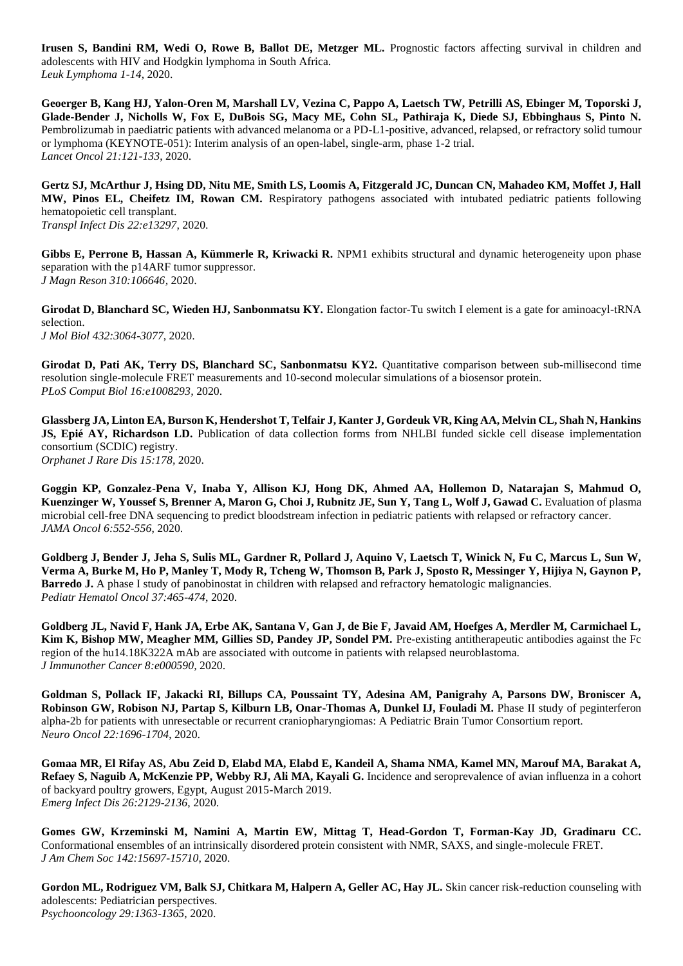**Irusen S, Bandini RM, Wedi O, Rowe B, Ballot DE, Metzger ML.** Prognostic factors affecting survival in children and adolescents with HIV and Hodgkin lymphoma in South Africa. *Leuk Lymphoma 1-14*, 2020.

**Geoerger B, Kang HJ, Yalon-Oren M, Marshall LV, Vezina C, Pappo A, Laetsch TW, Petrilli AS, Ebinger M, Toporski J, Glade-Bender J, Nicholls W, Fox E, DuBois SG, Macy ME, Cohn SL, Pathiraja K, Diede SJ, Ebbinghaus S, Pinto N.**  Pembrolizumab in paediatric patients with advanced melanoma or a PD-L1-positive, advanced, relapsed, or refractory solid tumour or lymphoma (KEYNOTE-051): Interim analysis of an open-label, single-arm, phase 1-2 trial. *Lancet Oncol 21:121-133*, 2020.

**Gertz SJ, McArthur J, Hsing DD, Nitu ME, Smith LS, Loomis A, Fitzgerald JC, Duncan CN, Mahadeo KM, Moffet J, Hall MW, Pinos EL, Cheifetz IM, Rowan CM.** Respiratory pathogens associated with intubated pediatric patients following hematopoietic cell transplant. *Transpl Infect Dis 22:e13297,* 2020.

Gibbs E, Perrone B, Hassan A, Kümmerle R, Kriwacki R. NPM1 exhibits structural and dynamic heterogeneity upon phase separation with the p14ARF tumor suppressor. *J Magn Reson 310:106646,* 2020.

**Girodat D, Blanchard SC, Wieden HJ, Sanbonmatsu KY.** Elongation factor-Tu switch I element is a gate for aminoacyl-tRNA selection. *J Mol Biol 432:3064-3077*, 2020.

**Girodat D, Pati AK, Terry DS, Blanchard SC, Sanbonmatsu KY2.** Quantitative comparison between sub-millisecond time resolution single-molecule FRET measurements and 10-second molecular simulations of a biosensor protein. *PLoS Comput Biol 16:e1008293,* 2020.

**Glassberg JA, Linton EA, Burson K, Hendershot T, Telfair J, Kanter J, Gordeuk VR, King AA, Melvin CL, Shah N, Hankins JS, Epié AY, Richardson LD.** Publication of data collection forms from NHLBI funded sickle cell disease implementation consortium (SCDIC) registry. *Orphanet J Rare Dis 15:178,* 2020.

**Goggin KP, Gonzalez-Pena V, Inaba Y, Allison KJ, Hong DK, Ahmed AA, Hollemon D, Natarajan S, Mahmud O, Kuenzinger W, Youssef S, Brenner A, Maron G, Choi J, Rubnitz JE, Sun Y, Tang L, Wolf J, Gawad C.** Evaluation of plasma microbial cell-free DNA sequencing to predict bloodstream infection in pediatric patients with relapsed or refractory cancer. *JAMA Oncol 6:552-556*, 2020.

**Goldberg J, Bender J, Jeha S, Sulis ML, Gardner R, Pollard J, Aquino V, Laetsch T, Winick N, Fu C, Marcus L, Sun W, Verma A, Burke M, Ho P, Manley T, Mody R, Tcheng W, Thomson B, Park J, Sposto R, Messinger Y, Hijiya N, Gaynon P, Barredo J.** A phase I study of panobinostat in children with relapsed and refractory hematologic malignancies. *Pediatr Hematol Oncol 37:465-474*, 2020.

**Goldberg JL, Navid F, Hank JA, Erbe AK, Santana V, Gan J, de Bie F, Javaid AM, Hoefges A, Merdler M, Carmichael L, Kim K, Bishop MW, Meagher MM, Gillies SD, Pandey JP, Sondel PM.** Pre-existing antitherapeutic antibodies against the Fc region of the hu14.18K322A mAb are associated with outcome in patients with relapsed neuroblastoma. *J Immunother Cancer 8:e000590,* 2020.

**Goldman S, Pollack IF, Jakacki RI, Billups CA, Poussaint TY, Adesina AM, Panigrahy A, Parsons DW, Broniscer A, Robinson GW, Robison NJ, Partap S, Kilburn LB, Onar-Thomas A, Dunkel IJ, Fouladi M.** Phase II study of peginterferon alpha-2b for patients with unresectable or recurrent craniopharyngiomas: A Pediatric Brain Tumor Consortium report. *Neuro Oncol 22:1696-1704*, 2020.

**Gomaa MR, El Rifay AS, Abu Zeid D, Elabd MA, Elabd E, Kandeil A, Shama NMA, Kamel MN, Marouf MA, Barakat A, Refaey S, Naguib A, McKenzie PP, Webby RJ, Ali MA, Kayali G.** Incidence and seroprevalence of avian influenza in a cohort of backyard poultry growers, Egypt, August 2015-March 2019. *Emerg Infect Dis 26:2129-2136*, 2020.

**Gomes GW, Krzeminski M, Namini A, Martin EW, Mittag T, Head-Gordon T, Forman-Kay JD, Gradinaru CC.**  Conformational ensembles of an intrinsically disordered protein consistent with NMR, SAXS, and single-molecule FRET. *J Am Chem Soc 142:15697-15710*, 2020.

**Gordon ML, Rodriguez VM, Balk SJ, Chitkara M, Halpern A, Geller AC, Hay JL.** Skin cancer risk-reduction counseling with adolescents: Pediatrician perspectives. *Psychooncology 29:1363-1365*, 2020.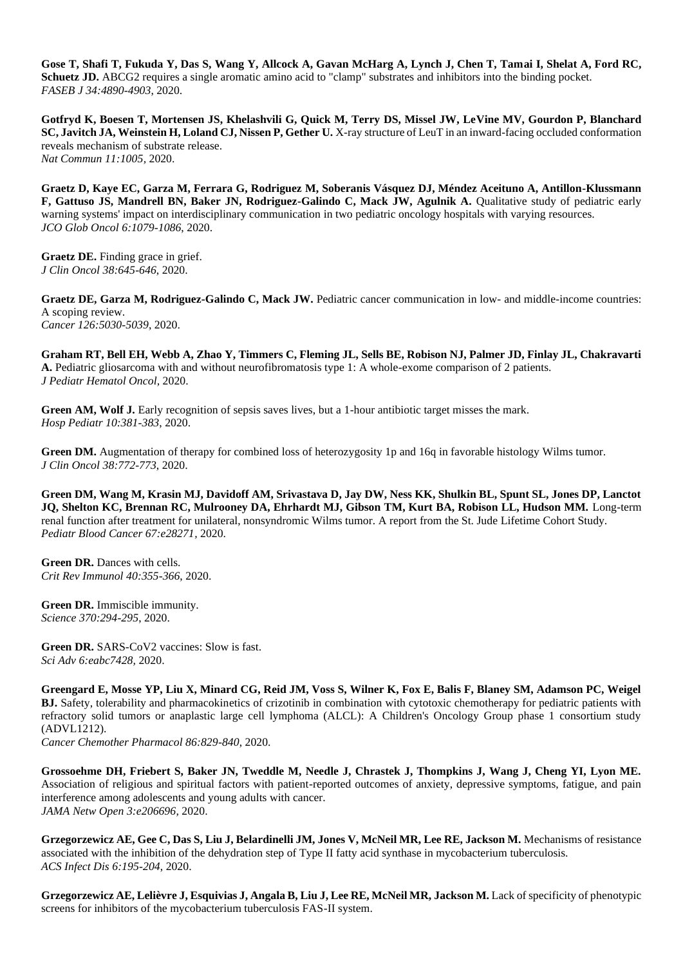**Gose T, Shafi T, Fukuda Y, Das S, Wang Y, Allcock A, Gavan McHarg A, Lynch J, Chen T, Tamai I, Shelat A, Ford RC, Schuetz JD.** ABCG2 requires a single aromatic amino acid to "clamp" substrates and inhibitors into the binding pocket. *FASEB J 34:4890-4903*, 2020.

**Gotfryd K, Boesen T, Mortensen JS, Khelashvili G, Quick M, Terry DS, Missel JW, LeVine MV, Gourdon P, Blanchard SC, Javitch JA, Weinstein H, Loland CJ, Nissen P, Gether U.** X-ray structure of LeuT in an inward-facing occluded conformation reveals mechanism of substrate release. *Nat Commun 11:1005,* 2020.

**Graetz D, Kaye EC, Garza M, Ferrara G, Rodriguez M, Soberanis Vásquez DJ, Méndez Aceituno A, Antillon-Klussmann**  F, Gattuso JS, Mandrell BN, Baker JN, Rodriguez-Galindo C, Mack JW, Agulnik A. Qualitative study of pediatric early warning systems' impact on interdisciplinary communication in two pediatric oncology hospitals with varying resources. *JCO Glob Oncol 6:1079-1086*, 2020.

**Graetz DE.** Finding grace in grief. *J Clin Oncol 38:645-646*, 2020.

**Graetz DE, Garza M, Rodriguez-Galindo C, Mack JW.** Pediatric cancer communication in low- and middle-income countries: A scoping review. *Cancer 126:5030-5039*, 2020.

**Graham RT, Bell EH, Webb A, Zhao Y, Timmers C, Fleming JL, Sells BE, Robison NJ, Palmer JD, Finlay JL, Chakravarti A.** Pediatric gliosarcoma with and without neurofibromatosis type 1: A whole-exome comparison of 2 patients. *J Pediatr Hematol Oncol,* 2020.

Green AM, Wolf J. Early recognition of sepsis saves lives, but a 1-hour antibiotic target misses the mark. *Hosp Pediatr 10:381-383*, 2020.

**Green DM.** Augmentation of therapy for combined loss of heterozygosity 1p and 16q in favorable histology Wilms tumor. *J Clin Oncol 38:772-773*, 2020.

**Green DM, Wang M, Krasin MJ, Davidoff AM, Srivastava D, Jay DW, Ness KK, Shulkin BL, Spunt SL, Jones DP, Lanctot JQ, Shelton KC, Brennan RC, Mulrooney DA, Ehrhardt MJ, Gibson TM, Kurt BA, Robison LL, Hudson MM.** Long-term renal function after treatment for unilateral, nonsyndromic Wilms tumor. A report from the St. Jude Lifetime Cohort Study. *Pediatr Blood Cancer 67:e28271,* 2020.

**Green DR.** Dances with cells. *Crit Rev Immunol 40:355-366*, 2020.

**Green DR.** Immiscible immunity. *Science 370:294-295*, 2020.

**Green DR.** SARS-CoV2 vaccines: Slow is fast. *Sci Adv 6:eabc7428,* 2020.

**Greengard E, Mosse YP, Liu X, Minard CG, Reid JM, Voss S, Wilner K, Fox E, Balis F, Blaney SM, Adamson PC, Weigel BJ.** Safety, tolerability and pharmacokinetics of crizotinib in combination with cytotoxic chemotherapy for pediatric patients with refractory solid tumors or anaplastic large cell lymphoma (ALCL): A Children's Oncology Group phase 1 consortium study (ADVL1212).

*Cancer Chemother Pharmacol 86:829-840*, 2020.

**Grossoehme DH, Friebert S, Baker JN, Tweddle M, Needle J, Chrastek J, Thompkins J, Wang J, Cheng YI, Lyon ME.**  Association of religious and spiritual factors with patient-reported outcomes of anxiety, depressive symptoms, fatigue, and pain interference among adolescents and young adults with cancer. *JAMA Netw Open 3:e206696,* 2020.

**Grzegorzewicz AE, Gee C, Das S, Liu J, Belardinelli JM, Jones V, McNeil MR, Lee RE, Jackson M.** Mechanisms of resistance associated with the inhibition of the dehydration step of Type II fatty acid synthase in mycobacterium tuberculosis. *ACS Infect Dis 6:195-204*, 2020.

**Grzegorzewicz AE, Lelièvre J, Esquivias J, Angala B, Liu J, Lee RE, McNeil MR, Jackson M.** Lack of specificity of phenotypic screens for inhibitors of the mycobacterium tuberculosis FAS-II system.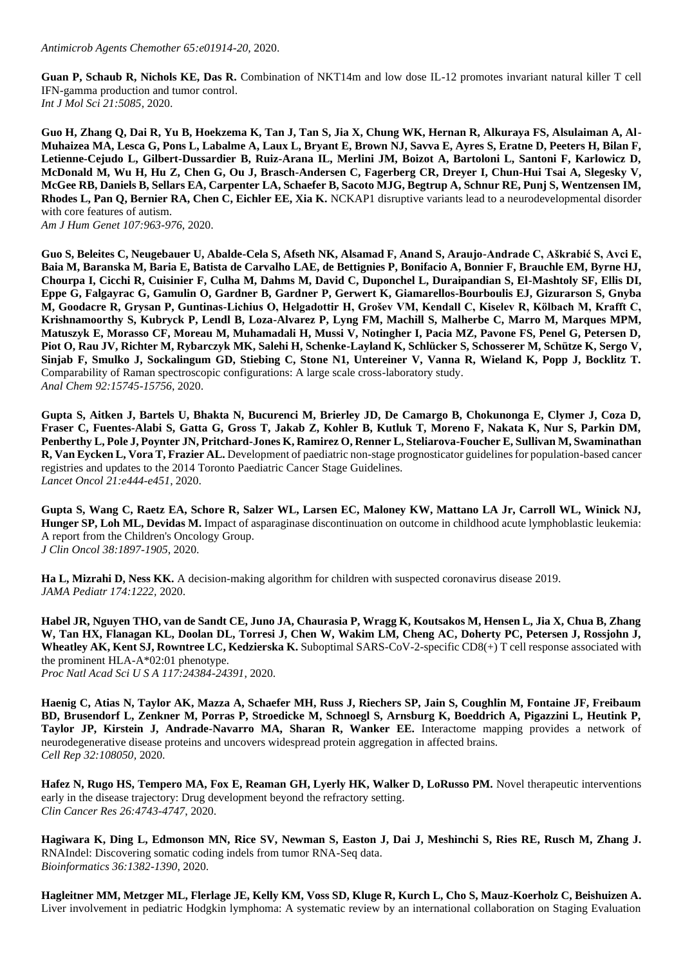**Guan P, Schaub R, Nichols KE, Das R.** Combination of NKT14m and low dose IL-12 promotes invariant natural killer T cell IFN-gamma production and tumor control. *Int J Mol Sci 21:5085,* 2020.

**Guo H, Zhang Q, Dai R, Yu B, Hoekzema K, Tan J, Tan S, Jia X, Chung WK, Hernan R, Alkuraya FS, Alsulaiman A, Al-Muhaizea MA, Lesca G, Pons L, Labalme A, Laux L, Bryant E, Brown NJ, Savva E, Ayres S, Eratne D, Peeters H, Bilan F, Letienne-Cejudo L, Gilbert-Dussardier B, Ruiz-Arana IL, Merlini JM, Boizot A, Bartoloni L, Santoni F, Karlowicz D, McDonald M, Wu H, Hu Z, Chen G, Ou J, Brasch-Andersen C, Fagerberg CR, Dreyer I, Chun-Hui Tsai A, Slegesky V, McGee RB, Daniels B, Sellars EA, Carpenter LA, Schaefer B, Sacoto MJG, Begtrup A, Schnur RE, Punj S, Wentzensen IM, Rhodes L, Pan Q, Bernier RA, Chen C, Eichler EE, Xia K.** NCKAP1 disruptive variants lead to a neurodevelopmental disorder with core features of autism.

*Am J Hum Genet 107:963-976*, 2020.

**Guo S, Beleites C, Neugebauer U, Abalde-Cela S, Afseth NK, Alsamad F, Anand S, Araujo-Andrade C, Aškrabić S, Avci E, Baia M, Baranska M, Baria E, Batista de Carvalho LAE, de Bettignies P, Bonifacio A, Bonnier F, Brauchle EM, Byrne HJ, Chourpa I, Cicchi R, Cuisinier F, Culha M, Dahms M, David C, Duponchel L, Duraipandian S, El-Mashtoly SF, Ellis DI, Eppe G, Falgayrac G, Gamulin O, Gardner B, Gardner P, Gerwert K, Giamarellos-Bourboulis EJ, Gizurarson S, Gnyba M, Goodacre R, Grysan P, Guntinas-Lichius O, Helgadottir H, Grošev VM, Kendall C, Kiselev R, Kölbach M, Krafft C, Krishnamoorthy S, Kubryck P, Lendl B, Loza-Alvarez P, Lyng FM, Machill S, Malherbe C, Marro M, Marques MPM, Matuszyk E, Morasso CF, Moreau M, Muhamadali H, Mussi V, Notingher I, Pacia MZ, Pavone FS, Penel G, Petersen D, Piot O, Rau JV, Richter M, Rybarczyk MK, Salehi H, Schenke-Layland K, Schlücker S, Schosserer M, Schütze K, Sergo V, Sinjab F, Smulko J, Sockalingum GD, Stiebing C, Stone N1, Untereiner V, Vanna R, Wieland K, Popp J, Bocklitz T.**  Comparability of Raman spectroscopic configurations: A large scale cross-laboratory study. *Anal Chem 92:15745-15756*, 2020.

**Gupta S, Aitken J, Bartels U, Bhakta N, Bucurenci M, Brierley JD, De Camargo B, Chokunonga E, Clymer J, Coza D, Fraser C, Fuentes-Alabi S, Gatta G, Gross T, Jakab Z, Kohler B, Kutluk T, Moreno F, Nakata K, Nur S, Parkin DM, Penberthy L, Pole J, Poynter JN, Pritchard-Jones K, Ramirez O, Renner L, Steliarova-Foucher E, Sullivan M, Swaminathan R, Van Eycken L, Vora T, Frazier AL.** Development of paediatric non-stage prognosticator guidelines for population-based cancer registries and updates to the 2014 Toronto Paediatric Cancer Stage Guidelines. *Lancet Oncol 21:e444-e451*, 2020.

**Gupta S, Wang C, Raetz EA, Schore R, Salzer WL, Larsen EC, Maloney KW, Mattano LA Jr, Carroll WL, Winick NJ, Hunger SP, Loh ML, Devidas M.** Impact of asparaginase discontinuation on outcome in childhood acute lymphoblastic leukemia: A report from the Children's Oncology Group. *J Clin Oncol 38:1897-1905*, 2020.

**Ha L, Mizrahi D, Ness KK.** A decision-making algorithm for children with suspected coronavirus disease 2019. *JAMA Pediatr 174:1222,* 2020.

**Habel JR, Nguyen THO, van de Sandt CE, Juno JA, Chaurasia P, Wragg K, Koutsakos M, Hensen L, Jia X, Chua B, Zhang W, Tan HX, Flanagan KL, Doolan DL, Torresi J, Chen W, Wakim LM, Cheng AC, Doherty PC, Petersen J, Rossjohn J, Wheatley AK, Kent SJ, Rowntree LC, Kedzierska K.** Suboptimal SARS-CoV-2-specific CD8(+) T cell response associated with the prominent HLA-A\*02:01 phenotype.

*Proc Natl Acad Sci U S A 117:24384-24391*, 2020.

**Haenig C, Atias N, Taylor AK, Mazza A, Schaefer MH, Russ J, Riechers SP, Jain S, Coughlin M, Fontaine JF, Freibaum BD, Brusendorf L, Zenkner M, Porras P, Stroedicke M, Schnoegl S, Arnsburg K, Boeddrich A, Pigazzini L, Heutink P, Taylor JP, Kirstein J, Andrade-Navarro MA, Sharan R, Wanker EE.** Interactome mapping provides a network of neurodegenerative disease proteins and uncovers widespread protein aggregation in affected brains. *Cell Rep 32:108050,* 2020.

**Hafez N, Rugo HS, Tempero MA, Fox E, Reaman GH, Lyerly HK, Walker D, LoRusso PM.** Novel therapeutic interventions early in the disease trajectory: Drug development beyond the refractory setting. *Clin Cancer Res 26:4743-4747*, 2020.

**Hagiwara K, Ding L, Edmonson MN, Rice SV, Newman S, Easton J, Dai J, Meshinchi S, Ries RE, Rusch M, Zhang J.**  RNAIndel: Discovering somatic coding indels from tumor RNA-Seq data. *Bioinformatics 36:1382-1390*, 2020.

**Hagleitner MM, Metzger ML, Flerlage JE, Kelly KM, Voss SD, Kluge R, Kurch L, Cho S, Mauz-Koerholz C, Beishuizen A.**  Liver involvement in pediatric Hodgkin lymphoma: A systematic review by an international collaboration on Staging Evaluation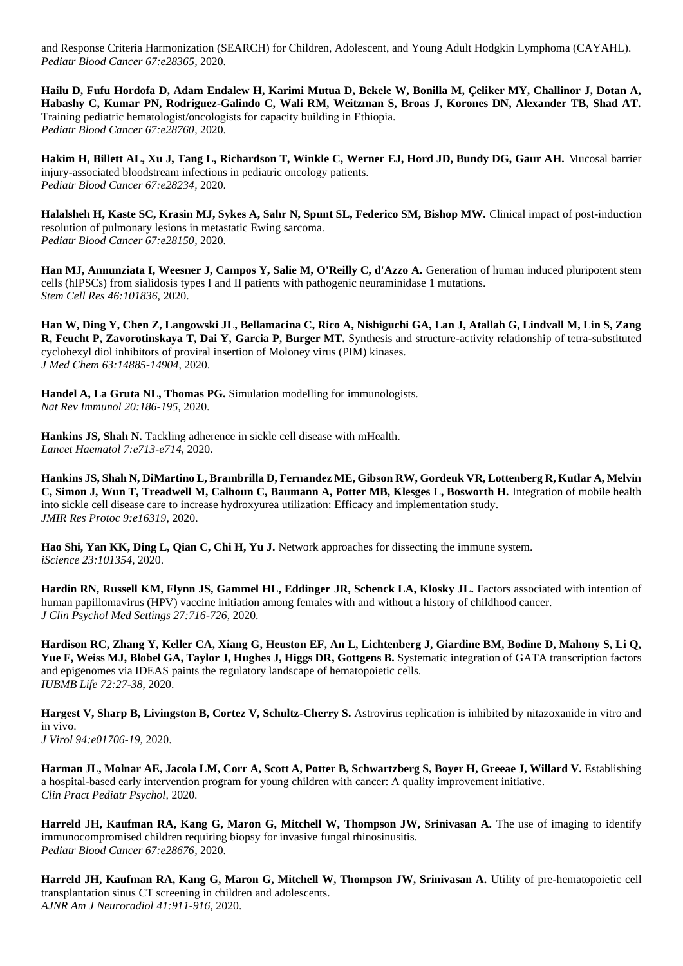and Response Criteria Harmonization (SEARCH) for Children, Adolescent, and Young Adult Hodgkin Lymphoma (CAYAHL). *Pediatr Blood Cancer 67:e28365,* 2020.

**Hailu D, Fufu Hordofa D, Adam Endalew H, Karimi Mutua D, Bekele W, Bonilla M, Çeliker MY, Challinor J, Dotan A, Habashy C, Kumar PN, Rodriguez-Galindo C, Wali RM, Weitzman S, Broas J, Korones DN, Alexander TB, Shad AT.**  Training pediatric hematologist/oncologists for capacity building in Ethiopia. *Pediatr Blood Cancer 67:e28760,* 2020.

**Hakim H, Billett AL, Xu J, Tang L, Richardson T, Winkle C, Werner EJ, Hord JD, Bundy DG, Gaur AH.** Mucosal barrier injury-associated bloodstream infections in pediatric oncology patients. *Pediatr Blood Cancer 67:e28234,* 2020.

**Halalsheh H, Kaste SC, Krasin MJ, Sykes A, Sahr N, Spunt SL, Federico SM, Bishop MW.** Clinical impact of post-induction resolution of pulmonary lesions in metastatic Ewing sarcoma. *Pediatr Blood Cancer 67:e28150,* 2020.

Han MJ, Annunziata I, Weesner J, Campos Y, Salie M, O'Reilly C, d'Azzo A. Generation of human induced pluripotent stem cells (hIPSCs) from sialidosis types I and II patients with pathogenic neuraminidase 1 mutations. *Stem Cell Res 46:101836,* 2020.

**Han W, Ding Y, Chen Z, Langowski JL, Bellamacina C, Rico A, Nishiguchi GA, Lan J, Atallah G, Lindvall M, Lin S, Zang R, Feucht P, Zavorotinskaya T, Dai Y, Garcia P, Burger MT.** Synthesis and structure-activity relationship of tetra-substituted cyclohexyl diol inhibitors of proviral insertion of Moloney virus (PIM) kinases. *J Med Chem 63:14885-14904*, 2020.

**Handel A, La Gruta NL, Thomas PG.** Simulation modelling for immunologists. *Nat Rev Immunol 20:186-195*, 2020.

Hankins JS, Shah N. Tackling adherence in sickle cell disease with mHealth. *Lancet Haematol 7:e713-e714*, 2020.

**Hankins JS, Shah N, DiMartino L, Brambrilla D, Fernandez ME, Gibson RW, Gordeuk VR, Lottenberg R, Kutlar A, Melvin C, Simon J, Wun T, Treadwell M, Calhoun C, Baumann A, Potter MB, Klesges L, Bosworth H.** Integration of mobile health into sickle cell disease care to increase hydroxyurea utilization: Efficacy and implementation study. *JMIR Res Protoc 9:e16319,* 2020.

**Hao Shi, Yan KK, Ding L, Qian C, Chi H, Yu J.** Network approaches for dissecting the immune system. *iScience 23:101354,* 2020.

**Hardin RN, Russell KM, Flynn JS, Gammel HL, Eddinger JR, Schenck LA, Klosky JL.** Factors associated with intention of human papillomavirus (HPV) vaccine initiation among females with and without a history of childhood cancer. *J Clin Psychol Med Settings 27:716-726*, 2020.

**Hardison RC, Zhang Y, Keller CA, Xiang G, Heuston EF, An L, Lichtenberg J, Giardine BM, Bodine D, Mahony S, Li Q,**  Yue F, Weiss MJ, Blobel GA, Taylor J, Hughes J, Higgs DR, Gottgens B. Systematic integration of GATA transcription factors and epigenomes via IDEAS paints the regulatory landscape of hematopoietic cells. *IUBMB Life 72:27-38*, 2020.

Hargest V, Sharp B, Livingston B, Cortez V, Schultz-Cherry S. Astrovirus replication is inhibited by nitazoxanide in vitro and in vivo.

*J Virol 94:e01706-19,* 2020.

Harman JL, Molnar AE, Jacola LM, Corr A, Scott A, Potter B, Schwartzberg S, Boyer H, Greeae J, Willard V. Establishing a hospital-based early intervention program for young children with cancer: A quality improvement initiative. *Clin Pract Pediatr Psychol,* 2020.

**Harreld JH, Kaufman RA, Kang G, Maron G, Mitchell W, Thompson JW, Srinivasan A.** The use of imaging to identify immunocompromised children requiring biopsy for invasive fungal rhinosinusitis. *Pediatr Blood Cancer 67:e28676,* 2020.

**Harreld JH, Kaufman RA, Kang G, Maron G, Mitchell W, Thompson JW, Srinivasan A.** Utility of pre-hematopoietic cell transplantation sinus CT screening in children and adolescents. *AJNR Am J Neuroradiol 41:911-916*, 2020.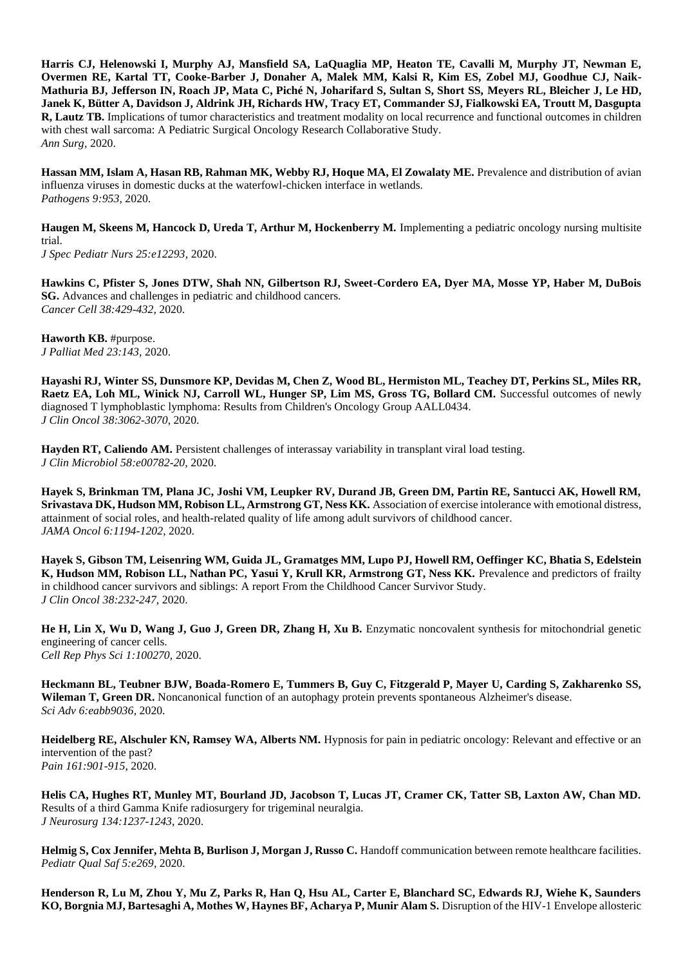**Harris CJ, Helenowski I, Murphy AJ, Mansfield SA, LaQuaglia MP, Heaton TE, Cavalli M, Murphy JT, Newman E, Overmen RE, Kartal TT, Cooke-Barber J, Donaher A, Malek MM, Kalsi R, Kim ES, Zobel MJ, Goodhue CJ, Naik-Mathuria BJ, Jefferson IN, Roach JP, Mata C, Piché N, Joharifard S, Sultan S, Short SS, Meyers RL, Bleicher J, Le HD, Janek K, Bütter A, Davidson J, Aldrink JH, Richards HW, Tracy ET, Commander SJ, Fialkowski EA, Troutt M, Dasgupta R, Lautz TB.** Implications of tumor characteristics and treatment modality on local recurrence and functional outcomes in children with chest wall sarcoma: A Pediatric Surgical Oncology Research Collaborative Study. *Ann Surg,* 2020.

Hassan MM, Islam A, Hasan RB, Rahman MK, Webby RJ, Hoque MA, El Zowalaty ME. Prevalence and distribution of avian influenza viruses in domestic ducks at the waterfowl-chicken interface in wetlands. *Pathogens 9:953,* 2020.

Haugen M, Skeens M, Hancock D, Ureda T, Arthur M, Hockenberry M. Implementing a pediatric oncology nursing multisite trial. *J Spec Pediatr Nurs 25:e12293,* 2020.

**Hawkins C, Pfister S, Jones DTW, Shah NN, Gilbertson RJ, Sweet-Cordero EA, Dyer MA, Mosse YP, Haber M, DuBois SG.** Advances and challenges in pediatric and childhood cancers. *Cancer Cell 38:429-432*, 2020.

**Haworth KB.** #purpose. *J Palliat Med 23:143,* 2020.

**Hayashi RJ, Winter SS, Dunsmore KP, Devidas M, Chen Z, Wood BL, Hermiston ML, Teachey DT, Perkins SL, Miles RR, Raetz EA, Loh ML, Winick NJ, Carroll WL, Hunger SP, Lim MS, Gross TG, Bollard CM.** Successful outcomes of newly diagnosed T lymphoblastic lymphoma: Results from Children's Oncology Group AALL0434. *J Clin Oncol 38:3062-3070*, 2020.

**Hayden RT, Caliendo AM.** Persistent challenges of interassay variability in transplant viral load testing. *J Clin Microbiol 58:e00782-20,* 2020.

**Hayek S, Brinkman TM, Plana JC, Joshi VM, Leupker RV, Durand JB, Green DM, Partin RE, Santucci AK, Howell RM, Srivastava DK, Hudson MM, Robison LL, Armstrong GT, Ness KK.** Association of exercise intolerance with emotional distress, attainment of social roles, and health-related quality of life among adult survivors of childhood cancer. *JAMA Oncol 6:1194-1202*, 2020.

**Hayek S, Gibson TM, Leisenring WM, Guida JL, Gramatges MM, Lupo PJ, Howell RM, Oeffinger KC, Bhatia S, Edelstein**  K, Hudson MM, Robison LL, Nathan PC, Yasui Y, Krull KR, Armstrong GT, Ness KK. Prevalence and predictors of frailty in childhood cancer survivors and siblings: A report From the Childhood Cancer Survivor Study. *J Clin Oncol 38:232-247*, 2020.

He H, Lin X, Wu D, Wang J, Guo J, Green DR, Zhang H, Xu B. Enzymatic noncovalent synthesis for mitochondrial genetic engineering of cancer cells. *Cell Rep Phys Sci 1:100270,* 2020.

**Heckmann BL, Teubner BJW, Boada-Romero E, Tummers B, Guy C, Fitzgerald P, Mayer U, Carding S, Zakharenko SS, Wileman T, Green DR.** Noncanonical function of an autophagy protein prevents spontaneous Alzheimer's disease. *Sci Adv 6:eabb9036,* 2020.

**Heidelberg RE, Alschuler KN, Ramsey WA, Alberts NM.** Hypnosis for pain in pediatric oncology: Relevant and effective or an intervention of the past? *Pain 161:901-915*, 2020.

**Helis CA, Hughes RT, Munley MT, Bourland JD, Jacobson T, Lucas JT, Cramer CK, Tatter SB, Laxton AW, Chan MD.**  Results of a third Gamma Knife radiosurgery for trigeminal neuralgia. *J Neurosurg 134:1237-1243*, 2020.

Helmig S, Cox Jennifer, Mehta B, Burlison J, Morgan J, Russo C. Handoff communication between remote healthcare facilities. *Pediatr Qual Saf 5:e269,* 2020.

**Henderson R, Lu M, Zhou Y, Mu Z, Parks R, Han Q, Hsu AL, Carter E, Blanchard SC, Edwards RJ, Wiehe K, Saunders KO, Borgnia MJ, Bartesaghi A, Mothes W, Haynes BF, Acharya P, Munir Alam S.** Disruption of the HIV-1 Envelope allosteric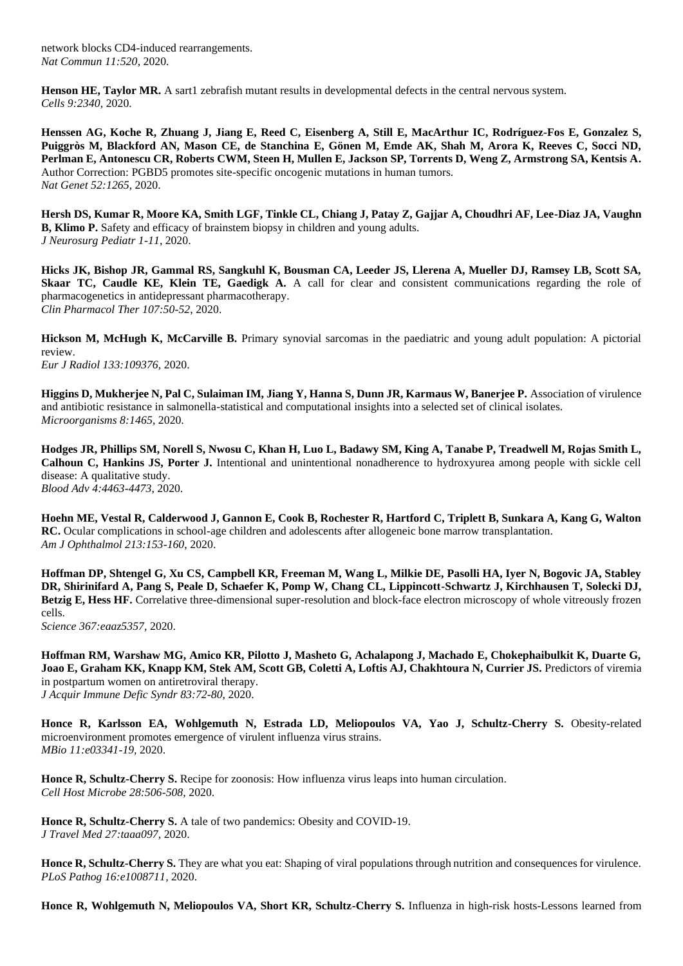network blocks CD4-induced rearrangements. *Nat Commun 11:520,* 2020.

**Henson HE, Taylor MR.** A sart1 zebrafish mutant results in developmental defects in the central nervous system. *Cells 9:2340,* 2020.

**Henssen AG, Koche R, Zhuang J, Jiang E, Reed C, Eisenberg A, Still E, MacArthur IC, Rodríguez-Fos E, Gonzalez S, Puiggròs M, Blackford AN, Mason CE, de Stanchina E, Gönen M, Emde AK, Shah M, Arora K, Reeves C, Socci ND, Perlman E, Antonescu CR, Roberts CWM, Steen H, Mullen E, Jackson SP, Torrents D, Weng Z, Armstrong SA, Kentsis A.**  Author Correction: PGBD5 promotes site-specific oncogenic mutations in human tumors. *Nat Genet 52:1265,* 2020.

**Hersh DS, Kumar R, Moore KA, Smith LGF, Tinkle CL, Chiang J, Patay Z, Gajjar A, Choudhri AF, Lee-Diaz JA, Vaughn B, Klimo P.** Safety and efficacy of brainstem biopsy in children and young adults. *J Neurosurg Pediatr 1-11*, 2020.

**Hicks JK, Bishop JR, Gammal RS, Sangkuhl K, Bousman CA, Leeder JS, Llerena A, Mueller DJ, Ramsey LB, Scott SA, Skaar TC, Caudle KE, Klein TE, Gaedigk A.** A call for clear and consistent communications regarding the role of pharmacogenetics in antidepressant pharmacotherapy. *Clin Pharmacol Ther 107:50-52*, 2020.

**Hickson M, McHugh K, McCarville B.** Primary synovial sarcomas in the paediatric and young adult population: A pictorial review.

*Eur J Radiol 133:109376,* 2020.

**Higgins D, Mukherjee N, Pal C, Sulaiman IM, Jiang Y, Hanna S, Dunn JR, Karmaus W, Banerjee P.** Association of virulence and antibiotic resistance in salmonella-statistical and computational insights into a selected set of clinical isolates. *Microorganisms 8:1465,* 2020.

**Hodges JR, Phillips SM, Norell S, Nwosu C, Khan H, Luo L, Badawy SM, King A, Tanabe P, Treadwell M, Rojas Smith L, Calhoun C, Hankins JS, Porter J.** Intentional and unintentional nonadherence to hydroxyurea among people with sickle cell disease: A qualitative study. *Blood Adv 4:4463-4473*, 2020.

**Hoehn ME, Vestal R, Calderwood J, Gannon E, Cook B, Rochester R, Hartford C, Triplett B, Sunkara A, Kang G, Walton RC.** Ocular complications in school-age children and adolescents after allogeneic bone marrow transplantation. *Am J Ophthalmol 213:153-160*, 2020.

**Hoffman DP, Shtengel G, Xu CS, Campbell KR, Freeman M, Wang L, Milkie DE, Pasolli HA, Iyer N, Bogovic JA, Stabley DR, Shirinifard A, Pang S, Peale D, Schaefer K, Pomp W, Chang CL, Lippincott-Schwartz J, Kirchhausen T, Solecki DJ, Betzig E, Hess HF.** Correlative three-dimensional super-resolution and block-face electron microscopy of whole vitreously frozen cells.

*Science 367:eaaz5357,* 2020.

**Hoffman RM, Warshaw MG, Amico KR, Pilotto J, Masheto G, Achalapong J, Machado E, Chokephaibulkit K, Duarte G, Joao E, Graham KK, Knapp KM, Stek AM, Scott GB, Coletti A, Loftis AJ, Chakhtoura N, Currier JS.** Predictors of viremia in postpartum women on antiretroviral therapy.

*J Acquir Immune Defic Syndr 83:72-80*, 2020.

Honce R, Karlsson EA, Wohlgemuth N, Estrada LD, Meliopoulos VA, Yao J, Schultz-Cherry S. Obesity-related microenvironment promotes emergence of virulent influenza virus strains. *MBio 11:e03341-19,* 2020.

**Honce R, Schultz-Cherry S.** Recipe for zoonosis: How influenza virus leaps into human circulation. *Cell Host Microbe 28:506-508*, 2020.

**Honce R, Schultz-Cherry S.** A tale of two pandemics: Obesity and COVID-19. *J Travel Med 27:taaa097,* 2020.

**Honce R, Schultz-Cherry S.** They are what you eat: Shaping of viral populations through nutrition and consequences for virulence. *PLoS Pathog 16:e1008711,* 2020.

Honce R, Wohlgemuth N, Meliopoulos VA, Short KR, Schultz-Cherry S. Influenza in high-risk hosts-Lessons learned from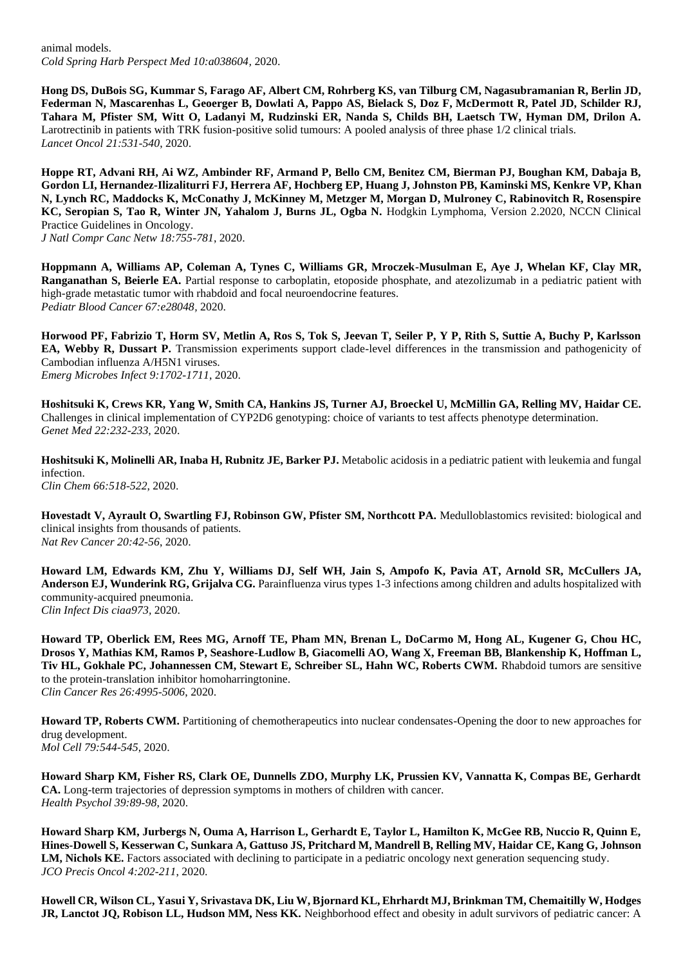animal models. *Cold Spring Harb Perspect Med 10:a038604,* 2020.

**Hong DS, DuBois SG, Kummar S, Farago AF, Albert CM, Rohrberg KS, van Tilburg CM, Nagasubramanian R, Berlin JD, Federman N, Mascarenhas L, Geoerger B, Dowlati A, Pappo AS, Bielack S, Doz F, McDermott R, Patel JD, Schilder RJ, Tahara M, Pfister SM, Witt O, Ladanyi M, Rudzinski ER, Nanda S, Childs BH, Laetsch TW, Hyman DM, Drilon A.**  Larotrectinib in patients with TRK fusion-positive solid tumours: A pooled analysis of three phase 1/2 clinical trials. *Lancet Oncol 21:531-540*, 2020.

**Hoppe RT, Advani RH, Ai WZ, Ambinder RF, Armand P, Bello CM, Benitez CM, Bierman PJ, Boughan KM, Dabaja B, Gordon LI, Hernandez-Ilizaliturri FJ, Herrera AF, Hochberg EP, Huang J, Johnston PB, Kaminski MS, Kenkre VP, Khan N, Lynch RC, Maddocks K, McConathy J, McKinney M, Metzger M, Morgan D, Mulroney C, Rabinovitch R, Rosenspire KC, Seropian S, Tao R, Winter JN, Yahalom J, Burns JL, Ogba N.** Hodgkin Lymphoma, Version 2.2020, NCCN Clinical Practice Guidelines in Oncology.

*J Natl Compr Canc Netw 18:755-781*, 2020.

**Hoppmann A, Williams AP, Coleman A, Tynes C, Williams GR, Mroczek-Musulman E, Aye J, Whelan KF, Clay MR, Ranganathan S, Beierle EA.** Partial response to carboplatin, etoposide phosphate, and atezolizumab in a pediatric patient with high-grade metastatic tumor with rhabdoid and focal neuroendocrine features. *Pediatr Blood Cancer 67:e28048,* 2020.

**Horwood PF, Fabrizio T, Horm SV, Metlin A, Ros S, Tok S, Jeevan T, Seiler P, Y P, Rith S, Suttie A, Buchy P, Karlsson EA, Webby R, Dussart P.** Transmission experiments support clade-level differences in the transmission and pathogenicity of Cambodian influenza A/H5N1 viruses. *Emerg Microbes Infect 9:1702-1711*, 2020.

**Hoshitsuki K, Crews KR, Yang W, Smith CA, Hankins JS, Turner AJ, Broeckel U, McMillin GA, Relling MV, Haidar CE.**  Challenges in clinical implementation of CYP2D6 genotyping: choice of variants to test affects phenotype determination. *Genet Med 22:232-233*, 2020.

**Hoshitsuki K, Molinelli AR, Inaba H, Rubnitz JE, Barker PJ.** Metabolic acidosis in a pediatric patient with leukemia and fungal infection.

*Clin Chem 66:518-522*, 2020.

**Hovestadt V, Ayrault O, Swartling FJ, Robinson GW, Pfister SM, Northcott PA.** Medulloblastomics revisited: biological and clinical insights from thousands of patients. *Nat Rev Cancer 20:42-56*, 2020.

**Howard LM, Edwards KM, Zhu Y, Williams DJ, Self WH, Jain S, Ampofo K, Pavia AT, Arnold SR, McCullers JA, Anderson EJ, Wunderink RG, Grijalva CG.** Parainfluenza virus types 1-3 infections among children and adults hospitalized with community-acquired pneumonia. *Clin Infect Dis ciaa973,* 2020.

**Howard TP, Oberlick EM, Rees MG, Arnoff TE, Pham MN, Brenan L, DoCarmo M, Hong AL, Kugener G, Chou HC, Drosos Y, Mathias KM, Ramos P, Seashore-Ludlow B, Giacomelli AO, Wang X, Freeman BB, Blankenship K, Hoffman L, Tiv HL, Gokhale PC, Johannessen CM, Stewart E, Schreiber SL, Hahn WC, Roberts CWM.** Rhabdoid tumors are sensitive to the protein-translation inhibitor homoharringtonine.

*Clin Cancer Res 26:4995-5006*, 2020.

**Howard TP, Roberts CWM.** Partitioning of chemotherapeutics into nuclear condensates-Opening the door to new approaches for drug development. *Mol Cell 79:544-545*, 2020.

**Howard Sharp KM, Fisher RS, Clark OE, Dunnells ZDO, Murphy LK, Prussien KV, Vannatta K, Compas BE, Gerhardt CA.** Long-term trajectories of depression symptoms in mothers of children with cancer. *Health Psychol 39:89-98*, 2020.

**Howard Sharp KM, Jurbergs N, Ouma A, Harrison L, Gerhardt E, Taylor L, Hamilton K, McGee RB, Nuccio R, Quinn E, Hines-Dowell S, Kesserwan C, Sunkara A, Gattuso JS, Pritchard M, Mandrell B, Relling MV, Haidar CE, Kang G, Johnson LM, Nichols KE.** Factors associated with declining to participate in a pediatric oncology next generation sequencing study. *JCO Precis Oncol 4:202-211*, 2020.

**Howell CR, Wilson CL, Yasui Y, Srivastava DK, Liu W, Bjornard KL, Ehrhardt MJ, Brinkman TM, Chemaitilly W, Hodges JR, Lanctot JQ, Robison LL, Hudson MM, Ness KK.** Neighborhood effect and obesity in adult survivors of pediatric cancer: A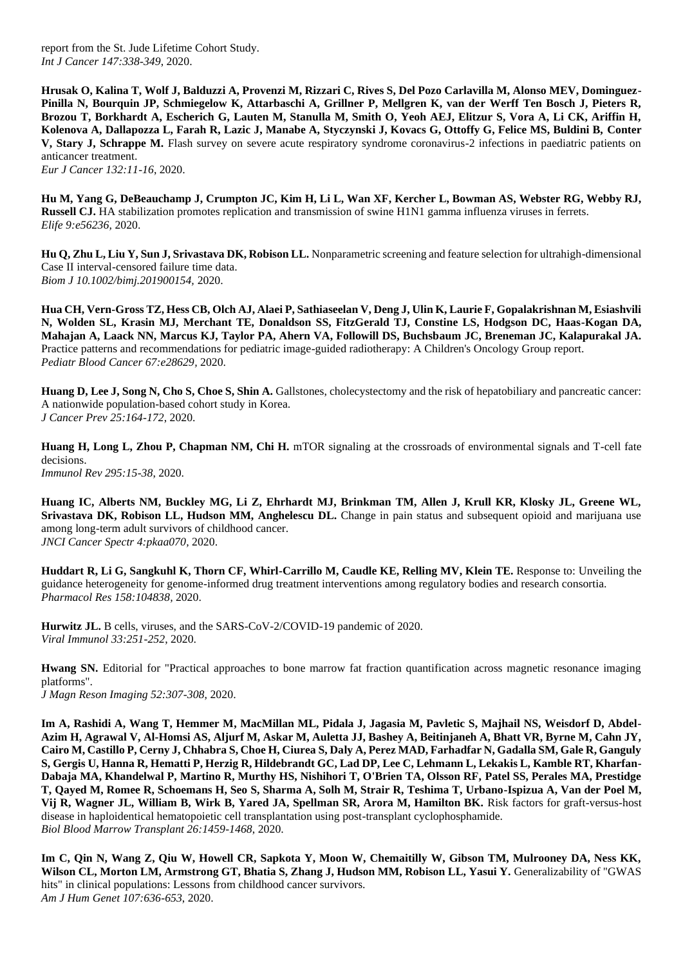report from the St. Jude Lifetime Cohort Study. *Int J Cancer 147:338-349*, 2020.

**Hrusak O, Kalina T, Wolf J, Balduzzi A, Provenzi M, Rizzari C, Rives S, Del Pozo Carlavilla M, Alonso MEV, Dominguez-Pinilla N, Bourquin JP, Schmiegelow K, Attarbaschi A, Grillner P, Mellgren K, van der Werff Ten Bosch J, Pieters R, Brozou T, Borkhardt A, Escherich G, Lauten M, Stanulla M, Smith O, Yeoh AEJ, Elitzur S, Vora A, Li CK, Ariffin H, Kolenova A, Dallapozza L, Farah R, Lazic J, Manabe A, Styczynski J, Kovacs G, Ottoffy G, Felice MS, Buldini B, Conter V, Stary J, Schrappe M.** Flash survey on severe acute respiratory syndrome coronavirus-2 infections in paediatric patients on anticancer treatment.

*Eur J Cancer 132:11-16*, 2020.

**Hu M, Yang G, DeBeauchamp J, Crumpton JC, Kim H, Li L, Wan XF, Kercher L, Bowman AS, Webster RG, Webby RJ, Russell CJ.** HA stabilization promotes replication and transmission of swine H1N1 gamma influenza viruses in ferrets. *Elife 9:e56236,* 2020.

**Hu Q, Zhu L, Liu Y, Sun J, Srivastava DK, Robison LL.** Nonparametric screening and feature selection for ultrahigh-dimensional Case II interval-censored failure time data. *Biom J 10.1002/bimj.201900154,* 2020.

**Hua CH, Vern-Gross TZ, Hess CB, Olch AJ, Alaei P, Sathiaseelan V, Deng J, Ulin K, Laurie F, Gopalakrishnan M, Esiashvili N, Wolden SL, Krasin MJ, Merchant TE, Donaldson SS, FitzGerald TJ, Constine LS, Hodgson DC, Haas-Kogan DA, Mahajan A, Laack NN, Marcus KJ, Taylor PA, Ahern VA, Followill DS, Buchsbaum JC, Breneman JC, Kalapurakal JA.**  Practice patterns and recommendations for pediatric image-guided radiotherapy: A Children's Oncology Group report. *Pediatr Blood Cancer 67:e28629,* 2020.

**Huang D, Lee J, Song N, Cho S, Choe S, Shin A.** Gallstones, cholecystectomy and the risk of hepatobiliary and pancreatic cancer: A nationwide population-based cohort study in Korea. *J Cancer Prev 25:164-172*, 2020.

**Huang H, Long L, Zhou P, Chapman NM, Chi H.** mTOR signaling at the crossroads of environmental signals and T-cell fate decisions. *Immunol Rev 295:15-38*, 2020.

**Huang IC, Alberts NM, Buckley MG, Li Z, Ehrhardt MJ, Brinkman TM, Allen J, Krull KR, Klosky JL, Greene WL, Srivastava DK, Robison LL, Hudson MM, Anghelescu DL.** Change in pain status and subsequent opioid and marijuana use among long-term adult survivors of childhood cancer. *JNCI Cancer Spectr 4:pkaa070,* 2020.

**Huddart R, Li G, Sangkuhl K, Thorn CF, Whirl-Carrillo M, Caudle KE, Relling MV, Klein TE.** Response to: Unveiling the guidance heterogeneity for genome-informed drug treatment interventions among regulatory bodies and research consortia. *Pharmacol Res 158:104838,* 2020.

**Hurwitz JL.** B cells, viruses, and the SARS-CoV-2/COVID-19 pandemic of 2020. *Viral Immunol 33:251-252*, 2020.

**Hwang SN.** Editorial for "Practical approaches to bone marrow fat fraction quantification across magnetic resonance imaging platforms". *J Magn Reson Imaging 52:307-308*, 2020.

**Im A, Rashidi A, Wang T, Hemmer M, MacMillan ML, Pidala J, Jagasia M, Pavletic S, Majhail NS, Weisdorf D, Abdel-Azim H, Agrawal V, Al-Homsi AS, Aljurf M, Askar M, Auletta JJ, Bashey A, Beitinjaneh A, Bhatt VR, Byrne M, Cahn JY, Cairo M, Castillo P, Cerny J, Chhabra S, Choe H, Ciurea S, Daly A, Perez MAD, Farhadfar N, Gadalla SM, Gale R, Ganguly S, Gergis U, Hanna R, Hematti P, Herzig R, Hildebrandt GC, Lad DP, Lee C, Lehmann L, Lekakis L, Kamble RT, Kharfan-Dabaja MA, Khandelwal P, Martino R, Murthy HS, Nishihori T, O'Brien TA, Olsson RF, Patel SS, Perales MA, Prestidge T, Qayed M, Romee R, Schoemans H, Seo S, Sharma A, Solh M, Strair R, Teshima T, Urbano-Ispizua A, Van der Poel M, Vij R, Wagner JL, William B, Wirk B, Yared JA, Spellman SR, Arora M, Hamilton BK.** Risk factors for graft-versus-host disease in haploidentical hematopoietic cell transplantation using post-transplant cyclophosphamide. *Biol Blood Marrow Transplant 26:1459-1468*, 2020.

**Im C, Qin N, Wang Z, Qiu W, Howell CR, Sapkota Y, Moon W, Chemaitilly W, Gibson TM, Mulrooney DA, Ness KK,**  Wilson CL, Morton LM, Armstrong GT, Bhatia S, Zhang J, Hudson MM, Robison LL, Yasui Y. Generalizability of "GWAS hits" in clinical populations: Lessons from childhood cancer survivors. *Am J Hum Genet 107:636-653*, 2020.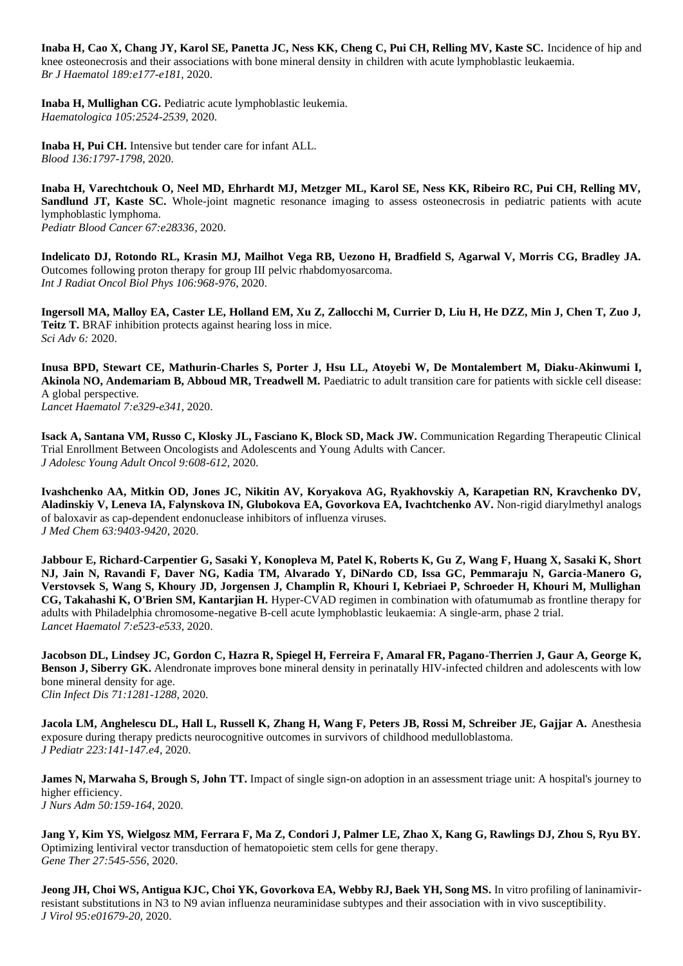**Inaba H, Cao X, Chang JY, Karol SE, Panetta JC, Ness KK, Cheng C, Pui CH, Relling MV, Kaste SC.** Incidence of hip and knee osteonecrosis and their associations with bone mineral density in children with acute lymphoblastic leukaemia. *Br J Haematol 189:e177-e181*, 2020.

**Inaba H, Mullighan CG.** Pediatric acute lymphoblastic leukemia. *Haematologica 105:2524-2539*, 2020.

**Inaba H, Pui CH.** Intensive but tender care for infant ALL. *Blood 136:1797-1798*, 2020.

**Inaba H, Varechtchouk O, Neel MD, Ehrhardt MJ, Metzger ML, Karol SE, Ness KK, Ribeiro RC, Pui CH, Relling MV, Sandlund JT, Kaste SC.** Whole-joint magnetic resonance imaging to assess osteonecrosis in pediatric patients with acute lymphoblastic lymphoma. *Pediatr Blood Cancer 67:e28336,* 2020.

**Indelicato DJ, Rotondo RL, Krasin MJ, Mailhot Vega RB, Uezono H, Bradfield S, Agarwal V, Morris CG, Bradley JA.**  Outcomes following proton therapy for group III pelvic rhabdomyosarcoma. *Int J Radiat Oncol Biol Phys 106:968-976*, 2020.

**Ingersoll MA, Malloy EA, Caster LE, Holland EM, Xu Z, Zallocchi M, Currier D, Liu H, He DZZ, Min J, Chen T, Zuo J, Teitz T.** BRAF inhibition protects against hearing loss in mice. *Sci Adv 6:* 2020.

**Inusa BPD, Stewart CE, Mathurin-Charles S, Porter J, Hsu LL, Atoyebi W, De Montalembert M, Diaku-Akinwumi I,**  Akinola NO, Andemariam B, Abboud MR, Treadwell M. Paediatric to adult transition care for patients with sickle cell disease: A global perspective.

*Lancet Haematol 7:e329-e341*, 2020.

**Isack A, Santana VM, Russo C, Klosky JL, Fasciano K, Block SD, Mack JW.** Communication Regarding Therapeutic Clinical Trial Enrollment Between Oncologists and Adolescents and Young Adults with Cancer. *J Adolesc Young Adult Oncol 9:608-612*, 2020.

**Ivashchenko AA, Mitkin OD, Jones JC, Nikitin AV, Koryakova AG, Ryakhovskiy A, Karapetian RN, Kravchenko DV, Aladinskiy V, Leneva IA, Falynskova IN, Glubokova EA, Govorkova EA, Ivachtchenko AV.** Non-rigid diarylmethyl analogs of baloxavir as cap-dependent endonuclease inhibitors of influenza viruses. *J Med Chem 63:9403-9420*, 2020.

**Jabbour E, Richard-Carpentier G, Sasaki Y, Konopleva M, Patel K, Roberts K, Gu Z, Wang F, Huang X, Sasaki K, Short NJ, Jain N, Ravandi F, Daver NG, Kadia TM, Alvarado Y, DiNardo CD, Issa GC, Pemmaraju N, Garcia-Manero G, Verstovsek S, Wang S, Khoury JD, Jorgensen J, Champlin R, Khouri I, Kebriaei P, Schroeder H, Khouri M, Mullighan CG, Takahashi K, O'Brien SM, Kantarjian H.** Hyper-CVAD regimen in combination with ofatumumab as frontline therapy for adults with Philadelphia chromosome-negative B-cell acute lymphoblastic leukaemia: A single-arm, phase 2 trial. *Lancet Haematol 7:e523-e533*, 2020.

**Jacobson DL, Lindsey JC, Gordon C, Hazra R, Spiegel H, Ferreira F, Amaral FR, Pagano-Therrien J, Gaur A, George K, Benson J, Siberry GK.** Alendronate improves bone mineral density in perinatally HIV-infected children and adolescents with low bone mineral density for age. *Clin Infect Dis 71:1281-1288*, 2020.

**Jacola LM, Anghelescu DL, Hall L, Russell K, Zhang H, Wang F, Peters JB, Rossi M, Schreiber JE, Gajjar A.** Anesthesia exposure during therapy predicts neurocognitive outcomes in survivors of childhood medulloblastoma. *J Pediatr 223:141-147.e4*, 2020.

**James N, Marwaha S, Brough S, John TT.** Impact of single sign-on adoption in an assessment triage unit: A hospital's journey to higher efficiency. *J Nurs Adm 50:159-164*, 2020.

**Jang Y, Kim YS, Wielgosz MM, Ferrara F, Ma Z, Condori J, Palmer LE, Zhao X, Kang G, Rawlings DJ, Zhou S, Ryu BY.**  Optimizing lentiviral vector transduction of hematopoietic stem cells for gene therapy. *Gene Ther 27:545-556*, 2020.

**Jeong JH, Choi WS, Antigua KJC, Choi YK, Govorkova EA, Webby RJ, Baek YH, Song MS.** In vitro profiling of laninamivirresistant substitutions in N3 to N9 avian influenza neuraminidase subtypes and their association with in vivo susceptibility. *J Virol 95:e01679-20,* 2020.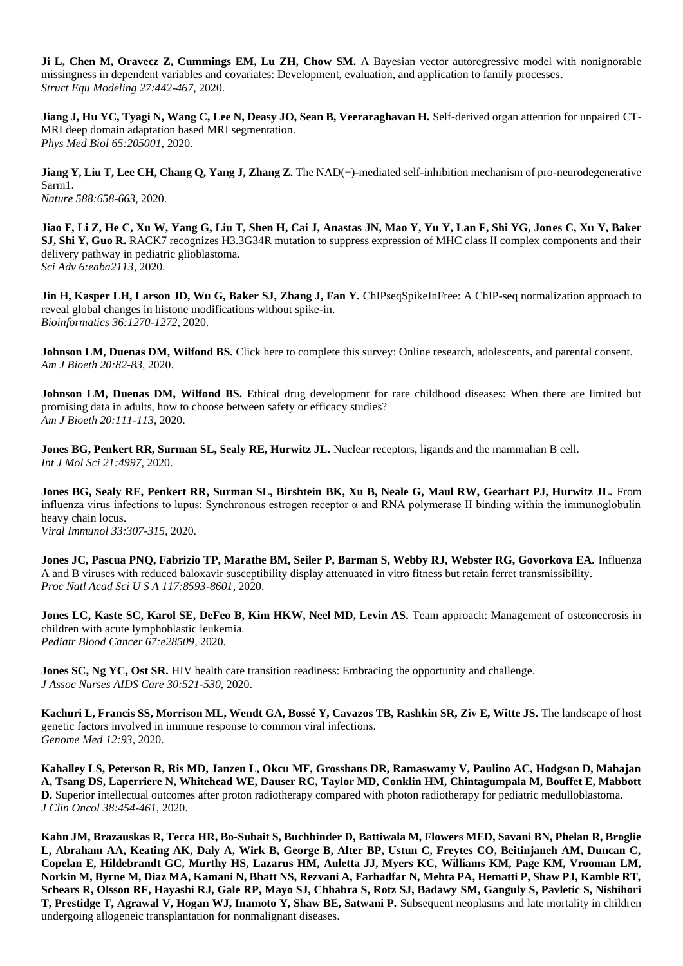**Ji L, Chen M, Oravecz Z, Cummings EM, Lu ZH, Chow SM.** A Bayesian vector autoregressive model with nonignorable missingness in dependent variables and covariates: Development, evaluation, and application to family processes. *Struct Equ Modeling 27:442-467*, 2020.

**Jiang J, Hu YC, Tyagi N, Wang C, Lee N, Deasy JO, Sean B, Veeraraghavan H.** Self-derived organ attention for unpaired CT-MRI deep domain adaptation based MRI segmentation. *Phys Med Biol 65:205001,* 2020.

**Jiang Y, Liu T, Lee CH, Chang Q, Yang J, Zhang Z.** The NAD(+)-mediated self-inhibition mechanism of pro-neurodegenerative Sarm1. *Nature 588:658-663*, 2020.

**Jiao F, Li Z, He C, Xu W, Yang G, Liu T, Shen H, Cai J, Anastas JN, Mao Y, Yu Y, Lan F, Shi YG, Jones C, Xu Y, Baker SJ, Shi Y, Guo R.** RACK7 recognizes H3.3G34R mutation to suppress expression of MHC class II complex components and their delivery pathway in pediatric glioblastoma. *Sci Adv 6:eaba2113,* 2020.

**Jin H, Kasper LH, Larson JD, Wu G, Baker SJ, Zhang J, Fan Y. ChIPseqSpikeInFree: A ChIP-seq normalization approach to** reveal global changes in histone modifications without spike-in. *Bioinformatics 36:1270-1272*, 2020.

**Johnson LM, Duenas DM, Wilfond BS.** Click here to complete this survey: Online research, adolescents, and parental consent. *Am J Bioeth 20:82-83*, 2020.

**Johnson LM, Duenas DM, Wilfond BS.** Ethical drug development for rare childhood diseases: When there are limited but promising data in adults, how to choose between safety or efficacy studies? *Am J Bioeth 20:111-113*, 2020.

**Jones BG, Penkert RR, Surman SL, Sealy RE, Hurwitz JL.** Nuclear receptors, ligands and the mammalian B cell. *Int J Mol Sci 21:4997,* 2020.

**Jones BG, Sealy RE, Penkert RR, Surman SL, Birshtein BK, Xu B, Neale G, Maul RW, Gearhart PJ, Hurwitz JL.** From influenza virus infections to lupus: Synchronous estrogen receptor α and RNA polymerase II binding within the immunoglobulin heavy chain locus.

*Viral Immunol 33:307-315*, 2020.

**Jones JC, Pascua PNQ, Fabrizio TP, Marathe BM, Seiler P, Barman S, Webby RJ, Webster RG, Govorkova EA.** Influenza A and B viruses with reduced baloxavir susceptibility display attenuated in vitro fitness but retain ferret transmissibility. *Proc Natl Acad Sci U S A 117:8593-8601*, 2020.

**Jones LC, Kaste SC, Karol SE, DeFeo B, Kim HKW, Neel MD, Levin AS.** Team approach: Management of osteonecrosis in children with acute lymphoblastic leukemia. *Pediatr Blood Cancer 67:e28509,* 2020.

**Jones SC, Ng YC, Ost SR.** HIV health care transition readiness: Embracing the opportunity and challenge. *J Assoc Nurses AIDS Care 30:521-530*, 2020.

Kachuri L, Francis SS, Morrison ML, Wendt GA, Bossé Y, Cavazos TB, Rashkin SR, Ziv E, Witte JS. The landscape of host genetic factors involved in immune response to common viral infections. *Genome Med 12:93*, 2020.

**Kahalley LS, Peterson R, Ris MD, Janzen L, Okcu MF, Grosshans DR, Ramaswamy V, Paulino AC, Hodgson D, Mahajan A, Tsang DS, Laperriere N, Whitehead WE, Dauser RC, Taylor MD, Conklin HM, Chintagumpala M, Bouffet E, Mabbott D.** Superior intellectual outcomes after proton radiotherapy compared with photon radiotherapy for pediatric medulloblastoma. *J Clin Oncol 38:454-461*, 2020.

**Kahn JM, Brazauskas R, Tecca HR, Bo-Subait S, Buchbinder D, Battiwala M, Flowers MED, Savani BN, Phelan R, Broglie L, Abraham AA, Keating AK, Daly A, Wirk B, George B, Alter BP, Ustun C, Freytes CO, Beitinjaneh AM, Duncan C, Copelan E, Hildebrandt GC, Murthy HS, Lazarus HM, Auletta JJ, Myers KC, Williams KM, Page KM, Vrooman LM, Norkin M, Byrne M, Diaz MA, Kamani N, Bhatt NS, Rezvani A, Farhadfar N, Mehta PA, Hematti P, Shaw PJ, Kamble RT, Schears R, Olsson RF, Hayashi RJ, Gale RP, Mayo SJ, Chhabra S, Rotz SJ, Badawy SM, Ganguly S, Pavletic S, Nishihori T, Prestidge T, Agrawal V, Hogan WJ, Inamoto Y, Shaw BE, Satwani P.** Subsequent neoplasms and late mortality in children undergoing allogeneic transplantation for nonmalignant diseases.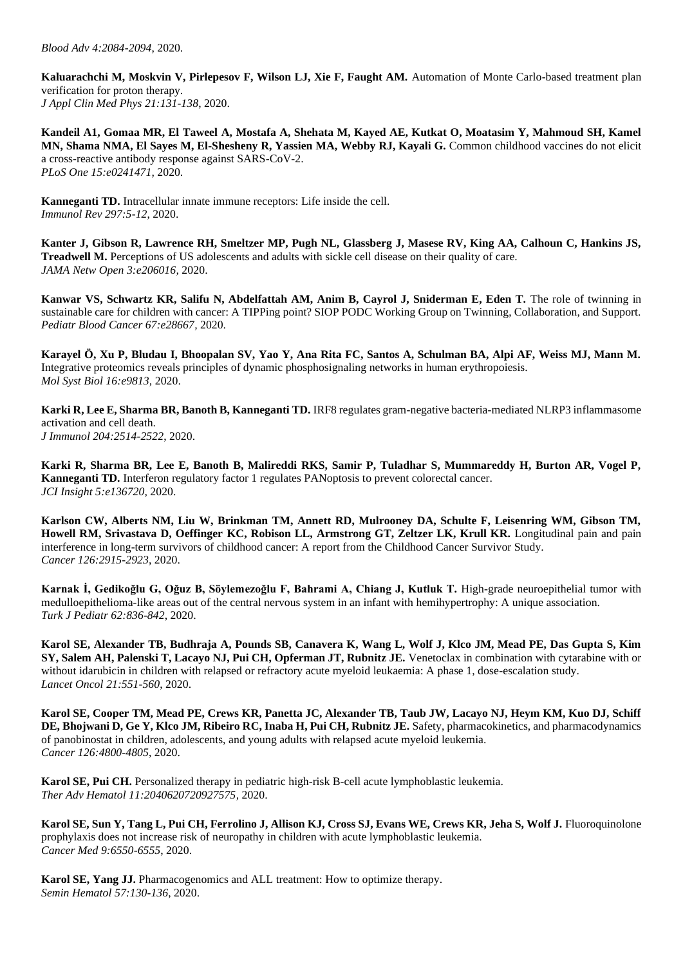**Kaluarachchi M, Moskvin V, Pirlepesov F, Wilson LJ, Xie F, Faught AM.** Automation of Monte Carlo-based treatment plan verification for proton therapy. *J Appl Clin Med Phys 21:131-138*, 2020.

**Kandeil A1, Gomaa MR, El Taweel A, Mostafa A, Shehata M, Kayed AE, Kutkat O, Moatasim Y, Mahmoud SH, Kamel MN, Shama NMA, El Sayes M, El-Shesheny R, Yassien MA, Webby RJ, Kayali G.** Common childhood vaccines do not elicit a cross-reactive antibody response against SARS-CoV-2. *PLoS One 15:e0241471,* 2020.

**Kanneganti TD.** Intracellular innate immune receptors: Life inside the cell. *Immunol Rev 297:5-12*, 2020.

**Kanter J, Gibson R, Lawrence RH, Smeltzer MP, Pugh NL, Glassberg J, Masese RV, King AA, Calhoun C, Hankins JS, Treadwell M.** Perceptions of US adolescents and adults with sickle cell disease on their quality of care. *JAMA Netw Open 3:e206016,* 2020.

**Kanwar VS, Schwartz KR, Salifu N, Abdelfattah AM, Anim B, Cayrol J, Sniderman E, Eden T.** The role of twinning in sustainable care for children with cancer: A TIPPing point? SIOP PODC Working Group on Twinning, Collaboration, and Support. *Pediatr Blood Cancer 67:e28667,* 2020.

**Karayel Ö, Xu P, Bludau I, Bhoopalan SV, Yao Y, Ana Rita FC, Santos A, Schulman BA, Alpi AF, Weiss MJ, Mann M.**  Integrative proteomics reveals principles of dynamic phosphosignaling networks in human erythropoiesis. *Mol Syst Biol 16:e9813,* 2020.

**Karki R, Lee E, Sharma BR, Banoth B, Kanneganti TD.** IRF8 regulates gram-negative bacteria-mediated NLRP3 inflammasome activation and cell death. *J Immunol 204:2514-2522*, 2020.

**Karki R, Sharma BR, Lee E, Banoth B, Malireddi RKS, Samir P, Tuladhar S, Mummareddy H, Burton AR, Vogel P, Kanneganti TD.** Interferon regulatory factor 1 regulates PANoptosis to prevent colorectal cancer. *JCI Insight 5:e136720,* 2020.

**Karlson CW, Alberts NM, Liu W, Brinkman TM, Annett RD, Mulrooney DA, Schulte F, Leisenring WM, Gibson TM, Howell RM, Srivastava D, Oeffinger KC, Robison LL, Armstrong GT, Zeltzer LK, Krull KR.** Longitudinal pain and pain interference in long-term survivors of childhood cancer: A report from the Childhood Cancer Survivor Study. *Cancer 126:2915-2923*, 2020.

**Karnak İ, Gedikoğlu G, Oğuz B, Söylemezoğlu F, Bahrami A, Chiang J, Kutluk T.** High-grade neuroepithelial tumor with medulloepithelioma-like areas out of the central nervous system in an infant with hemihypertrophy: A unique association. *Turk J Pediatr 62:836-842*, 2020.

**Karol SE, Alexander TB, Budhraja A, Pounds SB, Canavera K, Wang L, Wolf J, Klco JM, Mead PE, Das Gupta S, Kim SY, Salem AH, Palenski T, Lacayo NJ, Pui CH, Opferman JT, Rubnitz JE.** Venetoclax in combination with cytarabine with or without idarubicin in children with relapsed or refractory acute myeloid leukaemia: A phase 1, dose-escalation study. *Lancet Oncol 21:551-560*, 2020.

**Karol SE, Cooper TM, Mead PE, Crews KR, Panetta JC, Alexander TB, Taub JW, Lacayo NJ, Heym KM, Kuo DJ, Schiff DE, Bhojwani D, Ge Y, Klco JM, Ribeiro RC, Inaba H, Pui CH, Rubnitz JE.** Safety, pharmacokinetics, and pharmacodynamics of panobinostat in children, adolescents, and young adults with relapsed acute myeloid leukemia. *Cancer 126:4800-4805*, 2020.

**Karol SE, Pui CH.** Personalized therapy in pediatric high-risk B-cell acute lymphoblastic leukemia. *Ther Adv Hematol 11:2040620720927575,* 2020.

**Karol SE, Sun Y, Tang L, Pui CH, Ferrolino J, Allison KJ, Cross SJ, Evans WE, Crews KR, Jeha S, Wolf J.** Fluoroquinolone prophylaxis does not increase risk of neuropathy in children with acute lymphoblastic leukemia. *Cancer Med 9:6550-6555*, 2020.

**Karol SE, Yang JJ.** Pharmacogenomics and ALL treatment: How to optimize therapy. *Semin Hematol 57:130-136*, 2020.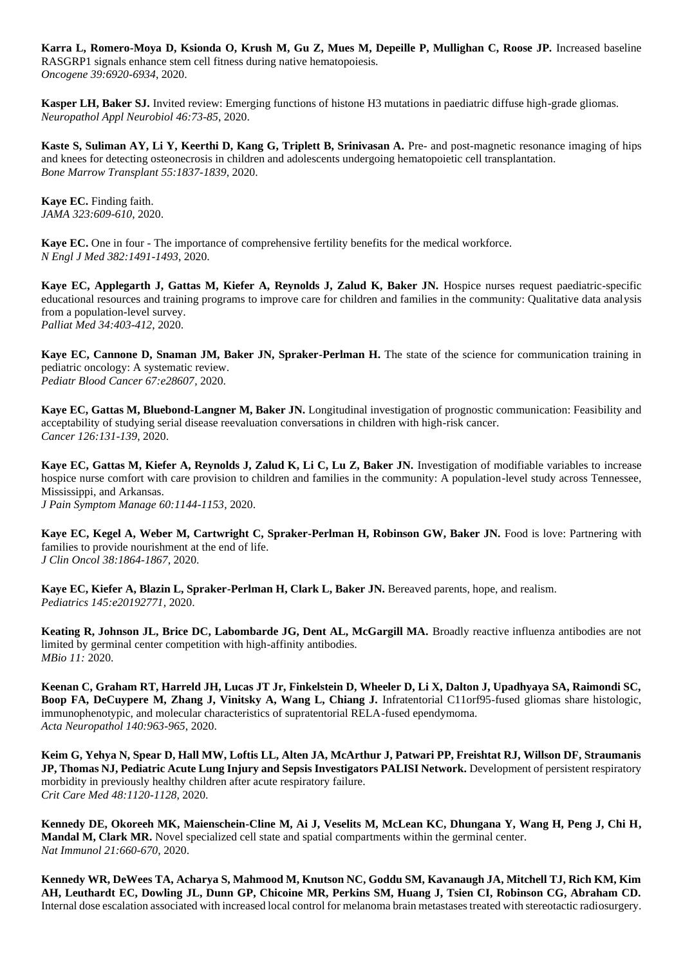**Karra L, Romero-Moya D, Ksionda O, Krush M, Gu Z, Mues M, Depeille P, Mullighan C, Roose JP.** Increased baseline RASGRP1 signals enhance stem cell fitness during native hematopoiesis. *Oncogene 39:6920-6934*, 2020.

**Kasper LH, Baker SJ.** Invited review: Emerging functions of histone H3 mutations in paediatric diffuse high-grade gliomas. *Neuropathol Appl Neurobiol 46:73-85*, 2020.

**Kaste S, Suliman AY, Li Y, Keerthi D, Kang G, Triplett B, Srinivasan A.** Pre- and post-magnetic resonance imaging of hips and knees for detecting osteonecrosis in children and adolescents undergoing hematopoietic cell transplantation. *Bone Marrow Transplant 55:1837-1839*, 2020.

**Kaye EC.** Finding faith. *JAMA 323:609-610*, 2020.

**Kaye EC.** One in four - The importance of comprehensive fertility benefits for the medical workforce. *N Engl J Med 382:1491-1493*, 2020.

**Kaye EC, Applegarth J, Gattas M, Kiefer A, Reynolds J, Zalud K, Baker JN.** Hospice nurses request paediatric-specific educational resources and training programs to improve care for children and families in the community: Qualitative data analysis from a population-level survey. *Palliat Med 34:403-412*, 2020.

**Kaye EC, Cannone D, Snaman JM, Baker JN, Spraker-Perlman H.** The state of the science for communication training in pediatric oncology: A systematic review. *Pediatr Blood Cancer 67:e28607,* 2020.

**Kaye EC, Gattas M, Bluebond-Langner M, Baker JN.** Longitudinal investigation of prognostic communication: Feasibility and acceptability of studying serial disease reevaluation conversations in children with high-risk cancer. *Cancer 126:131-139*, 2020.

**Kaye EC, Gattas M, Kiefer A, Reynolds J, Zalud K, Li C, Lu Z, Baker JN.** Investigation of modifiable variables to increase hospice nurse comfort with care provision to children and families in the community: A population-level study across Tennessee, Mississippi, and Arkansas. *J Pain Symptom Manage 60:1144-1153*, 2020.

Kaye EC, Kegel A, Weber M, Cartwright C, Spraker-Perlman H, Robinson GW, Baker JN. Food is love: Partnering with families to provide nourishment at the end of life. *J Clin Oncol 38:1864-1867*, 2020.

**Kaye EC, Kiefer A, Blazin L, Spraker-Perlman H, Clark L, Baker JN.** Bereaved parents, hope, and realism. *Pediatrics 145:e20192771,* 2020.

**Keating R, Johnson JL, Brice DC, Labombarde JG, Dent AL, McGargill MA.** Broadly reactive influenza antibodies are not limited by germinal center competition with high-affinity antibodies. *MBio 11:* 2020.

**Keenan C, Graham RT, Harreld JH, Lucas JT Jr, Finkelstein D, Wheeler D, Li X, Dalton J, Upadhyaya SA, Raimondi SC, Boop FA, DeCuypere M, Zhang J, Vinitsky A, Wang L, Chiang J.** Infratentorial C11orf95-fused gliomas share histologic, immunophenotypic, and molecular characteristics of supratentorial RELA-fused ependymoma. *Acta Neuropathol 140:963-965*, 2020.

**Keim G, Yehya N, Spear D, Hall MW, Loftis LL, Alten JA, McArthur J, Patwari PP, Freishtat RJ, Willson DF, Straumanis JP, Thomas NJ, Pediatric Acute Lung Injury and Sepsis Investigators PALISI Network.** Development of persistent respiratory morbidity in previously healthy children after acute respiratory failure. *Crit Care Med 48:1120-1128*, 2020.

**Kennedy DE, Okoreeh MK, Maienschein-Cline M, Ai J, Veselits M, McLean KC, Dhungana Y, Wang H, Peng J, Chi H, Mandal M, Clark MR.** Novel specialized cell state and spatial compartments within the germinal center. *Nat Immunol 21:660-670*, 2020.

**Kennedy WR, DeWees TA, Acharya S, Mahmood M, Knutson NC, Goddu SM, Kavanaugh JA, Mitchell TJ, Rich KM, Kim AH, Leuthardt EC, Dowling JL, Dunn GP, Chicoine MR, Perkins SM, Huang J, Tsien CI, Robinson CG, Abraham CD.**  Internal dose escalation associated with increased local control for melanoma brain metastases treated with stereotactic radiosurgery.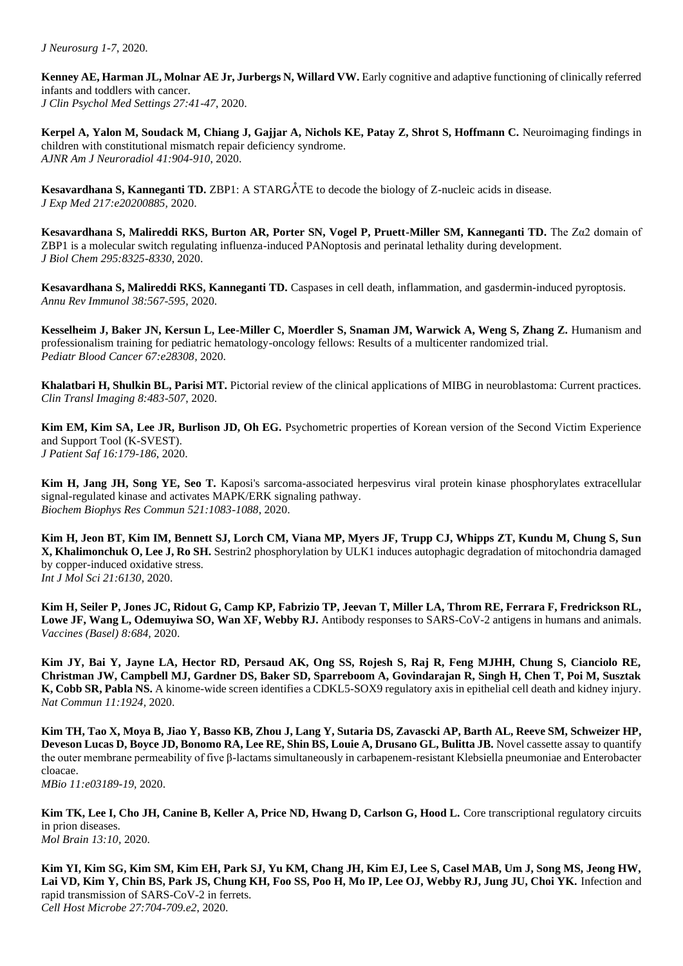**Kenney AE, Harman JL, Molnar AE Jr, Jurbergs N, Willard VW.** Early cognitive and adaptive functioning of clinically referred infants and toddlers with cancer. *J Clin Psychol Med Settings 27:41-47*, 2020.

**Kerpel A, Yalon M, Soudack M, Chiang J, Gajjar A, Nichols KE, Patay Z, Shrot S, Hoffmann C. Neuroimaging findings in** children with constitutional mismatch repair deficiency syndrome. *AJNR Am J Neuroradiol 41:904-910*, 2020.

**Kesavardhana S, Kanneganti TD.** ZBP1: A STARGÅTE to decode the biology of Z-nucleic acids in disease. *J Exp Med 217:e20200885,* 2020.

**Kesavardhana S, Malireddi RKS, Burton AR, Porter SN, Vogel P, Pruett-Miller SM, Kanneganti TD.** The Zα2 domain of ZBP1 is a molecular switch regulating influenza-induced PANoptosis and perinatal lethality during development. *J Biol Chem 295:8325-8330*, 2020.

**Kesavardhana S, Malireddi RKS, Kanneganti TD.** Caspases in cell death, inflammation, and gasdermin-induced pyroptosis. *Annu Rev Immunol 38:567-595*, 2020.

**Kesselheim J, Baker JN, Kersun L, Lee-Miller C, Moerdler S, Snaman JM, Warwick A, Weng S, Zhang Z.** Humanism and professionalism training for pediatric hematology-oncology fellows: Results of a multicenter randomized trial. *Pediatr Blood Cancer 67:e28308,* 2020.

**Khalatbari H, Shulkin BL, Parisi MT.** Pictorial review of the clinical applications of MIBG in neuroblastoma: Current practices. *Clin Transl Imaging 8:483-507*, 2020.

**Kim EM, Kim SA, Lee JR, Burlison JD, Oh EG.** Psychometric properties of Korean version of the Second Victim Experience and Support Tool (K-SVEST). *J Patient Saf 16:179-186*, 2020.

**Kim H, Jang JH, Song YE, Seo T.** Kaposi's sarcoma-associated herpesvirus viral protein kinase phosphorylates extracellular signal-regulated kinase and activates MAPK/ERK signaling pathway. *Biochem Biophys Res Commun 521:1083-1088*, 2020.

**Kim H, Jeon BT, Kim IM, Bennett SJ, Lorch CM, Viana MP, Myers JF, Trupp CJ, Whipps ZT, Kundu M, Chung S, Sun X, Khalimonchuk O, Lee J, Ro SH.** Sestrin2 phosphorylation by ULK1 induces autophagic degradation of mitochondria damaged by copper-induced oxidative stress. *Int J Mol Sci 21:6130,* 2020.

**Kim H, Seiler P, Jones JC, Ridout G, Camp KP, Fabrizio TP, Jeevan T, Miller LA, Throm RE, Ferrara F, Fredrickson RL, Lowe JF, Wang L, Odemuyiwa SO, Wan XF, Webby RJ.** Antibody responses to SARS-CoV-2 antigens in humans and animals. *Vaccines (Basel) 8:684,* 2020.

**Kim JY, Bai Y, Jayne LA, Hector RD, Persaud AK, Ong SS, Rojesh S, Raj R, Feng MJHH, Chung S, Cianciolo RE, Christman JW, Campbell MJ, Gardner DS, Baker SD, Sparreboom A, Govindarajan R, Singh H, Chen T, Poi M, Susztak K, Cobb SR, Pabla NS.** A kinome-wide screen identifies a CDKL5-SOX9 regulatory axis in epithelial cell death and kidney injury. *Nat Commun 11:1924,* 2020.

**Kim TH, Tao X, Moya B, Jiao Y, Basso KB, Zhou J, Lang Y, Sutaria DS, Zavascki AP, Barth AL, Reeve SM, Schweizer HP, Deveson Lucas D, Boyce JD, Bonomo RA, Lee RE, Shin BS, Louie A, Drusano GL, Bulitta JB.** Novel cassette assay to quantify the outer membrane permeability of five β-lactams simultaneously in carbapenem-resistant Klebsiella pneumoniae and Enterobacter cloacae.

*MBio 11:e03189-19,* 2020.

**Kim TK, Lee I, Cho JH, Canine B, Keller A, Price ND, Hwang D, Carlson G, Hood L.** Core transcriptional regulatory circuits in prion diseases. *Mol Brain 13:10,* 2020.

**Kim YI, Kim SG, Kim SM, Kim EH, Park SJ, Yu KM, Chang JH, Kim EJ, Lee S, Casel MAB, Um J, Song MS, Jeong HW, Lai VD, Kim Y, Chin BS, Park JS, Chung KH, Foo SS, Poo H, Mo IP, Lee OJ, Webby RJ, Jung JU, Choi YK.** Infection and rapid transmission of SARS-CoV-2 in ferrets. *Cell Host Microbe 27:704-709.e2*, 2020.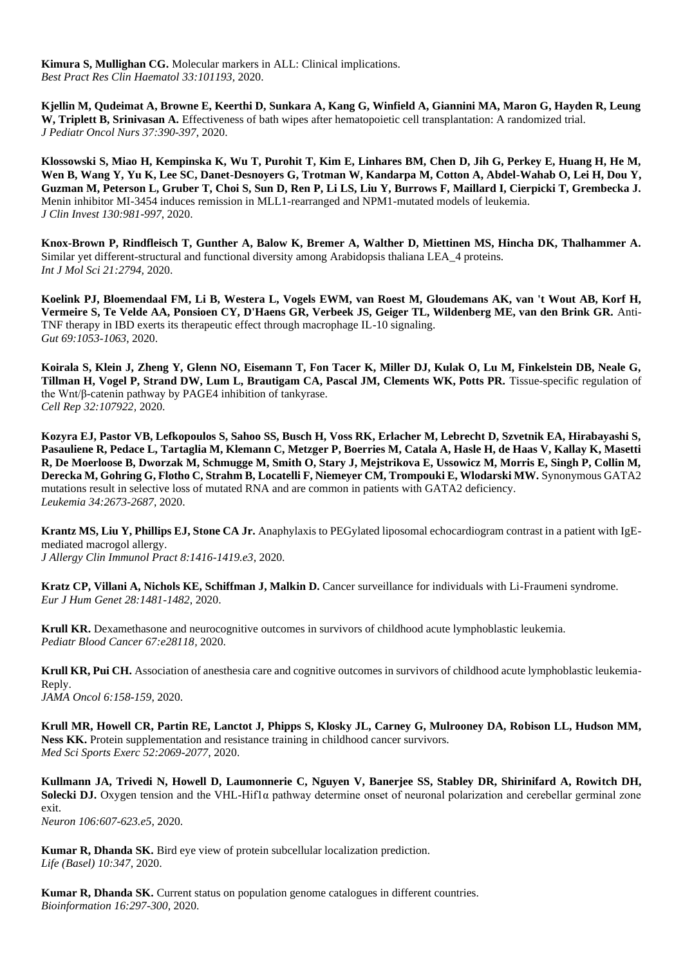**Kimura S, Mullighan CG.** Molecular markers in ALL: Clinical implications. *Best Pract Res Clin Haematol 33:101193,* 2020.

**Kjellin M, Qudeimat A, Browne E, Keerthi D, Sunkara A, Kang G, Winfield A, Giannini MA, Maron G, Hayden R, Leung W, Triplett B, Srinivasan A.** Effectiveness of bath wipes after hematopoietic cell transplantation: A randomized trial. *J Pediatr Oncol Nurs 37:390-397*, 2020.

**Klossowski S, Miao H, Kempinska K, Wu T, Purohit T, Kim E, Linhares BM, Chen D, Jih G, Perkey E, Huang H, He M, Wen B, Wang Y, Yu K, Lee SC, Danet-Desnoyers G, Trotman W, Kandarpa M, Cotton A, Abdel-Wahab O, Lei H, Dou Y, Guzman M, Peterson L, Gruber T, Choi S, Sun D, Ren P, Li LS, Liu Y, Burrows F, Maillard I, Cierpicki T, Grembecka J.**  Menin inhibitor MI-3454 induces remission in MLL1-rearranged and NPM1-mutated models of leukemia. *J Clin Invest 130:981-997*, 2020.

**Knox-Brown P, Rindfleisch T, Gunther A, Balow K, Bremer A, Walther D, Miettinen MS, Hincha DK, Thalhammer A.**  Similar yet different-structural and functional diversity among Arabidopsis thaliana LEA\_4 proteins. *Int J Mol Sci 21:2794,* 2020.

**Koelink PJ, Bloemendaal FM, Li B, Westera L, Vogels EWM, van Roest M, Gloudemans AK, van 't Wout AB, Korf H, Vermeire S, Te Velde AA, Ponsioen CY, D'Haens GR, Verbeek JS, Geiger TL, Wildenberg ME, van den Brink GR.** Anti-TNF therapy in IBD exerts its therapeutic effect through macrophage IL-10 signaling. *Gut 69:1053-1063*, 2020.

**Koirala S, Klein J, Zheng Y, Glenn NO, Eisemann T, Fon Tacer K, Miller DJ, Kulak O, Lu M, Finkelstein DB, Neale G, Tillman H, Vogel P, Strand DW, Lum L, Brautigam CA, Pascal JM, Clements WK, Potts PR.** Tissue-specific regulation of the Wnt/β-catenin pathway by PAGE4 inhibition of tankyrase. *Cell Rep 32:107922,* 2020.

**Kozyra EJ, Pastor VB, Lefkopoulos S, Sahoo SS, Busch H, Voss RK, Erlacher M, Lebrecht D, Szvetnik EA, Hirabayashi S, Pasauliene R, Pedace L, Tartaglia M, Klemann C, Metzger P, Boerries M, Catala A, Hasle H, de Haas V, Kallay K, Masetti R, De Moerloose B, Dworzak M, Schmugge M, Smith O, Stary J, Mejstrikova E, Ussowicz M, Morris E, Singh P, Collin M, Derecka M, Gohring G, Flotho C, Strahm B, Locatelli F, Niemeyer CM, Trompouki E, Wlodarski MW.** Synonymous GATA2 mutations result in selective loss of mutated RNA and are common in patients with GATA2 deficiency. *Leukemia 34:2673-2687*, 2020.

**Krantz MS, Liu Y, Phillips EJ, Stone CA Jr.** Anaphylaxis to PEGylated liposomal echocardiogram contrast in a patient with IgEmediated macrogol allergy. *J Allergy Clin Immunol Pract 8:1416-1419.e3*, 2020.

**Kratz CP, Villani A, Nichols KE, Schiffman J, Malkin D.** Cancer surveillance for individuals with Li-Fraumeni syndrome. *Eur J Hum Genet 28:1481-1482*, 2020.

**Krull KR.** Dexamethasone and neurocognitive outcomes in survivors of childhood acute lymphoblastic leukemia. *Pediatr Blood Cancer 67:e28118,* 2020.

**Krull KR, Pui CH.** Association of anesthesia care and cognitive outcomes in survivors of childhood acute lymphoblastic leukemia-Reply.

*JAMA Oncol 6:158-159*, 2020.

**Krull MR, Howell CR, Partin RE, Lanctot J, Phipps S, Klosky JL, Carney G, Mulrooney DA, Robison LL, Hudson MM, Ness KK.** Protein supplementation and resistance training in childhood cancer survivors. *Med Sci Sports Exerc 52:2069-2077*, 2020.

**Kullmann JA, Trivedi N, Howell D, Laumonnerie C, Nguyen V, Banerjee SS, Stabley DR, Shirinifard A, Rowitch DH, Solecki DJ.** Oxygen tension and the VHL-Hif1α pathway determine onset of neuronal polarization and cerebellar germinal zone exit. *Neuron 106:607-623.e5*, 2020.

**Kumar R, Dhanda SK.** Bird eye view of protein subcellular localization prediction. *Life (Basel) 10:347,* 2020.

**Kumar R, Dhanda SK.** Current status on population genome catalogues in different countries. *Bioinformation 16:297-300*, 2020.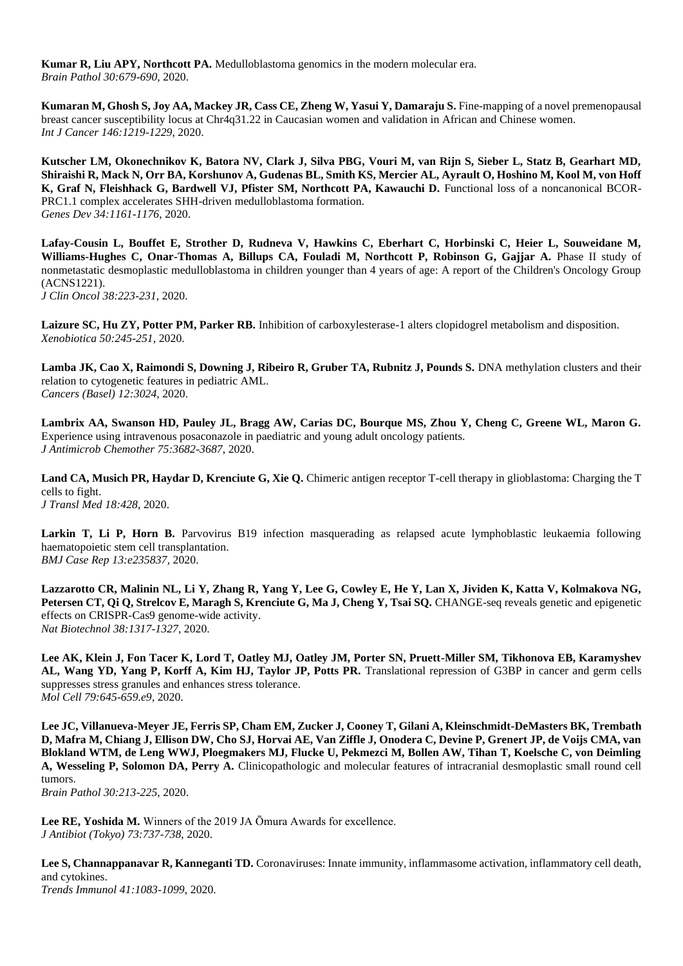**Kumar R, Liu APY, Northcott PA.** Medulloblastoma genomics in the modern molecular era. *Brain Pathol 30:679-690*, 2020.

**Kumaran M, Ghosh S, Joy AA, Mackey JR, Cass CE, Zheng W, Yasui Y, Damaraju S.** Fine-mapping of a novel premenopausal breast cancer susceptibility locus at Chr4q31.22 in Caucasian women and validation in African and Chinese women. *Int J Cancer 146:1219-1229*, 2020.

**Kutscher LM, Okonechnikov K, Batora NV, Clark J, Silva PBG, Vouri M, van Rijn S, Sieber L, Statz B, Gearhart MD, Shiraishi R, Mack N, Orr BA, Korshunov A, Gudenas BL, Smith KS, Mercier AL, Ayrault O, Hoshino M, Kool M, von Hoff**  K, Graf N, Fleishhack G, Bardwell VJ, Pfister SM, Northcott PA, Kawauchi D. Functional loss of a noncanonical BCOR-PRC1.1 complex accelerates SHH-driven medulloblastoma formation. *Genes Dev 34:1161-1176*, 2020.

**Lafay-Cousin L, Bouffet E, Strother D, Rudneva V, Hawkins C, Eberhart C, Horbinski C, Heier L, Souweidane M, Williams-Hughes C, Onar-Thomas A, Billups CA, Fouladi M, Northcott P, Robinson G, Gajjar A.** Phase II study of nonmetastatic desmoplastic medulloblastoma in children younger than 4 years of age: A report of the Children's Oncology Group (ACNS1221). *J Clin Oncol 38:223-231*, 2020.

**Laizure SC, Hu ZY, Potter PM, Parker RB.** Inhibition of carboxylesterase-1 alters clopidogrel metabolism and disposition. *Xenobiotica 50:245-251*, 2020.

Lamba JK, Cao X, Raimondi S, Downing J, Ribeiro R, Gruber TA, Rubnitz J, Pounds S. DNA methylation clusters and their relation to cytogenetic features in pediatric AML. *Cancers (Basel) 12:3024,* 2020.

**Lambrix AA, Swanson HD, Pauley JL, Bragg AW, Carias DC, Bourque MS, Zhou Y, Cheng C, Greene WL, Maron G.**  Experience using intravenous posaconazole in paediatric and young adult oncology patients. *J Antimicrob Chemother 75:3682-3687*, 2020.

**Land CA, Musich PR, Haydar D, Krenciute G, Xie Q.** Chimeric antigen receptor T-cell therapy in glioblastoma: Charging the T cells to fight. *J Transl Med 18:428,* 2020.

Larkin T, Li P, Horn B. Parvovirus B19 infection masquerading as relapsed acute lymphoblastic leukaemia following haematopoietic stem cell transplantation. *BMJ Case Rep 13:e235837,* 2020.

**Lazzarotto CR, Malinin NL, Li Y, Zhang R, Yang Y, Lee G, Cowley E, He Y, Lan X, Jividen K, Katta V, Kolmakova NG, Petersen CT, Qi Q, Strelcov E, Maragh S, Krenciute G, Ma J, Cheng Y, Tsai SQ.** CHANGE-seq reveals genetic and epigenetic effects on CRISPR-Cas9 genome-wide activity. *Nat Biotechnol 38:1317-1327*, 2020.

**Lee AK, Klein J, Fon Tacer K, Lord T, Oatley MJ, Oatley JM, Porter SN, Pruett-Miller SM, Tikhonova EB, Karamyshev**  AL, Wang YD, Yang P, Korff A, Kim HJ, Taylor JP, Potts PR. Translational repression of G3BP in cancer and germ cells suppresses stress granules and enhances stress tolerance. *Mol Cell 79:645-659.e9*, 2020.

**Lee JC, Villanueva-Meyer JE, Ferris SP, Cham EM, Zucker J, Cooney T, Gilani A, Kleinschmidt-DeMasters BK, Trembath D, Mafra M, Chiang J, Ellison DW, Cho SJ, Horvai AE, Van Ziffle J, Onodera C, Devine P, Grenert JP, de Voijs CMA, van Blokland WTM, de Leng WWJ, Ploegmakers MJ, Flucke U, Pekmezci M, Bollen AW, Tihan T, Koelsche C, von Deimling A, Wesseling P, Solomon DA, Perry A.** Clinicopathologic and molecular features of intracranial desmoplastic small round cell tumors.

*Brain Pathol 30:213-225*, 2020.

**Lee RE, Yoshida M.** Winners of the 2019 JA Ōmura Awards for excellence. *J Antibiot (Tokyo) 73:737-738*, 2020.

**Lee S, Channappanavar R, Kanneganti TD.** Coronaviruses: Innate immunity, inflammasome activation, inflammatory cell death, and cytokines.

*Trends Immunol 41:1083-1099*, 2020.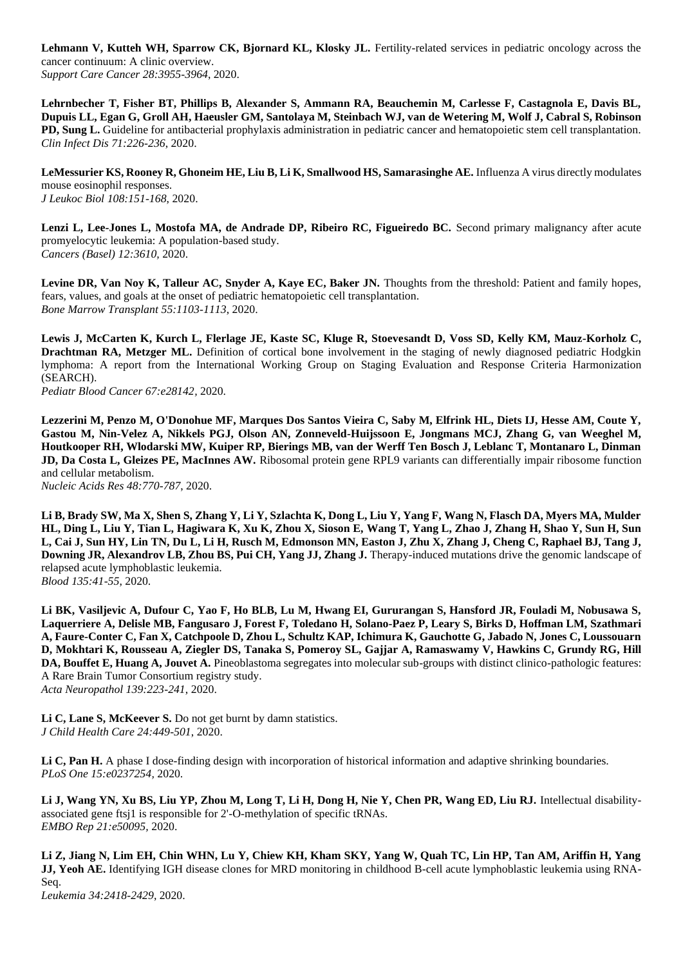**Lehmann V, Kutteh WH, Sparrow CK, Bjornard KL, Klosky JL.** Fertility-related services in pediatric oncology across the cancer continuum: A clinic overview. *Support Care Cancer 28:3955-3964*, 2020.

**Lehrnbecher T, Fisher BT, Phillips B, Alexander S, Ammann RA, Beauchemin M, Carlesse F, Castagnola E, Davis BL, Dupuis LL, Egan G, Groll AH, Haeusler GM, Santolaya M, Steinbach WJ, van de Wetering M, Wolf J, Cabral S, Robinson PD, Sung L.** Guideline for antibacterial prophylaxis administration in pediatric cancer and hematopoietic stem cell transplantation. *Clin Infect Dis 71:226-236*, 2020.

**LeMessurier KS, Rooney R, Ghoneim HE, Liu B, Li K, Smallwood HS, Samarasinghe AE.** Influenza A virus directly modulates mouse eosinophil responses. *J Leukoc Biol 108:151-168*, 2020.

**Lenzi L, Lee-Jones L, Mostofa MA, de Andrade DP, Ribeiro RC, Figueiredo BC.** Second primary malignancy after acute promyelocytic leukemia: A population-based study. *Cancers (Basel) 12:3610,* 2020.

Levine DR, Van Noy K, Talleur AC, Snyder A, Kaye EC, Baker JN. Thoughts from the threshold: Patient and family hopes, fears, values, and goals at the onset of pediatric hematopoietic cell transplantation. *Bone Marrow Transplant 55:1103-1113*, 2020.

**Lewis J, McCarten K, Kurch L, Flerlage JE, Kaste SC, Kluge R, Stoevesandt D, Voss SD, Kelly KM, Mauz-Korholz C, Drachtman RA, Metzger ML.** Definition of cortical bone involvement in the staging of newly diagnosed pediatric Hodgkin lymphoma: A report from the International Working Group on Staging Evaluation and Response Criteria Harmonization (SEARCH).

*Pediatr Blood Cancer 67:e28142,* 2020.

**Lezzerini M, Penzo M, O'Donohue MF, Marques Dos Santos Vieira C, Saby M, Elfrink HL, Diets IJ, Hesse AM, Coute Y, Gastou M, Nin-Velez A, Nikkels PGJ, Olson AN, Zonneveld-Huijssoon E, Jongmans MCJ, Zhang G, van Weeghel M, Houtkooper RH, Wlodarski MW, Kuiper RP, Bierings MB, van der Werff Ten Bosch J, Leblanc T, Montanaro L, Dinman JD, Da Costa L, Gleizes PE, MacInnes AW.** Ribosomal protein gene RPL9 variants can differentially impair ribosome function and cellular metabolism.

*Nucleic Acids Res 48:770-787*, 2020.

**Li B, Brady SW, Ma X, Shen S, Zhang Y, Li Y, Szlachta K, Dong L, Liu Y, Yang F, Wang N, Flasch DA, Myers MA, Mulder HL, Ding L, Liu Y, Tian L, Hagiwara K, Xu K, Zhou X, Sioson E, Wang T, Yang L, Zhao J, Zhang H, Shao Y, Sun H, Sun L, Cai J, Sun HY, Lin TN, Du L, Li H, Rusch M, Edmonson MN, Easton J, Zhu X, Zhang J, Cheng C, Raphael BJ, Tang J, Downing JR, Alexandrov LB, Zhou BS, Pui CH, Yang JJ, Zhang J.** Therapy-induced mutations drive the genomic landscape of relapsed acute lymphoblastic leukemia. *Blood 135:41-55*, 2020.

**Li BK, Vasiljevic A, Dufour C, Yao F, Ho BLB, Lu M, Hwang EI, Gururangan S, Hansford JR, Fouladi M, Nobusawa S, Laquerriere A, Delisle MB, Fangusaro J, Forest F, Toledano H, Solano-Paez P, Leary S, Birks D, Hoffman LM, Szathmari A, Faure-Conter C, Fan X, Catchpoole D, Zhou L, Schultz KAP, Ichimura K, Gauchotte G, Jabado N, Jones C, Loussouarn D, Mokhtari K, Rousseau A, Ziegler DS, Tanaka S, Pomeroy SL, Gajjar A, Ramaswamy V, Hawkins C, Grundy RG, Hill DA, Bouffet E, Huang A, Jouvet A.** Pineoblastoma segregates into molecular sub-groups with distinct clinico-pathologic features: A Rare Brain Tumor Consortium registry study. *Acta Neuropathol 139:223-241*, 2020.

Li C, Lane S, McKeever S. Do not get burnt by damn statistics. *J Child Health Care 24:449-501*, 2020.

**Li C, Pan H.** A phase I dose-finding design with incorporation of historical information and adaptive shrinking boundaries. *PLoS One 15:e0237254,* 2020.

Li J, Wang YN, Xu BS, Liu YP, Zhou M, Long T, Li H, Dong H, Nie Y, Chen PR, Wang ED, Liu RJ. Intellectual disabilityassociated gene ftsj1 is responsible for 2'-O-methylation of specific tRNAs. *EMBO Rep 21:e50095,* 2020.

**Li Z, Jiang N, Lim EH, Chin WHN, Lu Y, Chiew KH, Kham SKY, Yang W, Quah TC, Lin HP, Tan AM, Ariffin H, Yang JJ, Yeoh AE.** Identifying IGH disease clones for MRD monitoring in childhood B-cell acute lymphoblastic leukemia using RNA-Seq.

*Leukemia 34:2418-2429*, 2020.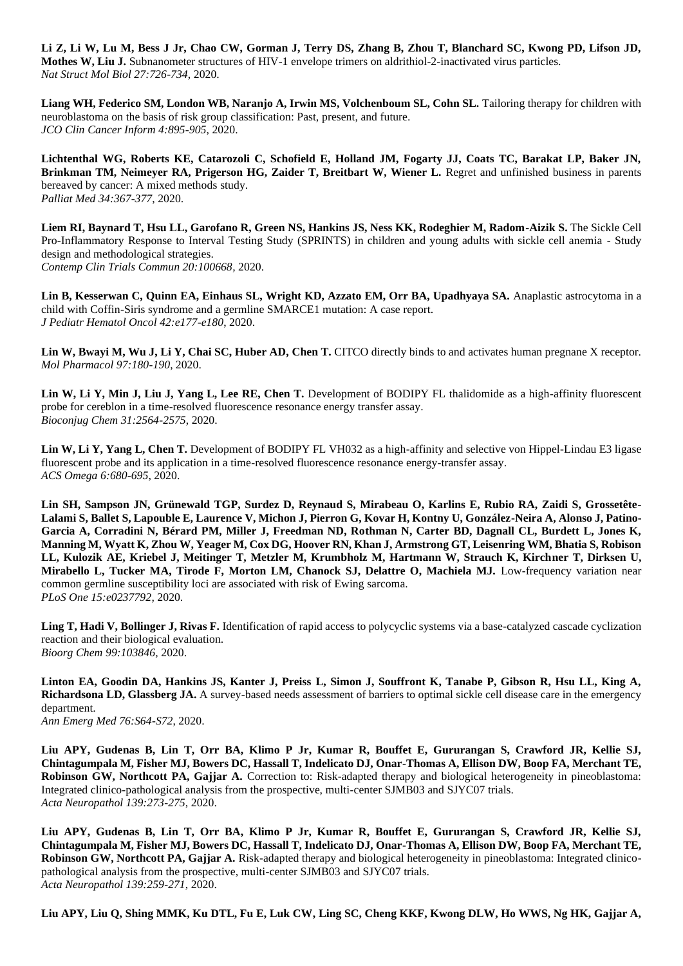**Li Z, Li W, Lu M, Bess J Jr, Chao CW, Gorman J, Terry DS, Zhang B, Zhou T, Blanchard SC, Kwong PD, Lifson JD, Mothes W, Liu J.** Subnanometer structures of HIV-1 envelope trimers on aldrithiol-2-inactivated virus particles. *Nat Struct Mol Biol 27:726-734*, 2020.

**Liang WH, Federico SM, London WB, Naranjo A, Irwin MS, Volchenboum SL, Cohn SL.** Tailoring therapy for children with neuroblastoma on the basis of risk group classification: Past, present, and future. *JCO Clin Cancer Inform 4:895-905*, 2020.

**Lichtenthal WG, Roberts KE, Catarozoli C, Schofield E, Holland JM, Fogarty JJ, Coats TC, Barakat LP, Baker JN, Brinkman TM, Neimeyer RA, Prigerson HG, Zaider T, Breitbart W, Wiener L.** Regret and unfinished business in parents bereaved by cancer: A mixed methods study. *Palliat Med 34:367-377*, 2020.

Liem RI, Baynard T, Hsu LL, Garofano R, Green NS, Hankins JS, Ness KK, Rodeghier M, Radom-Aizik S. The Sickle Cell Pro-Inflammatory Response to Interval Testing Study (SPRINTS) in children and young adults with sickle cell anemia - Study design and methodological strategies. *Contemp Clin Trials Commun 20:100668,* 2020.

**Lin B, Kesserwan C, Quinn EA, Einhaus SL, Wright KD, Azzato EM, Orr BA, Upadhyaya SA.** Anaplastic astrocytoma in a child with Coffin-Siris syndrome and a germline SMARCE1 mutation: A case report. *J Pediatr Hematol Oncol 42:e177-e180*, 2020.

Lin W, Bwayi M, Wu J, Li Y, Chai SC, Huber AD, Chen T. CITCO directly binds to and activates human pregnane X receptor. *Mol Pharmacol 97:180-190*, 2020.

Lin W, Li Y, Min J, Liu J, Yang L, Lee RE, Chen T. Development of BODIPY FL thalidomide as a high-affinity fluorescent probe for cereblon in a time-resolved fluorescence resonance energy transfer assay. *Bioconjug Chem 31:2564-2575*, 2020.

Lin W, Li Y, Yang L, Chen T. Development of BODIPY FL VH032 as a high-affinity and selective von Hippel-Lindau E3 ligase fluorescent probe and its application in a time-resolved fluorescence resonance energy-transfer assay. *ACS Omega 6:680-695*, 2020.

**Lin SH, Sampson JN, Grünewald TGP, Surdez D, Reynaud S, Mirabeau O, Karlins E, Rubio RA, Zaidi S, Grossetête-Lalami S, Ballet S, Lapouble E, Laurence V, Michon J, Pierron G, Kovar H, Kontny U, González-Neira A, Alonso J, Patino-Garcia A, Corradini N, Bérard PM, Miller J, Freedman ND, Rothman N, Carter BD, Dagnall CL, Burdett L, Jones K, Manning M, Wyatt K, Zhou W, Yeager M, Cox DG, Hoover RN, Khan J, Armstrong GT, Leisenring WM, Bhatia S, Robison LL, Kulozik AE, Kriebel J, Meitinger T, Metzler M, Krumbholz M, Hartmann W, Strauch K, Kirchner T, Dirksen U,**  Mirabello L, Tucker MA, Tirode F, Morton LM, Chanock SJ, Delattre O, Machiela MJ. Low-frequency variation near common germline susceptibility loci are associated with risk of Ewing sarcoma. *PLoS One 15:e0237792,* 2020.

Ling T, Hadi V, Bollinger J, Rivas F. Identification of rapid access to polycyclic systems via a base-catalyzed cascade cyclization reaction and their biological evaluation. *Bioorg Chem 99:103846,* 2020.

**Linton EA, Goodin DA, Hankins JS, Kanter J, Preiss L, Simon J, Souffront K, Tanabe P, Gibson R, Hsu LL, King A, Richardsona LD, Glassberg JA.** A survey-based needs assessment of barriers to optimal sickle cell disease care in the emergency department. *Ann Emerg Med 76:S64-S72*, 2020.

**Liu APY, Gudenas B, Lin T, Orr BA, Klimo P Jr, Kumar R, Bouffet E, Gururangan S, Crawford JR, Kellie SJ, Chintagumpala M, Fisher MJ, Bowers DC, Hassall T, Indelicato DJ, Onar-Thomas A, Ellison DW, Boop FA, Merchant TE, Robinson GW, Northcott PA, Gajjar A.** Correction to: Risk-adapted therapy and biological heterogeneity in pineoblastoma: Integrated clinico-pathological analysis from the prospective, multi-center SJMB03 and SJYC07 trials. *Acta Neuropathol 139:273-275*, 2020.

**Liu APY, Gudenas B, Lin T, Orr BA, Klimo P Jr, Kumar R, Bouffet E, Gururangan S, Crawford JR, Kellie SJ, Chintagumpala M, Fisher MJ, Bowers DC, Hassall T, Indelicato DJ, Onar-Thomas A, Ellison DW, Boop FA, Merchant TE, Robinson GW, Northcott PA, Gajjar A.** Risk-adapted therapy and biological heterogeneity in pineoblastoma: Integrated clinicopathological analysis from the prospective, multi-center SJMB03 and SJYC07 trials. *Acta Neuropathol 139:259-271*, 2020.

**Liu APY, Liu Q, Shing MMK, Ku DTL, Fu E, Luk CW, Ling SC, Cheng KKF, Kwong DLW, Ho WWS, Ng HK, Gajjar A,**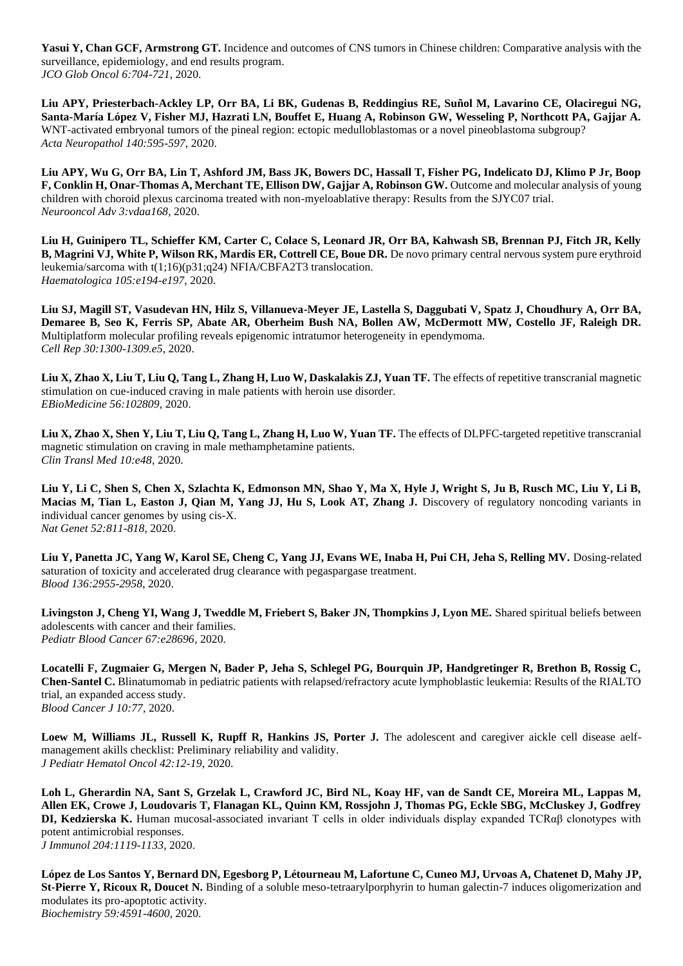**Yasui Y, Chan GCF, Armstrong GT.** Incidence and outcomes of CNS tumors in Chinese children: Comparative analysis with the surveillance, epidemiology, and end results program. *JCO Glob Oncol 6:704-721*, 2020.

**Liu APY, Priesterbach-Ackley LP, Orr BA, Li BK, Gudenas B, Reddingius RE, Suñol M, Lavarino CE, Olaciregui NG, Santa-María López V, Fisher MJ, Hazrati LN, Bouffet E, Huang A, Robinson GW, Wesseling P, Northcott PA, Gajjar A.**  WNT-activated embryonal tumors of the pineal region: ectopic medulloblastomas or a novel pineoblastoma subgroup? *Acta Neuropathol 140:595-597*, 2020.

**Liu APY, Wu G, Orr BA, Lin T, Ashford JM, Bass JK, Bowers DC, Hassall T, Fisher PG, Indelicato DJ, Klimo P Jr, Boop F, Conklin H, Onar-Thomas A, Merchant TE, Ellison DW, Gajjar A, Robinson GW.** Outcome and molecular analysis of young children with choroid plexus carcinoma treated with non-myeloablative therapy: Results from the SJYC07 trial. *Neurooncol Adv 3:vdaa168,* 2020.

**Liu H, Guinipero TL, Schieffer KM, Carter C, Colace S, Leonard JR, Orr BA, Kahwash SB, Brennan PJ, Fitch JR, Kelly B, Magrini VJ, White P, Wilson RK, Mardis ER, Cottrell CE, Boue DR.** De novo primary central nervous system pure erythroid leukemia/sarcoma with t(1;16)(p31;q24) NFIA/CBFA2T3 translocation. *Haematologica 105:e194-e197*, 2020.

**Liu SJ, Magill ST, Vasudevan HN, Hilz S, Villanueva-Meyer JE, Lastella S, Daggubati V, Spatz J, Choudhury A, Orr BA, Demaree B, Seo K, Ferris SP, Abate AR, Oberheim Bush NA, Bollen AW, McDermott MW, Costello JF, Raleigh DR.**  Multiplatform molecular profiling reveals epigenomic intratumor heterogeneity in ependymoma. *Cell Rep 30:1300-1309.e5*, 2020.

Liu X, Zhao X, Liu T, Liu Q, Tang L, Zhang H, Luo W, Daskalakis ZJ, Yuan TF. The effects of repetitive transcranial magnetic stimulation on cue-induced craving in male patients with heroin use disorder. *EBioMedicine 56:102809,* 2020.

Liu X, Zhao X, Shen Y, Liu T, Liu Q, Tang L, Zhang H, Luo W, Yuan TF. The effects of DLPFC-targeted repetitive transcranial magnetic stimulation on craving in male methamphetamine patients. *Clin Transl Med 10:e48,* 2020.

**Liu Y, Li C, Shen S, Chen X, Szlachta K, Edmonson MN, Shao Y, Ma X, Hyle J, Wright S, Ju B, Rusch MC, Liu Y, Li B, Macias M, Tian L, Easton J, Qian M, Yang JJ, Hu S, Look AT, Zhang J.** Discovery of regulatory noncoding variants in individual cancer genomes by using cis-X. *Nat Genet 52:811-818*, 2020.

**Liu Y, Panetta JC, Yang W, Karol SE, Cheng C, Yang JJ, Evans WE, Inaba H, Pui CH, Jeha S, Relling MV.** Dosing-related saturation of toxicity and accelerated drug clearance with pegaspargase treatment. *Blood 136:2955-2958*, 2020.

**Livingston J, Cheng YI, Wang J, Tweddle M, Friebert S, Baker JN, Thompkins J, Lyon ME.** Shared spiritual beliefs between adolescents with cancer and their families. *Pediatr Blood Cancer 67:e28696,* 2020.

**Locatelli F, Zugmaier G, Mergen N, Bader P, Jeha S, Schlegel PG, Bourquin JP, Handgretinger R, Brethon B, Rossig C, Chen-Santel C.** Blinatumomab in pediatric patients with relapsed/refractory acute lymphoblastic leukemia: Results of the RIALTO trial, an expanded access study. *Blood Cancer J 10:77,* 2020.

**Loew M, Williams JL, Russell K, Rupff R, Hankins JS, Porter J.** The adolescent and caregiver aickle cell disease aelfmanagement akills checklist: Preliminary reliability and validity. *J Pediatr Hematol Oncol 42:12-19*, 2020.

**Loh L, Gherardin NA, Sant S, Grzelak L, Crawford JC, Bird NL, Koay HF, van de Sandt CE, Moreira ML, Lappas M, Allen EK, Crowe J, Loudovaris T, Flanagan KL, Quinn KM, Rossjohn J, Thomas PG, Eckle SBG, McCluskey J, Godfrey DI, Kedzierska K.** Human mucosal-associated invariant T cells in older individuals display expanded TCRαβ clonotypes with potent antimicrobial responses. *J Immunol 204:1119-1133*, 2020.

**López de Los Santos Y, Bernard DN, Egesborg P, Létourneau M, Lafortune C, Cuneo MJ, Urvoas A, Chatenet D, Mahy JP, St-Pierre Y, Ricoux R, Doucet N.** Binding of a soluble meso-tetraarylporphyrin to human galectin-7 induces oligomerization and modulates its pro-apoptotic activity. *Biochemistry 59:4591-4600*, 2020.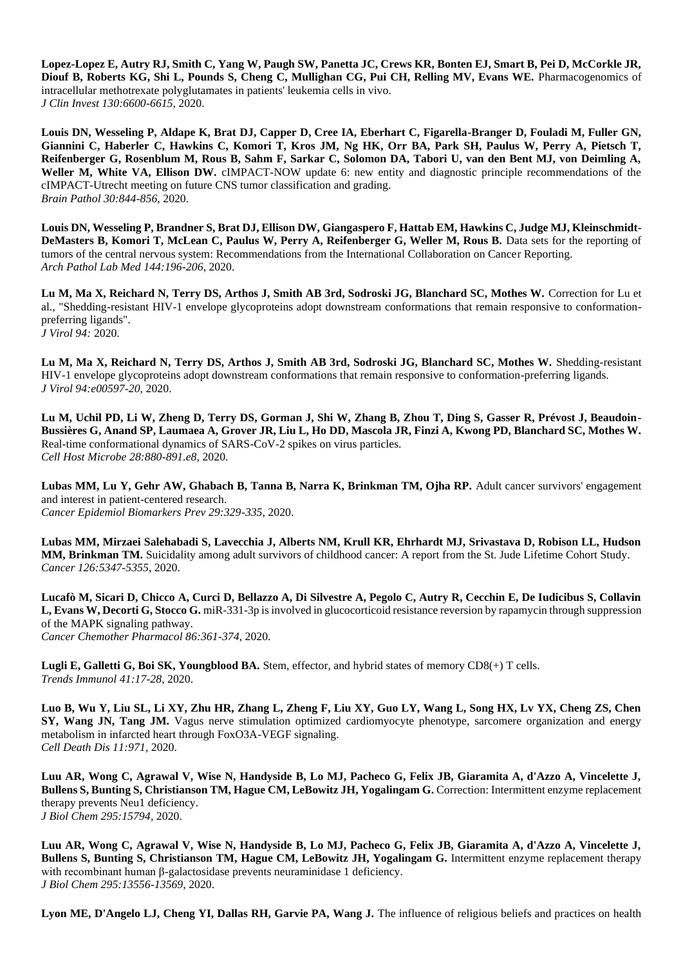**Lopez-Lopez E, Autry RJ, Smith C, Yang W, Paugh SW, Panetta JC, Crews KR, Bonten EJ, Smart B, Pei D, McCorkle JR, Diouf B, Roberts KG, Shi L, Pounds S, Cheng C, Mullighan CG, Pui CH, Relling MV, Evans WE.** Pharmacogenomics of intracellular methotrexate polyglutamates in patients' leukemia cells in vivo. *J Clin Invest 130:6600-6615*, 2020.

**Louis DN, Wesseling P, Aldape K, Brat DJ, Capper D, Cree IA, Eberhart C, Figarella-Branger D, Fouladi M, Fuller GN, Giannini C, Haberler C, Hawkins C, Komori T, Kros JM, Ng HK, Orr BA, Park SH, Paulus W, Perry A, Pietsch T, Reifenberger G, Rosenblum M, Rous B, Sahm F, Sarkar C, Solomon DA, Tabori U, van den Bent MJ, von Deimling A, Weller M, White VA, Ellison DW.** cIMPACT-NOW update 6: new entity and diagnostic principle recommendations of the cIMPACT-Utrecht meeting on future CNS tumor classification and grading. *Brain Pathol 30:844-856*, 2020.

**Louis DN, Wesseling P, Brandner S, Brat DJ, Ellison DW, Giangaspero F, Hattab EM, Hawkins C, Judge MJ, Kleinschmidt-DeMasters B, Komori T, McLean C, Paulus W, Perry A, Reifenberger G, Weller M, Rous B.** Data sets for the reporting of tumors of the central nervous system: Recommendations from the International Collaboration on Cancer Reporting. *Arch Pathol Lab Med 144:196-206*, 2020.

**Lu M, Ma X, Reichard N, Terry DS, Arthos J, Smith AB 3rd, Sodroski JG, Blanchard SC, Mothes W.** Correction for Lu et al., "Shedding-resistant HIV-1 envelope glycoproteins adopt downstream conformations that remain responsive to conformationpreferring ligands". *J Virol 94:* 2020.

**Lu M, Ma X, Reichard N, Terry DS, Arthos J, Smith AB 3rd, Sodroski JG, Blanchard SC, Mothes W.** Shedding-resistant HIV-1 envelope glycoproteins adopt downstream conformations that remain responsive to conformation-preferring ligands. *J Virol 94:e00597-20,* 2020.

**Lu M, Uchil PD, Li W, Zheng D, Terry DS, Gorman J, Shi W, Zhang B, Zhou T, Ding S, Gasser R, Prévost J, Beaudoin-Bussières G, Anand SP, Laumaea A, Grover JR, Liu L, Ho DD, Mascola JR, Finzi A, Kwong PD, Blanchard SC, Mothes W.**  Real-time conformational dynamics of SARS-CoV-2 spikes on virus particles. *Cell Host Microbe 28:880-891.e8*, 2020.

Lubas MM, Lu Y, Gehr AW, Ghabach B, Tanna B, Narra K, Brinkman TM, Ojha RP. Adult cancer survivors' engagement and interest in patient-centered research. *Cancer Epidemiol Biomarkers Prev 29:329-335*, 2020.

**Lubas MM, Mirzaei Salehabadi S, Lavecchia J, Alberts NM, Krull KR, Ehrhardt MJ, Srivastava D, Robison LL, Hudson MM, Brinkman TM.** Suicidality among adult survivors of childhood cancer: A report from the St. Jude Lifetime Cohort Study. *Cancer 126:5347-5355*, 2020.

**Lucafò M, Sicari D, Chicco A, Curci D, Bellazzo A, Di Silvestre A, Pegolo C, Autry R, Cecchin E, De Iudicibus S, Collavin L, Evans W, Decorti G, Stocco G.** miR-331-3p is involved in glucocorticoid resistance reversion by rapamycin through suppression of the MAPK signaling pathway. *Cancer Chemother Pharmacol 86:361-374*, 2020.

**Lugli E, Galletti G, Boi SK, Youngblood BA.** Stem, effector, and hybrid states of memory CD8(+) T cells. *Trends Immunol 41:17-28*, 2020.

**Luo B, Wu Y, Liu SL, Li XY, Zhu HR, Zhang L, Zheng F, Liu XY, Guo LY, Wang L, Song HX, Lv YX, Cheng ZS, Chen SY, Wang JN, Tang JM.** Vagus nerve stimulation optimized cardiomyocyte phenotype, sarcomere organization and energy metabolism in infarcted heart through FoxO3A-VEGF signaling. *Cell Death Dis 11:971,* 2020.

**Luu AR, Wong C, Agrawal V, Wise N, Handyside B, Lo MJ, Pacheco G, Felix JB, Giaramita A, d'Azzo A, Vincelette J, Bullens S, Bunting S, Christianson TM, Hague CM, LeBowitz JH, Yogalingam G.** Correction: Intermittent enzyme replacement therapy prevents Neu1 deficiency. *J Biol Chem 295:15794,* 2020.

**Luu AR, Wong C, Agrawal V, Wise N, Handyside B, Lo MJ, Pacheco G, Felix JB, Giaramita A, d'Azzo A, Vincelette J, Bullens S, Bunting S, Christianson TM, Hague CM, LeBowitz JH, Yogalingam G.** Intermittent enzyme replacement therapy with recombinant human β-galactosidase prevents neuraminidase 1 deficiency. *J Biol Chem 295:13556-13569*, 2020.

Lyon ME, D'Angelo LJ, Cheng YI, Dallas RH, Garvie PA, Wang J. The influence of religious beliefs and practices on health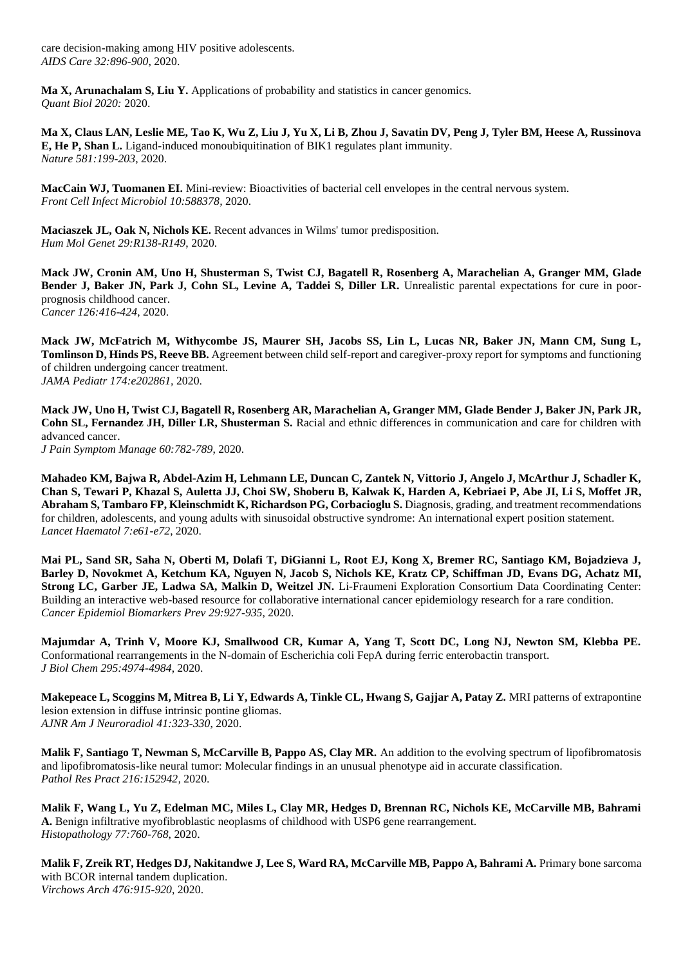care decision-making among HIV positive adolescents. *AIDS Care 32:896-900*, 2020.

**Ma X, Arunachalam S, Liu Y.** Applications of probability and statistics in cancer genomics. *Quant Biol 2020:* 2020.

**Ma X, Claus LAN, Leslie ME, Tao K, Wu Z, Liu J, Yu X, Li B, Zhou J, Savatin DV, Peng J, Tyler BM, Heese A, Russinova E, He P, Shan L.** Ligand-induced monoubiquitination of BIK1 regulates plant immunity. *Nature 581:199-203*, 2020.

**MacCain WJ, Tuomanen EI.** Mini-review: Bioactivities of bacterial cell envelopes in the central nervous system. *Front Cell Infect Microbiol 10:588378,* 2020.

**Maciaszek JL, Oak N, Nichols KE.** Recent advances in Wilms' tumor predisposition. *Hum Mol Genet 29:R138-R149*, 2020.

**Mack JW, Cronin AM, Uno H, Shusterman S, Twist CJ, Bagatell R, Rosenberg A, Marachelian A, Granger MM, Glade Bender J, Baker JN, Park J, Cohn SL, Levine A, Taddei S, Diller LR.** Unrealistic parental expectations for cure in poorprognosis childhood cancer. *Cancer 126:416-424*, 2020.

**Mack JW, McFatrich M, Withycombe JS, Maurer SH, Jacobs SS, Lin L, Lucas NR, Baker JN, Mann CM, Sung L, Tomlinson D, Hinds PS, Reeve BB.** Agreement between child self-report and caregiver-proxy report for symptoms and functioning of children undergoing cancer treatment. *JAMA Pediatr 174:e202861,* 2020.

**Mack JW, Uno H, Twist CJ, Bagatell R, Rosenberg AR, Marachelian A, Granger MM, Glade Bender J, Baker JN, Park JR, Cohn SL, Fernandez JH, Diller LR, Shusterman S.** Racial and ethnic differences in communication and care for children with advanced cancer.

*J Pain Symptom Manage 60:782-789*, 2020.

**Mahadeo KM, Bajwa R, Abdel-Azim H, Lehmann LE, Duncan C, Zantek N, Vittorio J, Angelo J, McArthur J, Schadler K, Chan S, Tewari P, Khazal S, Auletta JJ, Choi SW, Shoberu B, Kalwak K, Harden A, Kebriaei P, Abe JI, Li S, Moffet JR, Abraham S, Tambaro FP, Kleinschmidt K, Richardson PG, Corbacioglu S.** Diagnosis, grading, and treatment recommendations for children, adolescents, and young adults with sinusoidal obstructive syndrome: An international expert position statement. *Lancet Haematol 7:e61-e72*, 2020.

**Mai PL, Sand SR, Saha N, Oberti M, Dolafi T, DiGianni L, Root EJ, Kong X, Bremer RC, Santiago KM, Bojadzieva J, Barley D, Novokmet A, Ketchum KA, Nguyen N, Jacob S, Nichols KE, Kratz CP, Schiffman JD, Evans DG, Achatz MI, Strong LC, Garber JE, Ladwa SA, Malkin D, Weitzel JN.** Li-Fraumeni Exploration Consortium Data Coordinating Center: Building an interactive web-based resource for collaborative international cancer epidemiology research for a rare condition. *Cancer Epidemiol Biomarkers Prev 29:927-935*, 2020.

**Majumdar A, Trinh V, Moore KJ, Smallwood CR, Kumar A, Yang T, Scott DC, Long NJ, Newton SM, Klebba PE.**  Conformational rearrangements in the N-domain of Escherichia coli FepA during ferric enterobactin transport. *J Biol Chem 295:4974-4984*, 2020.

**Makepeace L, Scoggins M, Mitrea B, Li Y, Edwards A, Tinkle CL, Hwang S, Gajjar A, Patay Z. MRI patterns of extrapontine** lesion extension in diffuse intrinsic pontine gliomas. *AJNR Am J Neuroradiol 41:323-330*, 2020.

**Malik F, Santiago T, Newman S, McCarville B, Pappo AS, Clay MR.** An addition to the evolving spectrum of lipofibromatosis and lipofibromatosis-like neural tumor: Molecular findings in an unusual phenotype aid in accurate classification. *Pathol Res Pract 216:152942,* 2020.

**Malik F, Wang L, Yu Z, Edelman MC, Miles L, Clay MR, Hedges D, Brennan RC, Nichols KE, McCarville MB, Bahrami A.** Benign infiltrative myofibroblastic neoplasms of childhood with USP6 gene rearrangement. *Histopathology 77:760-768*, 2020.

**Malik F, Zreik RT, Hedges DJ, Nakitandwe J, Lee S, Ward RA, McCarville MB, Pappo A, Bahrami A.** Primary bone sarcoma with BCOR internal tandem duplication. *Virchows Arch 476:915-920*, 2020.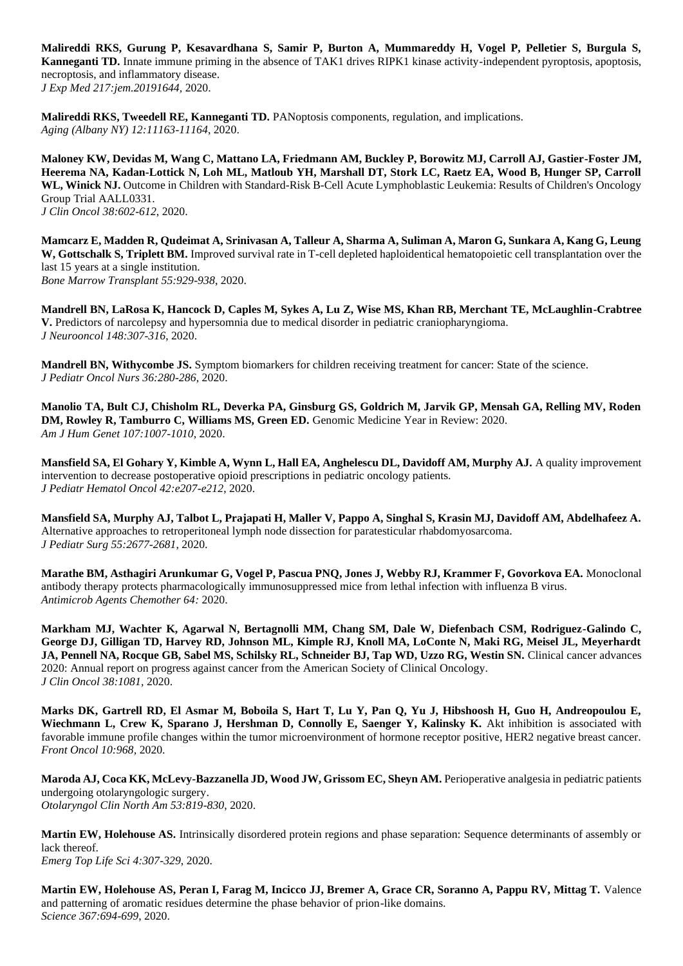**Malireddi RKS, Gurung P, Kesavardhana S, Samir P, Burton A, Mummareddy H, Vogel P, Pelletier S, Burgula S, Kanneganti TD.** Innate immune priming in the absence of TAK1 drives RIPK1 kinase activity-independent pyroptosis, apoptosis, necroptosis, and inflammatory disease. *J Exp Med 217:jem.20191644,* 2020.

**Malireddi RKS, Tweedell RE, Kanneganti TD.** PANoptosis components, regulation, and implications. *Aging (Albany NY) 12:11163-11164*, 2020.

**Maloney KW, Devidas M, Wang C, Mattano LA, Friedmann AM, Buckley P, Borowitz MJ, Carroll AJ, Gastier-Foster JM, Heerema NA, Kadan-Lottick N, Loh ML, Matloub YH, Marshall DT, Stork LC, Raetz EA, Wood B, Hunger SP, Carroll WL, Winick NJ.** Outcome in Children with Standard-Risk B-Cell Acute Lymphoblastic Leukemia: Results of Children's Oncology Group Trial AALL0331. *J Clin Oncol 38:602-612*, 2020.

**Mamcarz E, Madden R, Qudeimat A, Srinivasan A, Talleur A, Sharma A, Suliman A, Maron G, Sunkara A, Kang G, Leung W, Gottschalk S, Triplett BM.** Improved survival rate in T-cell depleted haploidentical hematopoietic cell transplantation over the last 15 years at a single institution. *Bone Marrow Transplant 55:929-938*, 2020.

**Mandrell BN, LaRosa K, Hancock D, Caples M, Sykes A, Lu Z, Wise MS, Khan RB, Merchant TE, McLaughlin-Crabtree V.** Predictors of narcolepsy and hypersomnia due to medical disorder in pediatric craniopharyngioma. *J Neurooncol 148:307-316*, 2020.

**Mandrell BN, Withycombe JS.** Symptom biomarkers for children receiving treatment for cancer: State of the science. *J Pediatr Oncol Nurs 36:280-286*, 2020.

**Manolio TA, Bult CJ, Chisholm RL, Deverka PA, Ginsburg GS, Goldrich M, Jarvik GP, Mensah GA, Relling MV, Roden DM, Rowley R, Tamburro C, Williams MS, Green ED.** Genomic Medicine Year in Review: 2020. *Am J Hum Genet 107:1007-1010*, 2020.

**Mansfield SA, El Gohary Y, Kimble A, Wynn L, Hall EA, Anghelescu DL, Davidoff AM, Murphy AJ.** A quality improvement intervention to decrease postoperative opioid prescriptions in pediatric oncology patients. *J Pediatr Hematol Oncol 42:e207-e212*, 2020.

**Mansfield SA, Murphy AJ, Talbot L, Prajapati H, Maller V, Pappo A, Singhal S, Krasin MJ, Davidoff AM, Abdelhafeez A.**  Alternative approaches to retroperitoneal lymph node dissection for paratesticular rhabdomyosarcoma. *J Pediatr Surg 55:2677-2681*, 2020.

**Marathe BM, Asthagiri Arunkumar G, Vogel P, Pascua PNQ, Jones J, Webby RJ, Krammer F, Govorkova EA.** Monoclonal antibody therapy protects pharmacologically immunosuppressed mice from lethal infection with influenza B virus. *Antimicrob Agents Chemother 64:* 2020.

**Markham MJ, Wachter K, Agarwal N, Bertagnolli MM, Chang SM, Dale W, Diefenbach CSM, Rodriguez-Galindo C, George DJ, Gilligan TD, Harvey RD, Johnson ML, Kimple RJ, Knoll MA, LoConte N, Maki RG, Meisel JL, Meyerhardt**  JA, Pennell NA, Rocque GB, Sabel MS, Schilsky RL, Schneider BJ, Tap WD, Uzzo RG, Westin SN. Clinical cancer advances 2020: Annual report on progress against cancer from the American Society of Clinical Oncology. *J Clin Oncol 38:1081,* 2020.

**Marks DK, Gartrell RD, El Asmar M, Boboila S, Hart T, Lu Y, Pan Q, Yu J, Hibshoosh H, Guo H, Andreopoulou E,**  Wiechmann L, Crew K, Sparano J, Hershman D, Connolly E, Saenger Y, Kalinsky K. Akt inhibition is associated with favorable immune profile changes within the tumor microenvironment of hormone receptor positive, HER2 negative breast cancer. *Front Oncol 10:968,* 2020.

**Maroda AJ, Coca KK, McLevy-Bazzanella JD, Wood JW, Grissom EC, Sheyn AM.** Perioperative analgesia in pediatric patients undergoing otolaryngologic surgery. *Otolaryngol Clin North Am 53:819-830*, 2020.

**Martin EW, Holehouse AS.** Intrinsically disordered protein regions and phase separation: Sequence determinants of assembly or lack thereof. *Emerg Top Life Sci 4:307-329*, 2020.

**Martin EW, Holehouse AS, Peran I, Farag M, Incicco JJ, Bremer A, Grace CR, Soranno A, Pappu RV, Mittag T.** Valence and patterning of aromatic residues determine the phase behavior of prion-like domains. *Science 367:694-699*, 2020.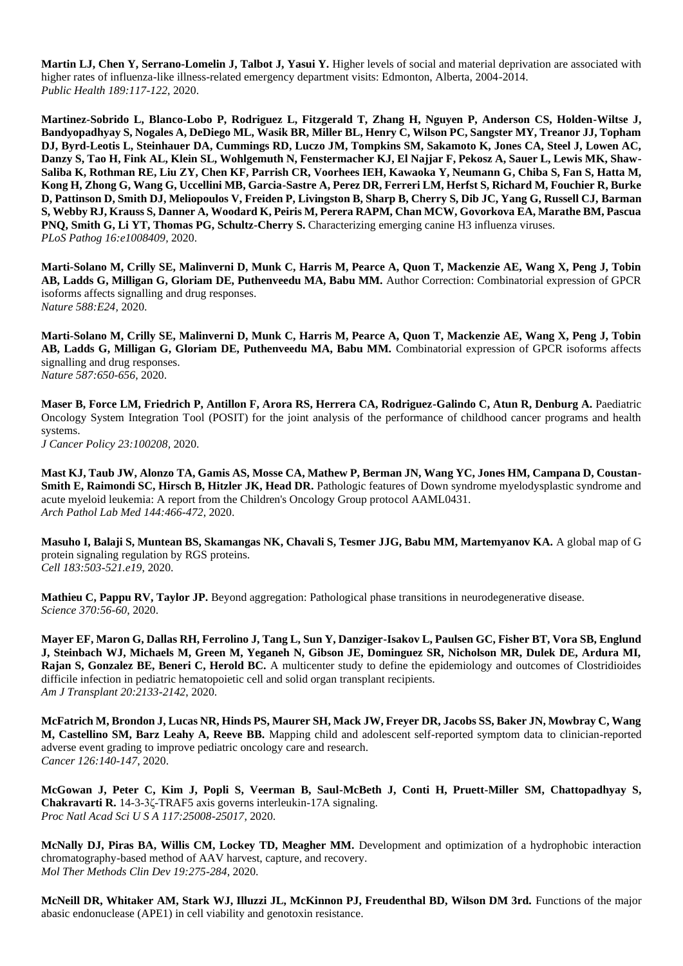**Martin LJ, Chen Y, Serrano-Lomelin J, Talbot J, Yasui Y.** Higher levels of social and material deprivation are associated with higher rates of influenza-like illness-related emergency department visits: Edmonton, Alberta, 2004-2014. *Public Health 189:117-122*, 2020.

**Martinez-Sobrido L, Blanco-Lobo P, Rodriguez L, Fitzgerald T, Zhang H, Nguyen P, Anderson CS, Holden-Wiltse J, Bandyopadhyay S, Nogales A, DeDiego ML, Wasik BR, Miller BL, Henry C, Wilson PC, Sangster MY, Treanor JJ, Topham DJ, Byrd-Leotis L, Steinhauer DA, Cummings RD, Luczo JM, Tompkins SM, Sakamoto K, Jones CA, Steel J, Lowen AC, Danzy S, Tao H, Fink AL, Klein SL, Wohlgemuth N, Fenstermacher KJ, El Najjar F, Pekosz A, Sauer L, Lewis MK, Shaw-Saliba K, Rothman RE, Liu ZY, Chen KF, Parrish CR, Voorhees IEH, Kawaoka Y, Neumann G, Chiba S, Fan S, Hatta M, Kong H, Zhong G, Wang G, Uccellini MB, Garcia-Sastre A, Perez DR, Ferreri LM, Herfst S, Richard M, Fouchier R, Burke D, Pattinson D, Smith DJ, Meliopoulos V, Freiden P, Livingston B, Sharp B, Cherry S, Dib JC, Yang G, Russell CJ, Barman S, Webby RJ, Krauss S, Danner A, Woodard K, Peiris M, Perera RAPM, Chan MCW, Govorkova EA, Marathe BM, Pascua PNQ, Smith G, Li YT, Thomas PG, Schultz-Cherry S.** Characterizing emerging canine H3 influenza viruses. *PLoS Pathog 16:e1008409,* 2020.

**Marti-Solano M, Crilly SE, Malinverni D, Munk C, Harris M, Pearce A, Quon T, Mackenzie AE, Wang X, Peng J, Tobin AB, Ladds G, Milligan G, Gloriam DE, Puthenveedu MA, Babu MM.** Author Correction: Combinatorial expression of GPCR isoforms affects signalling and drug responses. *Nature 588:E24,* 2020.

**Marti-Solano M, Crilly SE, Malinverni D, Munk C, Harris M, Pearce A, Quon T, Mackenzie AE, Wang X, Peng J, Tobin AB, Ladds G, Milligan G, Gloriam DE, Puthenveedu MA, Babu MM.** Combinatorial expression of GPCR isoforms affects signalling and drug responses. *Nature 587:650-656*, 2020.

**Maser B, Force LM, Friedrich P, Antillon F, Arora RS, Herrera CA, Rodriguez-Galindo C, Atun R, Denburg A. Paediatric** Oncology System Integration Tool (POSIT) for the joint analysis of the performance of childhood cancer programs and health systems.

*J Cancer Policy 23:100208,* 2020.

**Mast KJ, Taub JW, Alonzo TA, Gamis AS, Mosse CA, Mathew P, Berman JN, Wang YC, Jones HM, Campana D, Coustan-Smith E, Raimondi SC, Hirsch B, Hitzler JK, Head DR.** Pathologic features of Down syndrome myelodysplastic syndrome and acute myeloid leukemia: A report from the Children's Oncology Group protocol AAML0431. *Arch Pathol Lab Med 144:466-472*, 2020.

**Masuho I, Balaji S, Muntean BS, Skamangas NK, Chavali S, Tesmer JJG, Babu MM, Martemyanov KA.** A global map of G protein signaling regulation by RGS proteins. *Cell 183:503-521.e19*, 2020.

**Mathieu C, Pappu RV, Taylor JP.** Beyond aggregation: Pathological phase transitions in neurodegenerative disease. *Science 370:56-60*, 2020.

**Mayer EF, Maron G, Dallas RH, Ferrolino J, Tang L, Sun Y, Danziger-Isakov L, Paulsen GC, Fisher BT, Vora SB, Englund J, Steinbach WJ, Michaels M, Green M, Yeganeh N, Gibson JE, Dominguez SR, Nicholson MR, Dulek DE, Ardura MI, Rajan S, Gonzalez BE, Beneri C, Herold BC.** A multicenter study to define the epidemiology and outcomes of Clostridioides difficile infection in pediatric hematopoietic cell and solid organ transplant recipients. *Am J Transplant 20:2133-2142*, 2020.

**McFatrich M, Brondon J, Lucas NR, Hinds PS, Maurer SH, Mack JW, Freyer DR, Jacobs SS, Baker JN, Mowbray C, Wang M, Castellino SM, Barz Leahy A, Reeve BB.** Mapping child and adolescent self-reported symptom data to clinician-reported adverse event grading to improve pediatric oncology care and research. *Cancer 126:140-147*, 2020.

**McGowan J, Peter C, Kim J, Popli S, Veerman B, Saul-McBeth J, Conti H, Pruett-Miller SM, Chattopadhyay S, Chakravarti R.** 14-3-3ζ-TRAF5 axis governs interleukin-17A signaling. *Proc Natl Acad Sci U S A 117:25008-25017*, 2020.

**McNally DJ, Piras BA, Willis CM, Lockey TD, Meagher MM.** Development and optimization of a hydrophobic interaction chromatography-based method of AAV harvest, capture, and recovery. *Mol Ther Methods Clin Dev 19:275-284*, 2020.

**McNeill DR, Whitaker AM, Stark WJ, Illuzzi JL, McKinnon PJ, Freudenthal BD, Wilson DM 3rd.** Functions of the major abasic endonuclease (APE1) in cell viability and genotoxin resistance.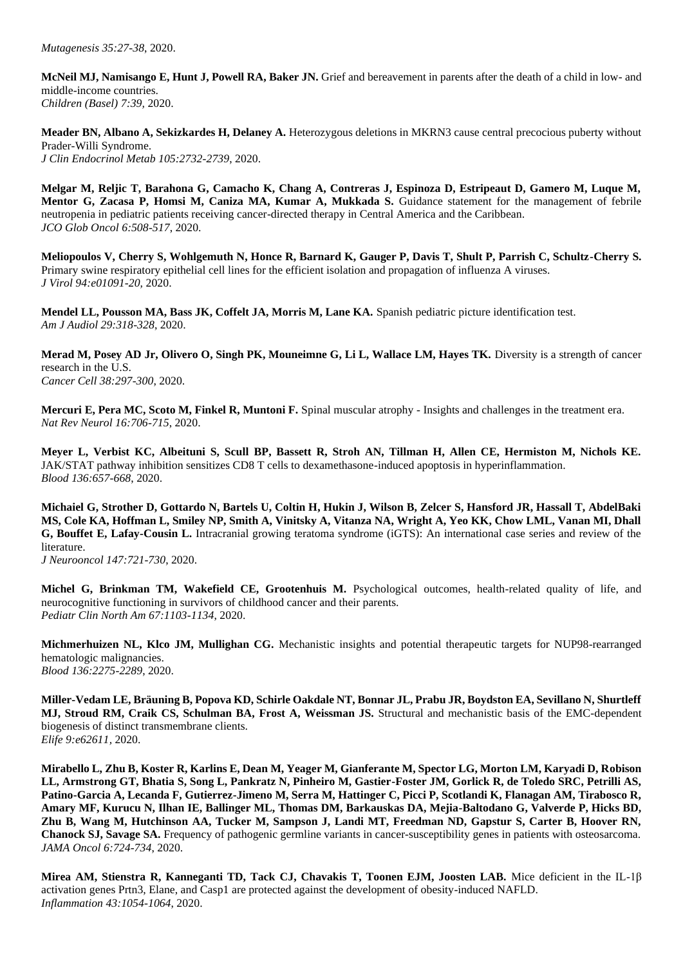**McNeil MJ, Namisango E, Hunt J, Powell RA, Baker JN.** Grief and bereavement in parents after the death of a child in low- and middle-income countries. *Children (Basel) 7:39,* 2020.

**Meader BN, Albano A, Sekizkardes H, Delaney A.** Heterozygous deletions in MKRN3 cause central precocious puberty without Prader-Willi Syndrome. *J Clin Endocrinol Metab 105:2732-2739*, 2020.

**Melgar M, Reljic T, Barahona G, Camacho K, Chang A, Contreras J, Espinoza D, Estripeaut D, Gamero M, Luque M,**  Mentor G, Zacasa P, Homsi M, Caniza MA, Kumar A, Mukkada S. Guidance statement for the management of febrile neutropenia in pediatric patients receiving cancer-directed therapy in Central America and the Caribbean. *JCO Glob Oncol 6:508-517*, 2020.

**Meliopoulos V, Cherry S, Wohlgemuth N, Honce R, Barnard K, Gauger P, Davis T, Shult P, Parrish C, Schultz-Cherry S.**  Primary swine respiratory epithelial cell lines for the efficient isolation and propagation of influenza A viruses. *J Virol 94:e01091-20,* 2020.

**Mendel LL, Pousson MA, Bass JK, Coffelt JA, Morris M, Lane KA.** Spanish pediatric picture identification test. *Am J Audiol 29:318-328*, 2020.

**Merad M, Posey AD Jr, Olivero O, Singh PK, Mouneimne G, Li L, Wallace LM, Hayes TK.** Diversity is a strength of cancer research in the U.S. *Cancer Cell 38:297-300*, 2020.

**Mercuri E, Pera MC, Scoto M, Finkel R, Muntoni F.** Spinal muscular atrophy - Insights and challenges in the treatment era. *Nat Rev Neurol 16:706-715*, 2020.

**Meyer L, Verbist KC, Albeituni S, Scull BP, Bassett R, Stroh AN, Tillman H, Allen CE, Hermiston M, Nichols KE.**  JAK/STAT pathway inhibition sensitizes CD8 T cells to dexamethasone-induced apoptosis in hyperinflammation. *Blood 136:657-668*, 2020.

**Michaiel G, Strother D, Gottardo N, Bartels U, Coltin H, Hukin J, Wilson B, Zelcer S, Hansford JR, Hassall T, AbdelBaki MS, Cole KA, Hoffman L, Smiley NP, Smith A, Vinitsky A, Vitanza NA, Wright A, Yeo KK, Chow LML, Vanan MI, Dhall G, Bouffet E, Lafay-Cousin L.** Intracranial growing teratoma syndrome (iGTS): An international case series and review of the literature.

*J Neurooncol 147:721-730*, 2020.

**Michel G, Brinkman TM, Wakefield CE, Grootenhuis M.** Psychological outcomes, health-related quality of life, and neurocognitive functioning in survivors of childhood cancer and their parents. *Pediatr Clin North Am 67:1103-1134*, 2020.

**Michmerhuizen NL, Klco JM, Mullighan CG.** Mechanistic insights and potential therapeutic targets for NUP98-rearranged hematologic malignancies. *Blood 136:2275-2289*, 2020.

**Miller-Vedam LE, Bräuning B, Popova KD, Schirle Oakdale NT, Bonnar JL, Prabu JR, Boydston EA, Sevillano N, Shurtleff MJ, Stroud RM, Craik CS, Schulman BA, Frost A, Weissman JS.** Structural and mechanistic basis of the EMC-dependent biogenesis of distinct transmembrane clients. *Elife 9:e62611,* 2020.

**Mirabello L, Zhu B, Koster R, Karlins E, Dean M, Yeager M, Gianferante M, Spector LG, Morton LM, Karyadi D, Robison LL, Armstrong GT, Bhatia S, Song L, Pankratz N, Pinheiro M, Gastier-Foster JM, Gorlick R, de Toledo SRC, Petrilli AS, Patino-Garcia A, Lecanda F, Gutierrez-Jimeno M, Serra M, Hattinger C, Picci P, Scotlandi K, Flanagan AM, Tirabosco R, Amary MF, Kurucu N, Ilhan IE, Ballinger ML, Thomas DM, Barkauskas DA, Mejia-Baltodano G, Valverde P, Hicks BD, Zhu B, Wang M, Hutchinson AA, Tucker M, Sampson J, Landi MT, Freedman ND, Gapstur S, Carter B, Hoover RN, Chanock SJ, Savage SA.** Frequency of pathogenic germline variants in cancer-susceptibility genes in patients with osteosarcoma. *JAMA Oncol 6:724-734*, 2020.

**Mirea AM, Stienstra R, Kanneganti TD, Tack CJ, Chavakis T, Toonen EJM, Joosten LAB.** Mice deficient in the IL-1β activation genes Prtn3, Elane, and Casp1 are protected against the development of obesity-induced NAFLD. *Inflammation 43:1054-1064*, 2020.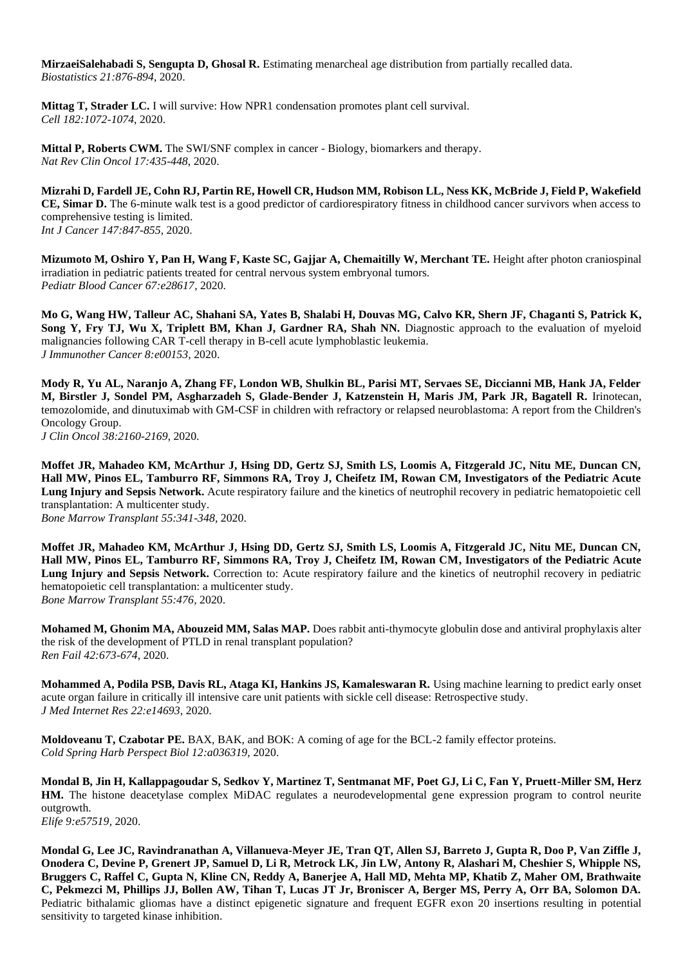**MirzaeiSalehabadi S, Sengupta D, Ghosal R.** Estimating menarcheal age distribution from partially recalled data. *Biostatistics 21:876-894*, 2020.

**Mittag T, Strader LC.** I will survive: How NPR1 condensation promotes plant cell survival. *Cell 182:1072-1074*, 2020.

**Mittal P, Roberts CWM.** The SWI/SNF complex in cancer - Biology, biomarkers and therapy. *Nat Rev Clin Oncol 17:435-448*, 2020.

**Mizrahi D, Fardell JE, Cohn RJ, Partin RE, Howell CR, Hudson MM, Robison LL, Ness KK, McBride J, Field P, Wakefield CE, Simar D.** The 6-minute walk test is a good predictor of cardiorespiratory fitness in childhood cancer survivors when access to comprehensive testing is limited. *Int J Cancer 147:847-855*, 2020.

**Mizumoto M, Oshiro Y, Pan H, Wang F, Kaste SC, Gajjar A, Chemaitilly W, Merchant TE.** Height after photon craniospinal irradiation in pediatric patients treated for central nervous system embryonal tumors. *Pediatr Blood Cancer 67:e28617,* 2020.

**Mo G, Wang HW, Talleur AC, Shahani SA, Yates B, Shalabi H, Douvas MG, Calvo KR, Shern JF, Chaganti S, Patrick K, Song Y, Fry TJ, Wu X, Triplett BM, Khan J, Gardner RA, Shah NN.** Diagnostic approach to the evaluation of myeloid malignancies following CAR T-cell therapy in B-cell acute lymphoblastic leukemia. *J Immunother Cancer 8:e00153,* 2020.

**Mody R, Yu AL, Naranjo A, Zhang FF, London WB, Shulkin BL, Parisi MT, Servaes SE, Diccianni MB, Hank JA, Felder M, Birstler J, Sondel PM, Asgharzadeh S, Glade-Bender J, Katzenstein H, Maris JM, Park JR, Bagatell R.** Irinotecan, temozolomide, and dinutuximab with GM-CSF in children with refractory or relapsed neuroblastoma: A report from the Children's Oncology Group. *J Clin Oncol 38:2160-2169*, 2020.

**Moffet JR, Mahadeo KM, McArthur J, Hsing DD, Gertz SJ, Smith LS, Loomis A, Fitzgerald JC, Nitu ME, Duncan CN, Hall MW, Pinos EL, Tamburro RF, Simmons RA, Troy J, Cheifetz IM, Rowan CM, Investigators of the Pediatric Acute Lung Injury and Sepsis Network.** Acute respiratory failure and the kinetics of neutrophil recovery in pediatric hematopoietic cell transplantation: A multicenter study.

*Bone Marrow Transplant 55:341-348*, 2020.

**Moffet JR, Mahadeo KM, McArthur J, Hsing DD, Gertz SJ, Smith LS, Loomis A, Fitzgerald JC, Nitu ME, Duncan CN, Hall MW, Pinos EL, Tamburro RF, Simmons RA, Troy J, Cheifetz IM, Rowan CM, Investigators of the Pediatric Acute Lung Injury and Sepsis Network.** Correction to: Acute respiratory failure and the kinetics of neutrophil recovery in pediatric hematopoietic cell transplantation: a multicenter study. *Bone Marrow Transplant 55:476,* 2020.

**Mohamed M, Ghonim MA, Abouzeid MM, Salas MAP.** Does rabbit anti-thymocyte globulin dose and antiviral prophylaxis alter the risk of the development of PTLD in renal transplant population? *Ren Fail 42:673-674*, 2020.

**Mohammed A, Podila PSB, Davis RL, Ataga KI, Hankins JS, Kamaleswaran R.** Using machine learning to predict early onset acute organ failure in critically ill intensive care unit patients with sickle cell disease: Retrospective study. *J Med Internet Res 22:e14693,* 2020.

**Moldoveanu T, Czabotar PE.** BAX, BAK, and BOK: A coming of age for the BCL-2 family effector proteins. *Cold Spring Harb Perspect Biol 12:a036319,* 2020.

**Mondal B, Jin H, Kallappagoudar S, Sedkov Y, Martinez T, Sentmanat MF, Poet GJ, Li C, Fan Y, Pruett-Miller SM, Herz HM.** The histone deacetylase complex MiDAC regulates a neurodevelopmental gene expression program to control neurite outgrowth. *Elife 9:e57519,* 2020.

**Mondal G, Lee JC, Ravindranathan A, Villanueva-Meyer JE, Tran QT, Allen SJ, Barreto J, Gupta R, Doo P, Van Ziffle J, Onodera C, Devine P, Grenert JP, Samuel D, Li R, Metrock LK, Jin LW, Antony R, Alashari M, Cheshier S, Whipple NS, Bruggers C, Raffel C, Gupta N, Kline CN, Reddy A, Banerjee A, Hall MD, Mehta MP, Khatib Z, Maher OM, Brathwaite C, Pekmezci M, Phillips JJ, Bollen AW, Tihan T, Lucas JT Jr, Broniscer A, Berger MS, Perry A, Orr BA, Solomon DA.**  Pediatric bithalamic gliomas have a distinct epigenetic signature and frequent EGFR exon 20 insertions resulting in potential sensitivity to targeted kinase inhibition.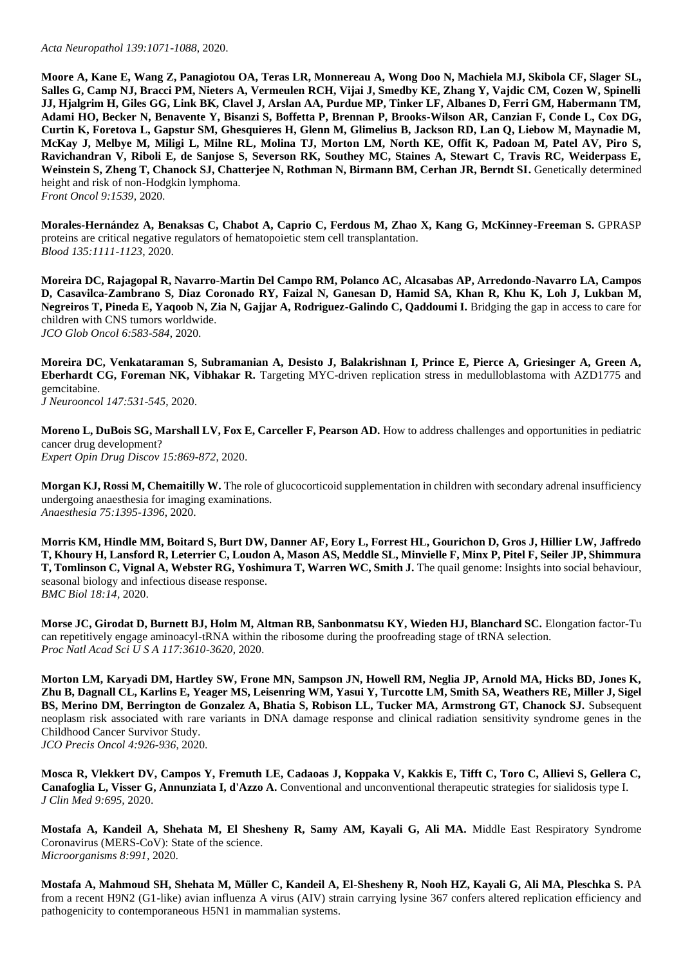## *Acta Neuropathol 139:1071-1088*, 2020.

**Moore A, Kane E, Wang Z, Panagiotou OA, Teras LR, Monnereau A, Wong Doo N, Machiela MJ, Skibola CF, Slager SL, Salles G, Camp NJ, Bracci PM, Nieters A, Vermeulen RCH, Vijai J, Smedby KE, Zhang Y, Vajdic CM, Cozen W, Spinelli JJ, Hjalgrim H, Giles GG, Link BK, Clavel J, Arslan AA, Purdue MP, Tinker LF, Albanes D, Ferri GM, Habermann TM, Adami HO, Becker N, Benavente Y, Bisanzi S, Boffetta P, Brennan P, Brooks-Wilson AR, Canzian F, Conde L, Cox DG, Curtin K, Foretova L, Gapstur SM, Ghesquieres H, Glenn M, Glimelius B, Jackson RD, Lan Q, Liebow M, Maynadie M, McKay J, Melbye M, Miligi L, Milne RL, Molina TJ, Morton LM, North KE, Offit K, Padoan M, Patel AV, Piro S, Ravichandran V, Riboli E, de Sanjose S, Severson RK, Southey MC, Staines A, Stewart C, Travis RC, Weiderpass E,**  Weinstein S, Zheng T, Chanock SJ, Chatterjee N, Rothman N, Birmann BM, Cerhan JR, Berndt SI. Genetically determined height and risk of non-Hodgkin lymphoma. *Front Oncol 9:1539,* 2020.

**Morales-Hernández A, Benaksas C, Chabot A, Caprio C, Ferdous M, Zhao X, Kang G, McKinney-Freeman S.** GPRASP proteins are critical negative regulators of hematopoietic stem cell transplantation. *Blood 135:1111-1123*, 2020.

**Moreira DC, Rajagopal R, Navarro-Martin Del Campo RM, Polanco AC, Alcasabas AP, Arredondo-Navarro LA, Campos D, Casavilca-Zambrano S, Diaz Coronado RY, Faizal N, Ganesan D, Hamid SA, Khan R, Khu K, Loh J, Lukban M, Negreiros T, Pineda E, Yaqoob N, Zia N, Gajjar A, Rodriguez-Galindo C, Qaddoumi I.** Bridging the gap in access to care for children with CNS tumors worldwide. *JCO Glob Oncol 6:583-584*, 2020.

**Moreira DC, Venkataraman S, Subramanian A, Desisto J, Balakrishnan I, Prince E, Pierce A, Griesinger A, Green A, Eberhardt CG, Foreman NK, Vibhakar R.** Targeting MYC-driven replication stress in medulloblastoma with AZD1775 and gemcitabine.

*J Neurooncol 147:531-545*, 2020.

**Moreno L, DuBois SG, Marshall LV, Fox E, Carceller F, Pearson AD.** How to address challenges and opportunities in pediatric cancer drug development? *Expert Opin Drug Discov 15:869-872*, 2020.

**Morgan KJ, Rossi M, Chemaitilly W.** The role of glucocorticoid supplementation in children with secondary adrenal insufficiency undergoing anaesthesia for imaging examinations. *Anaesthesia 75:1395-1396*, 2020.

**Morris KM, Hindle MM, Boitard S, Burt DW, Danner AF, Eory L, Forrest HL, Gourichon D, Gros J, Hillier LW, Jaffredo T, Khoury H, Lansford R, Leterrier C, Loudon A, Mason AS, Meddle SL, Minvielle F, Minx P, Pitel F, Seiler JP, Shimmura T, Tomlinson C, Vignal A, Webster RG, Yoshimura T, Warren WC, Smith J.** The quail genome: Insights into social behaviour, seasonal biology and infectious disease response. *BMC Biol 18:14,* 2020.

**Morse JC, Girodat D, Burnett BJ, Holm M, Altman RB, Sanbonmatsu KY, Wieden HJ, Blanchard SC.** Elongation factor-Tu can repetitively engage aminoacyl-tRNA within the ribosome during the proofreading stage of tRNA selection. *Proc Natl Acad Sci U S A 117:3610-3620*, 2020.

**Morton LM, Karyadi DM, Hartley SW, Frone MN, Sampson JN, Howell RM, Neglia JP, Arnold MA, Hicks BD, Jones K, Zhu B, Dagnall CL, Karlins E, Yeager MS, Leisenring WM, Yasui Y, Turcotte LM, Smith SA, Weathers RE, Miller J, Sigel BS, Merino DM, Berrington de Gonzalez A, Bhatia S, Robison LL, Tucker MA, Armstrong GT, Chanock SJ.** Subsequent neoplasm risk associated with rare variants in DNA damage response and clinical radiation sensitivity syndrome genes in the Childhood Cancer Survivor Study. *JCO Precis Oncol 4:926-936*, 2020.

**Mosca R, Vlekkert DV, Campos Y, Fremuth LE, Cadaoas J, Koppaka V, Kakkis E, Tifft C, Toro C, Allievi S, Gellera C, Canafoglia L, Visser G, Annunziata I, d'Azzo A.** Conventional and unconventional therapeutic strategies for sialidosis type I. *J Clin Med 9:695,* 2020.

**Mostafa A, Kandeil A, Shehata M, El Shesheny R, Samy AM, Kayali G, Ali MA.** Middle East Respiratory Syndrome Coronavirus (MERS-CoV): State of the science. *Microorganisms 8:991,* 2020.

**Mostafa A, Mahmoud SH, Shehata M, Müller C, Kandeil A, El-Shesheny R, Nooh HZ, Kayali G, Ali MA, Pleschka S.** PA from a recent H9N2 (G1-like) avian influenza A virus (AIV) strain carrying lysine 367 confers altered replication efficiency and pathogenicity to contemporaneous H5N1 in mammalian systems.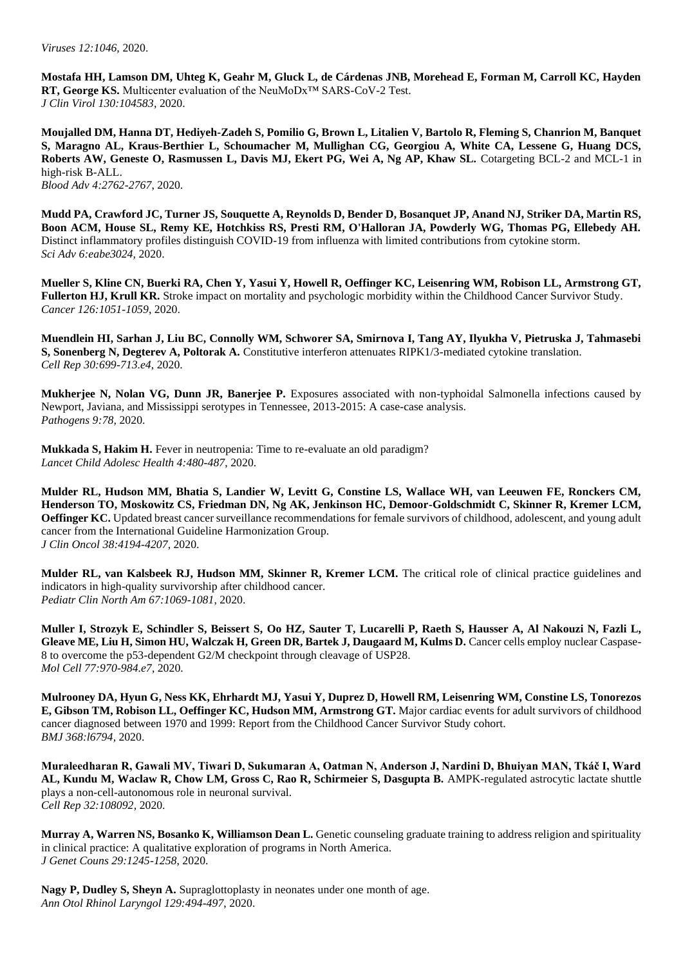**Mostafa HH, Lamson DM, Uhteg K, Geahr M, Gluck L, de Cárdenas JNB, Morehead E, Forman M, Carroll KC, Hayden RT, George KS.** Multicenter evaluation of the NeuMoDx™ SARS-CoV-2 Test. *J Clin Virol 130:104583,* 2020.

**Moujalled DM, Hanna DT, Hediyeh-Zadeh S, Pomilio G, Brown L, Litalien V, Bartolo R, Fleming S, Chanrion M, Banquet S, Maragno AL, Kraus-Berthier L, Schoumacher M, Mullighan CG, Georgiou A, White CA, Lessene G, Huang DCS, Roberts AW, Geneste O, Rasmussen L, Davis MJ, Ekert PG, Wei A, Ng AP, Khaw SL.** Cotargeting BCL-2 and MCL-1 in high-risk B-ALL. *Blood Adv 4:2762-2767*, 2020.

**Mudd PA, Crawford JC, Turner JS, Souquette A, Reynolds D, Bender D, Bosanquet JP, Anand NJ, Striker DA, Martin RS, Boon ACM, House SL, Remy KE, Hotchkiss RS, Presti RM, O'Halloran JA, Powderly WG, Thomas PG, Ellebedy AH.**  Distinct inflammatory profiles distinguish COVID-19 from influenza with limited contributions from cytokine storm. *Sci Adv 6:eabe3024,* 2020.

**Mueller S, Kline CN, Buerki RA, Chen Y, Yasui Y, Howell R, Oeffinger KC, Leisenring WM, Robison LL, Armstrong GT, Fullerton HJ, Krull KR.** Stroke impact on mortality and psychologic morbidity within the Childhood Cancer Survivor Study. *Cancer 126:1051-1059*, 2020.

**Muendlein HI, Sarhan J, Liu BC, Connolly WM, Schworer SA, Smirnova I, Tang AY, Ilyukha V, Pietruska J, Tahmasebi S, Sonenberg N, Degterev A, Poltorak A.** Constitutive interferon attenuates RIPK1/3-mediated cytokine translation. *Cell Rep 30:699-713.e4*, 2020.

**Mukherjee N, Nolan VG, Dunn JR, Banerjee P.** Exposures associated with non-typhoidal Salmonella infections caused by Newport, Javiana, and Mississippi serotypes in Tennessee, 2013-2015: A case-case analysis. *Pathogens 9:78,* 2020.

**Mukkada S, Hakim H.** Fever in neutropenia: Time to re-evaluate an old paradigm? *Lancet Child Adolesc Health 4:480-487*, 2020.

**Mulder RL, Hudson MM, Bhatia S, Landier W, Levitt G, Constine LS, Wallace WH, van Leeuwen FE, Ronckers CM, Henderson TO, Moskowitz CS, Friedman DN, Ng AK, Jenkinson HC, Demoor-Goldschmidt C, Skinner R, Kremer LCM, Oeffinger KC.** Updated breast cancer surveillance recommendations for female survivors of childhood, adolescent, and young adult cancer from the International Guideline Harmonization Group. *J Clin Oncol 38:4194-4207*, 2020.

**Mulder RL, van Kalsbeek RJ, Hudson MM, Skinner R, Kremer LCM.** The critical role of clinical practice guidelines and indicators in high-quality survivorship after childhood cancer. *Pediatr Clin North Am 67:1069-1081*, 2020.

**Muller I, Strozyk E, Schindler S, Beissert S, Oo HZ, Sauter T, Lucarelli P, Raeth S, Hausser A, Al Nakouzi N, Fazli L,**  Gleave ME, Liu H, Simon HU, Walczak H, Green DR, Bartek J, Daugaard M, Kulms D. Cancer cells employ nuclear Caspase-8 to overcome the p53-dependent G2/M checkpoint through cleavage of USP28. *Mol Cell 77:970-984.e7*, 2020.

**Mulrooney DA, Hyun G, Ness KK, Ehrhardt MJ, Yasui Y, Duprez D, Howell RM, Leisenring WM, Constine LS, Tonorezos E, Gibson TM, Robison LL, Oeffinger KC, Hudson MM, Armstrong GT.** Major cardiac events for adult survivors of childhood cancer diagnosed between 1970 and 1999: Report from the Childhood Cancer Survivor Study cohort. *BMJ 368:l6794,* 2020.

**Muraleedharan R, Gawali MV, Tiwari D, Sukumaran A, Oatman N, Anderson J, Nardini D, Bhuiyan MAN, Tkáč I, Ward AL, Kundu M, Waclaw R, Chow LM, Gross C, Rao R, Schirmeier S, Dasgupta B.** AMPK-regulated astrocytic lactate shuttle plays a non-cell-autonomous role in neuronal survival. *Cell Rep 32:108092,* 2020.

**Murray A, Warren NS, Bosanko K, Williamson Dean L.** Genetic counseling graduate training to address religion and spirituality in clinical practice: A qualitative exploration of programs in North America. *J Genet Couns 29:1245-1258*, 2020.

**Nagy P, Dudley S, Sheyn A.** Supraglottoplasty in neonates under one month of age. *Ann Otol Rhinol Laryngol 129:494-497*, 2020.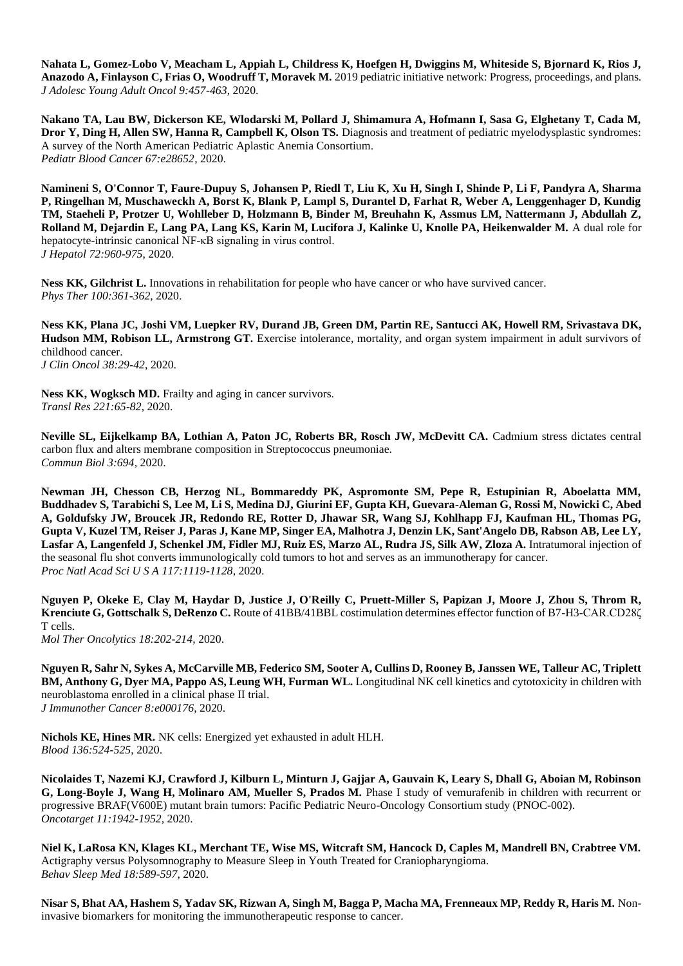**Nahata L, Gomez-Lobo V, Meacham L, Appiah L, Childress K, Hoefgen H, Dwiggins M, Whiteside S, Bjornard K, Rios J, Anazodo A, Finlayson C, Frias O, Woodruff T, Moravek M.** 2019 pediatric initiative network: Progress, proceedings, and plans. *J Adolesc Young Adult Oncol 9:457-463*, 2020.

**Nakano TA, Lau BW, Dickerson KE, Wlodarski M, Pollard J, Shimamura A, Hofmann I, Sasa G, Elghetany T, Cada M, Dror Y, Ding H, Allen SW, Hanna R, Campbell K, Olson TS.** Diagnosis and treatment of pediatric myelodysplastic syndromes: A survey of the North American Pediatric Aplastic Anemia Consortium. *Pediatr Blood Cancer 67:e28652,* 2020.

**Namineni S, O'Connor T, Faure-Dupuy S, Johansen P, Riedl T, Liu K, Xu H, Singh I, Shinde P, Li F, Pandyra A, Sharma P, Ringelhan M, Muschaweckh A, Borst K, Blank P, Lampl S, Durantel D, Farhat R, Weber A, Lenggenhager D, Kundig TM, Staeheli P, Protzer U, Wohlleber D, Holzmann B, Binder M, Breuhahn K, Assmus LM, Nattermann J, Abdullah Z, Rolland M, Dejardin E, Lang PA, Lang KS, Karin M, Lucifora J, Kalinke U, Knolle PA, Heikenwalder M.** A dual role for hepatocyte-intrinsic canonical NF-κB signaling in virus control. *J Hepatol 72:960-975*, 2020.

Ness KK, Gilchrist L. Innovations in rehabilitation for people who have cancer or who have survived cancer. *Phys Ther 100:361-362*, 2020.

**Ness KK, Plana JC, Joshi VM, Luepker RV, Durand JB, Green DM, Partin RE, Santucci AK, Howell RM, Srivastava DK, Hudson MM, Robison LL, Armstrong GT.** Exercise intolerance, mortality, and organ system impairment in adult survivors of childhood cancer. *J Clin Oncol 38:29-42*, 2020.

Ness KK, Wogksch MD. Frailty and aging in cancer survivors. *Transl Res 221:65-82*, 2020.

**Neville SL, Eijkelkamp BA, Lothian A, Paton JC, Roberts BR, Rosch JW, McDevitt CA.** Cadmium stress dictates central carbon flux and alters membrane composition in Streptococcus pneumoniae. *Commun Biol 3:694,* 2020.

**Newman JH, Chesson CB, Herzog NL, Bommareddy PK, Aspromonte SM, Pepe R, Estupinian R, Aboelatta MM, Buddhadev S, Tarabichi S, Lee M, Li S, Medina DJ, Giurini EF, Gupta KH, Guevara-Aleman G, Rossi M, Nowicki C, Abed A, Goldufsky JW, Broucek JR, Redondo RE, Rotter D, Jhawar SR, Wang SJ, Kohlhapp FJ, Kaufman HL, Thomas PG, Gupta V, Kuzel TM, Reiser J, Paras J, Kane MP, Singer EA, Malhotra J, Denzin LK, Sant'Angelo DB, Rabson AB, Lee LY, Lasfar A, Langenfeld J, Schenkel JM, Fidler MJ, Ruiz ES, Marzo AL, Rudra JS, Silk AW, Zloza A.** Intratumoral injection of the seasonal flu shot converts immunologically cold tumors to hot and serves as an immunotherapy for cancer. *Proc Natl Acad Sci U S A 117:1119-1128*, 2020.

**Nguyen P, Okeke E, Clay M, Haydar D, Justice J, O'Reilly C, Pruett-Miller S, Papizan J, Moore J, Zhou S, Throm R, Krenciute G, Gottschalk S, DeRenzo C.** Route of 41BB/41BBL costimulation determines effector function of B7-H3-CAR.CD28ζ T cells.

*Mol Ther Oncolytics 18:202-214*, 2020.

**Nguyen R, Sahr N, Sykes A, McCarville MB, Federico SM, Sooter A, Cullins D, Rooney B, Janssen WE, Talleur AC, Triplett BM, Anthony G, Dyer MA, Pappo AS, Leung WH, Furman WL.** Longitudinal NK cell kinetics and cytotoxicity in children with neuroblastoma enrolled in a clinical phase II trial. *J Immunother Cancer 8:e000176,* 2020.

**Nichols KE, Hines MR.** NK cells: Energized yet exhausted in adult HLH. *Blood 136:524-525*, 2020.

**Nicolaides T, Nazemi KJ, Crawford J, Kilburn L, Minturn J, Gajjar A, Gauvain K, Leary S, Dhall G, Aboian M, Robinson G. Long-Boyle J. Wang H. Molinaro AM, Mueller S. Prados M.** Phase I study of vemurafenib in children with recurrent or progressive BRAF(V600E) mutant brain tumors: Pacific Pediatric Neuro-Oncology Consortium study (PNOC-002). *Oncotarget 11:1942-1952*, 2020.

**Niel K, LaRosa KN, Klages KL, Merchant TE, Wise MS, Witcraft SM, Hancock D, Caples M, Mandrell BN, Crabtree VM.**  Actigraphy versus Polysomnography to Measure Sleep in Youth Treated for Craniopharyngioma. *Behav Sleep Med 18:589-597*, 2020.

**Nisar S, Bhat AA, Hashem S, Yadav SK, Rizwan A, Singh M, Bagga P, Macha MA, Frenneaux MP, Reddy R, Haris M.** Noninvasive biomarkers for monitoring the immunotherapeutic response to cancer.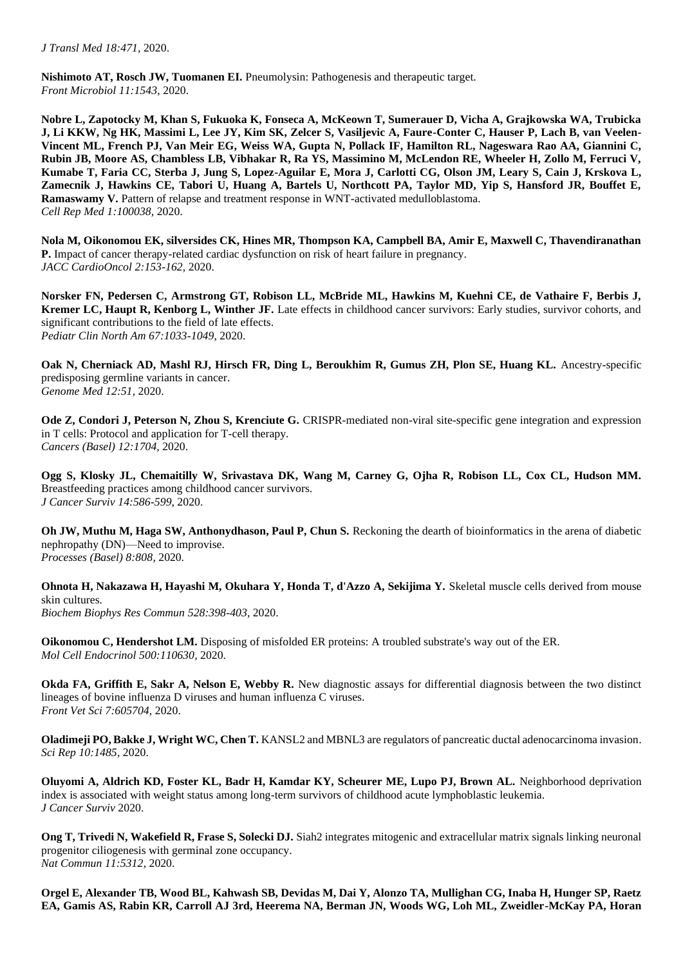**Nishimoto AT, Rosch JW, Tuomanen EI.** Pneumolysin: Pathogenesis and therapeutic target. *Front Microbiol 11:1543,* 2020.

**Nobre L, Zapotocky M, Khan S, Fukuoka K, Fonseca A, McKeown T, Sumerauer D, Vicha A, Grajkowska WA, Trubicka J, Li KKW, Ng HK, Massimi L, Lee JY, Kim SK, Zelcer S, Vasiljevic A, Faure-Conter C, Hauser P, Lach B, van Veelen-Vincent ML, French PJ, Van Meir EG, Weiss WA, Gupta N, Pollack IF, Hamilton RL, Nageswara Rao AA, Giannini C, Rubin JB, Moore AS, Chambless LB, Vibhakar R, Ra YS, Massimino M, McLendon RE, Wheeler H, Zollo M, Ferruci V, Kumabe T, Faria CC, Sterba J, Jung S, Lopez-Aguilar E, Mora J, Carlotti CG, Olson JM, Leary S, Cain J, Krskova L, Zamecnik J, Hawkins CE, Tabori U, Huang A, Bartels U, Northcott PA, Taylor MD, Yip S, Hansford JR, Bouffet E, Ramaswamy V.** Pattern of relapse and treatment response in WNT-activated medulloblastoma. *Cell Rep Med 1:100038,* 2020.

**Nola M, Oikonomou EK, silversides CK, Hines MR, Thompson KA, Campbell BA, Amir E, Maxwell C, Thavendiranathan P.** Impact of cancer therapy-related cardiac dysfunction on risk of heart failure in pregnancy. *JACC CardioOncol 2:153-162*, 2020.

**Norsker FN, Pedersen C, Armstrong GT, Robison LL, McBride ML, Hawkins M, Kuehni CE, de Vathaire F, Berbis J, Kremer LC, Haupt R, Kenborg L, Winther JF.** Late effects in childhood cancer survivors: Early studies, survivor cohorts, and significant contributions to the field of late effects. *Pediatr Clin North Am 67:1033-1049*, 2020.

**Oak N, Cherniack AD, Mashl RJ, Hirsch FR, Ding L, Beroukhim R, Gumus ZH, Plon SE, Huang KL.** Ancestry-specific predisposing germline variants in cancer. *Genome Med 12:51,* 2020.

**Ode Z, Condori J, Peterson N, Zhou S, Krenciute G.** CRISPR-mediated non-viral site-specific gene integration and expression in T cells: Protocol and application for T-cell therapy. *Cancers (Basel) 12:1704,* 2020.

**Ogg S, Klosky JL, Chemaitilly W, Srivastava DK, Wang M, Carney G, Ojha R, Robison LL, Cox CL, Hudson MM.**  Breastfeeding practices among childhood cancer survivors. *J Cancer Surviv 14:586-599*, 2020.

**Oh JW, Muthu M, Haga SW, Anthonydhason, Paul P, Chun S.** Reckoning the dearth of bioinformatics in the arena of diabetic nephropathy (DN)—Need to improvise. *Processes (Basel) 8:808,* 2020.

**Ohnota H, Nakazawa H, Hayashi M, Okuhara Y, Honda T, d'Azzo A, Sekijima Y.** Skeletal muscle cells derived from mouse skin cultures. *Biochem Biophys Res Commun 528:398-403*, 2020.

**Oikonomou C, Hendershot LM.** Disposing of misfolded ER proteins: A troubled substrate's way out of the ER. *Mol Cell Endocrinol 500:110630,* 2020.

**Okda FA, Griffith E, Sakr A, Nelson E, Webby R.** New diagnostic assays for differential diagnosis between the two distinct lineages of bovine influenza D viruses and human influenza C viruses. *Front Vet Sci 7:605704,* 2020.

**Oladimeji PO, Bakke J, Wright WC, Chen T.** KANSL2 and MBNL3 are regulators of pancreatic ductal adenocarcinoma invasion. *Sci Rep 10:1485,* 2020.

**Oluyomi A, Aldrich KD, Foster KL, Badr H, Kamdar KY, Scheurer ME, Lupo PJ, Brown AL.** Neighborhood deprivation index is associated with weight status among long-term survivors of childhood acute lymphoblastic leukemia. *J Cancer Surviv* 2020.

**Ong T, Trivedi N, Wakefield R, Frase S, Solecki DJ.** Siah2 integrates mitogenic and extracellular matrix signals linking neuronal progenitor ciliogenesis with germinal zone occupancy. *Nat Commun 11:5312,* 2020.

**Orgel E, Alexander TB, Wood BL, Kahwash SB, Devidas M, Dai Y, Alonzo TA, Mullighan CG, Inaba H, Hunger SP, Raetz EA, Gamis AS, Rabin KR, Carroll AJ 3rd, Heerema NA, Berman JN, Woods WG, Loh ML, Zweidler-McKay PA, Horan**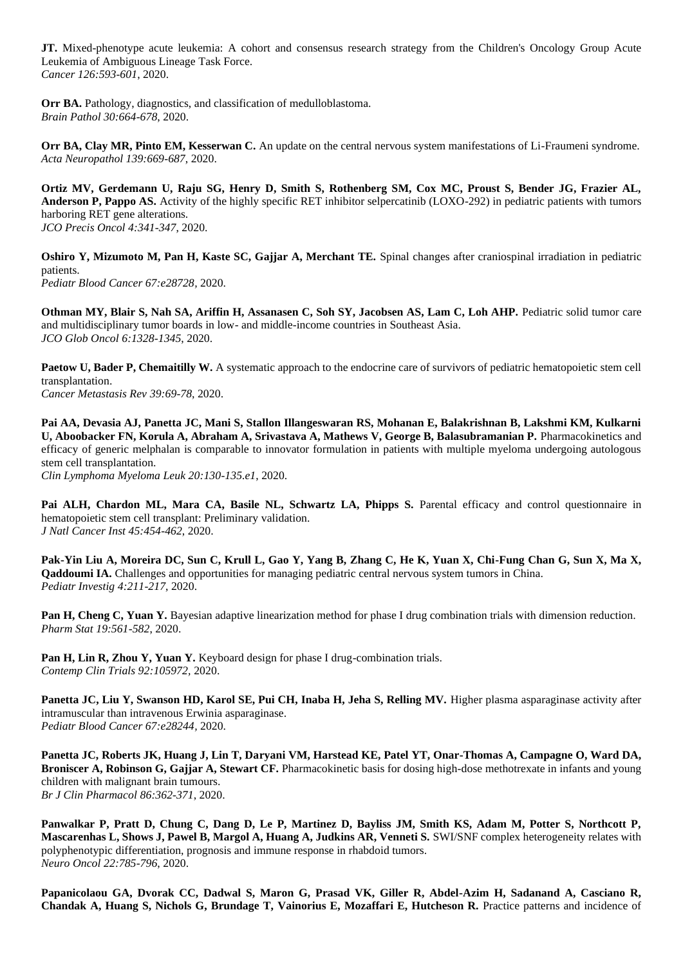**JT.** Mixed-phenotype acute leukemia: A cohort and consensus research strategy from the Children's Oncology Group Acute Leukemia of Ambiguous Lineage Task Force. *Cancer 126:593-601*, 2020.

**Orr BA.** Pathology, diagnostics, and classification of medulloblastoma. *Brain Pathol 30:664-678*, 2020.

**Orr BA, Clay MR, Pinto EM, Kesserwan C.** An update on the central nervous system manifestations of Li-Fraumeni syndrome. *Acta Neuropathol 139:669-687*, 2020.

**Ortiz MV, Gerdemann U, Raju SG, Henry D, Smith S, Rothenberg SM, Cox MC, Proust S, Bender JG, Frazier AL, Anderson P, Pappo AS.** Activity of the highly specific RET inhibitor selpercatinib (LOXO-292) in pediatric patients with tumors harboring RET gene alterations. *JCO Precis Oncol 4:341-347*, 2020.

**Oshiro Y, Mizumoto M, Pan H, Kaste SC, Gajjar A, Merchant TE.** Spinal changes after craniospinal irradiation in pediatric patients. *Pediatr Blood Cancer 67:e28728,* 2020.

**Othman MY, Blair S, Nah SA, Ariffin H, Assanasen C, Soh SY, Jacobsen AS, Lam C, Loh AHP.** Pediatric solid tumor care and multidisciplinary tumor boards in low- and middle-income countries in Southeast Asia. *JCO Glob Oncol 6:1328-1345*, 2020.

**Paetow U, Bader P, Chemaitilly W.** A systematic approach to the endocrine care of survivors of pediatric hematopoietic stem cell transplantation. *Cancer Metastasis Rev 39:69-78*, 2020.

**Pai AA, Devasia AJ, Panetta JC, Mani S, Stallon Illangeswaran RS, Mohanan E, Balakrishnan B, Lakshmi KM, Kulkarni U, Aboobacker FN, Korula A, Abraham A, Srivastava A, Mathews V, George B, Balasubramanian P.** Pharmacokinetics and efficacy of generic melphalan is comparable to innovator formulation in patients with multiple myeloma undergoing autologous stem cell transplantation.

*Clin Lymphoma Myeloma Leuk 20:130-135.e1*, 2020.

**Pai ALH, Chardon ML, Mara CA, Basile NL, Schwartz LA, Phipps S.** Parental efficacy and control questionnaire in hematopoietic stem cell transplant: Preliminary validation. *J Natl Cancer Inst 45:454-462*, 2020.

**Pak-Yin Liu A, Moreira DC, Sun C, Krull L, Gao Y, Yang B, Zhang C, He K, Yuan X, Chi-Fung Chan G, Sun X, Ma X, Qaddoumi IA.** Challenges and opportunities for managing pediatric central nervous system tumors in China. *Pediatr Investig 4:211-217*, 2020.

**Pan H, Cheng C, Yuan Y.** Bayesian adaptive linearization method for phase I drug combination trials with dimension reduction. *Pharm Stat 19:561-582*, 2020.

Pan H, Lin R, Zhou Y, Yuan Y. Keyboard design for phase I drug-combination trials. *Contemp Clin Trials 92:105972,* 2020.

Panetta JC, Liu Y, Swanson HD, Karol SE, Pui CH, Inaba H, Jeha S, Relling MV. Higher plasma asparaginase activity after intramuscular than intravenous Erwinia asparaginase. *Pediatr Blood Cancer 67:e28244,* 2020.

**Panetta JC, Roberts JK, Huang J, Lin T, Daryani VM, Harstead KE, Patel YT, Onar-Thomas A, Campagne O, Ward DA, Broniscer A, Robinson G, Gajjar A, Stewart CF.** Pharmacokinetic basis for dosing high-dose methotrexate in infants and young children with malignant brain tumours. *Br J Clin Pharmacol 86:362-371*, 2020.

**Panwalkar P, Pratt D, Chung C, Dang D, Le P, Martinez D, Bayliss JM, Smith KS, Adam M, Potter S, Northcott P,**  Mascarenhas L, Shows J, Pawel B, Margol A, Huang A, Judkins AR, Venneti S. SWI/SNF complex heterogeneity relates with polyphenotypic differentiation, prognosis and immune response in rhabdoid tumors. *Neuro Oncol 22:785-796*, 2020.

**Papanicolaou GA, Dvorak CC, Dadwal S, Maron G, Prasad VK, Giller R, Abdel-Azim H, Sadanand A, Casciano R, Chandak A, Huang S, Nichols G, Brundage T, Vainorius E, Mozaffari E, Hutcheson R.** Practice patterns and incidence of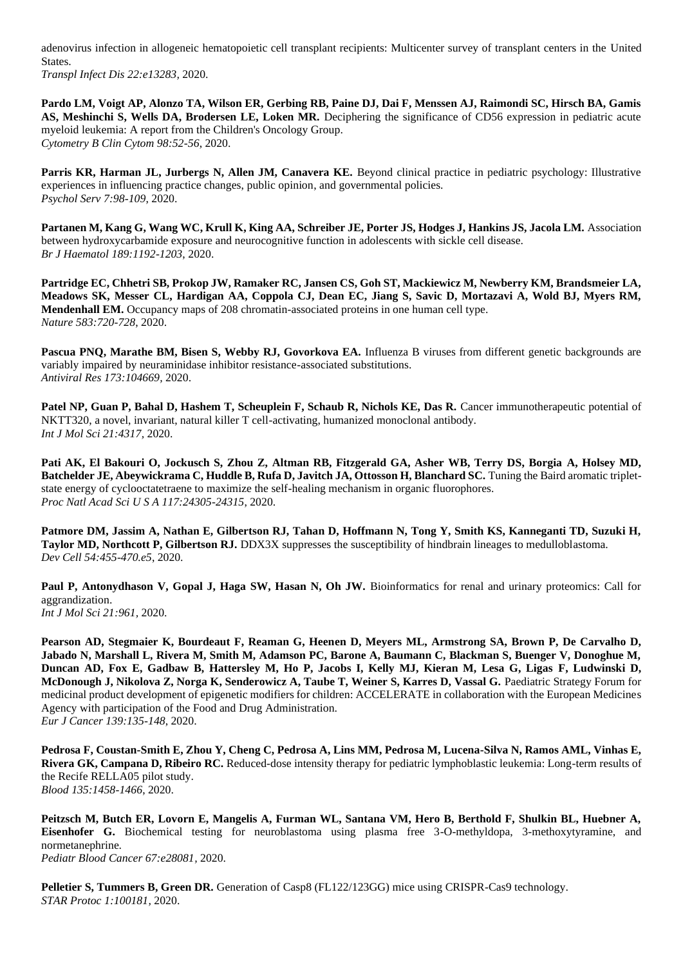adenovirus infection in allogeneic hematopoietic cell transplant recipients: Multicenter survey of transplant centers in the United States.

*Transpl Infect Dis 22:e13283,* 2020.

**Pardo LM, Voigt AP, Alonzo TA, Wilson ER, Gerbing RB, Paine DJ, Dai F, Menssen AJ, Raimondi SC, Hirsch BA, Gamis AS, Meshinchi S, Wells DA, Brodersen LE, Loken MR.** Deciphering the significance of CD56 expression in pediatric acute myeloid leukemia: A report from the Children's Oncology Group. *Cytometry B Clin Cytom 98:52-56*, 2020.

**Parris KR, Harman JL, Jurbergs N, Allen JM, Canavera KE.** Beyond clinical practice in pediatric psychology: Illustrative experiences in influencing practice changes, public opinion, and governmental policies. *Psychol Serv 7:98-109*, 2020.

**Partanen M, Kang G, Wang WC, Krull K, King AA, Schreiber JE, Porter JS, Hodges J, Hankins JS, Jacola LM.** Association between hydroxycarbamide exposure and neurocognitive function in adolescents with sickle cell disease. *Br J Haematol 189:1192-1203*, 2020.

**Partridge EC, Chhetri SB, Prokop JW, Ramaker RC, Jansen CS, Goh ST, Mackiewicz M, Newberry KM, Brandsmeier LA, Meadows SK, Messer CL, Hardigan AA, Coppola CJ, Dean EC, Jiang S, Savic D, Mortazavi A, Wold BJ, Myers RM, Mendenhall EM.** Occupancy maps of 208 chromatin-associated proteins in one human cell type. *Nature 583:720-728*, 2020.

**Pascua PNQ, Marathe BM, Bisen S, Webby RJ, Govorkova EA.** Influenza B viruses from different genetic backgrounds are variably impaired by neuraminidase inhibitor resistance-associated substitutions. *Antiviral Res 173:104669,* 2020.

Patel NP, Guan P, Bahal D, Hashem T, Scheuplein F, Schaub R, Nichols KE, Das R. Cancer immunotherapeutic potential of NKTT320, a novel, invariant, natural killer T cell-activating, humanized monoclonal antibody. *Int J Mol Sci 21:4317,* 2020.

**Pati AK, El Bakouri O, Jockusch S, Zhou Z, Altman RB, Fitzgerald GA, Asher WB, Terry DS, Borgia A, Holsey MD, Batchelder JE, Abeywickrama C, Huddle B, Rufa D, Javitch JA, Ottosson H, Blanchard SC.** Tuning the Baird aromatic tripletstate energy of cyclooctatetraene to maximize the self-healing mechanism in organic fluorophores. *Proc Natl Acad Sci U S A 117:24305-24315*, 2020.

**Patmore DM, Jassim A, Nathan E, Gilbertson RJ, Tahan D, Hoffmann N, Tong Y, Smith KS, Kanneganti TD, Suzuki H, Taylor MD, Northcott P, Gilbertson RJ.** DDX3X suppresses the susceptibility of hindbrain lineages to medulloblastoma. *Dev Cell 54:455-470.e5*, 2020.

**Paul P, Antonydhason V, Gopal J, Haga SW, Hasan N, Oh JW.** Bioinformatics for renal and urinary proteomics: Call for aggrandization.

*Int J Mol Sci 21:961,* 2020.

**Pearson AD, Stegmaier K, Bourdeaut F, Reaman G, Heenen D, Meyers ML, Armstrong SA, Brown P, De Carvalho D, Jabado N, Marshall L, Rivera M, Smith M, Adamson PC, Barone A, Baumann C, Blackman S, Buenger V, Donoghue M, Duncan AD, Fox E, Gadbaw B, Hattersley M, Ho P, Jacobs I, Kelly MJ, Kieran M, Lesa G, Ligas F, Ludwinski D, McDonough J, Nikolova Z, Norga K, Senderowicz A, Taube T, Weiner S, Karres D, Vassal G.** Paediatric Strategy Forum for medicinal product development of epigenetic modifiers for children: ACCELERATE in collaboration with the European Medicines Agency with participation of the Food and Drug Administration. *Eur J Cancer 139:135-148*, 2020.

**Pedrosa F, Coustan-Smith E, Zhou Y, Cheng C, Pedrosa A, Lins MM, Pedrosa M, Lucena-Silva N, Ramos AML, Vinhas E, Rivera GK, Campana D, Ribeiro RC.** Reduced-dose intensity therapy for pediatric lymphoblastic leukemia: Long-term results of the Recife RELLA05 pilot study. *Blood 135:1458-1466*, 2020.

**Peitzsch M, Butch ER, Lovorn E, Mangelis A, Furman WL, Santana VM, Hero B, Berthold F, Shulkin BL, Huebner A, Eisenhofer G.** Biochemical testing for neuroblastoma using plasma free 3-O-methyldopa, 3-methoxytyramine, and normetanephrine. *Pediatr Blood Cancer 67:e28081,* 2020.

**Pelletier S, Tummers B, Green DR.** Generation of Casp8 (FL122/123GG) mice using CRISPR-Cas9 technology. *STAR Protoc 1:100181,* 2020.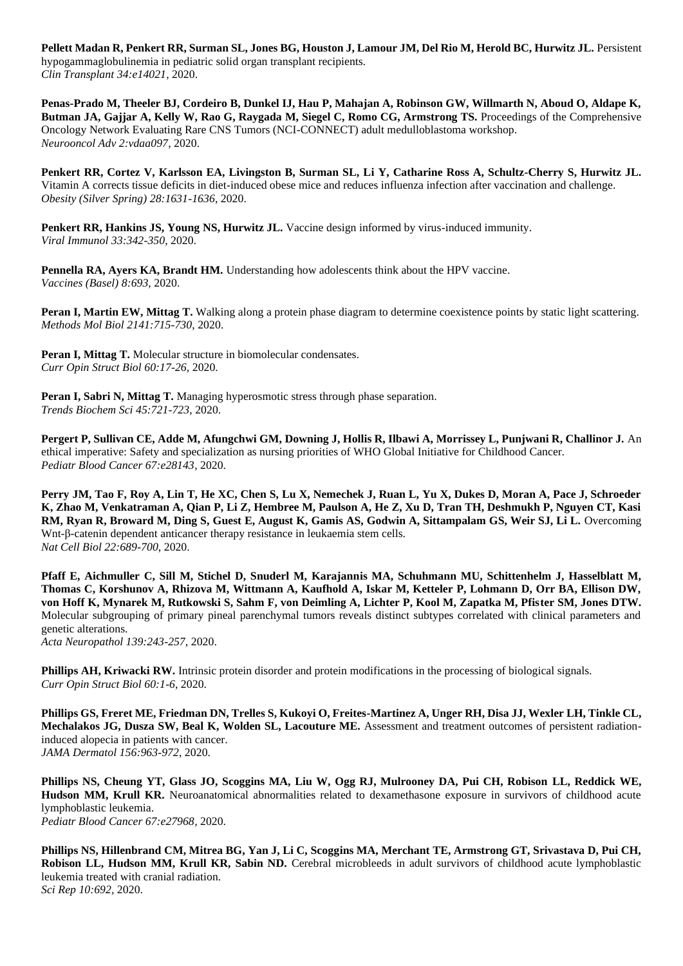**Pellett Madan R, Penkert RR, Surman SL, Jones BG, Houston J, Lamour JM, Del Rio M, Herold BC, Hurwitz JL.** Persistent hypogammaglobulinemia in pediatric solid organ transplant recipients. *Clin Transplant 34:e14021,* 2020.

**Penas-Prado M, Theeler BJ, Cordeiro B, Dunkel IJ, Hau P, Mahajan A, Robinson GW, Willmarth N, Aboud O, Aldape K, Butman JA, Gajjar A, Kelly W, Rao G, Raygada M, Siegel C, Romo CG, Armstrong TS.** Proceedings of the Comprehensive Oncology Network Evaluating Rare CNS Tumors (NCI-CONNECT) adult medulloblastoma workshop. *Neurooncol Adv 2:vdaa097,* 2020.

**Penkert RR, Cortez V, Karlsson EA, Livingston B, Surman SL, Li Y, Catharine Ross A, Schultz-Cherry S, Hurwitz JL.**  Vitamin A corrects tissue deficits in diet-induced obese mice and reduces influenza infection after vaccination and challenge. *Obesity (Silver Spring) 28:1631-1636*, 2020.

**Penkert RR, Hankins JS, Young NS, Hurwitz JL.** Vaccine design informed by virus-induced immunity. *Viral Immunol 33:342-350*, 2020.

**Pennella RA, Ayers KA, Brandt HM.** Understanding how adolescents think about the HPV vaccine. *Vaccines (Basel) 8:693,* 2020.

**Peran I, Martin EW, Mittag T.** Walking along a protein phase diagram to determine coexistence points by static light scattering. *Methods Mol Biol 2141:715-730*, 2020.

**Peran I, Mittag T.** Molecular structure in biomolecular condensates. *Curr Opin Struct Biol 60:17-26*, 2020.

**Peran I, Sabri N, Mittag T.** Managing hyperosmotic stress through phase separation. *Trends Biochem Sci 45:721-723*, 2020.

**Pergert P, Sullivan CE, Adde M, Afungchwi GM, Downing J, Hollis R, Ilbawi A, Morrissey L, Punjwani R, Challinor J.** An ethical imperative: Safety and specialization as nursing priorities of WHO Global Initiative for Childhood Cancer. *Pediatr Blood Cancer 67:e28143,* 2020.

**Perry JM, Tao F, Roy A, Lin T, He XC, Chen S, Lu X, Nemechek J, Ruan L, Yu X, Dukes D, Moran A, Pace J, Schroeder K, Zhao M, Venkatraman A, Qian P, Li Z, Hembree M, Paulson A, He Z, Xu D, Tran TH, Deshmukh P, Nguyen CT, Kasi RM, Ryan R, Broward M, Ding S, Guest E, August K, Gamis AS, Godwin A, Sittampalam GS, Weir SJ, Li L.** Overcoming Wnt-β-catenin dependent anticancer therapy resistance in leukaemia stem cells. *Nat Cell Biol 22:689-700*, 2020.

**Pfaff E, Aichmuller C, Sill M, Stichel D, Snuderl M, Karajannis MA, Schuhmann MU, Schittenhelm J, Hasselblatt M, Thomas C, Korshunov A, Rhizova M, Wittmann A, Kaufhold A, Iskar M, Ketteler P, Lohmann D, Orr BA, Ellison DW, von Hoff K, Mynarek M, Rutkowski S, Sahm F, von Deimling A, Lichter P, Kool M, Zapatka M, Pfister SM, Jones DTW.**  Molecular subgrouping of primary pineal parenchymal tumors reveals distinct subtypes correlated with clinical parameters and genetic alterations.

*Acta Neuropathol 139:243-257*, 2020.

**Phillips AH, Kriwacki RW.** Intrinsic protein disorder and protein modifications in the processing of biological signals. *Curr Opin Struct Biol 60:1-6*, 2020.

**Phillips GS, Freret ME, Friedman DN, Trelles S, Kukoyi O, Freites-Martinez A, Unger RH, Disa JJ, Wexler LH, Tinkle CL, Mechalakos JG, Dusza SW, Beal K, Wolden SL, Lacouture ME.** Assessment and treatment outcomes of persistent radiationinduced alopecia in patients with cancer. *JAMA Dermatol 156:963-972*, 2020.

**Phillips NS, Cheung YT, Glass JO, Scoggins MA, Liu W, Ogg RJ, Mulrooney DA, Pui CH, Robison LL, Reddick WE, Hudson MM, Krull KR.** Neuroanatomical abnormalities related to dexamethasone exposure in survivors of childhood acute lymphoblastic leukemia. *Pediatr Blood Cancer 67:e27968,* 2020.

**Phillips NS, Hillenbrand CM, Mitrea BG, Yan J, Li C, Scoggins MA, Merchant TE, Armstrong GT, Srivastava D, Pui CH, Robison LL, Hudson MM, Krull KR, Sabin ND.** Cerebral microbleeds in adult survivors of childhood acute lymphoblastic leukemia treated with cranial radiation. *Sci Rep 10:692,* 2020.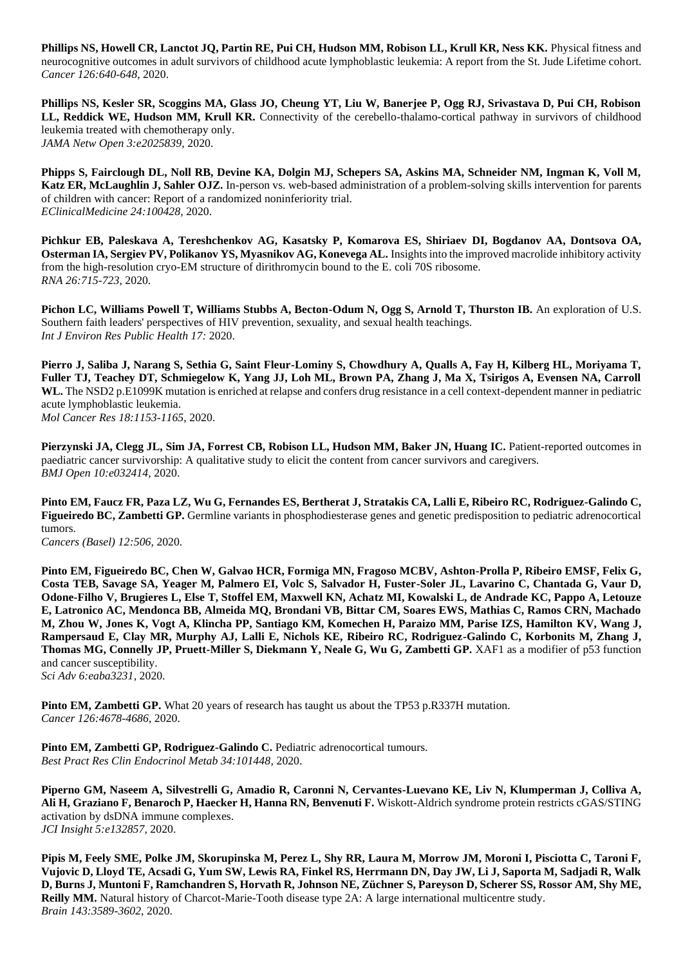**Phillips NS, Howell CR, Lanctot JQ, Partin RE, Pui CH, Hudson MM, Robison LL, Krull KR, Ness KK.** Physical fitness and neurocognitive outcomes in adult survivors of childhood acute lymphoblastic leukemia: A report from the St. Jude Lifetime cohort. *Cancer 126:640-648*, 2020.

**Phillips NS, Kesler SR, Scoggins MA, Glass JO, Cheung YT, Liu W, Banerjee P, Ogg RJ, Srivastava D, Pui CH, Robison LL, Reddick WE, Hudson MM, Krull KR.** Connectivity of the cerebello-thalamo-cortical pathway in survivors of childhood leukemia treated with chemotherapy only. *JAMA Netw Open 3:e2025839,* 2020.

**Phipps S, Fairclough DL, Noll RB, Devine KA, Dolgin MJ, Schepers SA, Askins MA, Schneider NM, Ingman K, Voll M, Katz ER, McLaughlin J, Sahler OJZ.** In-person vs. web-based administration of a problem-solving skills intervention for parents of children with cancer: Report of a randomized noninferiority trial. *EClinicalMedicine 24:100428,* 2020.

**Pichkur EB, Paleskava A, Tereshchenkov AG, Kasatsky P, Komarova ES, Shiriaev DI, Bogdanov AA, Dontsova OA, Osterman IA, Sergiev PV, Polikanov YS, Myasnikov AG, Konevega AL.** Insights into the improved macrolide inhibitory activity from the high-resolution cryo-EM structure of dirithromycin bound to the E. coli 70S ribosome. *RNA 26:715-723*, 2020.

**Pichon LC, Williams Powell T, Williams Stubbs A, Becton-Odum N, Ogg S, Arnold T, Thurston IB.** An exploration of U.S. Southern faith leaders' perspectives of HIV prevention, sexuality, and sexual health teachings. *Int J Environ Res Public Health 17:* 2020.

**Pierro J, Saliba J, Narang S, Sethia G, Saint Fleur-Lominy S, Chowdhury A, Qualls A, Fay H, Kilberg HL, Moriyama T, Fuller TJ, Teachey DT, Schmiegelow K, Yang JJ, Loh ML, Brown PA, Zhang J, Ma X, Tsirigos A, Evensen NA, Carroll WL.** The NSD2 p.E1099K mutation is enriched at relapse and confers drug resistance in a cell context-dependent manner in pediatric acute lymphoblastic leukemia. *Mol Cancer Res 18:1153-1165*, 2020.

**Pierzynski JA, Clegg JL, Sim JA, Forrest CB, Robison LL, Hudson MM, Baker JN, Huang IC.** Patient-reported outcomes in paediatric cancer survivorship: A qualitative study to elicit the content from cancer survivors and caregivers. *BMJ Open 10:e032414,* 2020.

**Pinto EM, Faucz FR, Paza LZ, Wu G, Fernandes ES, Bertherat J, Stratakis CA, Lalli E, Ribeiro RC, Rodriguez-Galindo C, Figueiredo BC, Zambetti GP.** Germline variants in phosphodiesterase genes and genetic predisposition to pediatric adrenocortical tumors.

*Cancers (Basel) 12:506,* 2020.

**Pinto EM, Figueiredo BC, Chen W, Galvao HCR, Formiga MN, Fragoso MCBV, Ashton-Prolla P, Ribeiro EMSF, Felix G, Costa TEB, Savage SA, Yeager M, Palmero EI, Volc S, Salvador H, Fuster-Soler JL, Lavarino C, Chantada G, Vaur D, Odone-Filho V, Brugieres L, Else T, Stoffel EM, Maxwell KN, Achatz MI, Kowalski L, de Andrade KC, Pappo A, Letouze E, Latronico AC, Mendonca BB, Almeida MQ, Brondani VB, Bittar CM, Soares EWS, Mathias C, Ramos CRN, Machado M, Zhou W, Jones K, Vogt A, Klincha PP, Santiago KM, Komechen H, Paraizo MM, Parise IZS, Hamilton KV, Wang J, Rampersaud E, Clay MR, Murphy AJ, Lalli E, Nichols KE, Ribeiro RC, Rodriguez-Galindo C, Korbonits M, Zhang J, Thomas MG, Connelly JP, Pruett-Miller S, Diekmann Y, Neale G, Wu G, Zambetti GP.** XAF1 as a modifier of p53 function and cancer susceptibility. *Sci Adv 6:eaba3231,* 2020.

**Pinto EM, Zambetti GP.** What 20 years of research has taught us about the TP53 p.R337H mutation. *Cancer 126:4678-4686*, 2020.

Pinto EM, Zambetti GP, Rodriguez-Galindo C. Pediatric adrenocortical tumours. *Best Pract Res Clin Endocrinol Metab 34:101448,* 2020.

**Piperno GM, Naseem A, Silvestrelli G, Amadio R, Caronni N, Cervantes-Luevano KE, Liv N, Klumperman J, Colliva A, Ali H, Graziano F, Benaroch P, Haecker H, Hanna RN, Benvenuti F.** Wiskott-Aldrich syndrome protein restricts cGAS/STING activation by dsDNA immune complexes. *JCI Insight 5:e132857,* 2020.

**Pipis M, Feely SME, Polke JM, Skorupinska M, Perez L, Shy RR, Laura M, Morrow JM, Moroni I, Pisciotta C, Taroni F, Vujovic D, Lloyd TE, Acsadi G, Yum SW, Lewis RA, Finkel RS, Herrmann DN, Day JW, Li J, Saporta M, Sadjadi R, Walk D, Burns J, Muntoni F, Ramchandren S, Horvath R, Johnson NE, Züchner S, Pareyson D, Scherer SS, Rossor AM, Shy ME, Reilly MM.** Natural history of Charcot-Marie-Tooth disease type 2A: A large international multicentre study. *Brain 143:3589-3602*, 2020.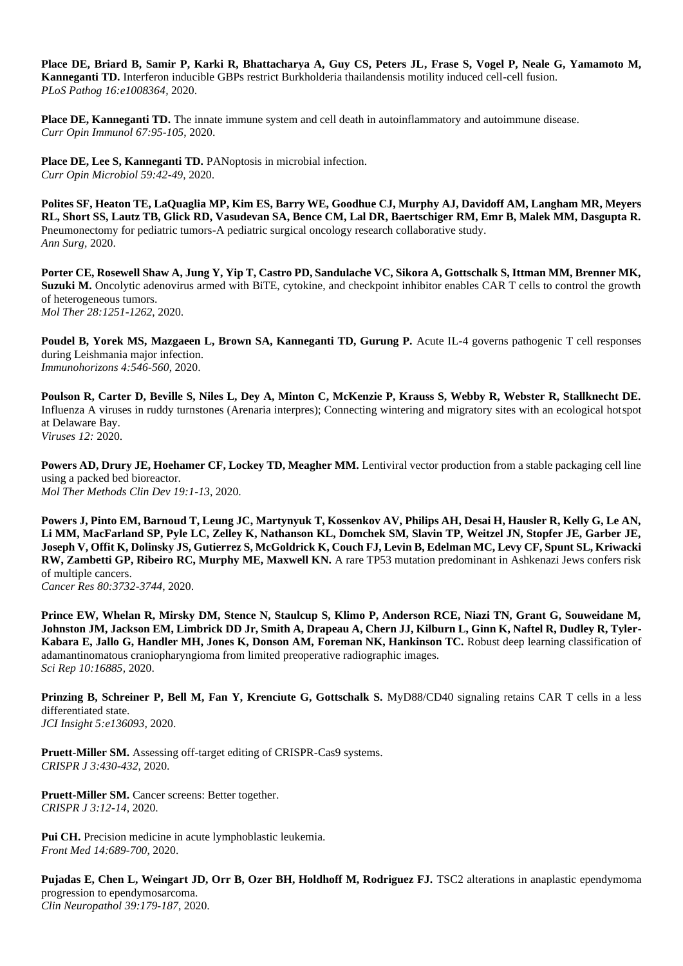**Place DE, Briard B, Samir P, Karki R, Bhattacharya A, Guy CS, Peters JL, Frase S, Vogel P, Neale G, Yamamoto M, Kanneganti TD.** Interferon inducible GBPs restrict Burkholderia thailandensis motility induced cell-cell fusion. *PLoS Pathog 16:e1008364,* 2020.

**Place DE, Kanneganti TD.** The innate immune system and cell death in autoinflammatory and autoimmune disease. *Curr Opin Immunol 67:95-105*, 2020.

Place DE, Lee S, Kanneganti TD. PANoptosis in microbial infection. *Curr Opin Microbiol 59:42-49*, 2020.

**Polites SF, Heaton TE, LaQuaglia MP, Kim ES, Barry WE, Goodhue CJ, Murphy AJ, Davidoff AM, Langham MR, Meyers RL, Short SS, Lautz TB, Glick RD, Vasudevan SA, Bence CM, Lal DR, Baertschiger RM, Emr B, Malek MM, Dasgupta R.**  Pneumonectomy for pediatric tumors-A pediatric surgical oncology research collaborative study. *Ann Surg,* 2020.

**Porter CE, Rosewell Shaw A, Jung Y, Yip T, Castro PD, Sandulache VC, Sikora A, Gottschalk S, Ittman MM, Brenner MK, Suzuki M.** Oncolytic adenovirus armed with BiTE, cytokine, and checkpoint inhibitor enables CAR T cells to control the growth of heterogeneous tumors. *Mol Ther 28:1251-1262*, 2020.

Poudel B, Yorek MS, Mazgaeen L, Brown SA, Kanneganti TD, Gurung P. Acute IL-4 governs pathogenic T cell responses during Leishmania major infection. *Immunohorizons 4:546-560*, 2020.

Poulson R, Carter D, Beville S, Niles L, Dey A, Minton C, McKenzie P, Krauss S, Webby R, Webster R, Stallknecht DE. Influenza A viruses in ruddy turnstones (Arenaria interpres); Connecting wintering and migratory sites with an ecological hotspot at Delaware Bay. *Viruses 12:* 2020.

**Powers AD, Drury JE, Hoehamer CF, Lockey TD, Meagher MM.** Lentiviral vector production from a stable packaging cell line using a packed bed bioreactor. *Mol Ther Methods Clin Dev 19:1-13*, 2020.

**Powers J, Pinto EM, Barnoud T, Leung JC, Martynyuk T, Kossenkov AV, Philips AH, Desai H, Hausler R, Kelly G, Le AN, Li MM, MacFarland SP, Pyle LC, Zelley K, Nathanson KL, Domchek SM, Slavin TP, Weitzel JN, Stopfer JE, Garber JE, Joseph V, Offit K, Dolinsky JS, Gutierrez S, McGoldrick K, Couch FJ, Levin B, Edelman MC, Levy CF, Spunt SL, Kriwacki RW, Zambetti GP, Ribeiro RC, Murphy ME, Maxwell KN.** A rare TP53 mutation predominant in Ashkenazi Jews confers risk of multiple cancers.

*Cancer Res 80:3732-3744*, 2020.

**Prince EW, Whelan R, Mirsky DM, Stence N, Staulcup S, Klimo P, Anderson RCE, Niazi TN, Grant G, Souweidane M, Johnston JM, Jackson EM, Limbrick DD Jr, Smith A, Drapeau A, Chern JJ, Kilburn L, Ginn K, Naftel R, Dudley R, Tyler-Kabara E, Jallo G, Handler MH, Jones K, Donson AM, Foreman NK, Hankinson TC.** Robust deep learning classification of adamantinomatous craniopharyngioma from limited preoperative radiographic images. *Sci Rep 10:16885,* 2020.

**Prinzing B, Schreiner P, Bell M, Fan Y, Krenciute G, Gottschalk S.** MyD88/CD40 signaling retains CAR T cells in a less differentiated state. *JCI Insight 5:e136093,* 2020.

**Pruett-Miller SM.** Assessing off-target editing of CRISPR-Cas9 systems. *CRISPR J 3:430-432*, 2020.

**Pruett-Miller SM.** Cancer screens: Better together. *CRISPR J 3:12-14*, 2020.

**Pui CH.** Precision medicine in acute lymphoblastic leukemia. *Front Med 14:689-700*, 2020.

**Pujadas E, Chen L, Weingart JD, Orr B, Ozer BH, Holdhoff M, Rodriguez FJ.** TSC2 alterations in anaplastic ependymoma progression to ependymosarcoma. *Clin Neuropathol 39:179-187*, 2020.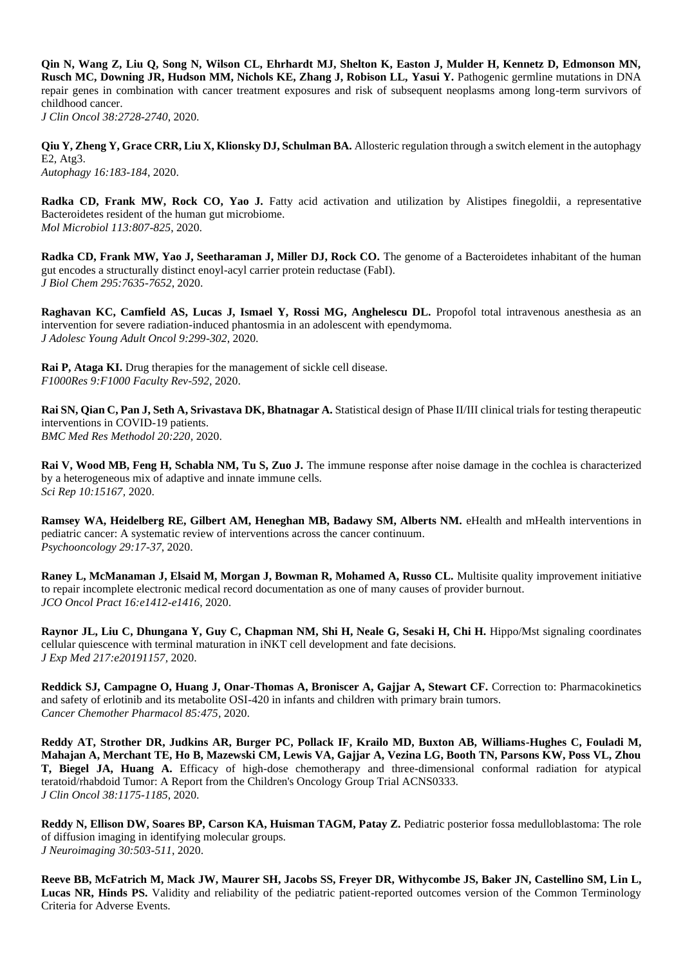**Qin N, Wang Z, Liu Q, Song N, Wilson CL, Ehrhardt MJ, Shelton K, Easton J, Mulder H, Kennetz D, Edmonson MN, Rusch MC, Downing JR, Hudson MM, Nichols KE, Zhang J, Robison LL, Yasui Y.** Pathogenic germline mutations in DNA repair genes in combination with cancer treatment exposures and risk of subsequent neoplasms among long-term survivors of childhood cancer. *J Clin Oncol 38:2728-2740*, 2020.

**Qiu Y, Zheng Y, Grace CRR, Liu X, Klionsky DJ, Schulman BA.** Allosteric regulation through a switch element in the autophagy E2, Atg3.

*Autophagy 16:183-184*, 2020.

Radka CD, Frank MW, Rock CO, Yao J. Fatty acid activation and utilization by Alistipes finegoldii, a representative Bacteroidetes resident of the human gut microbiome. *Mol Microbiol 113:807-825*, 2020.

**Radka CD, Frank MW, Yao J, Seetharaman J, Miller DJ, Rock CO.** The genome of a Bacteroidetes inhabitant of the human gut encodes a structurally distinct enoyl-acyl carrier protein reductase (FabI). *J Biol Chem 295:7635-7652*, 2020.

**Raghavan KC, Camfield AS, Lucas J, Ismael Y, Rossi MG, Anghelescu DL.** Propofol total intravenous anesthesia as an intervention for severe radiation-induced phantosmia in an adolescent with ependymoma. *J Adolesc Young Adult Oncol 9:299-302*, 2020.

**Rai P, Ataga KI.** Drug therapies for the management of sickle cell disease. *F1000Res 9:F1000 Faculty Rev-592,* 2020.

**Rai SN, Qian C, Pan J, Seth A, Srivastava DK, Bhatnagar A.** Statistical design of Phase II/III clinical trials for testing therapeutic interventions in COVID-19 patients. *BMC Med Res Methodol 20:220,* 2020.

**Rai V, Wood MB, Feng H, Schabla NM, Tu S, Zuo J.** The immune response after noise damage in the cochlea is characterized by a heterogeneous mix of adaptive and innate immune cells. *Sci Rep 10:15167,* 2020.

**Ramsey WA, Heidelberg RE, Gilbert AM, Heneghan MB, Badawy SM, Alberts NM.** eHealth and mHealth interventions in pediatric cancer: A systematic review of interventions across the cancer continuum. *Psychooncology 29:17-37*, 2020.

**Raney L, McManaman J, Elsaid M, Morgan J, Bowman R, Mohamed A, Russo CL.** Multisite quality improvement initiative to repair incomplete electronic medical record documentation as one of many causes of provider burnout. *JCO Oncol Pract 16:e1412-e1416*, 2020.

**Raynor JL, Liu C, Dhungana Y, Guy C, Chapman NM, Shi H, Neale G, Sesaki H, Chi H.** Hippo/Mst signaling coordinates cellular quiescence with terminal maturation in iNKT cell development and fate decisions. *J Exp Med 217:e20191157,* 2020.

**Reddick SJ, Campagne O, Huang J, Onar-Thomas A, Broniscer A, Gajjar A, Stewart CF.** Correction to: Pharmacokinetics and safety of erlotinib and its metabolite OSI-420 in infants and children with primary brain tumors. *Cancer Chemother Pharmacol 85:475,* 2020.

**Reddy AT, Strother DR, Judkins AR, Burger PC, Pollack IF, Krailo MD, Buxton AB, Williams-Hughes C, Fouladi M, Mahajan A, Merchant TE, Ho B, Mazewski CM, Lewis VA, Gajjar A, Vezina LG, Booth TN, Parsons KW, Poss VL, Zhou T, Biegel JA, Huang A.** Efficacy of high-dose chemotherapy and three-dimensional conformal radiation for atypical teratoid/rhabdoid Tumor: A Report from the Children's Oncology Group Trial ACNS0333. *J Clin Oncol 38:1175-1185*, 2020.

**Reddy N, Ellison DW, Soares BP, Carson KA, Huisman TAGM, Patay Z.** Pediatric posterior fossa medulloblastoma: The role of diffusion imaging in identifying molecular groups. *J Neuroimaging 30:503-511*, 2020.

**Reeve BB, McFatrich M, Mack JW, Maurer SH, Jacobs SS, Freyer DR, Withycombe JS, Baker JN, Castellino SM, Lin L, Lucas NR, Hinds PS.** Validity and reliability of the pediatric patient-reported outcomes version of the Common Terminology Criteria for Adverse Events.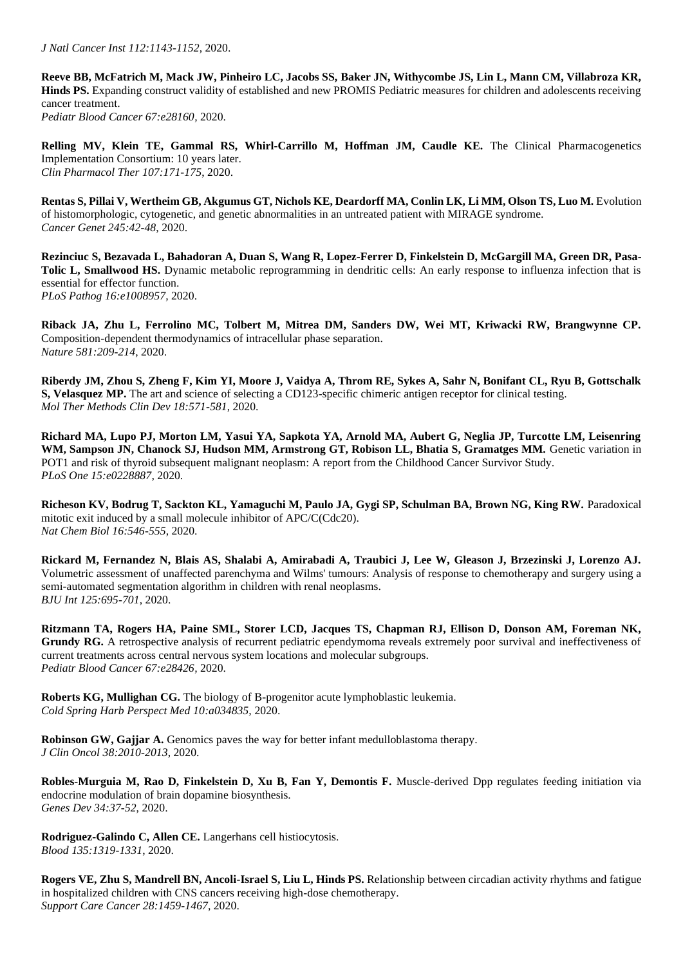**Reeve BB, McFatrich M, Mack JW, Pinheiro LC, Jacobs SS, Baker JN, Withycombe JS, Lin L, Mann CM, Villabroza KR, Hinds PS.** Expanding construct validity of established and new PROMIS Pediatric measures for children and adolescents receiving cancer treatment. *Pediatr Blood Cancer 67:e28160,* 2020.

**Relling MV, Klein TE, Gammal RS, Whirl-Carrillo M, Hoffman JM, Caudle KE.** The Clinical Pharmacogenetics Implementation Consortium: 10 years later. *Clin Pharmacol Ther 107:171-175*, 2020.

**Rentas S, Pillai V, Wertheim GB, Akgumus GT, Nichols KE, Deardorff MA, Conlin LK, Li MM, Olson TS, Luo M.** Evolution of histomorphologic, cytogenetic, and genetic abnormalities in an untreated patient with MIRAGE syndrome. *Cancer Genet 245:42-48*, 2020.

**Rezinciuc S, Bezavada L, Bahadoran A, Duan S, Wang R, Lopez-Ferrer D, Finkelstein D, McGargill MA, Green DR, Pasa-Tolic L, Smallwood HS.** Dynamic metabolic reprogramming in dendritic cells: An early response to influenza infection that is essential for effector function. *PLoS Pathog 16:e1008957,* 2020.

**Riback JA, Zhu L, Ferrolino MC, Tolbert M, Mitrea DM, Sanders DW, Wei MT, Kriwacki RW, Brangwynne CP.**  Composition-dependent thermodynamics of intracellular phase separation. *Nature 581:209-214*, 2020.

**Riberdy JM, Zhou S, Zheng F, Kim YI, Moore J, Vaidya A, Throm RE, Sykes A, Sahr N, Bonifant CL, Ryu B, Gottschalk S, Velasquez MP.** The art and science of selecting a CD123-specific chimeric antigen receptor for clinical testing. *Mol Ther Methods Clin Dev 18:571-581*, 2020.

**Richard MA, Lupo PJ, Morton LM, Yasui YA, Sapkota YA, Arnold MA, Aubert G, Neglia JP, Turcotte LM, Leisenring**  WM, Sampson JN, Chanock SJ, Hudson MM, Armstrong GT, Robison LL, Bhatia S, Gramatges MM. Genetic variation in POT1 and risk of thyroid subsequent malignant neoplasm: A report from the Childhood Cancer Survivor Study. *PLoS One 15:e0228887,* 2020.

**Richeson KV, Bodrug T, Sackton KL, Yamaguchi M, Paulo JA, Gygi SP, Schulman BA, Brown NG, King RW.** Paradoxical mitotic exit induced by a small molecule inhibitor of APC/C(Cdc20). *Nat Chem Biol 16:546-555*, 2020.

**Rickard M, Fernandez N, Blais AS, Shalabi A, Amirabadi A, Traubici J, Lee W, Gleason J, Brzezinski J, Lorenzo AJ.**  Volumetric assessment of unaffected parenchyma and Wilms' tumours: Analysis of response to chemotherapy and surgery using a semi-automated segmentation algorithm in children with renal neoplasms. *BJU Int 125:695-701*, 2020.

**Ritzmann TA, Rogers HA, Paine SML, Storer LCD, Jacques TS, Chapman RJ, Ellison D, Donson AM, Foreman NK, Grundy RG.** A retrospective analysis of recurrent pediatric ependymoma reveals extremely poor survival and ineffectiveness of current treatments across central nervous system locations and molecular subgroups. *Pediatr Blood Cancer 67:e28426,* 2020.

**Roberts KG, Mullighan CG.** The biology of B-progenitor acute lymphoblastic leukemia. *Cold Spring Harb Perspect Med 10:a034835,* 2020.

**Robinson GW, Gajjar A.** Genomics paves the way for better infant medulloblastoma therapy. *J Clin Oncol 38:2010-2013*, 2020.

**Robles-Murguia M, Rao D, Finkelstein D, Xu B, Fan Y, Demontis F.** Muscle-derived Dpp regulates feeding initiation via endocrine modulation of brain dopamine biosynthesis. *Genes Dev 34:37-52*, 2020.

**Rodriguez-Galindo C, Allen CE.** Langerhans cell histiocytosis. *Blood 135:1319-1331*, 2020.

**Rogers VE, Zhu S, Mandrell BN, Ancoli-Israel S, Liu L, Hinds PS.** Relationship between circadian activity rhythms and fatigue in hospitalized children with CNS cancers receiving high-dose chemotherapy. *Support Care Cancer 28:1459-1467*, 2020.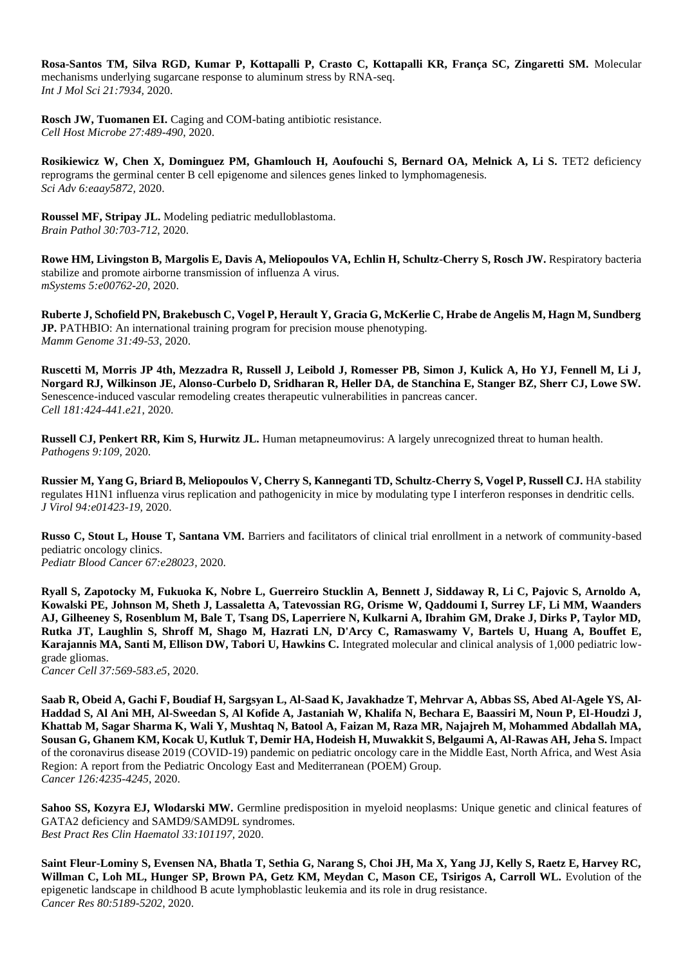**Rosa-Santos TM, Silva RGD, Kumar P, Kottapalli P, Crasto C, Kottapalli KR, França SC, Zingaretti SM.** Molecular mechanisms underlying sugarcane response to aluminum stress by RNA-seq. *Int J Mol Sci 21:7934,* 2020.

**Rosch JW, Tuomanen EI.** Caging and COM-bating antibiotic resistance. *Cell Host Microbe 27:489-490*, 2020.

**Rosikiewicz W, Chen X, Dominguez PM, Ghamlouch H, Aoufouchi S, Bernard OA, Melnick A, Li S. TET2 deficiency** reprograms the germinal center B cell epigenome and silences genes linked to lymphomagenesis. *Sci Adv 6:eaay5872,* 2020.

**Roussel MF, Stripay JL.** Modeling pediatric medulloblastoma. *Brain Pathol 30:703-712*, 2020.

**Rowe HM, Livingston B, Margolis E, Davis A, Meliopoulos VA, Echlin H, Schultz-Cherry S, Rosch JW. Respiratory bacteria** stabilize and promote airborne transmission of influenza A virus. *mSystems 5:e00762-20,* 2020.

**Ruberte J, Schofield PN, Brakebusch C, Vogel P, Herault Y, Gracia G, McKerlie C, Hrabe de Angelis M, Hagn M, Sundberg JP.** PATHBIO: An international training program for precision mouse phenotyping. *Mamm Genome 31:49-53*, 2020.

**Ruscetti M, Morris JP 4th, Mezzadra R, Russell J, Leibold J, Romesser PB, Simon J, Kulick A, Ho YJ, Fennell M, Li J, Norgard RJ, Wilkinson JE, Alonso-Curbelo D, Sridharan R, Heller DA, de Stanchina E, Stanger BZ, Sherr CJ, Lowe SW.**  Senescence-induced vascular remodeling creates therapeutic vulnerabilities in pancreas cancer. *Cell 181:424-441.e21*, 2020.

**Russell CJ, Penkert RR, Kim S, Hurwitz JL.** Human metapneumovirus: A largely unrecognized threat to human health. *Pathogens 9:109,* 2020.

**Russier M, Yang G, Briard B, Meliopoulos V, Cherry S, Kanneganti TD, Schultz-Cherry S, Vogel P, Russell CJ.** HA stability regulates H1N1 influenza virus replication and pathogenicity in mice by modulating type I interferon responses in dendritic cells. *J Virol 94:e01423-19,* 2020.

**Russo C, Stout L, House T, Santana VM.** Barriers and facilitators of clinical trial enrollment in a network of community-based pediatric oncology clinics. *Pediatr Blood Cancer 67:e28023,* 2020.

**Ryall S, Zapotocky M, Fukuoka K, Nobre L, Guerreiro Stucklin A, Bennett J, Siddaway R, Li C, Pajovic S, Arnoldo A, Kowalski PE, Johnson M, Sheth J, Lassaletta A, Tatevossian RG, Orisme W, Qaddoumi I, Surrey LF, Li MM, Waanders AJ, Gilheeney S, Rosenblum M, Bale T, Tsang DS, Laperriere N, Kulkarni A, Ibrahim GM, Drake J, Dirks P, Taylor MD, Rutka JT, Laughlin S, Shroff M, Shago M, Hazrati LN, D'Arcy C, Ramaswamy V, Bartels U, Huang A, Bouffet E, Karajannis MA, Santi M, Ellison DW, Tabori U, Hawkins C.** Integrated molecular and clinical analysis of 1,000 pediatric lowgrade gliomas.

*Cancer Cell 37:569-583.e5*, 2020.

**Saab R, Obeid A, Gachi F, Boudiaf H, Sargsyan L, Al-Saad K, Javakhadze T, Mehrvar A, Abbas SS, Abed Al-Agele YS, Al-Haddad S, Al Ani MH, Al-Sweedan S, Al Kofide A, Jastaniah W, Khalifa N, Bechara E, Baassiri M, Noun P, El-Houdzi J, Khattab M, Sagar Sharma K, Wali Y, Mushtaq N, Batool A, Faizan M, Raza MR, Najajreh M, Mohammed Abdallah MA, Sousan G, Ghanem KM, Kocak U, Kutluk T, Demir HA, Hodeish H, Muwakkit S, Belgaumi A, Al-Rawas AH, Jeha S.** Impact of the coronavirus disease 2019 (COVID-19) pandemic on pediatric oncology care in the Middle East, North Africa, and West Asia Region: A report from the Pediatric Oncology East and Mediterranean (POEM) Group. *Cancer 126:4235-4245*, 2020.

**Sahoo SS, Kozyra EJ, Wlodarski MW.** Germline predisposition in myeloid neoplasms: Unique genetic and clinical features of GATA2 deficiency and SAMD9/SAMD9L syndromes. *Best Pract Res Clin Haematol 33:101197,* 2020.

**Saint Fleur-Lominy S, Evensen NA, Bhatla T, Sethia G, Narang S, Choi JH, Ma X, Yang JJ, Kelly S, Raetz E, Harvey RC,**  Willman C, Loh ML, Hunger SP, Brown PA, Getz KM, Meydan C, Mason CE, Tsirigos A, Carroll WL. Evolution of the epigenetic landscape in childhood B acute lymphoblastic leukemia and its role in drug resistance. *Cancer Res 80:5189-5202*, 2020.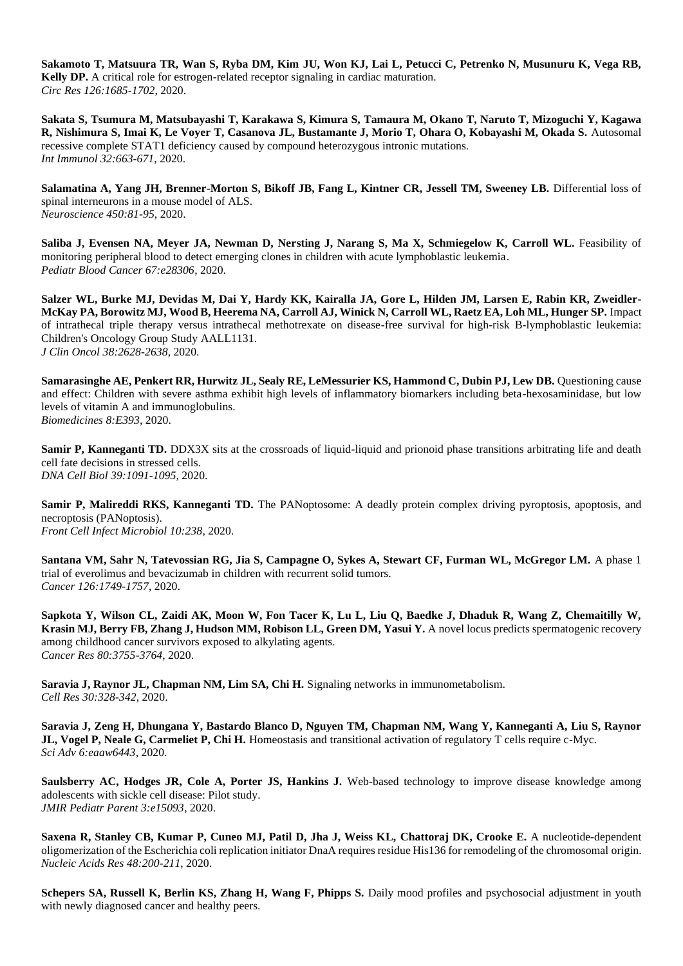**Sakamoto T, Matsuura TR, Wan S, Ryba DM, Kim JU, Won KJ, Lai L, Petucci C, Petrenko N, Musunuru K, Vega RB, Kelly DP.** A critical role for estrogen-related receptor signaling in cardiac maturation. *Circ Res 126:1685-1702*, 2020.

**Sakata S, Tsumura M, Matsubayashi T, Karakawa S, Kimura S, Tamaura M, Okano T, Naruto T, Mizoguchi Y, Kagawa R, Nishimura S, Imai K, Le Voyer T, Casanova JL, Bustamante J, Morio T, Ohara O, Kobayashi M, Okada S.** Autosomal recessive complete STAT1 deficiency caused by compound heterozygous intronic mutations. *Int Immunol 32:663-671*, 2020.

Salamatina A, Yang JH, Brenner-Morton S, Bikoff JB, Fang L, Kintner CR, Jessell TM, Sweeney LB. Differential loss of spinal interneurons in a mouse model of ALS. *Neuroscience 450:81-95*, 2020.

Saliba J, Evensen NA, Meyer JA, Newman D, Nersting J, Narang S, Ma X, Schmiegelow K, Carroll WL. Feasibility of monitoring peripheral blood to detect emerging clones in children with acute lymphoblastic leukemia. *Pediatr Blood Cancer 67:e28306,* 2020.

**Salzer WL, Burke MJ, Devidas M, Dai Y, Hardy KK, Kairalla JA, Gore L, Hilden JM, Larsen E, Rabin KR, Zweidler-McKay PA, Borowitz MJ, Wood B, Heerema NA, Carroll AJ, Winick N, Carroll WL, Raetz EA, Loh ML, Hunger SP.** Impact of intrathecal triple therapy versus intrathecal methotrexate on disease-free survival for high-risk B-lymphoblastic leukemia: Children's Oncology Group Study AALL1131. *J Clin Oncol 38:2628-2638*, 2020.

**Samarasinghe AE, Penkert RR, Hurwitz JL, Sealy RE, LeMessurier KS, Hammond C, Dubin PJ, Lew DB.** Questioning cause and effect: Children with severe asthma exhibit high levels of inflammatory biomarkers including beta-hexosaminidase, but low levels of vitamin A and immunoglobulins. *Biomedicines 8:E393,* 2020.

**Samir P, Kanneganti TD.** DDX3X sits at the crossroads of liquid-liquid and prionoid phase transitions arbitrating life and death cell fate decisions in stressed cells. *DNA Cell Biol 39:1091-1095*, 2020.

**Samir P, Malireddi RKS, Kanneganti TD.** The PANoptosome: A deadly protein complex driving pyroptosis, apoptosis, and necroptosis (PANoptosis). *Front Cell Infect Microbiol 10:238,* 2020.

**Santana VM, Sahr N, Tatevossian RG, Jia S, Campagne O, Sykes A, Stewart CF, Furman WL, McGregor LM.** A phase 1 trial of everolimus and bevacizumab in children with recurrent solid tumors. *Cancer 126:1749-1757*, 2020.

**Sapkota Y, Wilson CL, Zaidi AK, Moon W, Fon Tacer K, Lu L, Liu Q, Baedke J, Dhaduk R, Wang Z, Chemaitilly W, Krasin MJ, Berry FB, Zhang J, Hudson MM, Robison LL, Green DM, Yasui Y.** A novel locus predicts spermatogenic recovery among childhood cancer survivors exposed to alkylating agents. *Cancer Res 80:3755-3764*, 2020.

**Saravia J, Raynor JL, Chapman NM, Lim SA, Chi H.** Signaling networks in immunometabolism. *Cell Res 30:328-342*, 2020.

**Saravia J, Zeng H, Dhungana Y, Bastardo Blanco D, Nguyen TM, Chapman NM, Wang Y, Kanneganti A, Liu S, Raynor JL, Vogel P, Neale G, Carmeliet P, Chi H.** Homeostasis and transitional activation of regulatory T cells require c-Myc. *Sci Adv 6:eaaw6443,* 2020.

**Saulsberry AC, Hodges JR, Cole A, Porter JS, Hankins J.** Web-based technology to improve disease knowledge among adolescents with sickle cell disease: Pilot study. *JMIR Pediatr Parent 3:e15093,* 2020.

**Saxena R, Stanley CB, Kumar P, Cuneo MJ, Patil D, Jha J, Weiss KL, Chattoraj DK, Crooke E.** A nucleotide-dependent oligomerization of the Escherichia coli replication initiator DnaA requires residue His136 for remodeling of the chromosomal origin. *Nucleic Acids Res 48:200-211*, 2020.

**Schepers SA, Russell K, Berlin KS, Zhang H, Wang F, Phipps S.** Daily mood profiles and psychosocial adjustment in youth with newly diagnosed cancer and healthy peers.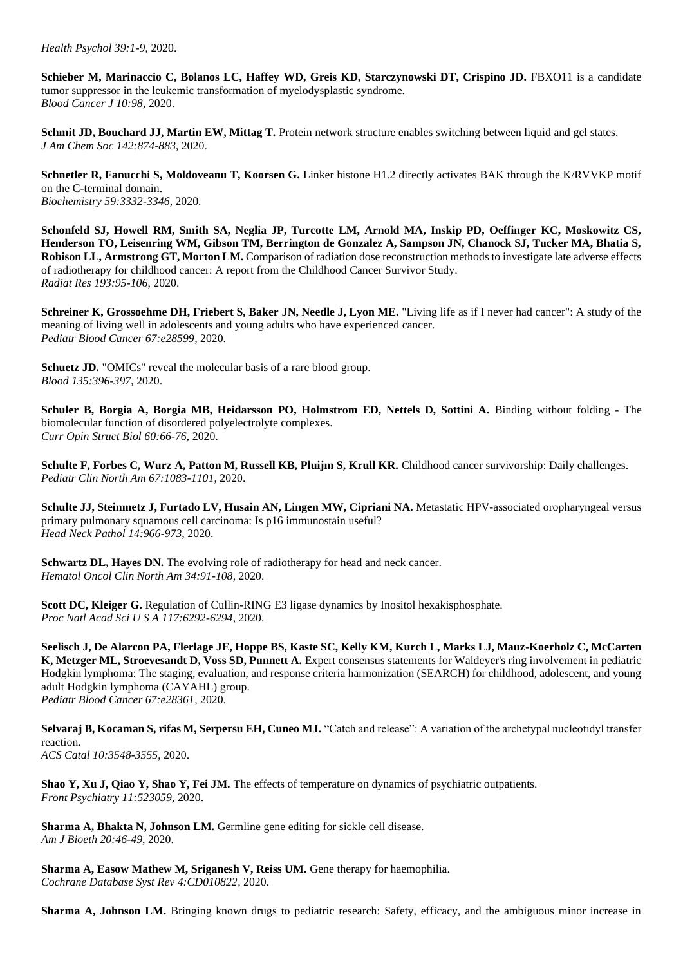*Health Psychol 39:1-9*, 2020.

**Schieber M, Marinaccio C, Bolanos LC, Haffey WD, Greis KD, Starczynowski DT, Crispino JD. FBXO11** is a candidate tumor suppressor in the leukemic transformation of myelodysplastic syndrome. *Blood Cancer J 10:98,* 2020.

**Schmit JD, Bouchard JJ, Martin EW, Mittag T.** Protein network structure enables switching between liquid and gel states. *J Am Chem Soc 142:874-883*, 2020.

**Schnetler R, Fanucchi S, Moldoveanu T, Koorsen G.** Linker histone H1.2 directly activates BAK through the K/RVVKP motif on the C-terminal domain. *Biochemistry 59:3332-3346*, 2020.

**Schonfeld SJ, Howell RM, Smith SA, Neglia JP, Turcotte LM, Arnold MA, Inskip PD, Oeffinger KC, Moskowitz CS, Henderson TO, Leisenring WM, Gibson TM, Berrington de Gonzalez A, Sampson JN, Chanock SJ, Tucker MA, Bhatia S, Robison LL, Armstrong GT, Morton LM.** Comparison of radiation dose reconstruction methods to investigate late adverse effects of radiotherapy for childhood cancer: A report from the Childhood Cancer Survivor Study. *Radiat Res 193:95-106*, 2020.

**Schreiner K, Grossoehme DH, Friebert S, Baker JN, Needle J, Lyon ME.** "Living life as if I never had cancer": A study of the meaning of living well in adolescents and young adults who have experienced cancer. *Pediatr Blood Cancer 67:e28599,* 2020.

**Schuetz JD.** "OMICs" reveal the molecular basis of a rare blood group. *Blood 135:396-397*, 2020.

**Schuler B, Borgia A, Borgia MB, Heidarsson PO, Holmstrom ED, Nettels D, Sottini A.** Binding without folding - The biomolecular function of disordered polyelectrolyte complexes. *Curr Opin Struct Biol 60:66-76*, 2020.

**Schulte F, Forbes C, Wurz A, Patton M, Russell KB, Pluijm S, Krull KR.** Childhood cancer survivorship: Daily challenges. *Pediatr Clin North Am 67:1083-1101*, 2020.

**Schulte JJ, Steinmetz J, Furtado LV, Husain AN, Lingen MW, Cipriani NA.** Metastatic HPV-associated oropharyngeal versus primary pulmonary squamous cell carcinoma: Is p16 immunostain useful? *Head Neck Pathol 14:966-973*, 2020.

**Schwartz DL, Hayes DN.** The evolving role of radiotherapy for head and neck cancer. *Hematol Oncol Clin North Am 34:91-108*, 2020.

**Scott DC, Kleiger G.** Regulation of Cullin-RING E3 ligase dynamics by Inositol hexakisphosphate. *Proc Natl Acad Sci U S A 117:6292-6294*, 2020.

**Seelisch J, De Alarcon PA, Flerlage JE, Hoppe BS, Kaste SC, Kelly KM, Kurch L, Marks LJ, Mauz-Koerholz C, McCarten K, Metzger ML, Stroevesandt D, Voss SD, Punnett A.** Expert consensus statements for Waldeyer's ring involvement in pediatric Hodgkin lymphoma: The staging, evaluation, and response criteria harmonization (SEARCH) for childhood, adolescent, and young adult Hodgkin lymphoma (CAYAHL) group. *Pediatr Blood Cancer 67:e28361,* 2020.

**Selvaraj B, Kocaman S, rifas M, Serpersu EH, Cuneo MJ.** "Catch and release": A variation of the archetypal nucleotidyl transfer reaction. *ACS Catal 10:3548-3555*, 2020.

Shao Y, Xu J, Qiao Y, Shao Y, Fei JM. The effects of temperature on dynamics of psychiatric outpatients. *Front Psychiatry 11:523059,* 2020.

**Sharma A, Bhakta N, Johnson LM.** Germline gene editing for sickle cell disease. *Am J Bioeth 20:46-49*, 2020.

**Sharma A, Easow Mathew M, Sriganesh V, Reiss UM.** Gene therapy for haemophilia. *Cochrane Database Syst Rev 4:CD010822,* 2020.

**Sharma A, Johnson LM.** Bringing known drugs to pediatric research: Safety, efficacy, and the ambiguous minor increase in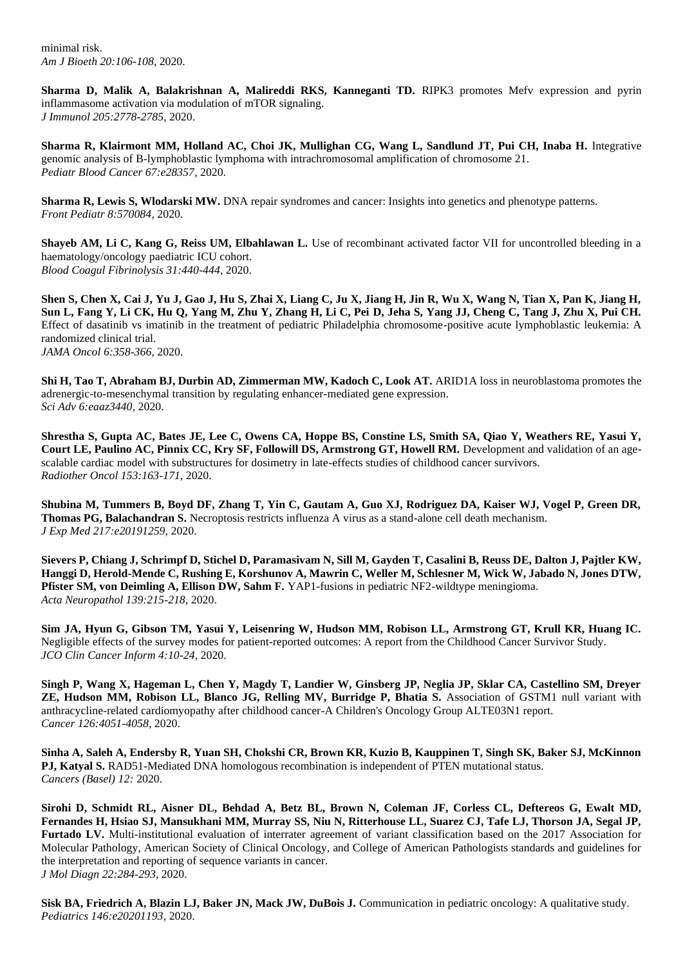**Sharma D, Malik A, Balakrishnan A, Malireddi RKS, Kanneganti TD.** RIPK3 promotes Mefv expression and pyrin inflammasome activation via modulation of mTOR signaling. *J Immunol 205:2778-2785*, 2020.

**Sharma R, Klairmont MM, Holland AC, Choi JK, Mullighan CG, Wang L, Sandlund JT, Pui CH, Inaba H.** Integrative genomic analysis of B-lymphoblastic lymphoma with intrachromosomal amplification of chromosome 21. *Pediatr Blood Cancer 67:e28357,* 2020.

**Sharma R, Lewis S, Wlodarski MW.** DNA repair syndromes and cancer: Insights into genetics and phenotype patterns. *Front Pediatr 8:570084,* 2020.

**Shayeb AM, Li C, Kang G, Reiss UM, Elbahlawan L.** Use of recombinant activated factor VII for uncontrolled bleeding in a haematology/oncology paediatric ICU cohort. *Blood Coagul Fibrinolysis 31:440-444*, 2020.

**Shen S, Chen X, Cai J, Yu J, Gao J, Hu S, Zhai X, Liang C, Ju X, Jiang H, Jin R, Wu X, Wang N, Tian X, Pan K, Jiang H, Sun L, Fang Y, Li CK, Hu Q, Yang M, Zhu Y, Zhang H, Li C, Pei D, Jeha S, Yang JJ, Cheng C, Tang J, Zhu X, Pui CH.**  Effect of dasatinib vs imatinib in the treatment of pediatric Philadelphia chromosome-positive acute lymphoblastic leukemia: A randomized clinical trial. *JAMA Oncol 6:358-366*, 2020.

**Shi H, Tao T, Abraham BJ, Durbin AD, Zimmerman MW, Kadoch C, Look AT.** ARID1A loss in neuroblastoma promotes the adrenergic-to-mesenchymal transition by regulating enhancer-mediated gene expression. *Sci Adv 6:eaaz3440,* 2020.

**Shrestha S, Gupta AC, Bates JE, Lee C, Owens CA, Hoppe BS, Constine LS, Smith SA, Qiao Y, Weathers RE, Yasui Y, Court LE, Paulino AC, Pinnix CC, Kry SF, Followill DS, Armstrong GT, Howell RM.** Development and validation of an agescalable cardiac model with substructures for dosimetry in late-effects studies of childhood cancer survivors. *Radiother Oncol 153:163-171*, 2020.

**Shubina M, Tummers B, Boyd DF, Zhang T, Yin C, Gautam A, Guo XJ, Rodriguez DA, Kaiser WJ, Vogel P, Green DR, Thomas PG, Balachandran S.** Necroptosis restricts influenza A virus as a stand-alone cell death mechanism. *J Exp Med 217:e20191259,* 2020.

**Sievers P, Chiang J, Schrimpf D, Stichel D, Paramasivam N, Sill M, Gayden T, Casalini B, Reuss DE, Dalton J, Pajtler KW, Hanggi D, Herold-Mende C, Rushing E, Korshunov A, Mawrin C, Weller M, Schlesner M, Wick W, Jabado N, Jones DTW,**  Pfister SM, von Deimling A, Ellison DW, Sahm F. YAP1-fusions in pediatric NF2-wildtype meningioma. *Acta Neuropathol 139:215-218*, 2020.

**Sim JA, Hyun G, Gibson TM, Yasui Y, Leisenring W, Hudson MM, Robison LL, Armstrong GT, Krull KR, Huang IC.**  Negligible effects of the survey modes for patient-reported outcomes: A report from the Childhood Cancer Survivor Study. *JCO Clin Cancer Inform 4:10-24*, 2020.

**Singh P, Wang X, Hageman L, Chen Y, Magdy T, Landier W, Ginsberg JP, Neglia JP, Sklar CA, Castellino SM, Dreyer ZE, Hudson MM, Robison LL, Blanco JG, Relling MV, Burridge P, Bhatia S.** Association of GSTM1 null variant with anthracycline-related cardiomyopathy after childhood cancer-A Children's Oncology Group ALTE03N1 report. *Cancer 126:4051-4058*, 2020.

**Sinha A, Saleh A, Endersby R, Yuan SH, Chokshi CR, Brown KR, Kuzio B, Kauppinen T, Singh SK, Baker SJ, McKinnon PJ, Katyal S. RAD51-Mediated DNA homologous recombination is independent of PTEN mutational status.** *Cancers (Basel) 12:* 2020.

**Sirohi D, Schmidt RL, Aisner DL, Behdad A, Betz BL, Brown N, Coleman JF, Corless CL, Deftereos G, Ewalt MD, Fernandes H, Hsiao SJ, Mansukhani MM, Murray SS, Niu N, Ritterhouse LL, Suarez CJ, Tafe LJ, Thorson JA, Segal JP, Furtado LV.** Multi-institutional evaluation of interrater agreement of variant classification based on the 2017 Association for Molecular Pathology, American Society of Clinical Oncology, and College of American Pathologists standards and guidelines for the interpretation and reporting of sequence variants in cancer. *J Mol Diagn 22:284-293*, 2020.

**Sisk BA, Friedrich A, Blazin LJ, Baker JN, Mack JW, DuBois J.** Communication in pediatric oncology: A qualitative study. *Pediatrics 146:e20201193,* 2020.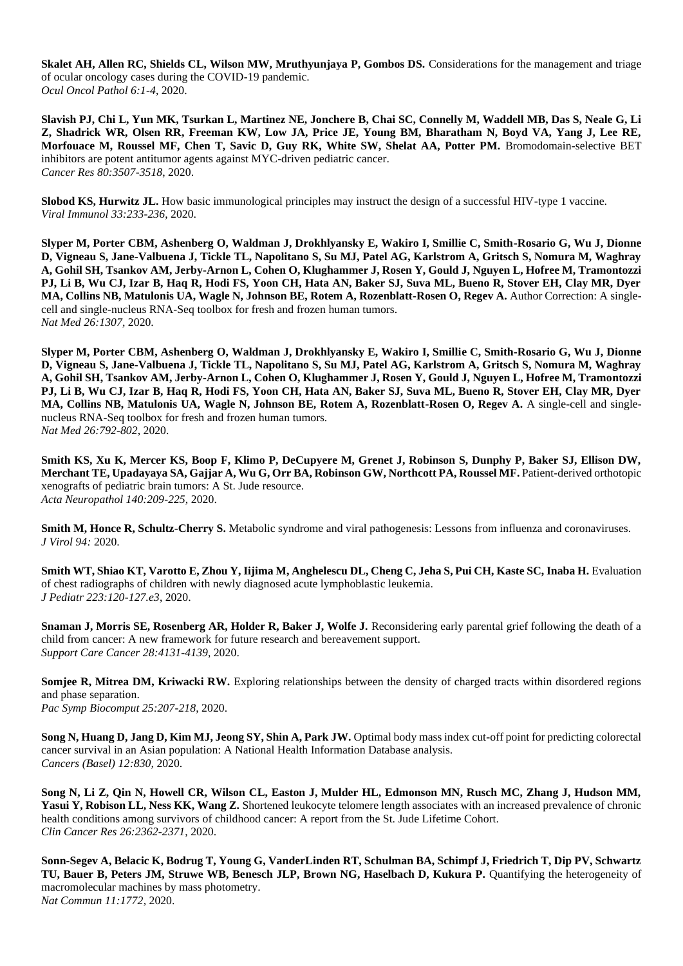**Skalet AH, Allen RC, Shields CL, Wilson MW, Mruthyunjaya P, Gombos DS.** Considerations for the management and triage of ocular oncology cases during the COVID-19 pandemic. *Ocul Oncol Pathol 6:1-4*, 2020.

**Slavish PJ, Chi L, Yun MK, Tsurkan L, Martinez NE, Jonchere B, Chai SC, Connelly M, Waddell MB, Das S, Neale G, Li Z, Shadrick WR, Olsen RR, Freeman KW, Low JA, Price JE, Young BM, Bharatham N, Boyd VA, Yang J, Lee RE, Morfouace M, Roussel MF, Chen T, Savic D, Guy RK, White SW, Shelat AA, Potter PM.** Bromodomain-selective BET inhibitors are potent antitumor agents against MYC-driven pediatric cancer. *Cancer Res 80:3507-3518*, 2020.

**Slobod KS, Hurwitz JL.** How basic immunological principles may instruct the design of a successful HIV-type 1 vaccine. *Viral Immunol 33:233-236*, 2020.

**Slyper M, Porter CBM, Ashenberg O, Waldman J, Drokhlyansky E, Wakiro I, Smillie C, Smith-Rosario G, Wu J, Dionne D, Vigneau S, Jane-Valbuena J, Tickle TL, Napolitano S, Su MJ, Patel AG, Karlstrom A, Gritsch S, Nomura M, Waghray A, Gohil SH, Tsankov AM, Jerby-Arnon L, Cohen O, Klughammer J, Rosen Y, Gould J, Nguyen L, Hofree M, Tramontozzi PJ, Li B, Wu CJ, Izar B, Haq R, Hodi FS, Yoon CH, Hata AN, Baker SJ, Suva ML, Bueno R, Stover EH, Clay MR, Dyer MA, Collins NB, Matulonis UA, Wagle N, Johnson BE, Rotem A, Rozenblatt-Rosen O, Regev A.** Author Correction: A singlecell and single-nucleus RNA-Seq toolbox for fresh and frozen human tumors. *Nat Med 26:1307,* 2020.

**Slyper M, Porter CBM, Ashenberg O, Waldman J, Drokhlyansky E, Wakiro I, Smillie C, Smith-Rosario G, Wu J, Dionne D, Vigneau S, Jane-Valbuena J, Tickle TL, Napolitano S, Su MJ, Patel AG, Karlstrom A, Gritsch S, Nomura M, Waghray A, Gohil SH, Tsankov AM, Jerby-Arnon L, Cohen O, Klughammer J, Rosen Y, Gould J, Nguyen L, Hofree M, Tramontozzi PJ, Li B, Wu CJ, Izar B, Haq R, Hodi FS, Yoon CH, Hata AN, Baker SJ, Suva ML, Bueno R, Stover EH, Clay MR, Dyer**  MA, Collins NB, Matulonis UA, Wagle N, Johnson BE, Rotem A, Rozenblatt-Rosen O, Regev A. A single-cell and singlenucleus RNA-Seq toolbox for fresh and frozen human tumors. *Nat Med 26:792-802*, 2020.

**Smith KS, Xu K, Mercer KS, Boop F, Klimo P, DeCupyere M, Grenet J, Robinson S, Dunphy P, Baker SJ, Ellison DW, Merchant TE, Upadayaya SA, Gajjar A, Wu G, Orr BA, Robinson GW, Northcott PA, Roussel MF.** Patient-derived orthotopic xenografts of pediatric brain tumors: A St. Jude resource. *Acta Neuropathol 140:209-225*, 2020.

**Smith M, Honce R, Schultz-Cherry S.** Metabolic syndrome and viral pathogenesis: Lessons from influenza and coronaviruses. *J Virol 94:* 2020.

**Smith WT, Shiao KT, Varotto E, Zhou Y, Iijima M, Anghelescu DL, Cheng C, Jeha S, Pui CH, Kaste SC, Inaba H.** Evaluation of chest radiographs of children with newly diagnosed acute lymphoblastic leukemia. *J Pediatr 223:120-127.e3*, 2020.

**Snaman J, Morris SE, Rosenberg AR, Holder R, Baker J, Wolfe J.** Reconsidering early parental grief following the death of a child from cancer: A new framework for future research and bereavement support. *Support Care Cancer 28:4131-4139*, 2020.

**Somjee R, Mitrea DM, Kriwacki RW.** Exploring relationships between the density of charged tracts within disordered regions and phase separation.

*Pac Symp Biocomput 25:207-218*, 2020.

**Song N, Huang D, Jang D, Kim MJ, Jeong SY, Shin A, Park JW.** Optimal body mass index cut-off point for predicting colorectal cancer survival in an Asian population: A National Health Information Database analysis. *Cancers (Basel) 12:830,* 2020.

**Song N, Li Z, Qin N, Howell CR, Wilson CL, Easton J, Mulder HL, Edmonson MN, Rusch MC, Zhang J, Hudson MM,**  Yasui Y, Robison LL, Ness KK, Wang Z. Shortened leukocyte telomere length associates with an increased prevalence of chronic health conditions among survivors of childhood cancer: A report from the St. Jude Lifetime Cohort. *Clin Cancer Res 26:2362-2371*, 2020.

**Sonn-Segev A, Belacic K, Bodrug T, Young G, VanderLinden RT, Schulman BA, Schimpf J, Friedrich T, Dip PV, Schwartz TU, Bauer B, Peters JM, Struwe WB, Benesch JLP, Brown NG, Haselbach D, Kukura P.** Quantifying the heterogeneity of macromolecular machines by mass photometry. *Nat Commun 11:1772,* 2020.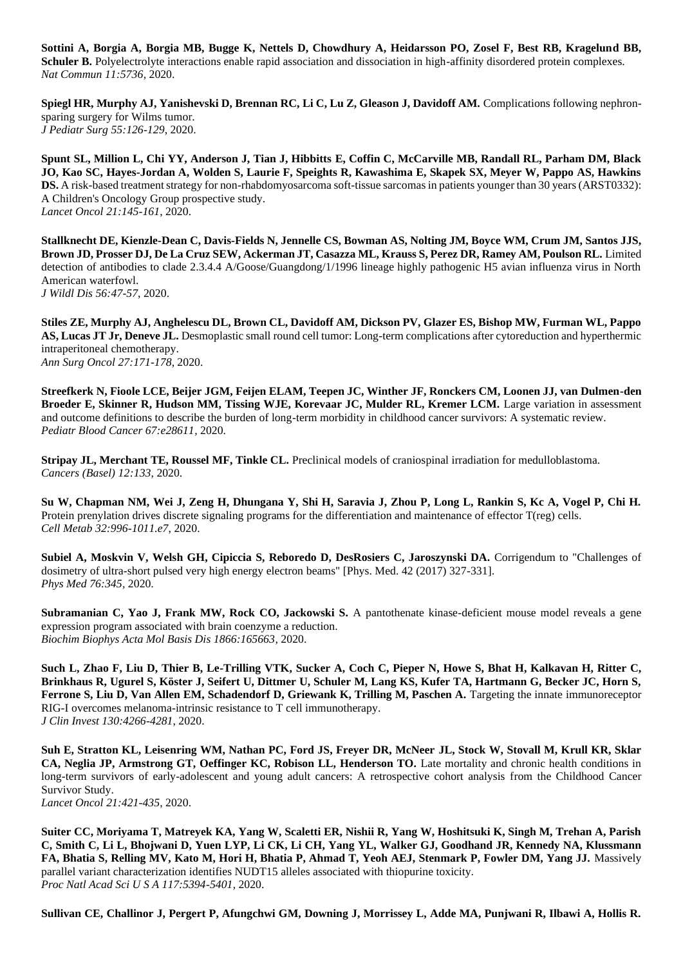**Sottini A, Borgia A, Borgia MB, Bugge K, Nettels D, Chowdhury A, Heidarsson PO, Zosel F, Best RB, Kragelund BB, Schuler B.** Polyelectrolyte interactions enable rapid association and dissociation in high-affinity disordered protein complexes. *Nat Commun 11:5736,* 2020.

**Spiegl HR, Murphy AJ, Yanishevski D, Brennan RC, Li C, Lu Z, Gleason J, Davidoff AM.** Complications following nephronsparing surgery for Wilms tumor. *J Pediatr Surg 55:126-129*, 2020.

**Spunt SL, Million L, Chi YY, Anderson J, Tian J, Hibbitts E, Coffin C, McCarville MB, Randall RL, Parham DM, Black JO, Kao SC, Hayes-Jordan A, Wolden S, Laurie F, Speights R, Kawashima E, Skapek SX, Meyer W, Pappo AS, Hawkins DS.** A risk-based treatment strategy for non-rhabdomyosarcoma soft-tissue sarcomas in patients younger than 30 years (ARST0332): A Children's Oncology Group prospective study. *Lancet Oncol 21:145-161*, 2020.

**Stallknecht DE, Kienzle-Dean C, Davis-Fields N, Jennelle CS, Bowman AS, Nolting JM, Boyce WM, Crum JM, Santos JJS, Brown JD, Prosser DJ, De La Cruz SEW, Ackerman JT, Casazza ML, Krauss S, Perez DR, Ramey AM, Poulson RL.** Limited detection of antibodies to clade 2.3.4.4 A/Goose/Guangdong/1/1996 lineage highly pathogenic H5 avian influenza virus in North American waterfowl. *J Wildl Dis 56:47-57*, 2020.

**Stiles ZE, Murphy AJ, Anghelescu DL, Brown CL, Davidoff AM, Dickson PV, Glazer ES, Bishop MW, Furman WL, Pappo AS, Lucas JT Jr, Deneve JL.** Desmoplastic small round cell tumor: Long-term complications after cytoreduction and hyperthermic intraperitoneal chemotherapy. *Ann Surg Oncol 27:171-178*, 2020.

**Streefkerk N, Fioole LCE, Beijer JGM, Feijen ELAM, Teepen JC, Winther JF, Ronckers CM, Loonen JJ, van Dulmen-den Broeder E, Skinner R, Hudson MM, Tissing WJE, Korevaar JC, Mulder RL, Kremer LCM.** Large variation in assessment and outcome definitions to describe the burden of long-term morbidity in childhood cancer survivors: A systematic review. *Pediatr Blood Cancer 67:e28611,* 2020.

**Stripay JL, Merchant TE, Roussel MF, Tinkle CL.** Preclinical models of craniospinal irradiation for medulloblastoma. *Cancers (Basel) 12:133,* 2020.

**Su W, Chapman NM, Wei J, Zeng H, Dhungana Y, Shi H, Saravia J, Zhou P, Long L, Rankin S, Kc A, Vogel P, Chi H.**  Protein prenylation drives discrete signaling programs for the differentiation and maintenance of effector T(reg) cells. *Cell Metab 32:996-1011.e7*, 2020.

**Subiel A, Moskvin V, Welsh GH, Cipiccia S, Reboredo D, DesRosiers C, Jaroszynski DA.** Corrigendum to "Challenges of dosimetry of ultra-short pulsed very high energy electron beams" [Phys. Med. 42 (2017) 327-331]. *Phys Med 76:345,* 2020.

**Subramanian C, Yao J, Frank MW, Rock CO, Jackowski S.** A pantothenate kinase-deficient mouse model reveals a gene expression program associated with brain coenzyme a reduction. *Biochim Biophys Acta Mol Basis Dis 1866:165663,* 2020.

**Such L, Zhao F, Liu D, Thier B, Le-Trilling VTK, Sucker A, Coch C, Pieper N, Howe S, Bhat H, Kalkavan H, Ritter C, Brinkhaus R, Ugurel S, Köster J, Seifert U, Dittmer U, Schuler M, Lang KS, Kufer TA, Hartmann G, Becker JC, Horn S, Ferrone S, Liu D, Van Allen EM, Schadendorf D, Griewank K, Trilling M, Paschen A.** Targeting the innate immunoreceptor RIG-I overcomes melanoma-intrinsic resistance to T cell immunotherapy. *J Clin Invest 130:4266-4281*, 2020.

**Suh E, Stratton KL, Leisenring WM, Nathan PC, Ford JS, Freyer DR, McNeer JL, Stock W, Stovall M, Krull KR, Sklar CA, Neglia JP, Armstrong GT, Oeffinger KC, Robison LL, Henderson TO.** Late mortality and chronic health conditions in long-term survivors of early-adolescent and young adult cancers: A retrospective cohort analysis from the Childhood Cancer Survivor Study.

*Lancet Oncol 21:421-435*, 2020.

**Suiter CC, Moriyama T, Matreyek KA, Yang W, Scaletti ER, Nishii R, Yang W, Hoshitsuki K, Singh M, Trehan A, Parish C, Smith C, Li L, Bhojwani D, Yuen LYP, Li CK, Li CH, Yang YL, Walker GJ, Goodhand JR, Kennedy NA, Klussmann FA, Bhatia S, Relling MV, Kato M, Hori H, Bhatia P, Ahmad T, Yeoh AEJ, Stenmark P, Fowler DM, Yang JJ.** Massively parallel variant characterization identifies NUDT15 alleles associated with thiopurine toxicity. *Proc Natl Acad Sci U S A 117:5394-5401*, 2020.

**Sullivan CE, Challinor J, Pergert P, Afungchwi GM, Downing J, Morrissey L, Adde MA, Punjwani R, Ilbawi A, Hollis R.**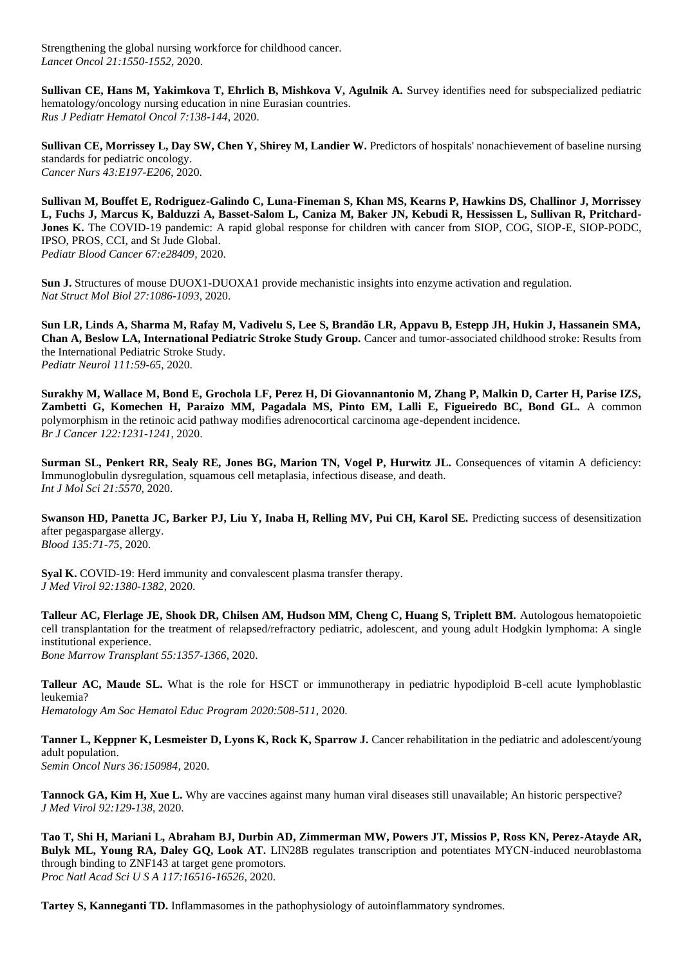Strengthening the global nursing workforce for childhood cancer. *Lancet Oncol 21:1550-1552*, 2020.

**Sullivan CE, Hans M, Yakimkova T, Ehrlich B, Mishkova V, Agulnik A.** Survey identifies need for subspecialized pediatric hematology/oncology nursing education in nine Eurasian countries. *Rus J Pediatr Hematol Oncol 7:138-144*, 2020.

**Sullivan CE, Morrissey L, Day SW, Chen Y, Shirey M, Landier W.** Predictors of hospitals' nonachievement of baseline nursing standards for pediatric oncology. *Cancer Nurs 43:E197-E206*, 2020.

**Sullivan M, Bouffet E, Rodriguez-Galindo C, Luna-Fineman S, Khan MS, Kearns P, Hawkins DS, Challinor J, Morrissey L, Fuchs J, Marcus K, Balduzzi A, Basset-Salom L, Caniza M, Baker JN, Kebudi R, Hessissen L, Sullivan R, Pritchard-Jones K.** The COVID-19 pandemic: A rapid global response for children with cancer from SIOP, COG, SIOP-E, SIOP-PODC, IPSO, PROS, CCI, and St Jude Global. *Pediatr Blood Cancer 67:e28409,* 2020.

**Sun J.** Structures of mouse DUOX1-DUOXA1 provide mechanistic insights into enzyme activation and regulation. *Nat Struct Mol Biol 27:1086-1093*, 2020.

**Sun LR, Linds A, Sharma M, Rafay M, Vadivelu S, Lee S, Brandão LR, Appavu B, Estepp JH, Hukin J, Hassanein SMA, Chan A, Beslow LA, International Pediatric Stroke Study Group.** Cancer and tumor-associated childhood stroke: Results from the International Pediatric Stroke Study. *Pediatr Neurol 111:59-65*, 2020.

**Surakhy M, Wallace M, Bond E, Grochola LF, Perez H, Di Giovannantonio M, Zhang P, Malkin D, Carter H, Parise IZS, Zambetti G, Komechen H, Paraizo MM, Pagadala MS, Pinto EM, Lalli E, Figueiredo BC, Bond GL.** A common polymorphism in the retinoic acid pathway modifies adrenocortical carcinoma age-dependent incidence. *Br J Cancer 122:1231-1241*, 2020.

**Surman SL, Penkert RR, Sealy RE, Jones BG, Marion TN, Vogel P, Hurwitz JL.** Consequences of vitamin A deficiency: Immunoglobulin dysregulation, squamous cell metaplasia, infectious disease, and death. *Int J Mol Sci 21:5570,* 2020.

**Swanson HD, Panetta JC, Barker PJ, Liu Y, Inaba H, Relling MV, Pui CH, Karol SE.** Predicting success of desensitization after pegaspargase allergy. *Blood 135:71-75*, 2020.

**Syal K.** COVID-19: Herd immunity and convalescent plasma transfer therapy. *J Med Virol 92:1380-1382*, 2020.

**Talleur AC, Flerlage JE, Shook DR, Chilsen AM, Hudson MM, Cheng C, Huang S, Triplett BM.** Autologous hematopoietic cell transplantation for the treatment of relapsed/refractory pediatric, adolescent, and young adult Hodgkin lymphoma: A single institutional experience. *Bone Marrow Transplant 55:1357-1366*, 2020.

**Talleur AC, Maude SL.** What is the role for HSCT or immunotherapy in pediatric hypodiploid B-cell acute lymphoblastic leukemia? *Hematology Am Soc Hematol Educ Program 2020:508-511*, 2020.

**Tanner L, Keppner K, Lesmeister D, Lyons K, Rock K, Sparrow J.** Cancer rehabilitation in the pediatric and adolescent/young adult population. *Semin Oncol Nurs 36:150984,* 2020.

**Tannock GA, Kim H, Xue L.** Why are vaccines against many human viral diseases still unavailable; An historic perspective? *J Med Virol 92:129-138*, 2020.

**Tao T, Shi H, Mariani L, Abraham BJ, Durbin AD, Zimmerman MW, Powers JT, Missios P, Ross KN, Perez-Atayde AR, Bulyk ML, Young RA, Daley GQ, Look AT.** LIN28B regulates transcription and potentiates MYCN-induced neuroblastoma through binding to ZNF143 at target gene promotors. *Proc Natl Acad Sci U S A 117:16516-16526*, 2020.

**Tartey S, Kanneganti TD.** Inflammasomes in the pathophysiology of autoinflammatory syndromes.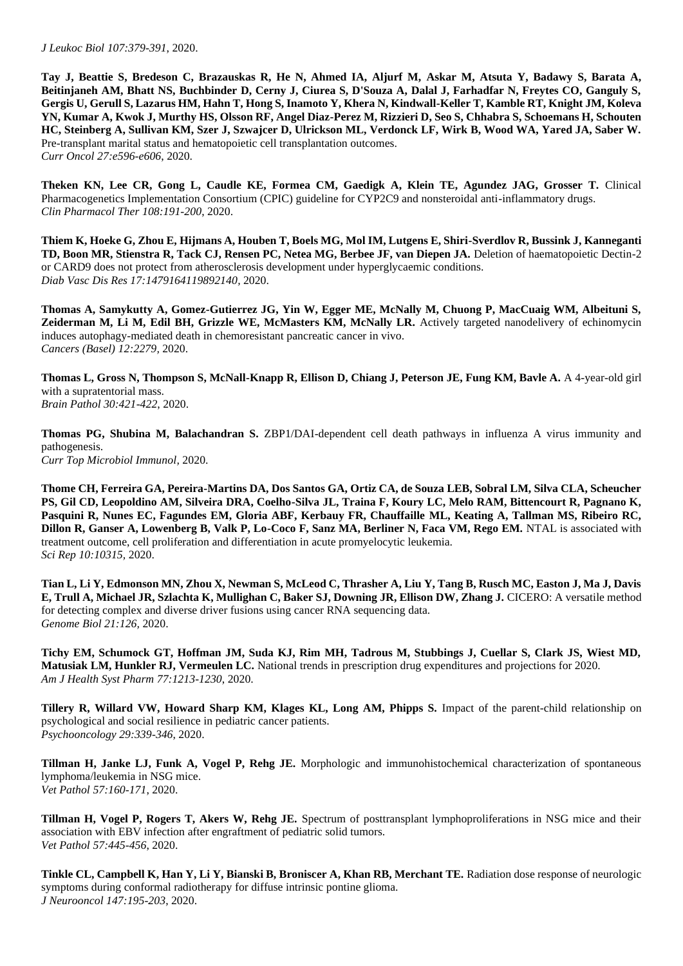**Tay J, Beattie S, Bredeson C, Brazauskas R, He N, Ahmed IA, Aljurf M, Askar M, Atsuta Y, Badawy S, Barata A, Beitinjaneh AM, Bhatt NS, Buchbinder D, Cerny J, Ciurea S, D'Souza A, Dalal J, Farhadfar N, Freytes CO, Ganguly S, Gergis U, Gerull S, Lazarus HM, Hahn T, Hong S, Inamoto Y, Khera N, Kindwall-Keller T, Kamble RT, Knight JM, Koleva YN, Kumar A, Kwok J, Murthy HS, Olsson RF, Angel Diaz-Perez M, Rizzieri D, Seo S, Chhabra S, Schoemans H, Schouten HC, Steinberg A, Sullivan KM, Szer J, Szwajcer D, Ulrickson ML, Verdonck LF, Wirk B, Wood WA, Yared JA, Saber W.**  Pre-transplant marital status and hematopoietic cell transplantation outcomes. *Curr Oncol 27:e596-e606*, 2020.

**Theken KN, Lee CR, Gong L, Caudle KE, Formea CM, Gaedigk A, Klein TE, Agundez JAG, Grosser T.** Clinical Pharmacogenetics Implementation Consortium (CPIC) guideline for CYP2C9 and nonsteroidal anti-inflammatory drugs. *Clin Pharmacol Ther 108:191-200*, 2020.

**Thiem K, Hoeke G, Zhou E, Hijmans A, Houben T, Boels MG, Mol IM, Lutgens E, Shiri-Sverdlov R, Bussink J, Kanneganti TD, Boon MR, Stienstra R, Tack CJ, Rensen PC, Netea MG, Berbee JF, van Diepen JA.** Deletion of haematopoietic Dectin-2 or CARD9 does not protect from atherosclerosis development under hyperglycaemic conditions. *Diab Vasc Dis Res 17:1479164119892140,* 2020.

**Thomas A, Samykutty A, Gomez-Gutierrez JG, Yin W, Egger ME, McNally M, Chuong P, MacCuaig WM, Albeituni S, Zeiderman M, Li M, Edil BH, Grizzle WE, McMasters KM, McNally LR.** Actively targeted nanodelivery of echinomycin induces autophagy-mediated death in chemoresistant pancreatic cancer in vivo. *Cancers (Basel) 12:2279,* 2020.

**Thomas L, Gross N, Thompson S, McNall-Knapp R, Ellison D, Chiang J, Peterson JE, Fung KM, Bavle A.** A 4-year-old girl with a supratentorial mass. *Brain Pathol 30:421-422*, 2020.

**Thomas PG, Shubina M, Balachandran S.** ZBP1/DAI-dependent cell death pathways in influenza A virus immunity and pathogenesis. *Curr Top Microbiol Immunol,* 2020.

**Thome CH, Ferreira GA, Pereira-Martins DA, Dos Santos GA, Ortiz CA, de Souza LEB, Sobral LM, Silva CLA, Scheucher PS, Gil CD, Leopoldino AM, Silveira DRA, Coelho-Silva JL, Traina F, Koury LC, Melo RAM, Bittencourt R, Pagnano K, Pasquini R, Nunes EC, Fagundes EM, Gloria ABF, Kerbauy FR, Chauffaille ML, Keating A, Tallman MS, Ribeiro RC, Dillon R, Ganser A, Lowenberg B, Valk P, Lo-Coco F, Sanz MA, Berliner N, Faca VM, Rego EM.** NTAL is associated with treatment outcome, cell proliferation and differentiation in acute promyelocytic leukemia. *Sci Rep 10:10315,* 2020.

**Tian L, Li Y, Edmonson MN, Zhou X, Newman S, McLeod C, Thrasher A, Liu Y, Tang B, Rusch MC, Easton J, Ma J, Davis E, Trull A, Michael JR, Szlachta K, Mullighan C, Baker SJ, Downing JR, Ellison DW, Zhang J.** CICERO: A versatile method for detecting complex and diverse driver fusions using cancer RNA sequencing data. *Genome Biol 21:126,* 2020.

**Tichy EM, Schumock GT, Hoffman JM, Suda KJ, Rim MH, Tadrous M, Stubbings J, Cuellar S, Clark JS, Wiest MD, Matusiak LM, Hunkler RJ, Vermeulen LC.** National trends in prescription drug expenditures and projections for 2020. *Am J Health Syst Pharm 77:1213-1230*, 2020.

**Tillery R, Willard VW, Howard Sharp KM, Klages KL, Long AM, Phipps S.** Impact of the parent-child relationship on psychological and social resilience in pediatric cancer patients. *Psychooncology 29:339-346*, 2020.

**Tillman H, Janke LJ, Funk A, Vogel P, Rehg JE.** Morphologic and immunohistochemical characterization of spontaneous lymphoma/leukemia in NSG mice. *Vet Pathol 57:160-171*, 2020.

**Tillman H, Vogel P, Rogers T, Akers W, Rehg JE.** Spectrum of posttransplant lymphoproliferations in NSG mice and their association with EBV infection after engraftment of pediatric solid tumors. *Vet Pathol 57:445-456*, 2020.

**Tinkle CL, Campbell K, Han Y, Li Y, Bianski B, Broniscer A, Khan RB, Merchant TE.** Radiation dose response of neurologic symptoms during conformal radiotherapy for diffuse intrinsic pontine glioma. *J Neurooncol 147:195-203*, 2020.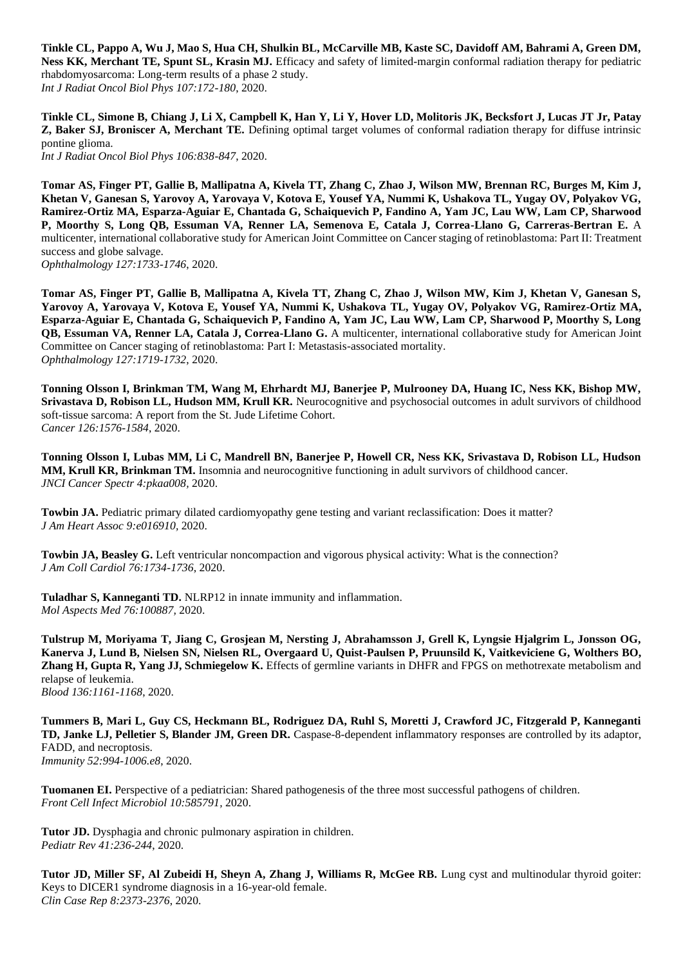**Tinkle CL, Pappo A, Wu J, Mao S, Hua CH, Shulkin BL, McCarville MB, Kaste SC, Davidoff AM, Bahrami A, Green DM, Ness KK, Merchant TE, Spunt SL, Krasin MJ.** Efficacy and safety of limited-margin conformal radiation therapy for pediatric rhabdomyosarcoma: Long-term results of a phase 2 study. *Int J Radiat Oncol Biol Phys 107:172-180*, 2020.

**Tinkle CL, Simone B, Chiang J, Li X, Campbell K, Han Y, Li Y, Hover LD, Molitoris JK, Becksfort J, Lucas JT Jr, Patay Z, Baker SJ, Broniscer A, Merchant TE.** Defining optimal target volumes of conformal radiation therapy for diffuse intrinsic pontine glioma.

*Int J Radiat Oncol Biol Phys 106:838-847*, 2020.

**Tomar AS, Finger PT, Gallie B, Mallipatna A, Kivela TT, Zhang C, Zhao J, Wilson MW, Brennan RC, Burges M, Kim J, Khetan V, Ganesan S, Yarovoy A, Yarovaya V, Kotova E, Yousef YA, Nummi K, Ushakova TL, Yugay OV, Polyakov VG, Ramirez-Ortiz MA, Esparza-Aguiar E, Chantada G, Schaiquevich P, Fandino A, Yam JC, Lau WW, Lam CP, Sharwood P, Moorthy S, Long QB, Essuman VA, Renner LA, Semenova E, Catala J, Correa-Llano G, Carreras-Bertran E.** A multicenter, international collaborative study for American Joint Committee on Cancer staging of retinoblastoma: Part II: Treatment success and globe salvage. *Ophthalmology 127:1733-1746*, 2020.

**Tomar AS, Finger PT, Gallie B, Mallipatna A, Kivela TT, Zhang C, Zhao J, Wilson MW, Kim J, Khetan V, Ganesan S, Yarovoy A, Yarovaya V, Kotova E, Yousef YA, Nummi K, Ushakova TL, Yugay OV, Polyakov VG, Ramirez-Ortiz MA, Esparza-Aguiar E, Chantada G, Schaiquevich P, Fandino A, Yam JC, Lau WW, Lam CP, Sharwood P, Moorthy S, Long QB, Essuman VA, Renner LA, Catala J, Correa-Llano G.** A multicenter, international collaborative study for American Joint Committee on Cancer staging of retinoblastoma: Part I: Metastasis-associated mortality. *Ophthalmology 127:1719-1732*, 2020.

**Tonning Olsson I, Brinkman TM, Wang M, Ehrhardt MJ, Banerjee P, Mulrooney DA, Huang IC, Ness KK, Bishop MW, Srivastava D, Robison LL, Hudson MM, Krull KR.** Neurocognitive and psychosocial outcomes in adult survivors of childhood soft-tissue sarcoma: A report from the St. Jude Lifetime Cohort. *Cancer 126:1576-1584*, 2020.

**Tonning Olsson I, Lubas MM, Li C, Mandrell BN, Banerjee P, Howell CR, Ness KK, Srivastava D, Robison LL, Hudson MM, Krull KR, Brinkman TM.** Insomnia and neurocognitive functioning in adult survivors of childhood cancer. *JNCI Cancer Spectr 4:pkaa008,* 2020.

**Towbin JA.** Pediatric primary dilated cardiomyopathy gene testing and variant reclassification: Does it matter? *J Am Heart Assoc 9:e016910,* 2020.

**Towbin JA, Beasley G.** Left ventricular noncompaction and vigorous physical activity: What is the connection? *J Am Coll Cardiol 76:1734-1736*, 2020.

**Tuladhar S, Kanneganti TD.** NLRP12 in innate immunity and inflammation. *Mol Aspects Med 76:100887,* 2020.

**Tulstrup M, Moriyama T, Jiang C, Grosjean M, Nersting J, Abrahamsson J, Grell K, Lyngsie Hjalgrim L, Jonsson OG, Kanerva J, Lund B, Nielsen SN, Nielsen RL, Overgaard U, Quist-Paulsen P, Pruunsild K, Vaitkeviciene G, Wolthers BO, Zhang H, Gupta R, Yang JJ, Schmiegelow K.** Effects of germline variants in DHFR and FPGS on methotrexate metabolism and relapse of leukemia.

*Blood 136:1161-1168*, 2020.

**Tummers B, Mari L, Guy CS, Heckmann BL, Rodriguez DA, Ruhl S, Moretti J, Crawford JC, Fitzgerald P, Kanneganti TD, Janke LJ, Pelletier S, Blander JM, Green DR.** Caspase-8-dependent inflammatory responses are controlled by its adaptor, FADD, and necroptosis. *Immunity 52:994-1006.e8*, 2020.

**Tuomanen EI.** Perspective of a pediatrician: Shared pathogenesis of the three most successful pathogens of children. *Front Cell Infect Microbiol 10:585791,* 2020.

**Tutor JD.** Dysphagia and chronic pulmonary aspiration in children. *Pediatr Rev 41:236-244*, 2020.

**Tutor JD, Miller SF, Al Zubeidi H, Sheyn A, Zhang J, Williams R, McGee RB.** Lung cyst and multinodular thyroid goiter: Keys to DICER1 syndrome diagnosis in a 16-year-old female. *Clin Case Rep 8:2373-2376*, 2020.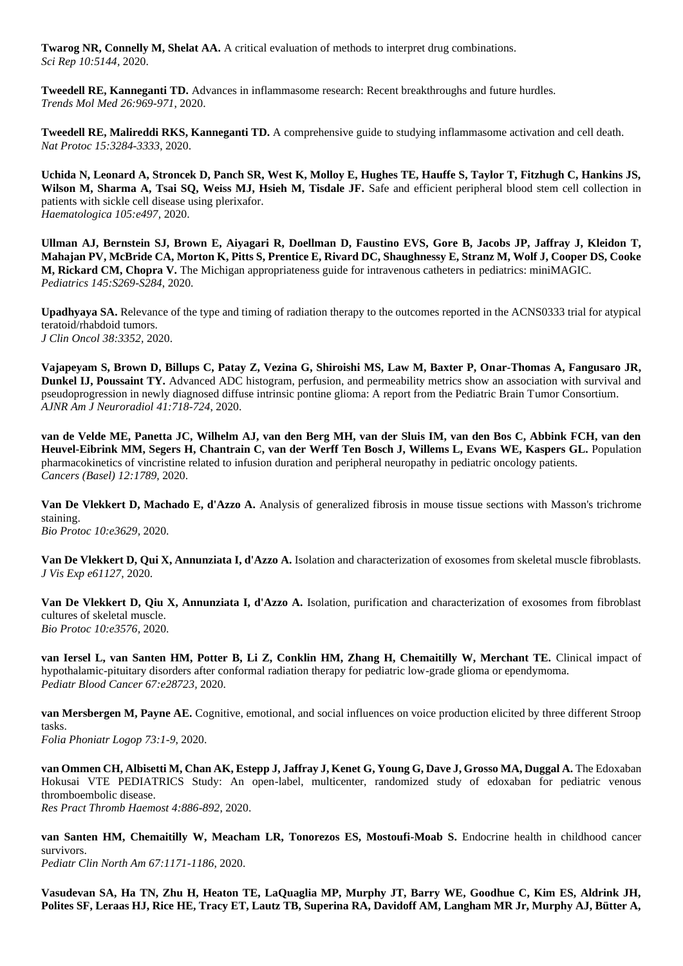**Twarog NR, Connelly M, Shelat AA.** A critical evaluation of methods to interpret drug combinations. *Sci Rep 10:5144,* 2020.

**Tweedell RE, Kanneganti TD.** Advances in inflammasome research: Recent breakthroughs and future hurdles. *Trends Mol Med 26:969-971*, 2020.

**Tweedell RE, Malireddi RKS, Kanneganti TD.** A comprehensive guide to studying inflammasome activation and cell death. *Nat Protoc 15:3284-3333*, 2020.

**Uchida N, Leonard A, Stroncek D, Panch SR, West K, Molloy E, Hughes TE, Hauffe S, Taylor T, Fitzhugh C, Hankins JS, Wilson M, Sharma A, Tsai SQ, Weiss MJ, Hsieh M, Tisdale JF.** Safe and efficient peripheral blood stem cell collection in patients with sickle cell disease using plerixafor. *Haematologica 105:e497,* 2020.

**Ullman AJ, Bernstein SJ, Brown E, Aiyagari R, Doellman D, Faustino EVS, Gore B, Jacobs JP, Jaffray J, Kleidon T, Mahajan PV, McBride CA, Morton K, Pitts S, Prentice E, Rivard DC, Shaughnessy E, Stranz M, Wolf J, Cooper DS, Cooke M, Rickard CM, Chopra V.** The Michigan appropriateness guide for intravenous catheters in pediatrics: miniMAGIC. *Pediatrics 145:S269-S284*, 2020.

**Upadhyaya SA.** Relevance of the type and timing of radiation therapy to the outcomes reported in the ACNS0333 trial for atypical teratoid/rhabdoid tumors. *J Clin Oncol 38:3352,* 2020.

**Vajapeyam S, Brown D, Billups C, Patay Z, Vezina G, Shiroishi MS, Law M, Baxter P, Onar-Thomas A, Fangusaro JR, Dunkel IJ, Poussaint TY.** Advanced ADC histogram, perfusion, and permeability metrics show an association with survival and pseudoprogression in newly diagnosed diffuse intrinsic pontine glioma: A report from the Pediatric Brain Tumor Consortium. *AJNR Am J Neuroradiol 41:718-724*, 2020.

**van de Velde ME, Panetta JC, Wilhelm AJ, van den Berg MH, van der Sluis IM, van den Bos C, Abbink FCH, van den Heuvel-Eibrink MM, Segers H, Chantrain C, van der Werff Ten Bosch J, Willems L, Evans WE, Kaspers GL.** Population pharmacokinetics of vincristine related to infusion duration and peripheral neuropathy in pediatric oncology patients. *Cancers (Basel) 12:1789,* 2020.

**Van De Vlekkert D, Machado E, d'Azzo A.** Analysis of generalized fibrosis in mouse tissue sections with Masson's trichrome staining.

*Bio Protoc 10:e3629,* 2020.

**Van De Vlekkert D, Qui X, Annunziata I, d'Azzo A.** Isolation and characterization of exosomes from skeletal muscle fibroblasts. *J Vis Exp e61127,* 2020.

**Van De Vlekkert D, Qiu X, Annunziata I, d'Azzo A.** Isolation, purification and characterization of exosomes from fibroblast cultures of skeletal muscle. *Bio Protoc 10:e3576,* 2020.

**van Iersel L, van Santen HM, Potter B, Li Z, Conklin HM, Zhang H, Chemaitilly W, Merchant TE.** Clinical impact of hypothalamic-pituitary disorders after conformal radiation therapy for pediatric low-grade glioma or ependymoma. *Pediatr Blood Cancer 67:e28723,* 2020.

**van Mersbergen M, Payne AE.** Cognitive, emotional, and social influences on voice production elicited by three different Stroop tasks. *Folia Phoniatr Logop 73:1-9*, 2020.

**van Ommen CH, Albisetti M, Chan AK, Estepp J, Jaffray J, Kenet G, Young G, Dave J, Grosso MA, Duggal A.** The Edoxaban Hokusai VTE PEDIATRICS Study: An open-label, multicenter, randomized study of edoxaban for pediatric venous thromboembolic disease. *Res Pract Thromb Haemost 4:886-892*, 2020.

**van Santen HM, Chemaitilly W, Meacham LR, Tonorezos ES, Mostoufi-Moab S.** Endocrine health in childhood cancer survivors. *Pediatr Clin North Am 67:1171-1186*, 2020.

**Vasudevan SA, Ha TN, Zhu H, Heaton TE, LaQuaglia MP, Murphy JT, Barry WE, Goodhue C, Kim ES, Aldrink JH, Polites SF, Leraas HJ, Rice HE, Tracy ET, Lautz TB, Superina RA, Davidoff AM, Langham MR Jr, Murphy AJ, Bütter A,**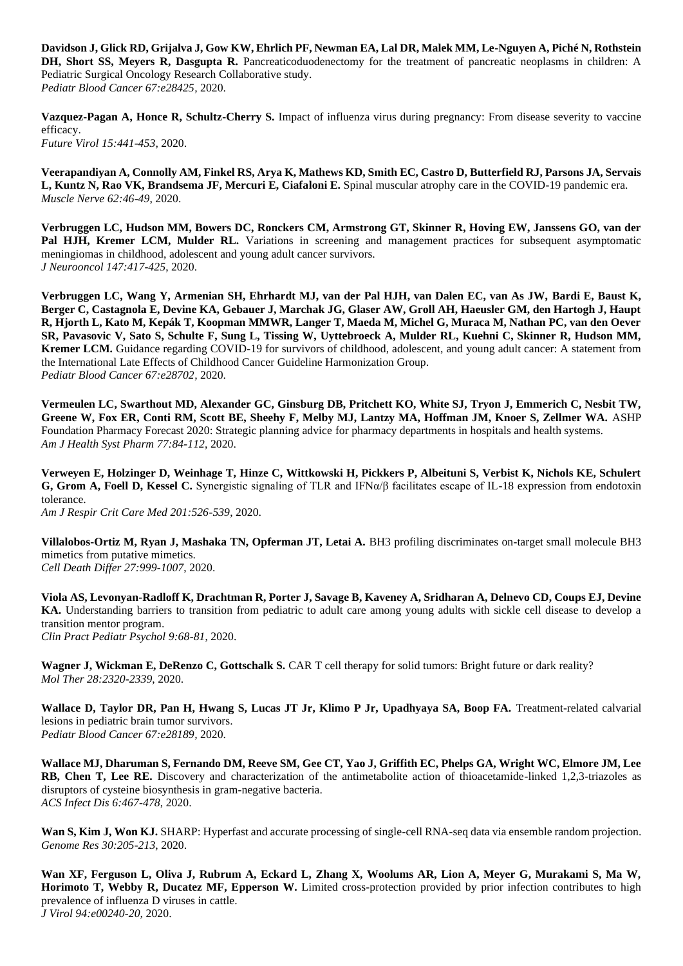**Davidson J, Glick RD, Grijalva J, Gow KW, Ehrlich PF, Newman EA, Lal DR, Malek MM, Le-Nguyen A, Piché N, Rothstein DH, Short SS, Meyers R, Dasgupta R.** Pancreaticoduodenectomy for the treatment of pancreatic neoplasms in children: A Pediatric Surgical Oncology Research Collaborative study. *Pediatr Blood Cancer 67:e28425,* 2020.

**Vazquez-Pagan A, Honce R, Schultz-Cherry S.** Impact of influenza virus during pregnancy: From disease severity to vaccine efficacy. *Future Virol 15:441-453,* 2020.

**Veerapandiyan A, Connolly AM, Finkel RS, Arya K, Mathews KD, Smith EC, Castro D, Butterfield RJ, Parsons JA, Servais L, Kuntz N, Rao VK, Brandsema JF, Mercuri E, Ciafaloni E.** Spinal muscular atrophy care in the COVID-19 pandemic era. *Muscle Nerve 62:46-49*, 2020.

**Verbruggen LC, Hudson MM, Bowers DC, Ronckers CM, Armstrong GT, Skinner R, Hoving EW, Janssens GO, van der Pal HJH, Kremer LCM, Mulder RL.** Variations in screening and management practices for subsequent asymptomatic meningiomas in childhood, adolescent and young adult cancer survivors. *J Neurooncol 147:417-425*, 2020.

**Verbruggen LC, Wang Y, Armenian SH, Ehrhardt MJ, van der Pal HJH, van Dalen EC, van As JW, Bardi E, Baust K, Berger C, Castagnola E, Devine KA, Gebauer J, Marchak JG, Glaser AW, Groll AH, Haeusler GM, den Hartogh J, Haupt R, Hjorth L, Kato M, Kepák T, Koopman MMWR, Langer T, Maeda M, Michel G, Muraca M, Nathan PC, van den Oever SR, Pavasovic V, Sato S, Schulte F, Sung L, Tissing W, Uyttebroeck A, Mulder RL, Kuehni C, Skinner R, Hudson MM, Kremer LCM.** Guidance regarding COVID-19 for survivors of childhood, adolescent, and young adult cancer: A statement from the International Late Effects of Childhood Cancer Guideline Harmonization Group. *Pediatr Blood Cancer 67:e28702,* 2020.

**Vermeulen LC, Swarthout MD, Alexander GC, Ginsburg DB, Pritchett KO, White SJ, Tryon J, Emmerich C, Nesbit TW, Greene W, Fox ER, Conti RM, Scott BE, Sheehy F, Melby MJ, Lantzy MA, Hoffman JM, Knoer S, Zellmer WA.** ASHP Foundation Pharmacy Forecast 2020: Strategic planning advice for pharmacy departments in hospitals and health systems. *Am J Health Syst Pharm 77:84-112*, 2020.

**Verweyen E, Holzinger D, Weinhage T, Hinze C, Wittkowski H, Pickkers P, Albeituni S, Verbist K, Nichols KE, Schulert G, Grom A, Foell D, Kessel C.** Synergistic signaling of TLR and IFNα/β facilitates escape of IL-18 expression from endotoxin tolerance.

*Am J Respir Crit Care Med 201:526-539*, 2020.

**Villalobos-Ortiz M, Ryan J, Mashaka TN, Opferman JT, Letai A. BH3 profiling discriminates on-target small molecule BH3** mimetics from putative mimetics. *Cell Death Differ 27:999-1007*, 2020.

**Viola AS, Levonyan-Radloff K, Drachtman R, Porter J, Savage B, Kaveney A, Sridharan A, Delnevo CD, Coups EJ, Devine KA.** Understanding barriers to transition from pediatric to adult care among young adults with sickle cell disease to develop a transition mentor program. *Clin Pract Pediatr Psychol 9:68-81*, 2020.

**Wagner J, Wickman E, DeRenzo C, Gottschalk S.** CAR T cell therapy for solid tumors: Bright future or dark reality? *Mol Ther 28:2320-2339*, 2020.

Wallace D, Taylor DR, Pan H, Hwang S, Lucas JT Jr, Klimo P Jr, Upadhyaya SA, Boop FA. Treatment-related calvarial lesions in pediatric brain tumor survivors. *Pediatr Blood Cancer 67:e28189,* 2020.

**Wallace MJ, Dharuman S, Fernando DM, Reeve SM, Gee CT, Yao J, Griffith EC, Phelps GA, Wright WC, Elmore JM, Lee RB, Chen T, Lee RE.** Discovery and characterization of the antimetabolite action of thioacetamide-linked 1,2,3-triazoles as disruptors of cysteine biosynthesis in gram-negative bacteria. *ACS Infect Dis 6:467-478*, 2020.

Wan S, Kim J, Won KJ. SHARP: Hyperfast and accurate processing of single-cell RNA-seq data via ensemble random projection. *Genome Res 30:205-213*, 2020.

**Wan XF, Ferguson L, Oliva J, Rubrum A, Eckard L, Zhang X, Woolums AR, Lion A, Meyer G, Murakami S, Ma W, Horimoto T, Webby R, Ducatez MF, Epperson W.** Limited cross-protection provided by prior infection contributes to high prevalence of influenza D viruses in cattle. *J Virol 94:e00240-20,* 2020.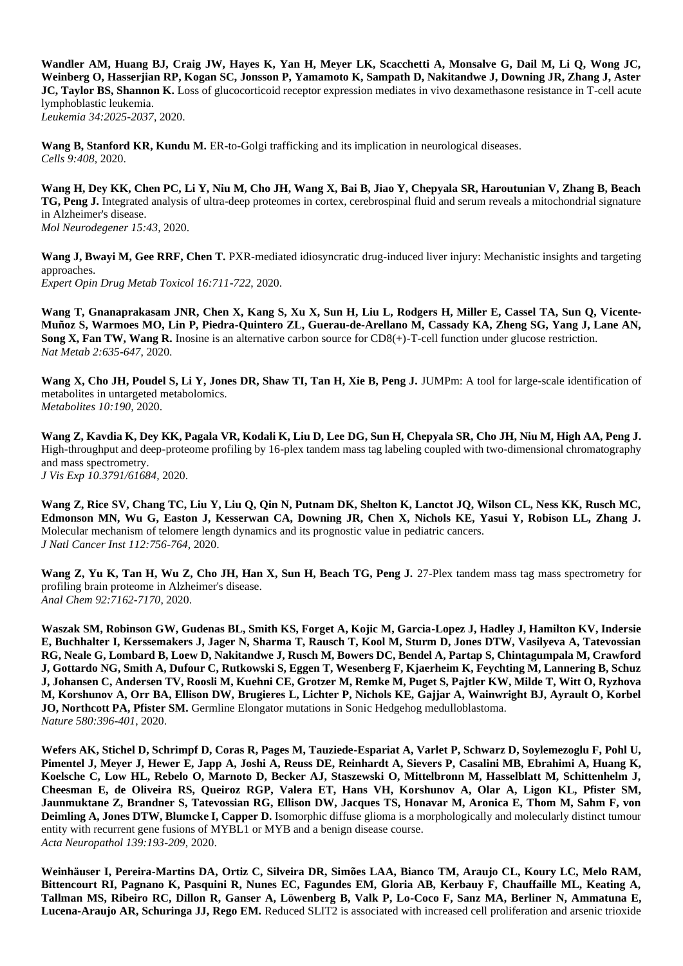**Wandler AM, Huang BJ, Craig JW, Hayes K, Yan H, Meyer LK, Scacchetti A, Monsalve G, Dail M, Li Q, Wong JC, Weinberg O, Hasserjian RP, Kogan SC, Jonsson P, Yamamoto K, Sampath D, Nakitandwe J, Downing JR, Zhang J, Aster JC, Taylor BS, Shannon K.** Loss of glucocorticoid receptor expression mediates in vivo dexamethasone resistance in T-cell acute lymphoblastic leukemia. *Leukemia 34:2025-2037*, 2020.

Wang B, Stanford KR, Kundu M. ER-to-Golgi trafficking and its implication in neurological diseases. *Cells 9:408,* 2020.

**Wang H, Dey KK, Chen PC, Li Y, Niu M, Cho JH, Wang X, Bai B, Jiao Y, Chepyala SR, Haroutunian V, Zhang B, Beach TG, Peng J.** Integrated analysis of ultra-deep proteomes in cortex, cerebrospinal fluid and serum reveals a mitochondrial signature in Alzheimer's disease. *Mol Neurodegener 15:43,* 2020.

Wang J, Bwayi M, Gee RRF, Chen T. PXR-mediated idiosyncratic drug-induced liver injury: Mechanistic insights and targeting approaches. *Expert Opin Drug Metab Toxicol 16:711-722*, 2020.

**Wang T, Gnanaprakasam JNR, Chen X, Kang S, Xu X, Sun H, Liu L, Rodgers H, Miller E, Cassel TA, Sun Q, Vicente-Muñoz S, Warmoes MO, Lin P, Piedra-Quintero ZL, Guerau-de-Arellano M, Cassady KA, Zheng SG, Yang J, Lane AN, Song X, Fan TW, Wang R.** Inosine is an alternative carbon source for CD8(+)-T-cell function under glucose restriction. *Nat Metab 2:635-647*, 2020.

Wang X, Cho JH, Poudel S, Li Y, Jones DR, Shaw TI, Tan H, Xie B, Peng J. JUMPm: A tool for large-scale identification of metabolites in untargeted metabolomics. *Metabolites 10:190,* 2020.

**Wang Z, Kavdia K, Dey KK, Pagala VR, Kodali K, Liu D, Lee DG, Sun H, Chepyala SR, Cho JH, Niu M, High AA, Peng J.**  High-throughput and deep-proteome profiling by 16-plex tandem mass tag labeling coupled with two-dimensional chromatography and mass spectrometry. *J Vis Exp 10.3791/61684,* 2020.

**Wang Z, Rice SV, Chang TC, Liu Y, Liu Q, Qin N, Putnam DK, Shelton K, Lanctot JQ, Wilson CL, Ness KK, Rusch MC, Edmonson MN, Wu G, Easton J, Kesserwan CA, Downing JR, Chen X, Nichols KE, Yasui Y, Robison LL, Zhang J.**  Molecular mechanism of telomere length dynamics and its prognostic value in pediatric cancers. *J Natl Cancer Inst 112:756-764*, 2020.

**Wang Z, Yu K, Tan H, Wu Z, Cho JH, Han X, Sun H, Beach TG, Peng J.** 27-Plex tandem mass tag mass spectrometry for profiling brain proteome in Alzheimer's disease. *Anal Chem 92:7162-7170*, 2020.

**Waszak SM, Robinson GW, Gudenas BL, Smith KS, Forget A, Kojic M, Garcia-Lopez J, Hadley J, Hamilton KV, Indersie E, Buchhalter I, Kerssemakers J, Jager N, Sharma T, Rausch T, Kool M, Sturm D, Jones DTW, Vasilyeva A, Tatevossian RG, Neale G, Lombard B, Loew D, Nakitandwe J, Rusch M, Bowers DC, Bendel A, Partap S, Chintagumpala M, Crawford J, Gottardo NG, Smith A, Dufour C, Rutkowski S, Eggen T, Wesenberg F, Kjaerheim K, Feychting M, Lannering B, Schuz J, Johansen C, Andersen TV, Roosli M, Kuehni CE, Grotzer M, Remke M, Puget S, Pajtler KW, Milde T, Witt O, Ryzhova M, Korshunov A, Orr BA, Ellison DW, Brugieres L, Lichter P, Nichols KE, Gajjar A, Wainwright BJ, Ayrault O, Korbel JO, Northcott PA, Pfister SM.** Germline Elongator mutations in Sonic Hedgehog medulloblastoma. *Nature 580:396-401*, 2020.

**Wefers AK, Stichel D, Schrimpf D, Coras R, Pages M, Tauziede-Espariat A, Varlet P, Schwarz D, Soylemezoglu F, Pohl U, Pimentel J, Meyer J, Hewer E, Japp A, Joshi A, Reuss DE, Reinhardt A, Sievers P, Casalini MB, Ebrahimi A, Huang K, Koelsche C, Low HL, Rebelo O, Marnoto D, Becker AJ, Staszewski O, Mittelbronn M, Hasselblatt M, Schittenhelm J, Cheesman E, de Oliveira RS, Queiroz RGP, Valera ET, Hans VH, Korshunov A, Olar A, Ligon KL, Pfister SM, Jaunmuktane Z, Brandner S, Tatevossian RG, Ellison DW, Jacques TS, Honavar M, Aronica E, Thom M, Sahm F, von Deimling A, Jones DTW, Blumcke I, Capper D.** Isomorphic diffuse glioma is a morphologically and molecularly distinct tumour entity with recurrent gene fusions of MYBL1 or MYB and a benign disease course. *Acta Neuropathol 139:193-209*, 2020.

**Weinhäuser I, Pereira-Martins DA, Ortiz C, Silveira DR, Simões LAA, Bianco TM, Araujo CL, Koury LC, Melo RAM, Bittencourt RI, Pagnano K, Pasquini R, Nunes EC, Fagundes EM, Gloria AB, Kerbauy F, Chauffaille ML, Keating A, Tallman MS, Ribeiro RC, Dillon R, Ganser A, Löwenberg B, Valk P, Lo-Coco F, Sanz MA, Berliner N, Ammatuna E, Lucena-Araujo AR, Schuringa JJ, Rego EM.** Reduced SLIT2 is associated with increased cell proliferation and arsenic trioxide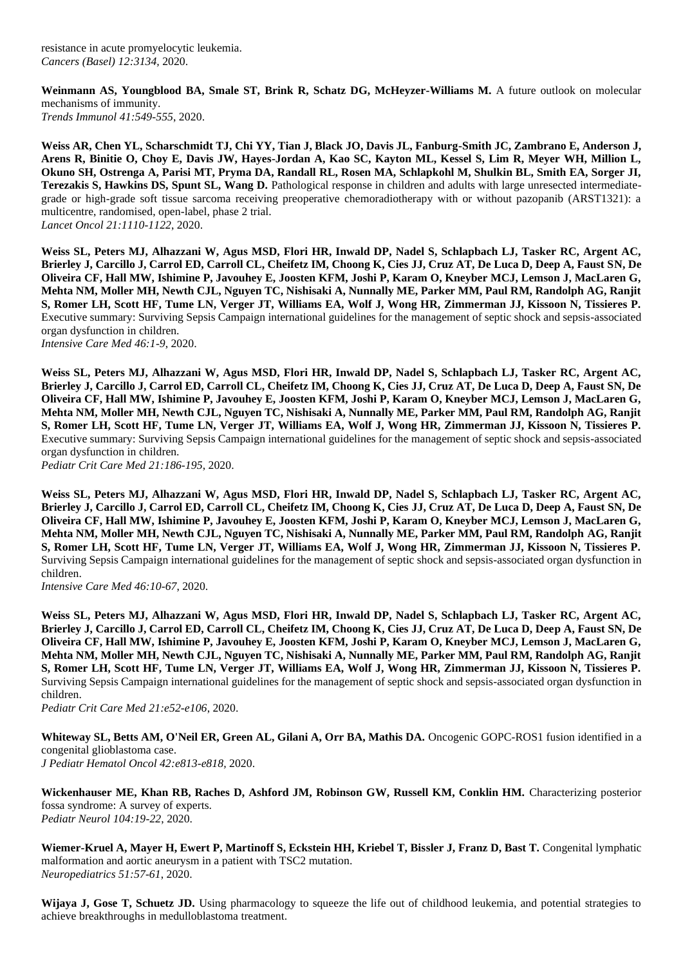resistance in acute promyelocytic leukemia. *Cancers (Basel) 12:3134,* 2020.

**Weinmann AS, Youngblood BA, Smale ST, Brink R, Schatz DG, McHeyzer-Williams M.** A future outlook on molecular mechanisms of immunity. *Trends Immunol 41:549-555*, 2020.

**Weiss AR, Chen YL, Scharschmidt TJ, Chi YY, Tian J, Black JO, Davis JL, Fanburg-Smith JC, Zambrano E, Anderson J, Arens R, Binitie O, Choy E, Davis JW, Hayes-Jordan A, Kao SC, Kayton ML, Kessel S, Lim R, Meyer WH, Million L, Okuno SH, Ostrenga A, Parisi MT, Pryma DA, Randall RL, Rosen MA, Schlapkohl M, Shulkin BL, Smith EA, Sorger JI, Terezakis S, Hawkins DS, Spunt SL, Wang D.** Pathological response in children and adults with large unresected intermediategrade or high-grade soft tissue sarcoma receiving preoperative chemoradiotherapy with or without pazopanib (ARST1321): a multicentre, randomised, open-label, phase 2 trial. *Lancet Oncol 21:1110-1122*, 2020.

**Weiss SL, Peters MJ, Alhazzani W, Agus MSD, Flori HR, Inwald DP, Nadel S, Schlapbach LJ, Tasker RC, Argent AC, Brierley J, Carcillo J, Carrol ED, Carroll CL, Cheifetz IM, Choong K, Cies JJ, Cruz AT, De Luca D, Deep A, Faust SN, De Oliveira CF, Hall MW, Ishimine P, Javouhey E, Joosten KFM, Joshi P, Karam O, Kneyber MCJ, Lemson J, MacLaren G, Mehta NM, Moller MH, Newth CJL, Nguyen TC, Nishisaki A, Nunnally ME, Parker MM, Paul RM, Randolph AG, Ranjit S, Romer LH, Scott HF, Tume LN, Verger JT, Williams EA, Wolf J, Wong HR, Zimmerman JJ, Kissoon N, Tissieres P.**  Executive summary: Surviving Sepsis Campaign international guidelines for the management of septic shock and sepsis-associated organ dysfunction in children. *Intensive Care Med 46:1-9*, 2020.

**Weiss SL, Peters MJ, Alhazzani W, Agus MSD, Flori HR, Inwald DP, Nadel S, Schlapbach LJ, Tasker RC, Argent AC, Brierley J, Carcillo J, Carrol ED, Carroll CL, Cheifetz IM, Choong K, Cies JJ, Cruz AT, De Luca D, Deep A, Faust SN, De Oliveira CF, Hall MW, Ishimine P, Javouhey E, Joosten KFM, Joshi P, Karam O, Kneyber MCJ, Lemson J, MacLaren G, Mehta NM, Moller MH, Newth CJL, Nguyen TC, Nishisaki A, Nunnally ME, Parker MM, Paul RM, Randolph AG, Ranjit S, Romer LH, Scott HF, Tume LN, Verger JT, Williams EA, Wolf J, Wong HR, Zimmerman JJ, Kissoon N, Tissieres P.**  Executive summary: Surviving Sepsis Campaign international guidelines for the management of septic shock and sepsis-associated organ dysfunction in children. *Pediatr Crit Care Med 21:186-195*, 2020.

**Weiss SL, Peters MJ, Alhazzani W, Agus MSD, Flori HR, Inwald DP, Nadel S, Schlapbach LJ, Tasker RC, Argent AC, Brierley J, Carcillo J, Carrol ED, Carroll CL, Cheifetz IM, Choong K, Cies JJ, Cruz AT, De Luca D, Deep A, Faust SN, De Oliveira CF, Hall MW, Ishimine P, Javouhey E, Joosten KFM, Joshi P, Karam O, Kneyber MCJ, Lemson J, MacLaren G, Mehta NM, Moller MH, Newth CJL, Nguyen TC, Nishisaki A, Nunnally ME, Parker MM, Paul RM, Randolph AG, Ranjit S, Romer LH, Scott HF, Tume LN, Verger JT, Williams EA, Wolf J, Wong HR, Zimmerman JJ, Kissoon N, Tissieres P.**  Surviving Sepsis Campaign international guidelines for the management of septic shock and sepsis-associated organ dysfunction in children.

*Intensive Care Med 46:10-67*, 2020.

**Weiss SL, Peters MJ, Alhazzani W, Agus MSD, Flori HR, Inwald DP, Nadel S, Schlapbach LJ, Tasker RC, Argent AC, Brierley J, Carcillo J, Carrol ED, Carroll CL, Cheifetz IM, Choong K, Cies JJ, Cruz AT, De Luca D, Deep A, Faust SN, De Oliveira CF, Hall MW, Ishimine P, Javouhey E, Joosten KFM, Joshi P, Karam O, Kneyber MCJ, Lemson J, MacLaren G, Mehta NM, Moller MH, Newth CJL, Nguyen TC, Nishisaki A, Nunnally ME, Parker MM, Paul RM, Randolph AG, Ranjit S, Romer LH, Scott HF, Tume LN, Verger JT, Williams EA, Wolf J, Wong HR, Zimmerman JJ, Kissoon N, Tissieres P.**  Surviving Sepsis Campaign international guidelines for the management of septic shock and sepsis-associated organ dysfunction in children.

*Pediatr Crit Care Med 21:e52-e106*, 2020.

**Whiteway SL, Betts AM, O'Neil ER, Green AL, Gilani A, Orr BA, Mathis DA.** Oncogenic GOPC-ROS1 fusion identified in a congenital glioblastoma case. *J Pediatr Hematol Oncol 42:e813-e818,* 2020.

**Wickenhauser ME, Khan RB, Raches D, Ashford JM, Robinson GW, Russell KM, Conklin HM.** Characterizing posterior fossa syndrome: A survey of experts. *Pediatr Neurol 104:19-22*, 2020.

Wiemer-Kruel A, Mayer H, Ewert P, Martinoff S, Eckstein HH, Kriebel T, Bissler J, Franz D, Bast T. Congenital lymphatic malformation and aortic aneurysm in a patient with TSC2 mutation. *Neuropediatrics 51:57-61*, 2020.

**Wijaya J, Gose T, Schuetz JD.** Using pharmacology to squeeze the life out of childhood leukemia, and potential strategies to achieve breakthroughs in medulloblastoma treatment.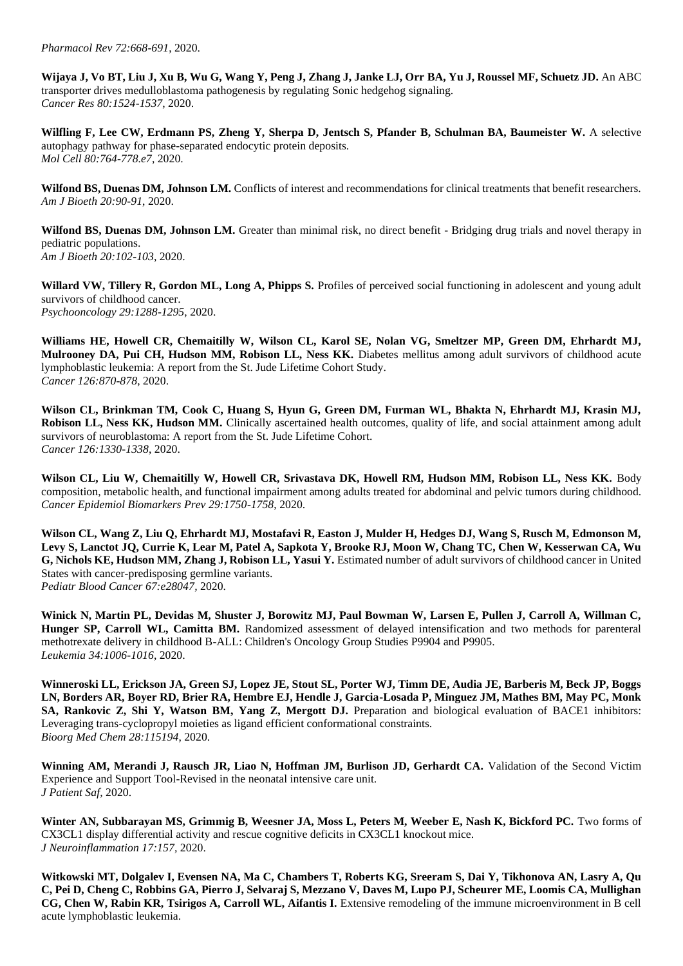**Wijaya J, Vo BT, Liu J, Xu B, Wu G, Wang Y, Peng J, Zhang J, Janke LJ, Orr BA, Yu J, Roussel MF, Schuetz JD.** An ABC transporter drives medulloblastoma pathogenesis by regulating Sonic hedgehog signaling. *Cancer Res 80:1524-1537*, 2020.

**Wilfling F, Lee CW, Erdmann PS, Zheng Y, Sherpa D, Jentsch S, Pfander B, Schulman BA, Baumeister W.** A selective autophagy pathway for phase-separated endocytic protein deposits. *Mol Cell 80:764-778.e7*, 2020.

**Wilfond BS, Duenas DM, Johnson LM.** Conflicts of interest and recommendations for clinical treatments that benefit researchers. *Am J Bioeth 20:90-91*, 2020.

**Wilfond BS, Duenas DM, Johnson LM.** Greater than minimal risk, no direct benefit - Bridging drug trials and novel therapy in pediatric populations. *Am J Bioeth 20:102-103*, 2020.

Willard VW, Tillery R, Gordon ML, Long A, Phipps S. Profiles of perceived social functioning in adolescent and young adult survivors of childhood cancer.

*Psychooncology 29:1288-1295*, 2020.

**Williams HE, Howell CR, Chemaitilly W, Wilson CL, Karol SE, Nolan VG, Smeltzer MP, Green DM, Ehrhardt MJ, Mulrooney DA, Pui CH, Hudson MM, Robison LL, Ness KK.** Diabetes mellitus among adult survivors of childhood acute lymphoblastic leukemia: A report from the St. Jude Lifetime Cohort Study. *Cancer 126:870-878*, 2020.

**Wilson CL, Brinkman TM, Cook C, Huang S, Hyun G, Green DM, Furman WL, Bhakta N, Ehrhardt MJ, Krasin MJ, Robison LL, Ness KK, Hudson MM.** Clinically ascertained health outcomes, quality of life, and social attainment among adult survivors of neuroblastoma: A report from the St. Jude Lifetime Cohort. *Cancer 126:1330-1338*, 2020.

**Wilson CL, Liu W, Chemaitilly W, Howell CR, Srivastava DK, Howell RM, Hudson MM, Robison LL, Ness KK.** Body composition, metabolic health, and functional impairment among adults treated for abdominal and pelvic tumors during childhood. *Cancer Epidemiol Biomarkers Prev 29:1750-1758*, 2020.

**Wilson CL, Wang Z, Liu Q, Ehrhardt MJ, Mostafavi R, Easton J, Mulder H, Hedges DJ, Wang S, Rusch M, Edmonson M, Levy S, Lanctot JQ, Currie K, Lear M, Patel A, Sapkota Y, Brooke RJ, Moon W, Chang TC, Chen W, Kesserwan CA, Wu G, Nichols KE, Hudson MM, Zhang J, Robison LL, Yasui Y.** Estimated number of adult survivors of childhood cancer in United States with cancer-predisposing germline variants. *Pediatr Blood Cancer 67:e28047,* 2020.

**Winick N, Martin PL, Devidas M, Shuster J, Borowitz MJ, Paul Bowman W, Larsen E, Pullen J, Carroll A, Willman C,**  Hunger SP, Carroll WL, Camitta BM. Randomized assessment of delayed intensification and two methods for parenteral methotrexate delivery in childhood B-ALL: Children's Oncology Group Studies P9904 and P9905. *Leukemia 34:1006-1016*, 2020.

**Winneroski LL, Erickson JA, Green SJ, Lopez JE, Stout SL, Porter WJ, Timm DE, Audia JE, Barberis M, Beck JP, Boggs LN, Borders AR, Boyer RD, Brier RA, Hembre EJ, Hendle J, Garcia-Losada P, Minguez JM, Mathes BM, May PC, Monk SA, Rankovic Z, Shi Y, Watson BM, Yang Z, Mergott DJ.** Preparation and biological evaluation of BACE1 inhibitors: Leveraging trans-cyclopropyl moieties as ligand efficient conformational constraints. *Bioorg Med Chem 28:115194*, 2020.

**Winning AM, Merandi J, Rausch JR, Liao N, Hoffman JM, Burlison JD, Gerhardt CA.** Validation of the Second Victim Experience and Support Tool-Revised in the neonatal intensive care unit. *J Patient Saf,* 2020.

Winter AN, Subbarayan MS, Grimmig B, Weesner JA, Moss L, Peters M, Weeber E, Nash K, Bickford PC. Two forms of CX3CL1 display differential activity and rescue cognitive deficits in CX3CL1 knockout mice. *J Neuroinflammation 17:157,* 2020.

**Witkowski MT, Dolgalev I, Evensen NA, Ma C, Chambers T, Roberts KG, Sreeram S, Dai Y, Tikhonova AN, Lasry A, Qu C, Pei D, Cheng C, Robbins GA, Pierro J, Selvaraj S, Mezzano V, Daves M, Lupo PJ, Scheurer ME, Loomis CA, Mullighan CG, Chen W, Rabin KR, Tsirigos A, Carroll WL, Aifantis I.** Extensive remodeling of the immune microenvironment in B cell acute lymphoblastic leukemia.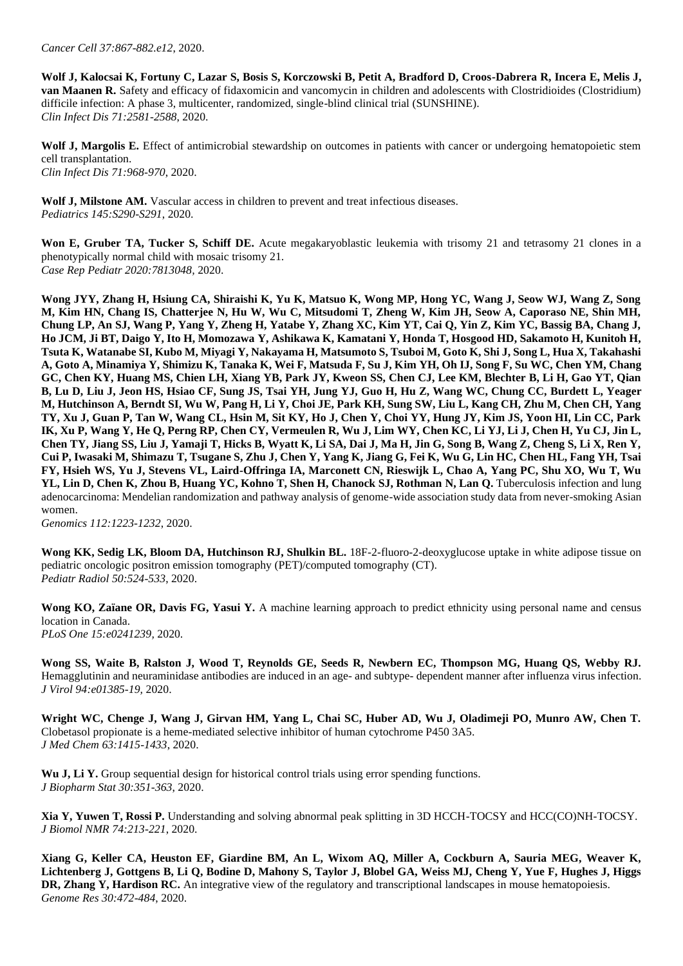**Wolf J, Kalocsai K, Fortuny C, Lazar S, Bosis S, Korczowski B, Petit A, Bradford D, Croos-Dabrera R, Incera E, Melis J, van Maanen R.** Safety and efficacy of fidaxomicin and vancomycin in children and adolescents with Clostridioides (Clostridium) difficile infection: A phase 3, multicenter, randomized, single-blind clinical trial (SUNSHINE). *Clin Infect Dis 71:2581-2588*, 2020.

Wolf **J**, Margolis E. Effect of antimicrobial stewardship on outcomes in patients with cancer or undergoing hematopoietic stem cell transplantation. *Clin Infect Dis 71:968-970*, 2020.

Wolf **J**, Milstone AM. Vascular access in children to prevent and treat infectious diseases. *Pediatrics 145:S290-S291*, 2020.

**Won E, Gruber TA, Tucker S, Schiff DE.** Acute megakaryoblastic leukemia with trisomy 21 and tetrasomy 21 clones in a phenotypically normal child with mosaic trisomy 21. *Case Rep Pediatr 2020:7813048,* 2020.

**Wong JYY, Zhang H, Hsiung CA, Shiraishi K, Yu K, Matsuo K, Wong MP, Hong YC, Wang J, Seow WJ, Wang Z, Song M, Kim HN, Chang IS, Chatterjee N, Hu W, Wu C, Mitsudomi T, Zheng W, Kim JH, Seow A, Caporaso NE, Shin MH, Chung LP, An SJ, Wang P, Yang Y, Zheng H, Yatabe Y, Zhang XC, Kim YT, Cai Q, Yin Z, Kim YC, Bassig BA, Chang J, Ho JCM, Ji BT, Daigo Y, Ito H, Momozawa Y, Ashikawa K, Kamatani Y, Honda T, Hosgood HD, Sakamoto H, Kunitoh H, Tsuta K, Watanabe SI, Kubo M, Miyagi Y, Nakayama H, Matsumoto S, Tsuboi M, Goto K, Shi J, Song L, Hua X, Takahashi A, Goto A, Minamiya Y, Shimizu K, Tanaka K, Wei F, Matsuda F, Su J, Kim YH, Oh IJ, Song F, Su WC, Chen YM, Chang GC, Chen KY, Huang MS, Chien LH, Xiang YB, Park JY, Kweon SS, Chen CJ, Lee KM, Blechter B, Li H, Gao YT, Qian B, Lu D, Liu J, Jeon HS, Hsiao CF, Sung JS, Tsai YH, Jung YJ, Guo H, Hu Z, Wang WC, Chung CC, Burdett L, Yeager M, Hutchinson A, Berndt SI, Wu W, Pang H, Li Y, Choi JE, Park KH, Sung SW, Liu L, Kang CH, Zhu M, Chen CH, Yang TY, Xu J, Guan P, Tan W, Wang CL, Hsin M, Sit KY, Ho J, Chen Y, Choi YY, Hung JY, Kim JS, Yoon HI, Lin CC, Park IK, Xu P, Wang Y, He Q, Perng RP, Chen CY, Vermeulen R, Wu J, Lim WY, Chen KC, Li YJ, Li J, Chen H, Yu CJ, Jin L, Chen TY, Jiang SS, Liu J, Yamaji T, Hicks B, Wyatt K, Li SA, Dai J, Ma H, Jin G, Song B, Wang Z, Cheng S, Li X, Ren Y, Cui P, Iwasaki M, Shimazu T, Tsugane S, Zhu J, Chen Y, Yang K, Jiang G, Fei K, Wu G, Lin HC, Chen HL, Fang YH, Tsai FY, Hsieh WS, Yu J, Stevens VL, Laird-Offringa IA, Marconett CN, Rieswijk L, Chao A, Yang PC, Shu XO, Wu T, Wu**  YL, Lin D, Chen K, Zhou B, Huang YC, Kohno T, Shen H, Chanock SJ, Rothman N, Lan Q. Tuberculosis infection and lung adenocarcinoma: Mendelian randomization and pathway analysis of genome-wide association study data from never-smoking Asian women.

*Genomics 112:1223-1232*, 2020.

Wong KK, Sedig LK, Bloom DA, Hutchinson RJ, Shulkin BL. 18F-2-fluoro-2-deoxyglucose uptake in white adipose tissue on pediatric oncologic positron emission tomography (PET)/computed tomography (CT). *Pediatr Radiol 50:524-533*, 2020.

**Wong KO, Zaïane OR, Davis FG, Yasui Y.** A machine learning approach to predict ethnicity using personal name and census location in Canada. *PLoS One 15:e0241239,* 2020.

**Wong SS, Waite B, Ralston J, Wood T, Reynolds GE, Seeds R, Newbern EC, Thompson MG, Huang QS, Webby RJ.**  Hemagglutinin and neuraminidase antibodies are induced in an age- and subtype- dependent manner after influenza virus infection. *J Virol 94:e01385-19,* 2020.

**Wright WC, Chenge J, Wang J, Girvan HM, Yang L, Chai SC, Huber AD, Wu J, Oladimeji PO, Munro AW, Chen T.**  Clobetasol propionate is a heme-mediated selective inhibitor of human cytochrome P450 3A5. *J Med Chem 63:1415-1433*, 2020.

Wu J, Li Y. Group sequential design for historical control trials using error spending functions. *J Biopharm Stat 30:351-363*, 2020.

**Xia Y, Yuwen T, Rossi P.** Understanding and solving abnormal peak splitting in 3D HCCH-TOCSY and HCC(CO)NH-TOCSY. *J Biomol NMR 74:213-221*, 2020.

**Xiang G, Keller CA, Heuston EF, Giardine BM, An L, Wixom AQ, Miller A, Cockburn A, Sauria MEG, Weaver K, Lichtenberg J, Gottgens B, Li Q, Bodine D, Mahony S, Taylor J, Blobel GA, Weiss MJ, Cheng Y, Yue F, Hughes J, Higgs DR, Zhang Y, Hardison RC.** An integrative view of the regulatory and transcriptional landscapes in mouse hematopoiesis. *Genome Res 30:472-484*, 2020.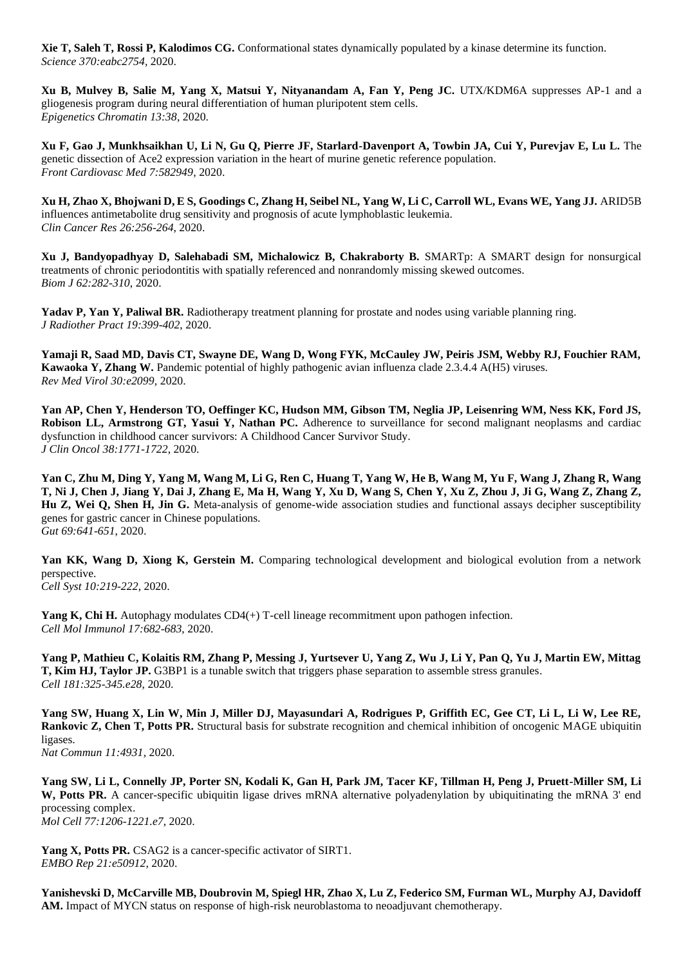**Xie T, Saleh T, Rossi P, Kalodimos CG.** Conformational states dynamically populated by a kinase determine its function. *Science 370:eabc2754,* 2020.

**Xu B, Mulvey B, Salie M, Yang X, Matsui Y, Nityanandam A, Fan Y, Peng JC.** UTX/KDM6A suppresses AP-1 and a gliogenesis program during neural differentiation of human pluripotent stem cells. *Epigenetics Chromatin 13:38,* 2020.

**Xu F, Gao J, Munkhsaikhan U, Li N, Gu Q, Pierre JF, Starlard-Davenport A, Towbin JA, Cui Y, Purevjav E, Lu L.** The genetic dissection of Ace2 expression variation in the heart of murine genetic reference population. *Front Cardiovasc Med 7:582949,* 2020.

**Xu H, Zhao X, Bhojwani D, E S, Goodings C, Zhang H, Seibel NL, Yang W, Li C, Carroll WL, Evans WE, Yang JJ.** ARID5B influences antimetabolite drug sensitivity and prognosis of acute lymphoblastic leukemia. *Clin Cancer Res 26:256-264*, 2020.

**Xu J, Bandyopadhyay D, Salehabadi SM, Michalowicz B, Chakraborty B.** SMARTp: A SMART design for nonsurgical treatments of chronic periodontitis with spatially referenced and nonrandomly missing skewed outcomes. *Biom J 62:282-310*, 2020.

**Yadav P, Yan Y, Paliwal BR.** Radiotherapy treatment planning for prostate and nodes using variable planning ring. *J Radiother Pract 19:399-402*, 2020.

**Yamaji R, Saad MD, Davis CT, Swayne DE, Wang D, Wong FYK, McCauley JW, Peiris JSM, Webby RJ, Fouchier RAM, Kawaoka Y, Zhang W.** Pandemic potential of highly pathogenic avian influenza clade 2.3.4.4 A(H5) viruses. *Rev Med Virol 30:e2099,* 2020.

**Yan AP, Chen Y, Henderson TO, Oeffinger KC, Hudson MM, Gibson TM, Neglia JP, Leisenring WM, Ness KK, Ford JS, Robison LL, Armstrong GT, Yasui Y, Nathan PC.** Adherence to surveillance for second malignant neoplasms and cardiac dysfunction in childhood cancer survivors: A Childhood Cancer Survivor Study. *J Clin Oncol 38:1771-1722*, 2020.

**Yan C, Zhu M, Ding Y, Yang M, Wang M, Li G, Ren C, Huang T, Yang W, He B, Wang M, Yu F, Wang J, Zhang R, Wang T, Ni J, Chen J, Jiang Y, Dai J, Zhang E, Ma H, Wang Y, Xu D, Wang S, Chen Y, Xu Z, Zhou J, Ji G, Wang Z, Zhang Z, Hu Z, Wei Q, Shen H, Jin G.** Meta-analysis of genome-wide association studies and functional assays decipher susceptibility genes for gastric cancer in Chinese populations. *Gut 69:641-651*, 2020.

**Yan KK, Wang D, Xiong K, Gerstein M.** Comparing technological development and biological evolution from a network perspective.

*Cell Syst 10:219-222*, 2020.

**Yang K, Chi H.** Autophagy modulates CD4(+) T-cell lineage recommitment upon pathogen infection. *Cell Mol Immunol 17:682-683*, 2020.

**Yang P, Mathieu C, Kolaitis RM, Zhang P, Messing J, Yurtsever U, Yang Z, Wu J, Li Y, Pan Q, Yu J, Martin EW, Mittag T, Kim HJ, Taylor JP.** G3BP1 is a tunable switch that triggers phase separation to assemble stress granules. *Cell 181:325-345.e28*, 2020.

**Yang SW, Huang X, Lin W, Min J, Miller DJ, Mayasundari A, Rodrigues P, Griffith EC, Gee CT, Li L, Li W, Lee RE, Rankovic Z, Chen T, Potts PR.** Structural basis for substrate recognition and chemical inhibition of oncogenic MAGE ubiquitin ligases.

*Nat Commun 11:4931,* 2020.

**Yang SW, Li L, Connelly JP, Porter SN, Kodali K, Gan H, Park JM, Tacer KF, Tillman H, Peng J, Pruett-Miller SM, Li W, Potts PR.** A cancer-specific ubiquitin ligase drives mRNA alternative polyadenylation by ubiquitinating the mRNA 3' end processing complex. *Mol Cell 77:1206-1221.e7*, 2020.

Yang X, Potts PR. CSAG2 is a cancer-specific activator of SIRT1. *EMBO Rep 21:e50912,* 2020.

**Yanishevski D, McCarville MB, Doubrovin M, Spiegl HR, Zhao X, Lu Z, Federico SM, Furman WL, Murphy AJ, Davidoff AM.** Impact of MYCN status on response of high-risk neuroblastoma to neoadjuvant chemotherapy.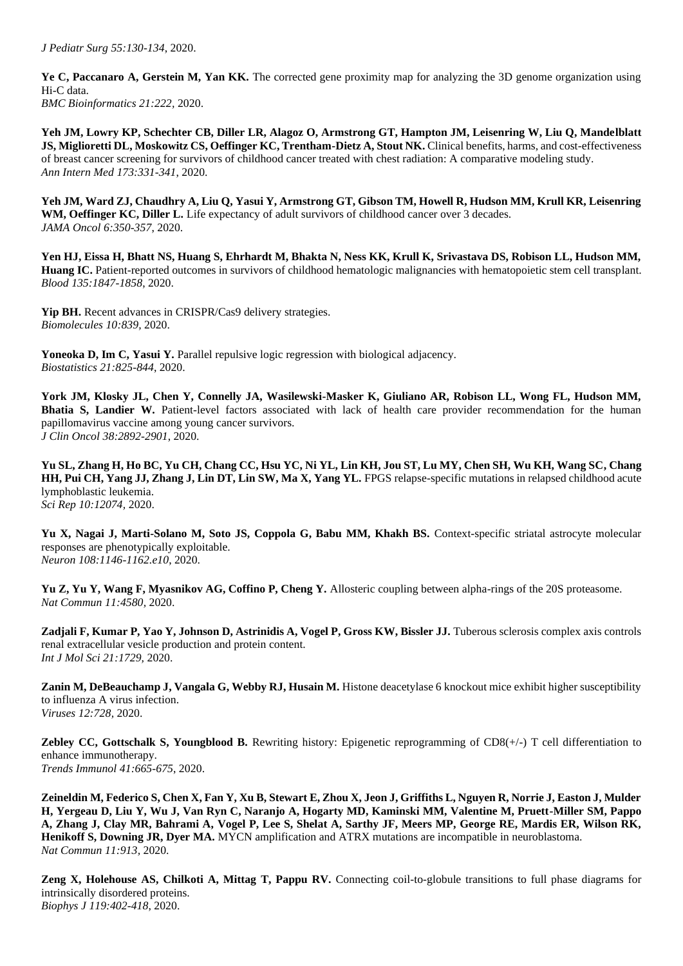**Ye C, Paccanaro A, Gerstein M, Yan KK.** The corrected gene proximity map for analyzing the 3D genome organization using Hi-C data. *BMC Bioinformatics 21:222,* 2020.

**Yeh JM, Lowry KP, Schechter CB, Diller LR, Alagoz O, Armstrong GT, Hampton JM, Leisenring W, Liu Q, Mandelblatt JS, Miglioretti DL, Moskowitz CS, Oeffinger KC, Trentham-Dietz A, Stout NK.** Clinical benefits, harms, and cost-effectiveness of breast cancer screening for survivors of childhood cancer treated with chest radiation: A comparative modeling study. *Ann Intern Med 173:331-341*, 2020.

**Yeh JM, Ward ZJ, Chaudhry A, Liu Q, Yasui Y, Armstrong GT, Gibson TM, Howell R, Hudson MM, Krull KR, Leisenring**  WM, Oeffinger KC, Diller L. Life expectancy of adult survivors of childhood cancer over 3 decades. *JAMA Oncol 6:350-357*, 2020.

**Yen HJ, Eissa H, Bhatt NS, Huang S, Ehrhardt M, Bhakta N, Ness KK, Krull K, Srivastava DS, Robison LL, Hudson MM, Huang IC.** Patient-reported outcomes in survivors of childhood hematologic malignancies with hematopoietic stem cell transplant. *Blood 135:1847-1858*, 2020.

**Yip BH.** Recent advances in CRISPR/Cas9 delivery strategies. *Biomolecules 10:839,* 2020.

Yoneoka D, Im C, Yasui Y. Parallel repulsive logic regression with biological adjacency. *Biostatistics 21:825-844*, 2020.

**York JM, Klosky JL, Chen Y, Connelly JA, Wasilewski-Masker K, Giuliano AR, Robison LL, Wong FL, Hudson MM, Bhatia S, Landier W.** Patient-level factors associated with lack of health care provider recommendation for the human papillomavirus vaccine among young cancer survivors. *J Clin Oncol 38:2892-2901*, 2020.

**Yu SL, Zhang H, Ho BC, Yu CH, Chang CC, Hsu YC, Ni YL, Lin KH, Jou ST, Lu MY, Chen SH, Wu KH, Wang SC, Chang HH, Pui CH, Yang JJ, Zhang J, Lin DT, Lin SW, Ma X, Yang YL.** FPGS relapse-specific mutations in relapsed childhood acute lymphoblastic leukemia. *Sci Rep 10:12074,* 2020.

**Yu X, Nagai J, Marti-Solano M, Soto JS, Coppola G, Babu MM, Khakh BS.** Context-specific striatal astrocyte molecular responses are phenotypically exploitable. *Neuron 108:1146-1162.e10*, 2020.

**Yu Z, Yu Y, Wang F, Myasnikov AG, Coffino P, Cheng Y.** Allosteric coupling between alpha-rings of the 20S proteasome. *Nat Commun 11:4580,* 2020.

Zadjali F, Kumar P, Yao Y, Johnson D, Astrinidis A, Vogel P, Gross KW, Bissler JJ. Tuberous sclerosis complex axis controls renal extracellular vesicle production and protein content. *Int J Mol Sci 21:1729,* 2020.

**Zanin M, DeBeauchamp J, Vangala G, Webby RJ, Husain M.** Histone deacetylase 6 knockout mice exhibit higher susceptibility to influenza A virus infection. *Viruses 12:728,* 2020.

**Zebley CC, Gottschalk S, Youngblood B.** Rewriting history: Epigenetic reprogramming of CD8(+/-) T cell differentiation to enhance immunotherapy. *Trends Immunol 41:665-675*, 2020.

**Zeineldin M, Federico S, Chen X, Fan Y, Xu B, Stewart E, Zhou X, Jeon J, Griffiths L, Nguyen R, Norrie J, Easton J, Mulder H, Yergeau D, Liu Y, Wu J, Van Ryn C, Naranjo A, Hogarty MD, Kaminski MM, Valentine M, Pruett-Miller SM, Pappo A, Zhang J, Clay MR, Bahrami A, Vogel P, Lee S, Shelat A, Sarthy JF, Meers MP, George RE, Mardis ER, Wilson RK, Henikoff S, Downing JR, Dyer MA.** MYCN amplification and ATRX mutations are incompatible in neuroblastoma. *Nat Commun 11:913,* 2020.

**Zeng X, Holehouse AS, Chilkoti A, Mittag T, Pappu RV.** Connecting coil-to-globule transitions to full phase diagrams for intrinsically disordered proteins. *Biophys J 119:402-418*, 2020.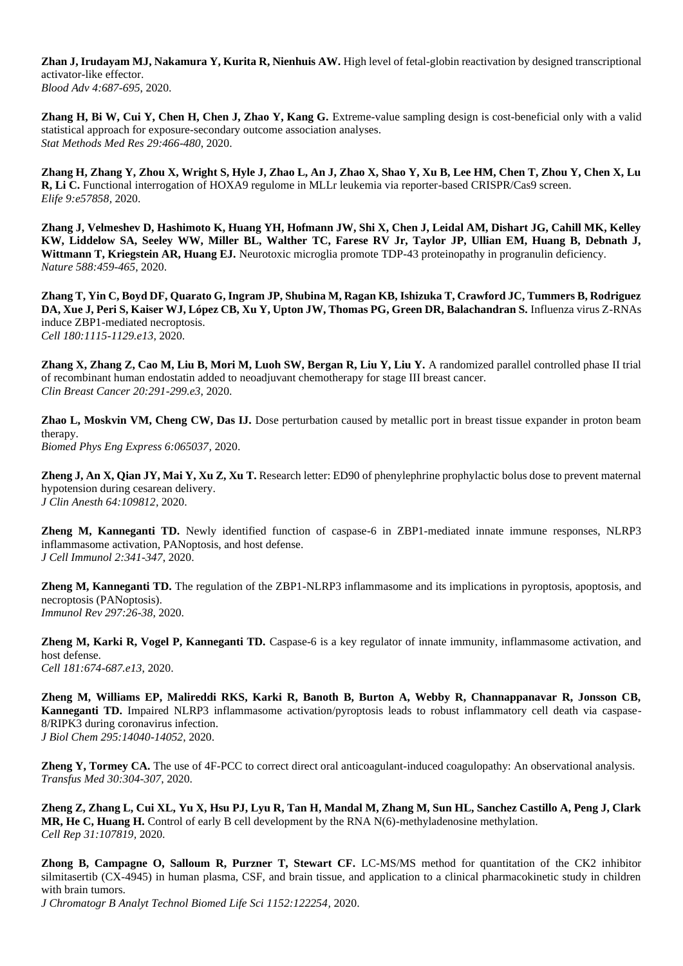**Zhan J, Irudayam MJ, Nakamura Y, Kurita R, Nienhuis AW.** High level of fetal-globin reactivation by designed transcriptional activator-like effector. *Blood Adv 4:687-695*, 2020.

**Zhang H, Bi W, Cui Y, Chen H, Chen J, Zhao Y, Kang G.** Extreme-value sampling design is cost-beneficial only with a valid statistical approach for exposure-secondary outcome association analyses. *Stat Methods Med Res 29:466-480*, 2020.

**Zhang H, Zhang Y, Zhou X, Wright S, Hyle J, Zhao L, An J, Zhao X, Shao Y, Xu B, Lee HM, Chen T, Zhou Y, Chen X, Lu R, Li C.** Functional interrogation of HOXA9 regulome in MLLr leukemia via reporter-based CRISPR/Cas9 screen. *Elife 9:e57858,* 2020.

**Zhang J, Velmeshev D, Hashimoto K, Huang YH, Hofmann JW, Shi X, Chen J, Leidal AM, Dishart JG, Cahill MK, Kelley KW, Liddelow SA, Seeley WW, Miller BL, Walther TC, Farese RV Jr, Taylor JP, Ullian EM, Huang B, Debnath J, Wittmann T, Kriegstein AR, Huang EJ.** Neurotoxic microglia promote TDP-43 proteinopathy in progranulin deficiency. *Nature 588:459-465*, 2020.

**Zhang T, Yin C, Boyd DF, Quarato G, Ingram JP, Shubina M, Ragan KB, Ishizuka T, Crawford JC, Tummers B, Rodriguez**  DA, Xue J, Peri S, Kaiser WJ, López CB, Xu Y, Upton JW, Thomas PG, Green DR, Balachandran S. Influenza virus Z-RNAs induce ZBP1-mediated necroptosis. *Cell 180:1115-1129.e13*, 2020.

**Zhang X, Zhang Z, Cao M, Liu B, Mori M, Luoh SW, Bergan R, Liu Y, Liu Y.** A randomized parallel controlled phase II trial of recombinant human endostatin added to neoadjuvant chemotherapy for stage III breast cancer. *Clin Breast Cancer 20:291-299.e3*, 2020.

**Zhao L, Moskvin VM, Cheng CW, Das IJ.** Dose perturbation caused by metallic port in breast tissue expander in proton beam therapy.

*Biomed Phys Eng Express 6:065037,* 2020.

**Zheng J, An X, Qian JY, Mai Y, Xu Z, Xu T.** Research letter: ED90 of phenylephrine prophylactic bolus dose to prevent maternal hypotension during cesarean delivery. *J Clin Anesth 64:109812,* 2020.

**Zheng M, Kanneganti TD.** Newly identified function of caspase-6 in ZBP1-mediated innate immune responses, NLRP3 inflammasome activation, PANoptosis, and host defense. *J Cell Immunol 2:341-347*, 2020.

**Zheng M, Kanneganti TD.** The regulation of the ZBP1-NLRP3 inflammasome and its implications in pyroptosis, apoptosis, and necroptosis (PANoptosis). *Immunol Rev 297:26-38*, 2020.

**Zheng M, Karki R, Vogel P, Kanneganti TD.** Caspase-6 is a key regulator of innate immunity, inflammasome activation, and host defense. *Cell 181:674-687.e13*, 2020.

**Zheng M, Williams EP, Malireddi RKS, Karki R, Banoth B, Burton A, Webby R, Channappanavar R, Jonsson CB, Kanneganti TD.** Impaired NLRP3 inflammasome activation/pyroptosis leads to robust inflammatory cell death via caspase-8/RIPK3 during coronavirus infection. *J Biol Chem 295:14040-14052*, 2020.

**Zheng Y, Tormey CA.** The use of 4F-PCC to correct direct oral anticoagulant-induced coagulopathy: An observational analysis. *Transfus Med 30:304-307*, 2020.

**Zheng Z, Zhang L, Cui XL, Yu X, Hsu PJ, Lyu R, Tan H, Mandal M, Zhang M, Sun HL, Sanchez Castillo A, Peng J, Clark MR, He C, Huang H.** Control of early B cell development by the RNA N(6)-methyladenosine methylation. *Cell Rep 31:107819,* 2020.

**Zhong B, Campagne O, Salloum R, Purzner T, Stewart CF.** LC-MS/MS method for quantitation of the CK2 inhibitor silmitasertib (CX-4945) in human plasma, CSF, and brain tissue, and application to a clinical pharmacokinetic study in children with brain tumors.

*J Chromatogr B Analyt Technol Biomed Life Sci 1152:122254,* 2020.